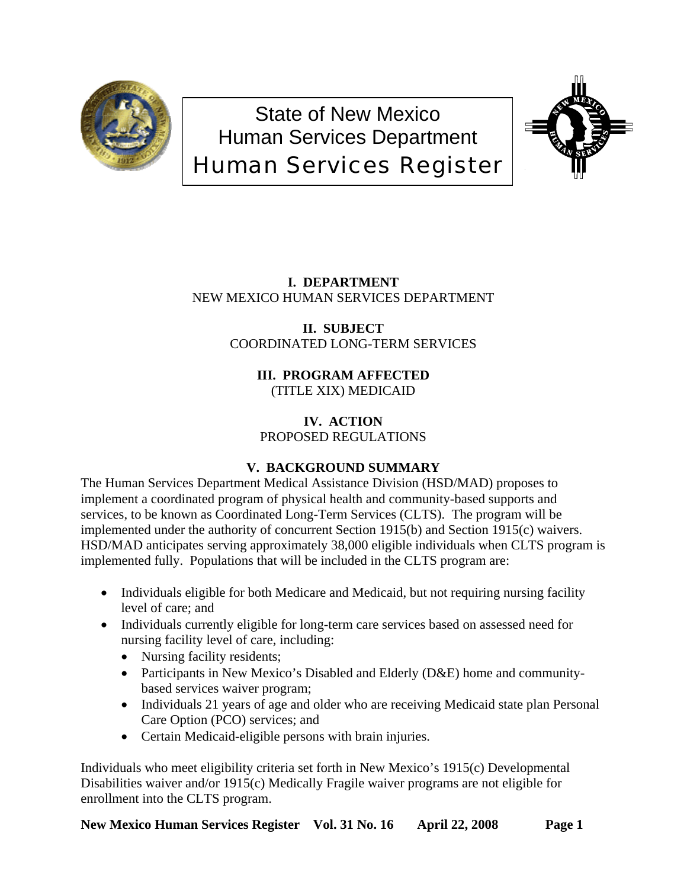

# State of New Mexico Human Services Department Human Services Register



**I. DEPARTMENT** NEW MEXICO HUMAN SERVICES DEPARTMENT

> **II. SUBJECT** COORDINATED LONG-TERM SERVICES

> > **III. PROGRAM AFFECTED** (TITLE XIX) MEDICAID

**IV. ACTION** PROPOSED REGULATIONS

## **V. BACKGROUND SUMMARY**

The Human Services Department Medical Assistance Division (HSD/MAD) proposes to implement a coordinated program of physical health and community-based supports and services, to be known as Coordinated Long-Term Services (CLTS). The program will be implemented under the authority of concurrent Section 1915(b) and Section 1915(c) waivers. HSD/MAD anticipates serving approximately 38,000 eligible individuals when CLTS program is implemented fully. Populations that will be included in the CLTS program are:

- Individuals eligible for both Medicare and Medicaid, but not requiring nursing facility level of care; and
- Individuals currently eligible for long-term care services based on assessed need for nursing facility level of care, including:
	- Nursing facility residents;
	- Participants in New Mexico's Disabled and Elderly (D&E) home and communitybased services waiver program;
	- Individuals 21 years of age and older who are receiving Medicaid state plan Personal Care Option (PCO) services; and
	- Certain Medicaid-eligible persons with brain injuries.

Individuals who meet eligibility criteria set forth in New Mexico's 1915(c) Developmental Disabilities waiver and/or 1915(c) Medically Fragile waiver programs are not eligible for enrollment into the CLTS program.

New Mexico Human Services Register Vol. 31 No. 16 April 22, 2008 Page 1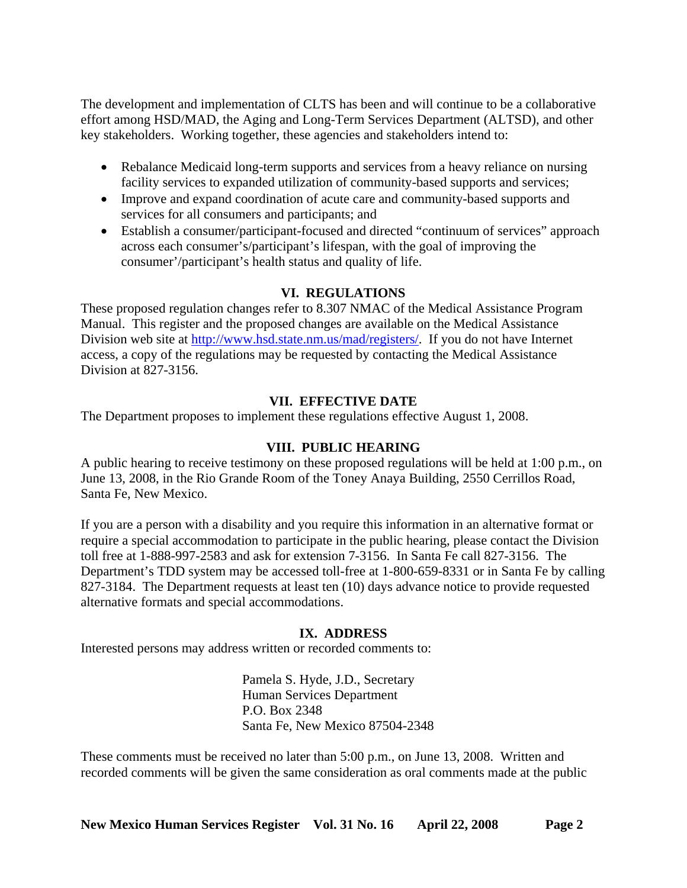The development and implementation of CLTS has been and will continue to be a collaborative effort among HSD/MAD, the Aging and Long-Term Services Department (ALTSD), and other key stakeholders. Working together, these agencies and stakeholders intend to:

- Rebalance Medicaid long-term supports and services from a heavy reliance on nursing facility services to expanded utilization of community-based supports and services;
- Improve and expand coordination of acute care and community-based supports and services for all consumers and participants; and
- Establish a consumer/participant-focused and directed "continuum of services" approach across each consumer's/participant's lifespan, with the goal of improving the consumer'/participant's health status and quality of life.

## **VI. REGULATIONS**

These proposed regulation changes refer to 8.307 NMAC of the Medical Assistance Program Manual. This register and the proposed changes are available on the Medical Assistance Division web site at <http://www.hsd.state.nm.us/mad/registers/>. If you do not have Internet access, a copy of the regulations may be requested by contacting the Medical Assistance Division at 827-3156.

## **VII. EFFECTIVE DATE**

The Department proposes to implement these regulations effective August 1, 2008.

## **VIII. PUBLIC HEARING**

A public hearing to receive testimony on these proposed regulations will be held at 1:00 p.m., on June 13, 2008, in the Rio Grande Room of the Toney Anaya Building, 2550 Cerrillos Road, Santa Fe, New Mexico.

If you are a person with a disability and you require this information in an alternative format or require a special accommodation to participate in the public hearing, please contact the Division toll free at 1-888-997-2583 and ask for extension 7-3156. In Santa Fe call 827-3156. The Department's TDD system may be accessed toll-free at 1-800-659-8331 or in Santa Fe by calling 827-3184. The Department requests at least ten (10) days advance notice to provide requested alternative formats and special accommodations.

## **IX. ADDRESS**

Interested persons may address written or recorded comments to:

Pamela S. Hyde, J.D., Secretary Human Services Department P.O. Box 2348 Santa Fe, New Mexico 87504-2348

These comments must be received no later than 5:00 p.m., on June 13, 2008. Written and recorded comments will be given the same consideration as oral comments made at the public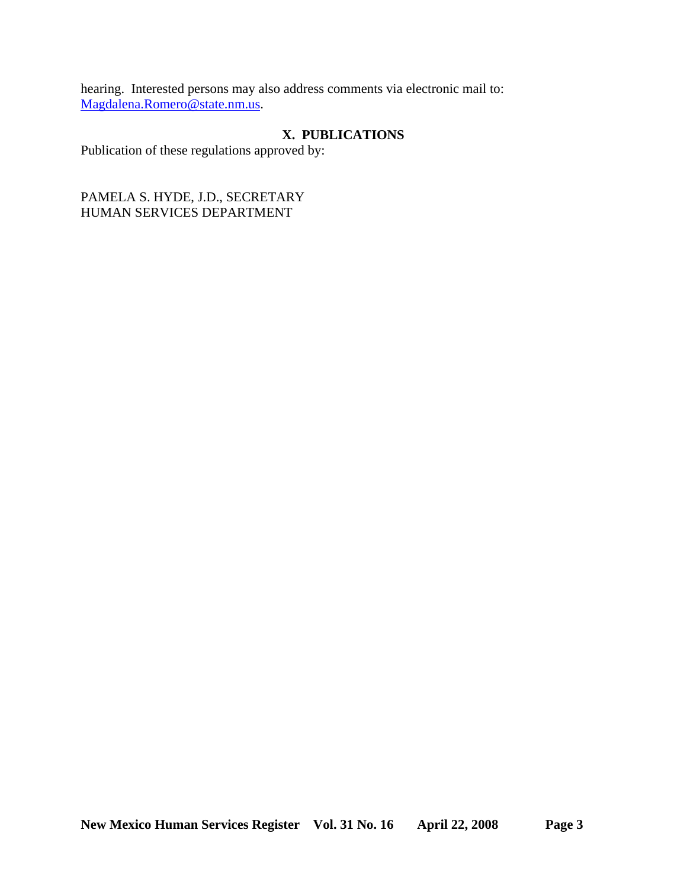hearing. Interested persons may also address comments via electronic mail to: [Magdalena.Romero@state.nm.us.](mailto:Magdalena.Romero@state.nm.us)

## **X. PUBLICATIONS**

Publication of these regulations approved by:

PAMELA S. HYDE, J.D., SECRETARY HUMAN SERVICES DEPARTMENT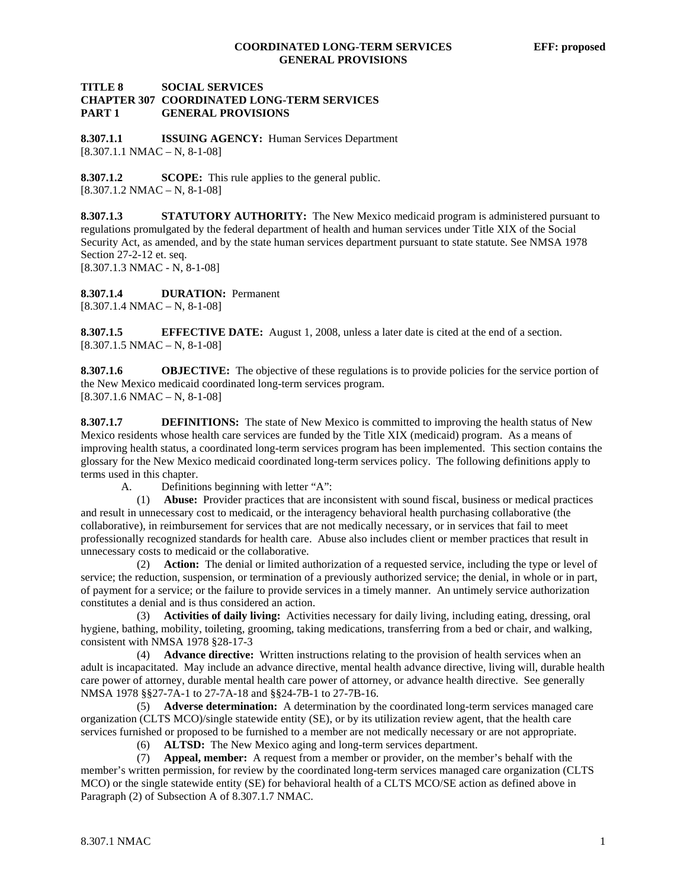#### **TITLE 8 SOCIAL SERVICES CHAPTER 307 COORDINATED LONG-TERM SERVICES PART 1 GENERAL PROVISIONS**

**8.307.1.1 ISSUING AGENCY:** Human Services Department  $[8.307.1.1 \text{ NMAC} - \text{N}, 8-1-08]$ 

**8.307.1.2 SCOPE:** This rule applies to the general public. [8.307.1.2 NMAC – N, 8-1-08]

**8.307.1.3 STATUTORY AUTHORITY:** The New Mexico medicaid program is administered pursuant to regulations promulgated by the federal department of health and human services under Title XIX of the Social Security Act, as amended, and by the state human services department pursuant to state statute. See NMSA 1978 Section 27-2-12 et. seq. [8.307.1.3 NMAC - N, 8-1-08]

**8.307.1.4 DURATION:** Permanent  $[8.307.1.4 \text{ NMAC} - \text{N}, 8-1-08]$ 

**8.307.1.5 EFFECTIVE DATE:** August 1, 2008, unless a later date is cited at the end of a section.  $[8.307.1.5 NMAC - N, 8-1-08]$ 

**8.307.1.6 OBJECTIVE:** The objective of these regulations is to provide policies for the service portion of the New Mexico medicaid coordinated long-term services program.  $[8.307.1.6 NMAC - N, 8-1-08]$ 

**8.307.1.7 DEFINITIONS:** The state of New Mexico is committed to improving the health status of New Mexico residents whose health care services are funded by the Title XIX (medicaid) program. As a means of improving health status, a coordinated long-term services program has been implemented. This section contains the glossary for the New Mexico medicaid coordinated long-term services policy. The following definitions apply to terms used in this chapter.

A. Definitions beginning with letter "A":

 (1) **Abuse:** Provider practices that are inconsistent with sound fiscal, business or medical practices and result in unnecessary cost to medicaid, or the interagency behavioral health purchasing collaborative (the collaborative), in reimbursement for services that are not medically necessary, or in services that fail to meet professionally recognized standards for health care. Abuse also includes client or member practices that result in unnecessary costs to medicaid or the collaborative.

 (2) **Action:** The denial or limited authorization of a requested service, including the type or level of service; the reduction, suspension, or termination of a previously authorized service; the denial, in whole or in part, of payment for a service; or the failure to provide services in a timely manner. An untimely service authorization constitutes a denial and is thus considered an action.

 (3) **Activities of daily living:** Activities necessary for daily living, including eating, dressing, oral hygiene, bathing, mobility, toileting, grooming, taking medications, transferring from a bed or chair, and walking, consistent with NMSA 1978 §28-17-3

 (4) **Advance directive:** Written instructions relating to the provision of health services when an adult is incapacitated. May include an advance directive, mental health advance directive, living will, durable health care power of attorney, durable mental health care power of attorney, or advance health directive. See generally NMSA 1978 §§27-7A-1 to 27-7A-18 and §§24-7B-1 to 27-7B-16.

 (5) **Adverse determination:** A determination by the coordinated long-term services managed care organization (CLTS MCO)/single statewide entity (SE), or by its utilization review agent, that the health care services furnished or proposed to be furnished to a member are not medically necessary or are not appropriate.

(6) **ALTSD:** The New Mexico aging and long-term services department.

 (7) **Appeal, member:** A request from a member or provider, on the member's behalf with the member's written permission, for review by the coordinated long-term services managed care organization (CLTS MCO) or the single statewide entity (SE) for behavioral health of a CLTS MCO/SE action as defined above in Paragraph (2) of Subsection A of 8.307.1.7 NMAC.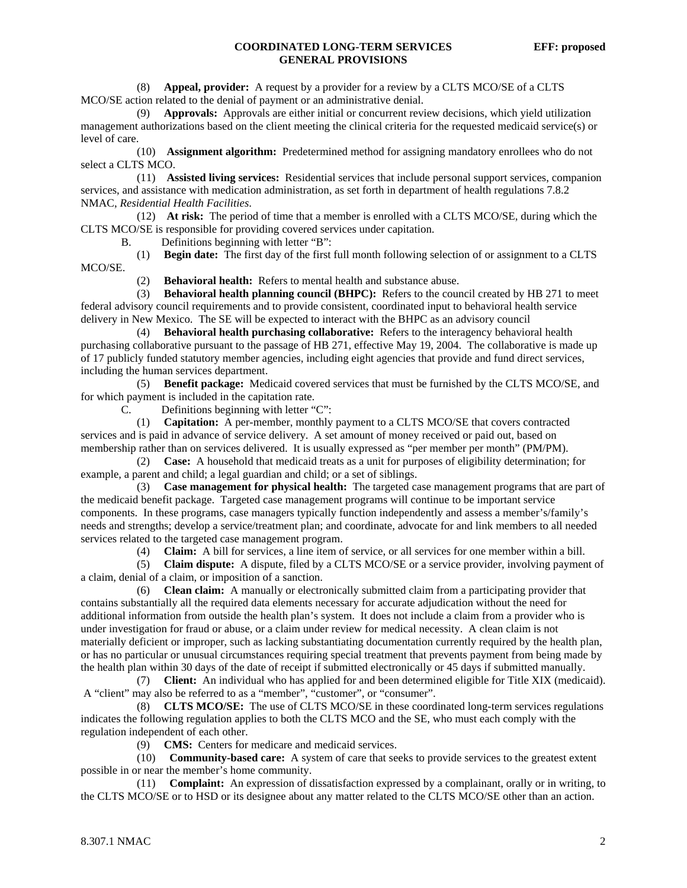(8) **Appeal, provider:** A request by a provider for a review by a CLTS MCO/SE of a CLTS MCO/SE action related to the denial of payment or an administrative denial.

 (9) **Approvals:** Approvals are either initial or concurrent review decisions, which yield utilization management authorizations based on the client meeting the clinical criteria for the requested medicaid service(s) or level of care.

 (10) **Assignment algorithm:** Predetermined method for assigning mandatory enrollees who do not select a CLTS MCO.

 (11) **Assisted living services:** Residential services that include personal support services, companion services, and assistance with medication administration, as set forth in department of health regulations 7.8.2 NMAC, *Residential Health Facilities*.

 (12) **At risk:** The period of time that a member is enrolled with a CLTS MCO/SE, during which the CLTS MCO/SE is responsible for providing covered services under capitation.

B. Definitions beginning with letter "B":

 (1) **Begin date:** The first day of the first full month following selection of or assignment to a CLTS MCO/SE.

(2) **Behavioral health:** Refers to mental health and substance abuse.

 (3) **Behavioral health planning council (BHPC):** Refers to the council created by HB 271 to meet federal advisory council requirements and to provide consistent, coordinated input to behavioral health service delivery in New Mexico. The SE will be expected to interact with the BHPC as an advisory council

 (4) **Behavioral health purchasing collaborative:** Refers to the interagency behavioral health purchasing collaborative pursuant to the passage of HB 271, effective May 19, 2004. The collaborative is made up of 17 publicly funded statutory member agencies, including eight agencies that provide and fund direct services, including the human services department.

 (5) **Benefit package:** Medicaid covered services that must be furnished by the CLTS MCO/SE, and for which payment is included in the capitation rate.

C. Definitions beginning with letter "C":

 (1) **Capitation:** A per-member, monthly payment to a CLTS MCO/SE that covers contracted services and is paid in advance of service delivery. A set amount of money received or paid out, based on membership rather than on services delivered. It is usually expressed as "per member per month" (PM/PM).

 (2) **Case:** A household that medicaid treats as a unit for purposes of eligibility determination; for example, a parent and child; a legal guardian and child; or a set of siblings.

 (3) **Case management for physical health:** The targeted case management programs that are part of the medicaid benefit package. Targeted case management programs will continue to be important service components. In these programs, case managers typically function independently and assess a member's/family's needs and strengths; develop a service/treatment plan; and coordinate, advocate for and link members to all needed services related to the targeted case management program.

(4) **Claim:** A bill for services, a line item of service, or all services for one member within a bill.

 (5) **Claim dispute:** A dispute, filed by a CLTS MCO/SE or a service provider, involving payment of a claim, denial of a claim, or imposition of a sanction.

 (6) **Clean claim:** A manually or electronically submitted claim from a participating provider that contains substantially all the required data elements necessary for accurate adjudication without the need for additional information from outside the health plan's system. It does not include a claim from a provider who is under investigation for fraud or abuse, or a claim under review for medical necessity. A clean claim is not materially deficient or improper, such as lacking substantiating documentation currently required by the health plan, or has no particular or unusual circumstances requiring special treatment that prevents payment from being made by the health plan within 30 days of the date of receipt if submitted electronically or 45 days if submitted manually.

 (7) **Client:** An individual who has applied for and been determined eligible for Title XIX (medicaid). A "client" may also be referred to as a "member", "customer", or "consumer".

 (8) **CLTS MCO/SE:** The use of CLTS MCO/SE in these coordinated long-term services regulations indicates the following regulation applies to both the CLTS MCO and the SE, who must each comply with the regulation independent of each other.

(9) **CMS:** Centers for medicare and medicaid services.

 (10) **Community-based care:** A system of care that seeks to provide services to the greatest extent possible in or near the member's home community.

 (11) **Complaint:** An expression of dissatisfaction expressed by a complainant, orally or in writing, to the CLTS MCO/SE or to HSD or its designee about any matter related to the CLTS MCO/SE other than an action.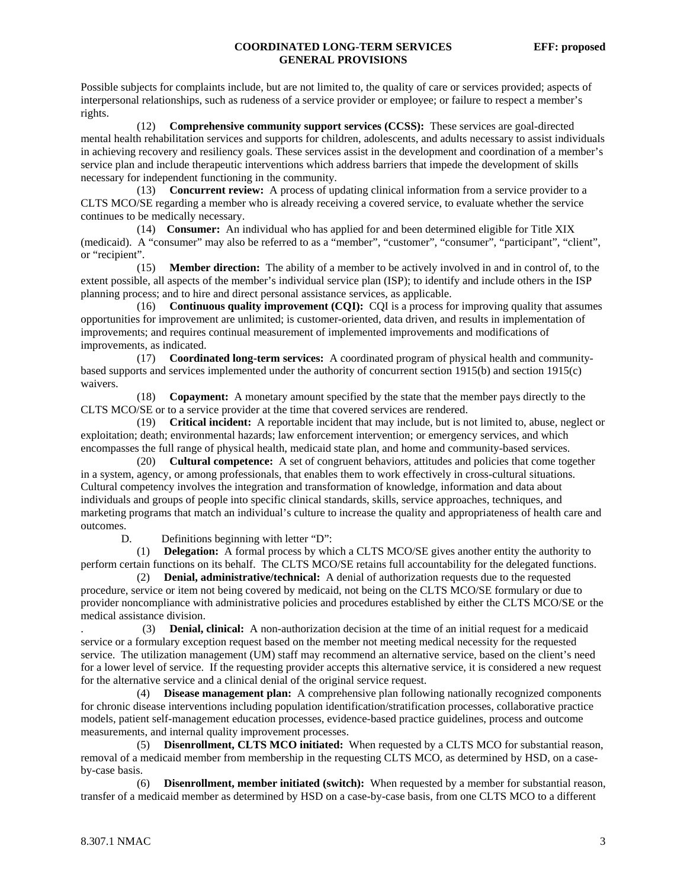Possible subjects for complaints include, but are not limited to, the quality of care or services provided; aspects of interpersonal relationships, such as rudeness of a service provider or employee; or failure to respect a member's rights.

 (12) **Comprehensive community support services (CCSS):** These services are goal-directed mental health rehabilitation services and supports for children, adolescents, and adults necessary to assist individuals in achieving recovery and resiliency goals. These services assist in the development and coordination of a member's service plan and include therapeutic interventions which address barriers that impede the development of skills necessary for independent functioning in the community.

 (13) **Concurrent review:** A process of updating clinical information from a service provider to a CLTS MCO/SE regarding a member who is already receiving a covered service, to evaluate whether the service continues to be medically necessary.

 (14) **Consumer:** An individual who has applied for and been determined eligible for Title XIX (medicaid). A "consumer" may also be referred to as a "member", "customer", "consumer", "participant", "client", or "recipient".

 (15) **Member direction:** The ability of a member to be actively involved in and in control of, to the extent possible, all aspects of the member's individual service plan (ISP); to identify and include others in the ISP planning process; and to hire and direct personal assistance services, as applicable.

 (16) **Continuous quality improvement (CQI):** CQI is a process for improving quality that assumes opportunities for improvement are unlimited; is customer-oriented, data driven, and results in implementation of improvements; and requires continual measurement of implemented improvements and modifications of improvements, as indicated.

 (17) **Coordinated long-term services:** A coordinated program of physical health and communitybased supports and services implemented under the authority of concurrent section 1915(b) and section 1915(c) waivers.

 (18) **Copayment:** A monetary amount specified by the state that the member pays directly to the CLTS MCO/SE or to a service provider at the time that covered services are rendered.

 (19) **Critical incident:** A reportable incident that may include, but is not limited to, abuse, neglect or exploitation; death; environmental hazards; law enforcement intervention; or emergency services, and which encompasses the full range of physical health, medicaid state plan, and home and community-based services.

 (20) **Cultural competence:** A set of congruent behaviors, attitudes and policies that come together in a system, agency, or among professionals, that enables them to work effectively in cross-cultural situations. Cultural competency involves the integration and transformation of knowledge, information and data about individuals and groups of people into specific clinical standards, skills, service approaches, techniques, and marketing programs that match an individual's culture to increase the quality and appropriateness of health care and outcomes.

D. Definitions beginning with letter "D":

 (1) **Delegation:** A formal process by which a CLTS MCO/SE gives another entity the authority to perform certain functions on its behalf. The CLTS MCO/SE retains full accountability for the delegated functions.

 (2) **Denial, administrative/technical:** A denial of authorization requests due to the requested procedure, service or item not being covered by medicaid, not being on the CLTS MCO/SE formulary or due to provider noncompliance with administrative policies and procedures established by either the CLTS MCO/SE or the medical assistance division.

. (3) **Denial, clinical:** A non-authorization decision at the time of an initial request for a medicaid service or a formulary exception request based on the member not meeting medical necessity for the requested service. The utilization management (UM) staff may recommend an alternative service, based on the client's need for a lower level of service. If the requesting provider accepts this alternative service, it is considered a new request for the alternative service and a clinical denial of the original service request.

 (4) **Disease management plan:** A comprehensive plan following nationally recognized components for chronic disease interventions including population identification/stratification processes, collaborative practice models, patient self-management education processes, evidence-based practice guidelines, process and outcome measurements, and internal quality improvement processes.

 (5) **Disenrollment, CLTS MCO initiated:** When requested by a CLTS MCO for substantial reason, removal of a medicaid member from membership in the requesting CLTS MCO, as determined by HSD, on a caseby-case basis.

 (6) **Disenrollment, member initiated (switch):** When requested by a member for substantial reason, transfer of a medicaid member as determined by HSD on a case-by-case basis, from one CLTS MCO to a different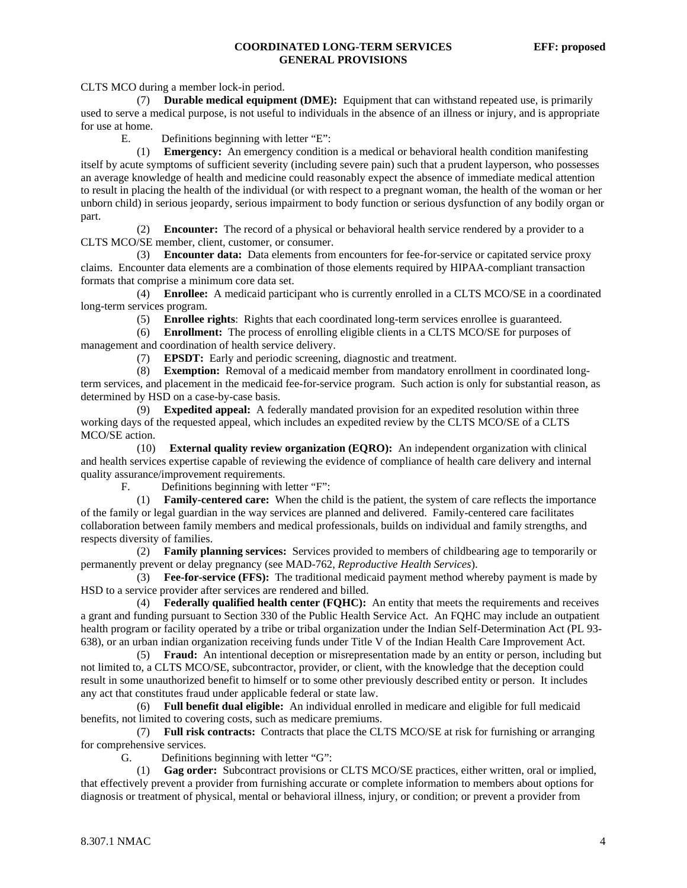CLTS MCO during a member lock-in period.

 (7) **Durable medical equipment (DME):** Equipment that can withstand repeated use, is primarily used to serve a medical purpose, is not useful to individuals in the absence of an illness or injury, and is appropriate for use at home.

E. Definitions beginning with letter "E":

 (1) **Emergency:** An emergency condition is a medical or behavioral health condition manifesting itself by acute symptoms of sufficient severity (including severe pain) such that a prudent layperson, who possesses an average knowledge of health and medicine could reasonably expect the absence of immediate medical attention to result in placing the health of the individual (or with respect to a pregnant woman, the health of the woman or her unborn child) in serious jeopardy, serious impairment to body function or serious dysfunction of any bodily organ or part.

 (2) **Encounter:** The record of a physical or behavioral health service rendered by a provider to a CLTS MCO/SE member, client, customer, or consumer.

 (3) **Encounter data:** Data elements from encounters for fee-for-service or capitated service proxy claims. Encounter data elements are a combination of those elements required by HIPAA-compliant transaction formats that comprise a minimum core data set.

 (4) **Enrollee:** A medicaid participant who is currently enrolled in a CLTS MCO/SE in a coordinated long-term services program.

(5) **Enrollee rights**: Rights that each coordinated long-term services enrollee is guaranteed.

 (6) **Enrollment:** The process of enrolling eligible clients in a CLTS MCO/SE for purposes of management and coordination of health service delivery.

(7) **EPSDT:** Early and periodic screening, diagnostic and treatment.

 (8) **Exemption:** Removal of a medicaid member from mandatory enrollment in coordinated longterm services, and placement in the medicaid fee-for-service program. Such action is only for substantial reason, as determined by HSD on a case-by-case basis.

 (9) **Expedited appeal:** A federally mandated provision for an expedited resolution within three working days of the requested appeal, which includes an expedited review by the CLTS MCO/SE of a CLTS MCO/SE action.

 (10) **External quality review organization (EQRO):** An independent organization with clinical and health services expertise capable of reviewing the evidence of compliance of health care delivery and internal quality assurance/improvement requirements.

F. Definitions beginning with letter "F":

 (1) **Family-centered care:** When the child is the patient, the system of care reflects the importance of the family or legal guardian in the way services are planned and delivered. Family-centered care facilitates collaboration between family members and medical professionals, builds on individual and family strengths, and respects diversity of families.

 (2) **Family planning services:** Services provided to members of childbearing age to temporarily or permanently prevent or delay pregnancy (see MAD-762, *Reproductive Health Services*).

 (3) **Fee-for-service (FFS):** The traditional medicaid payment method whereby payment is made by HSD to a service provider after services are rendered and billed.

 (4) **Federally qualified health center (FQHC):** An entity that meets the requirements and receives a grant and funding pursuant to Section 330 of the Public Health Service Act. An FQHC may include an outpatient health program or facility operated by a tribe or tribal organization under the Indian Self-Determination Act (PL 93- 638), or an urban indian organization receiving funds under Title V of the Indian Health Care Improvement Act.

 (5) **Fraud:** An intentional deception or misrepresentation made by an entity or person, including but not limited to, a CLTS MCO/SE, subcontractor, provider, or client, with the knowledge that the deception could result in some unauthorized benefit to himself or to some other previously described entity or person. It includes any act that constitutes fraud under applicable federal or state law.

 (6) **Full benefit dual eligible:** An individual enrolled in medicare and eligible for full medicaid benefits, not limited to covering costs, such as medicare premiums.

 (7) **Full risk contracts:** Contracts that place the CLTS MCO/SE at risk for furnishing or arranging for comprehensive services.

G. Definitions beginning with letter "G":

 (1) **Gag order:** Subcontract provisions or CLTS MCO/SE practices, either written, oral or implied, that effectively prevent a provider from furnishing accurate or complete information to members about options for diagnosis or treatment of physical, mental or behavioral illness, injury, or condition; or prevent a provider from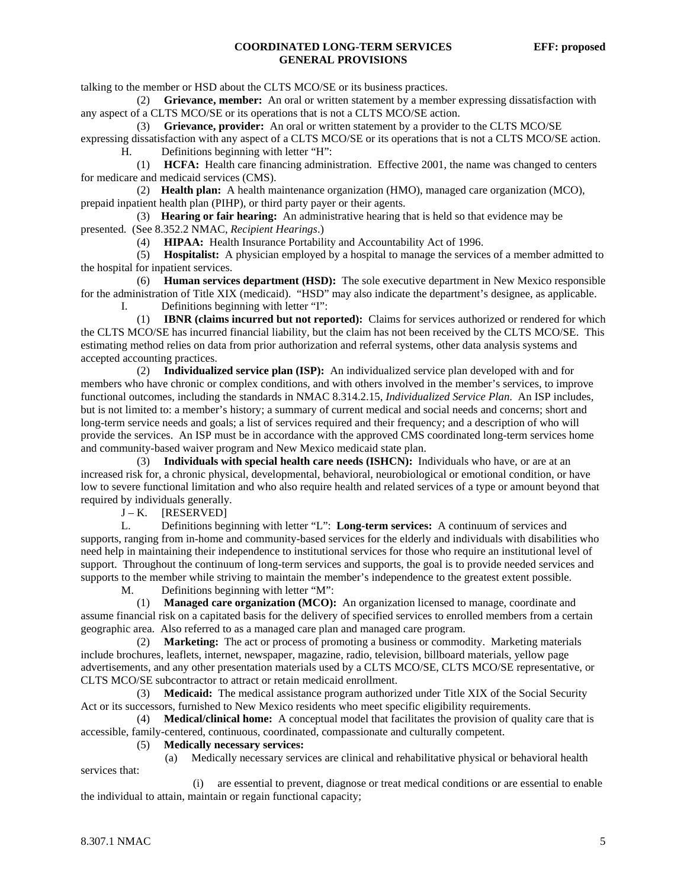talking to the member or HSD about the CLTS MCO/SE or its business practices.

 (2) **Grievance, member:** An oral or written statement by a member expressing dissatisfaction with any aspect of a CLTS MCO/SE or its operations that is not a CLTS MCO/SE action.

(3) **Grievance, provider:** An oral or written statement by a provider to the CLTS MCO/SE

expressing dissatisfaction with any aspect of a CLTS MCO/SE or its operations that is not a CLTS MCO/SE action. H. Definitions beginning with letter "H":

 (1) **HCFA:** Health care financing administration. Effective 2001, the name was changed to centers for medicare and medicaid services (CMS).

 (2) **Health plan:** A health maintenance organization (HMO), managed care organization (MCO), prepaid inpatient health plan (PIHP), or third party payer or their agents.

 (3) **Hearing or fair hearing:** An administrative hearing that is held so that evidence may be presented. (See 8.352.2 NMAC, *Recipient Hearings*.)

(4) **HIPAA:** Health Insurance Portability and Accountability Act of 1996.

 (5) **Hospitalist:** A physician employed by a hospital to manage the services of a member admitted to the hospital for inpatient services.

 (6) **Human services department (HSD):** The sole executive department in New Mexico responsible for the administration of Title XIX (medicaid). "HSD" may also indicate the department's designee, as applicable. I. Definitions beginning with letter "I":

 (1) **IBNR (claims incurred but not reported):** Claims for services authorized or rendered for which the CLTS MCO/SE has incurred financial liability, but the claim has not been received by the CLTS MCO/SE. This estimating method relies on data from prior authorization and referral systems, other data analysis systems and accepted accounting practices.

 (2) **Individualized service plan (ISP):** An individualized service plan developed with and for members who have chronic or complex conditions, and with others involved in the member's services, to improve functional outcomes, including the standards in NMAC 8.314.2.15, *Individualized Service Plan*. An ISP includes, but is not limited to: a member's history; a summary of current medical and social needs and concerns; short and long-term service needs and goals; a list of services required and their frequency; and a description of who will provide the services. An ISP must be in accordance with the approved CMS coordinated long-term services home and community-based waiver program and New Mexico medicaid state plan.

 (3) **Individuals with special health care needs (ISHCN):** Individuals who have, or are at an increased risk for, a chronic physical, developmental, behavioral, neurobiological or emotional condition, or have low to severe functional limitation and who also require health and related services of a type or amount beyond that required by individuals generally.

 $J - K$ . [RESERVED]

L. Definitions beginning with letter "L": **Long-term services:** A continuum of services and supports, ranging from in-home and community-based services for the elderly and individuals with disabilities who need help in maintaining their independence to institutional services for those who require an institutional level of support. Throughout the continuum of long-term services and supports, the goal is to provide needed services and supports to the member while striving to maintain the member's independence to the greatest extent possible.

M. Definitions beginning with letter "M":

 (1) **Managed care organization (MCO):** An organization licensed to manage, coordinate and assume financial risk on a capitated basis for the delivery of specified services to enrolled members from a certain geographic area. Also referred to as a managed care plan and managed care program.

 (2) **Marketing:** The act or process of promoting a business or commodity. Marketing materials include brochures, leaflets, internet, newspaper, magazine, radio, television, billboard materials, yellow page advertisements, and any other presentation materials used by a CLTS MCO/SE, CLTS MCO/SE representative, or CLTS MCO/SE subcontractor to attract or retain medicaid enrollment.

 (3) **Medicaid:** The medical assistance program authorized under Title XIX of the Social Security Act or its successors, furnished to New Mexico residents who meet specific eligibility requirements.

 (4) **Medical/clinical home:** A conceptual model that facilitates the provision of quality care that is accessible, family-centered, continuous, coordinated, compassionate and culturally competent.

#### (5) **Medically necessary services:**

(a) Medically necessary services are clinical and rehabilitative physical or behavioral health

 (i) are essential to prevent, diagnose or treat medical conditions or are essential to enable the individual to attain, maintain or regain functional capacity;

services that: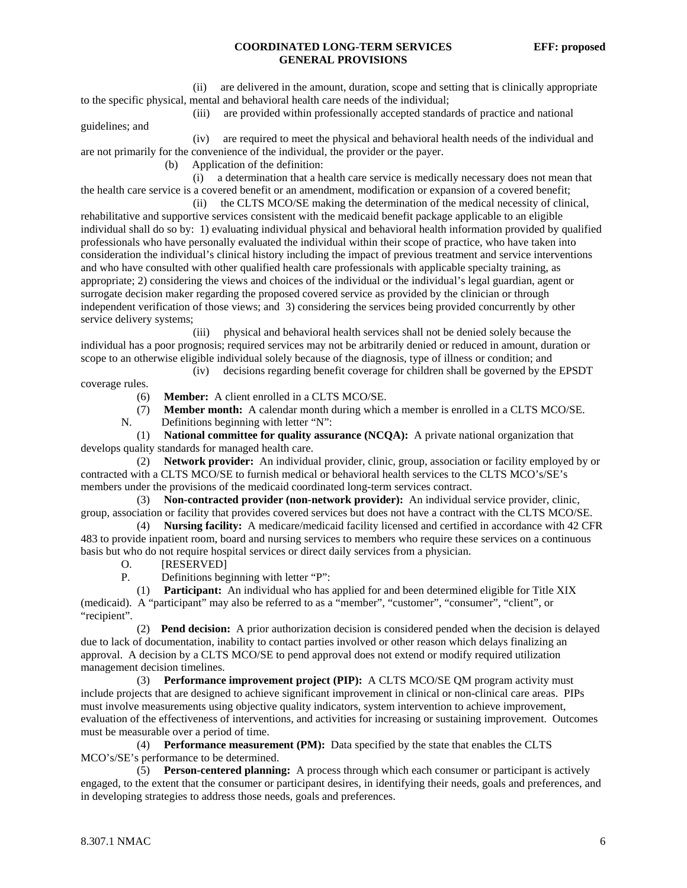(ii) are delivered in the amount, duration, scope and setting that is clinically appropriate to the specific physical, mental and behavioral health care needs of the individual;

(iii) are provided within professionally accepted standards of practice and national

guidelines; and

 (iv) are required to meet the physical and behavioral health needs of the individual and are not primarily for the convenience of the individual, the provider or the payer.

(b) Application of the definition:

 (i) a determination that a health care service is medically necessary does not mean that the health care service is a covered benefit or an amendment, modification or expansion of a covered benefit;

 (ii) the CLTS MCO/SE making the determination of the medical necessity of clinical, rehabilitative and supportive services consistent with the medicaid benefit package applicable to an eligible individual shall do so by: 1) evaluating individual physical and behavioral health information provided by qualified professionals who have personally evaluated the individual within their scope of practice, who have taken into consideration the individual's clinical history including the impact of previous treatment and service interventions and who have consulted with other qualified health care professionals with applicable specialty training, as appropriate; 2) considering the views and choices of the individual or the individual's legal guardian, agent or surrogate decision maker regarding the proposed covered service as provided by the clinician or through independent verification of those views; and 3) considering the services being provided concurrently by other service delivery systems;

 (iii) physical and behavioral health services shall not be denied solely because the individual has a poor prognosis; required services may not be arbitrarily denied or reduced in amount, duration or scope to an otherwise eligible individual solely because of the diagnosis, type of illness or condition; and

(iv) decisions regarding benefit coverage for children shall be governed by the EPSDT

coverage rules.

(6) **Member:** A client enrolled in a CLTS MCO/SE.

(7) **Member month:** A calendar month during which a member is enrolled in a CLTS MCO/SE.

N. Definitions beginning with letter "N":

 (1) **National committee for quality assurance (NCQA):** A private national organization that develops quality standards for managed health care.

 (2) **Network provider:** An individual provider, clinic, group, association or facility employed by or contracted with a CLTS MCO/SE to furnish medical or behavioral health services to the CLTS MCO's/SE's members under the provisions of the medicaid coordinated long-term services contract.

 (3) **Non-contracted provider (non-network provider):** An individual service provider, clinic, group, association or facility that provides covered services but does not have a contract with the CLTS MCO/SE. (4) **Nursing facility:** A medicare/medicaid facility licensed and certified in accordance with 42 CFR

483 to provide inpatient room, board and nursing services to members who require these services on a continuous basis but who do not require hospital services or direct daily services from a physician.

O. [RESERVED]

P. Definitions beginning with letter "P":

 (1) **Participant:** An individual who has applied for and been determined eligible for Title XIX (medicaid). A "participant" may also be referred to as a "member", "customer", "consumer", "client", or "recipient".

 (2) **Pend decision:** A prior authorization decision is considered pended when the decision is delayed due to lack of documentation, inability to contact parties involved or other reason which delays finalizing an approval. A decision by a CLTS MCO/SE to pend approval does not extend or modify required utilization management decision timelines.

 (3) **Performance improvement project (PIP):** A CLTS MCO/SE QM program activity must include projects that are designed to achieve significant improvement in clinical or non-clinical care areas. PIPs must involve measurements using objective quality indicators, system intervention to achieve improvement, evaluation of the effectiveness of interventions, and activities for increasing or sustaining improvement. Outcomes must be measurable over a period of time.

 (4) **Performance measurement (PM):** Data specified by the state that enables the CLTS MCO's/SE's performance to be determined.

 (5) **Person-centered planning:** A process through which each consumer or participant is actively engaged, to the extent that the consumer or participant desires, in identifying their needs, goals and preferences, and in developing strategies to address those needs, goals and preferences.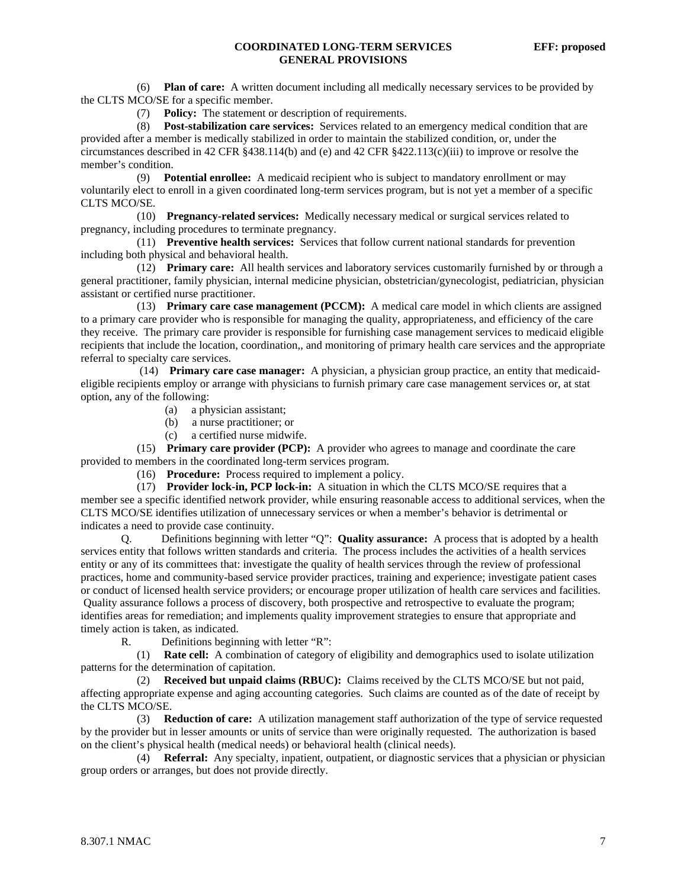(6) **Plan of care:** A written document including all medically necessary services to be provided by the CLTS MCO/SE for a specific member.

(7) **Policy:** The statement or description of requirements.

 (8) **Post-stabilization care services:** Services related to an emergency medical condition that are provided after a member is medically stabilized in order to maintain the stabilized condition, or, under the circumstances described in 42 CFR §438.114(b) and (e) and 42 CFR §422.113(c)(iii) to improve or resolve the member's condition.

 (9) **Potential enrollee:** A medicaid recipient who is subject to mandatory enrollment or may voluntarily elect to enroll in a given coordinated long-term services program, but is not yet a member of a specific CLTS MCO/SE.

 (10) **Pregnancy-related services:** Medically necessary medical or surgical services related to pregnancy, including procedures to terminate pregnancy.

 (11) **Preventive health services:** Services that follow current national standards for prevention including both physical and behavioral health.

 (12) **Primary care:** All health services and laboratory services customarily furnished by or through a general practitioner, family physician, internal medicine physician, obstetrician/gynecologist, pediatrician, physician assistant or certified nurse practitioner.

 (13) **Primary care case management (PCCM):** A medical care model in which clients are assigned to a primary care provider who is responsible for managing the quality, appropriateness, and efficiency of the care they receive. The primary care provider is responsible for furnishing case management services to medicaid eligible recipients that include the location, coordination,, and monitoring of primary health care services and the appropriate referral to specialty care services.

 (14) **Primary care case manager:** A physician, a physician group practice, an entity that medicaideligible recipients employ or arrange with physicians to furnish primary care case management services or, at stat option, any of the following:

- (a) a physician assistant;
- (b) a nurse practitioner; or
- (c) a certified nurse midwife.

 (15) **Primary care provider (PCP):** A provider who agrees to manage and coordinate the care provided to members in the coordinated long-term services program.

(16) **Procedure:** Process required to implement a policy.

 (17) **Provider lock-in, PCP lock-in:** A situation in which the CLTS MCO/SE requires that a member see a specific identified network provider, while ensuring reasonable access to additional services, when the CLTS MCO/SE identifies utilization of unnecessary services or when a member's behavior is detrimental or indicates a need to provide case continuity.

 Q. Definitions beginning with letter "Q": **Quality assurance:** A process that is adopted by a health services entity that follows written standards and criteria. The process includes the activities of a health services entity or any of its committees that: investigate the quality of health services through the review of professional practices, home and community-based service provider practices, training and experience; investigate patient cases or conduct of licensed health service providers; or encourage proper utilization of health care services and facilities. Quality assurance follows a process of discovery, both prospective and retrospective to evaluate the program; identifies areas for remediation; and implements quality improvement strategies to ensure that appropriate and timely action is taken, as indicated.

R. Definitions beginning with letter "R":

 (1) **Rate cell:** A combination of category of eligibility and demographics used to isolate utilization patterns for the determination of capitation.

 (2) **Received but unpaid claims (RBUC):** Claims received by the CLTS MCO/SE but not paid, affecting appropriate expense and aging accounting categories. Such claims are counted as of the date of receipt by the CLTS MCO/SE.

 (3) **Reduction of care:** A utilization management staff authorization of the type of service requested by the provider but in lesser amounts or units of service than were originally requested. The authorization is based on the client's physical health (medical needs) or behavioral health (clinical needs).

 (4) **Referral:** Any specialty, inpatient, outpatient, or diagnostic services that a physician or physician group orders or arranges, but does not provide directly.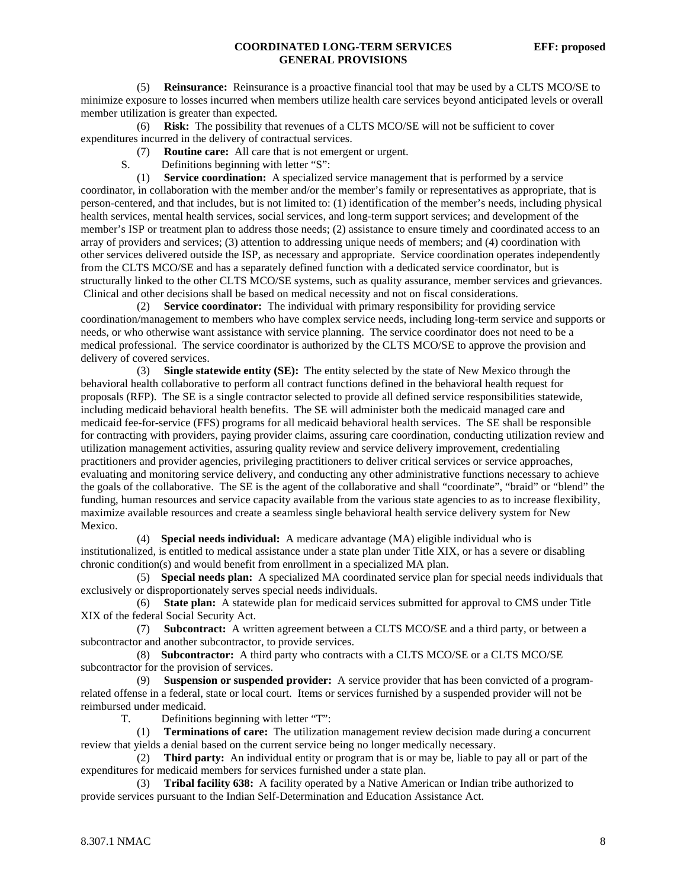(5) **Reinsurance:** Reinsurance is a proactive financial tool that may be used by a CLTS MCO/SE to minimize exposure to losses incurred when members utilize health care services beyond anticipated levels or overall member utilization is greater than expected.

 (6) **Risk:** The possibility that revenues of a CLTS MCO/SE will not be sufficient to cover expenditures incurred in the delivery of contractual services.

(7) **Routine care:** All care that is not emergent or urgent.

S. Definitions beginning with letter "S":

 (1) **Service coordination:** A specialized service management that is performed by a service coordinator, in collaboration with the member and/or the member's family or representatives as appropriate, that is person-centered, and that includes, but is not limited to: (1) identification of the member's needs, including physical health services, mental health services, social services, and long-term support services; and development of the member's ISP or treatment plan to address those needs; (2) assistance to ensure timely and coordinated access to an array of providers and services; (3) attention to addressing unique needs of members; and (4) coordination with other services delivered outside the ISP, as necessary and appropriate. Service coordination operates independently from the CLTS MCO/SE and has a separately defined function with a dedicated service coordinator, but is structurally linked to the other CLTS MCO/SE systems, such as quality assurance, member services and grievances. Clinical and other decisions shall be based on medical necessity and not on fiscal considerations.

 (2) **Service coordinator:** The individual with primary responsibility for providing service coordination/management to members who have complex service needs, including long-term service and supports or needs, or who otherwise want assistance with service planning. The service coordinator does not need to be a medical professional. The service coordinator is authorized by the CLTS MCO/SE to approve the provision and delivery of covered services.

 (3) **Single statewide entity (SE):** The entity selected by the state of New Mexico through the behavioral health collaborative to perform all contract functions defined in the behavioral health request for proposals (RFP). The SE is a single contractor selected to provide all defined service responsibilities statewide, including medicaid behavioral health benefits. The SE will administer both the medicaid managed care and medicaid fee-for-service (FFS) programs for all medicaid behavioral health services. The SE shall be responsible for contracting with providers, paying provider claims, assuring care coordination, conducting utilization review and utilization management activities, assuring quality review and service delivery improvement, credentialing practitioners and provider agencies, privileging practitioners to deliver critical services or service approaches, evaluating and monitoring service delivery, and conducting any other administrative functions necessary to achieve the goals of the collaborative. The SE is the agent of the collaborative and shall "coordinate", "braid" or "blend" the funding, human resources and service capacity available from the various state agencies to as to increase flexibility, maximize available resources and create a seamless single behavioral health service delivery system for New Mexico.

 (4) **Special needs individual:** A medicare advantage (MA) eligible individual who is institutionalized, is entitled to medical assistance under a state plan under Title XIX, or has a severe or disabling chronic condition(s) and would benefit from enrollment in a specialized MA plan.

 (5) **Special needs plan:** A specialized MA coordinated service plan for special needs individuals that exclusively or disproportionately serves special needs individuals.

 (6) **State plan:** A statewide plan for medicaid services submitted for approval to CMS under Title XIX of the federal Social Security Act.

 (7) **Subcontract:** A written agreement between a CLTS MCO/SE and a third party, or between a subcontractor and another subcontractor, to provide services.

 (8) **Subcontractor:** A third party who contracts with a CLTS MCO/SE or a CLTS MCO/SE subcontractor for the provision of services.

 (9) **Suspension or suspended provider:** A service provider that has been convicted of a programrelated offense in a federal, state or local court. Items or services furnished by a suspended provider will not be reimbursed under medicaid.

T. Definitions beginning with letter "T":

 (1) **Terminations of care:** The utilization management review decision made during a concurrent review that yields a denial based on the current service being no longer medically necessary.

 (2) **Third party:** An individual entity or program that is or may be, liable to pay all or part of the expenditures for medicaid members for services furnished under a state plan.

 (3) **Tribal facility 638:** A facility operated by a Native American or Indian tribe authorized to provide services pursuant to the Indian Self-Determination and Education Assistance Act.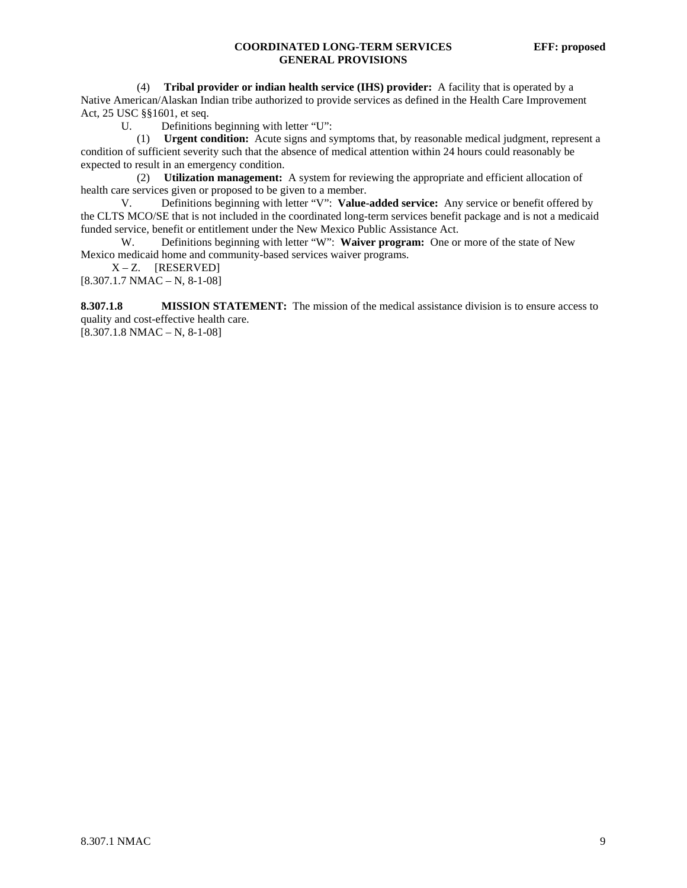(4) **Tribal provider or indian health service (IHS) provider:** A facility that is operated by a Native American/Alaskan Indian tribe authorized to provide services as defined in the Health Care Improvement Act, 25 USC §§1601, et seq.

U. Definitions beginning with letter "U":

 (1) **Urgent condition:** Acute signs and symptoms that, by reasonable medical judgment, represent a condition of sufficient severity such that the absence of medical attention within 24 hours could reasonably be expected to result in an emergency condition.

 (2) **Utilization management:** A system for reviewing the appropriate and efficient allocation of health care services given or proposed to be given to a member.

V. Definitions beginning with letter "V": **Value-added service:** Any service or benefit offered by the CLTS MCO/SE that is not included in the coordinated long-term services benefit package and is not a medicaid funded service, benefit or entitlement under the New Mexico Public Assistance Act.

W. Definitions beginning with letter "W": **Waiver program:** One or more of the state of New Mexico medicaid home and community-based services waiver programs.

 $X - Z$ . [RESERVED]

 $[8.307.1.7 \text{ NMAC} - \text{N}, 8-1-08]$ 

**8.307.1.8 MISSION STATEMENT:** The mission of the medical assistance division is to ensure access to quality and cost-effective health care.

[8.307.1.8 NMAC – N, 8-1-08]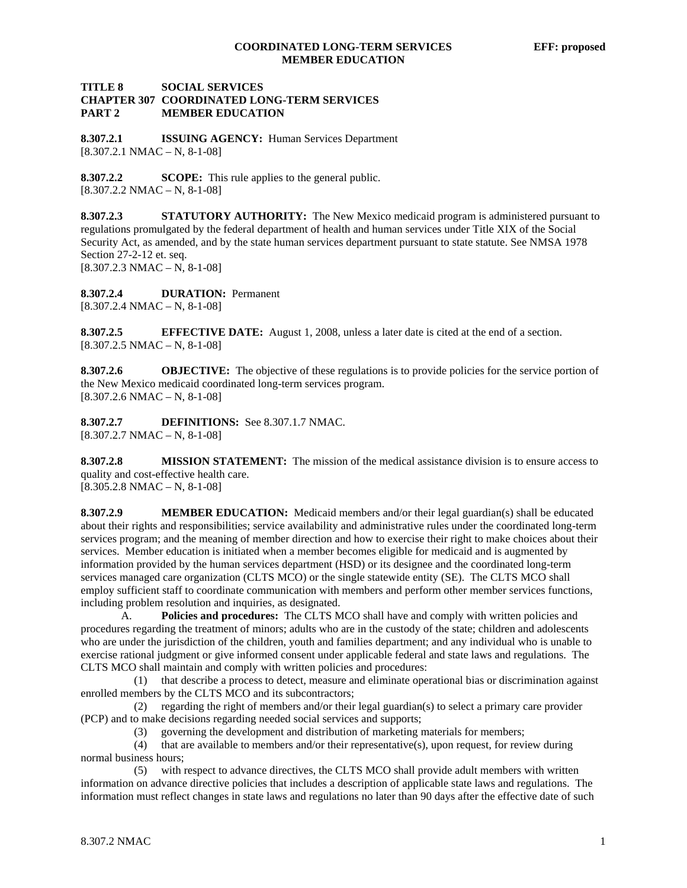#### **TITLE 8 SOCIAL SERVICES CHAPTER 307 COORDINATED LONG-TERM SERVICES PART 2 MEMBER EDUCATION**

**8.307.2.1 ISSUING AGENCY:** Human Services Department  $[8.307.2.1 \text{ NMAC} - \text{N}, 8-1-08]$ 

**8.307.2.2 SCOPE:** This rule applies to the general public.  $[8.307.2.2 \text{ NMAC} - \text{N}, 8-1-08]$ 

**8.307.2.3 STATUTORY AUTHORITY:** The New Mexico medicaid program is administered pursuant to regulations promulgated by the federal department of health and human services under Title XIX of the Social Security Act, as amended, and by the state human services department pursuant to state statute. See NMSA 1978 Section 27-2-12 et. seq. [8.307.2.3 NMAC – N, 8-1-08]

**8.307.2.4 DURATION:** Permanent  $[8.307.2.4 \text{ NMAC} - \text{N}, 8-1-08]$ 

**8.307.2.5 EFFECTIVE DATE:** August 1, 2008, unless a later date is cited at the end of a section.  $[8.307.2.5 NMAC - N, 8-1-08]$ 

**8.307.2.6 OBJECTIVE:** The objective of these regulations is to provide policies for the service portion of the New Mexico medicaid coordinated long-term services program.  $[8.307.2.6 NMAC - N, 8-1-08]$ 

**8.307.2.7 DEFINITIONS:** See 8.307.1.7 NMAC.  $[8.307.2.7 \text{ NMAC} - \text{N}, 8-1-08]$ 

**8.307.2.8 MISSION STATEMENT:** The mission of the medical assistance division is to ensure access to quality and cost-effective health care.

 $[8.305.2.8 NMAC - N, 8-1-08]$ 

**8.307.2.9 MEMBER EDUCATION:** Medicaid members and/or their legal guardian(s) shall be educated about their rights and responsibilities; service availability and administrative rules under the coordinated long-term services program; and the meaning of member direction and how to exercise their right to make choices about their services. Member education is initiated when a member becomes eligible for medicaid and is augmented by information provided by the human services department (HSD) or its designee and the coordinated long-term services managed care organization (CLTS MCO) or the single statewide entity (SE). The CLTS MCO shall employ sufficient staff to coordinate communication with members and perform other member services functions, including problem resolution and inquiries, as designated.

 A. **Policies and procedures:** The CLTS MCO shall have and comply with written policies and procedures regarding the treatment of minors; adults who are in the custody of the state; children and adolescents who are under the jurisdiction of the children, youth and families department; and any individual who is unable to exercise rational judgment or give informed consent under applicable federal and state laws and regulations. The CLTS MCO shall maintain and comply with written policies and procedures:

 (1) that describe a process to detect, measure and eliminate operational bias or discrimination against enrolled members by the CLTS MCO and its subcontractors;

 (2) regarding the right of members and/or their legal guardian(s) to select a primary care provider (PCP) and to make decisions regarding needed social services and supports;

(3) governing the development and distribution of marketing materials for members;

 (4) that are available to members and/or their representative(s), upon request, for review during normal business hours;

 (5) with respect to advance directives, the CLTS MCO shall provide adult members with written information on advance directive policies that includes a description of applicable state laws and regulations. The information must reflect changes in state laws and regulations no later than 90 days after the effective date of such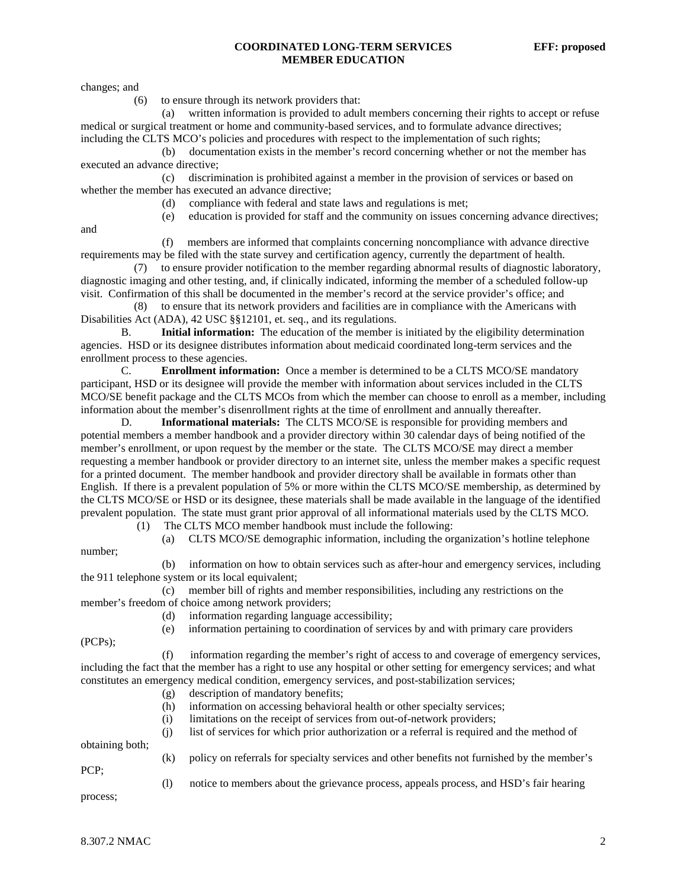#### **COORDINATED LONG-TERM SERVICES EFF: proposed MEMBER EDUCATION**

changes; and

(6) to ensure through its network providers that:

 (a) written information is provided to adult members concerning their rights to accept or refuse medical or surgical treatment or home and community-based services, and to formulate advance directives; including the CLTS MCO's policies and procedures with respect to the implementation of such rights;

 (b) documentation exists in the member's record concerning whether or not the member has executed an advance directive;

 (c) discrimination is prohibited against a member in the provision of services or based on whether the member has executed an advance directive;

(d) compliance with federal and state laws and regulations is met;

(e) education is provided for staff and the community on issues concerning advance directives;

and

 (f) members are informed that complaints concerning noncompliance with advance directive requirements may be filed with the state survey and certification agency, currently the department of health.

 (7) to ensure provider notification to the member regarding abnormal results of diagnostic laboratory, diagnostic imaging and other testing, and, if clinically indicated, informing the member of a scheduled follow-up visit. Confirmation of this shall be documented in the member's record at the service provider's office; and

 (8) to ensure that its network providers and facilities are in compliance with the Americans with Disabilities Act (ADA), 42 USC §§12101, et. seq., and its regulations.

B. **Initial information:** The education of the member is initiated by the eligibility determination agencies. HSD or its designee distributes information about medicaid coordinated long-term services and the enrollment process to these agencies.

C. **Enrollment information:** Once a member is determined to be a CLTS MCO/SE mandatory participant, HSD or its designee will provide the member with information about services included in the CLTS MCO/SE benefit package and the CLTS MCOs from which the member can choose to enroll as a member, including information about the member's disenrollment rights at the time of enrollment and annually thereafter.

 D. **Informational materials:** The CLTS MCO/SE is responsible for providing members and potential members a member handbook and a provider directory within 30 calendar days of being notified of the member's enrollment, or upon request by the member or the state. The CLTS MCO/SE may direct a member requesting a member handbook or provider directory to an internet site, unless the member makes a specific request for a printed document. The member handbook and provider directory shall be available in formats other than English. If there is a prevalent population of 5% or more within the CLTS MCO/SE membership, as determined by the CLTS MCO/SE or HSD or its designee, these materials shall be made available in the language of the identified prevalent population. The state must grant prior approval of all informational materials used by the CLTS MCO.

(1) The CLTS MCO member handbook must include the following:

(a) CLTS MCO/SE demographic information, including the organization's hotline telephone

 (b) information on how to obtain services such as after-hour and emergency services, including the 911 telephone system or its local equivalent;

 (c) member bill of rights and member responsibilities, including any restrictions on the member's freedom of choice among network providers;

(d) information regarding language accessibility;

(e) information pertaining to coordination of services by and with primary care providers

(PCPs);

number;

 (f) information regarding the member's right of access to and coverage of emergency services, including the fact that the member has a right to use any hospital or other setting for emergency services; and what constitutes an emergency medical condition, emergency services, and post-stabilization services;

- (g) description of mandatory benefits;
- (h) information on accessing behavioral health or other specialty services;
- (i) limitations on the receipt of services from out-of-network providers;
- (j) list of services for which prior authorization or a referral is required and the method of obtaining both;

PCP;

- (k) policy on referrals for specialty services and other benefits not furnished by the member's
	- (l) notice to members about the grievance process, appeals process, and HSD's fair hearing

process;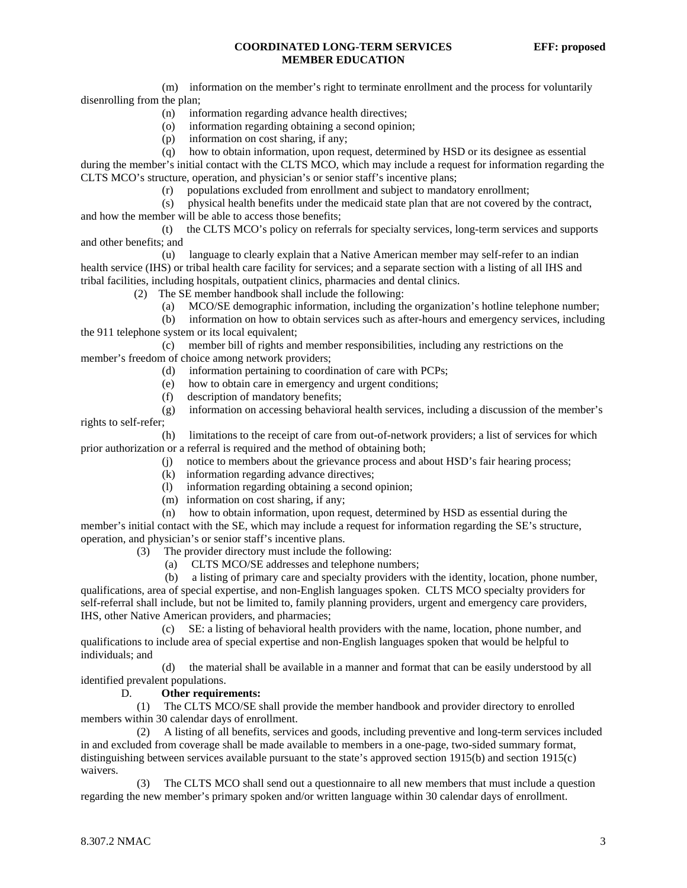#### **COORDINATED LONG-TERM SERVICES EFF: proposed MEMBER EDUCATION**

 (m) information on the member's right to terminate enrollment and the process for voluntarily disenrolling from the plan;

- (n) information regarding advance health directives;
- (o) information regarding obtaining a second opinion;
- (p) information on cost sharing, if any;
- (q) how to obtain information, upon request, determined by HSD or its designee as essential

during the member's initial contact with the CLTS MCO, which may include a request for information regarding the CLTS MCO's structure, operation, and physician's or senior staff's incentive plans;

(r) populations excluded from enrollment and subject to mandatory enrollment;

 (s) physical health benefits under the medicaid state plan that are not covered by the contract, and how the member will be able to access those benefits;

 (t) the CLTS MCO's policy on referrals for specialty services, long-term services and supports and other benefits; and

 (u) language to clearly explain that a Native American member may self-refer to an indian health service (IHS) or tribal health care facility for services; and a separate section with a listing of all IHS and tribal facilities, including hospitals, outpatient clinics, pharmacies and dental clinics.

- (2) The SE member handbook shall include the following:
	- (a) MCO/SE demographic information, including the organization's hotline telephone number;

 (b) information on how to obtain services such as after-hours and emergency services, including the 911 telephone system or its local equivalent;

 (c) member bill of rights and member responsibilities, including any restrictions on the member's freedom of choice among network providers;

- (d) information pertaining to coordination of care with PCPs;
- (e) how to obtain care in emergency and urgent conditions;
- (f) description of mandatory benefits;

 (g) information on accessing behavioral health services, including a discussion of the member's rights to self-refer;

 (h) limitations to the receipt of care from out-of-network providers; a list of services for which prior authorization or a referral is required and the method of obtaining both;

- (j) notice to members about the grievance process and about HSD's fair hearing process;
- (k) information regarding advance directives;
- (l) information regarding obtaining a second opinion;
- (m) information on cost sharing, if any;

 (n) how to obtain information, upon request, determined by HSD as essential during the member's initial contact with the SE, which may include a request for information regarding the SE's structure, operation, and physician's or senior staff's incentive plans.

- (3) The provider directory must include the following:
	- (a) CLTS MCO/SE addresses and telephone numbers;

 (b) a listing of primary care and specialty providers with the identity, location, phone number, qualifications, area of special expertise, and non-English languages spoken. CLTS MCO specialty providers for self-referral shall include, but not be limited to, family planning providers, urgent and emergency care providers, IHS, other Native American providers, and pharmacies;

 (c) SE: a listing of behavioral health providers with the name, location, phone number, and qualifications to include area of special expertise and non-English languages spoken that would be helpful to individuals; and

 (d) the material shall be available in a manner and format that can be easily understood by all identified prevalent populations.

#### D. **Other requirements:**

 (1) The CLTS MCO/SE shall provide the member handbook and provider directory to enrolled members within 30 calendar days of enrollment.

 (2) A listing of all benefits, services and goods, including preventive and long-term services included in and excluded from coverage shall be made available to members in a one-page, two-sided summary format, distinguishing between services available pursuant to the state's approved section 1915(b) and section 1915(c) waivers.

 (3) The CLTS MCO shall send out a questionnaire to all new members that must include a question regarding the new member's primary spoken and/or written language within 30 calendar days of enrollment.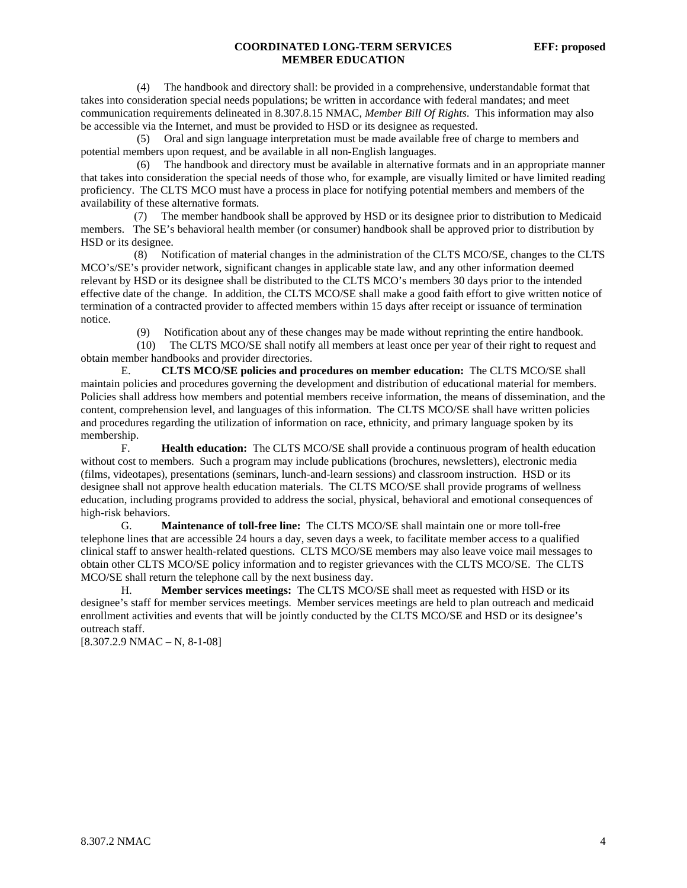#### **COORDINATED LONG-TERM SERVICES EFF: proposed MEMBER EDUCATION**

 (4) The handbook and directory shall: be provided in a comprehensive, understandable format that takes into consideration special needs populations; be written in accordance with federal mandates; and meet communication requirements delineated in 8.307.8.15 NMAC, *Member Bill Of Rights*. This information may also be accessible via the Internet, and must be provided to HSD or its designee as requested.

 (5) Oral and sign language interpretation must be made available free of charge to members and potential members upon request, and be available in all non-English languages.

 (6) The handbook and directory must be available in alternative formats and in an appropriate manner that takes into consideration the special needs of those who, for example, are visually limited or have limited reading proficiency. The CLTS MCO must have a process in place for notifying potential members and members of the availability of these alternative formats.

 (7) The member handbook shall be approved by HSD or its designee prior to distribution to Medicaid members. The SE's behavioral health member (or consumer) handbook shall be approved prior to distribution by HSD or its designee.

 (8) Notification of material changes in the administration of the CLTS MCO/SE, changes to the CLTS MCO's/SE's provider network, significant changes in applicable state law, and any other information deemed relevant by HSD or its designee shall be distributed to the CLTS MCO's members 30 days prior to the intended effective date of the change. In addition, the CLTS MCO/SE shall make a good faith effort to give written notice of termination of a contracted provider to affected members within 15 days after receipt or issuance of termination notice.

(9) Notification about any of these changes may be made without reprinting the entire handbook.

 (10) The CLTS MCO/SE shall notify all members at least once per year of their right to request and obtain member handbooks and provider directories.

 E. **CLTS MCO/SE policies and procedures on member education:** The CLTS MCO/SE shall maintain policies and procedures governing the development and distribution of educational material for members. Policies shall address how members and potential members receive information, the means of dissemination, and the content, comprehension level, and languages of this information. The CLTS MCO/SE shall have written policies and procedures regarding the utilization of information on race, ethnicity, and primary language spoken by its membership.

 F. **Health education:** The CLTS MCO/SE shall provide a continuous program of health education without cost to members. Such a program may include publications (brochures, newsletters), electronic media (films, videotapes), presentations (seminars, lunch-and-learn sessions) and classroom instruction. HSD or its designee shall not approve health education materials. The CLTS MCO/SE shall provide programs of wellness education, including programs provided to address the social, physical, behavioral and emotional consequences of high-risk behaviors.

 G. **Maintenance of toll-free line:** The CLTS MCO/SE shall maintain one or more toll-free telephone lines that are accessible 24 hours a day, seven days a week, to facilitate member access to a qualified clinical staff to answer health-related questions. CLTS MCO/SE members may also leave voice mail messages to obtain other CLTS MCO/SE policy information and to register grievances with the CLTS MCO/SE. The CLTS MCO/SE shall return the telephone call by the next business day.

 H. **Member services meetings:** The CLTS MCO/SE shall meet as requested with HSD or its designee's staff for member services meetings. Member services meetings are held to plan outreach and medicaid enrollment activities and events that will be jointly conducted by the CLTS MCO/SE and HSD or its designee's outreach staff.

 $[8.307.2.9 NMAC - N, 8-1-08]$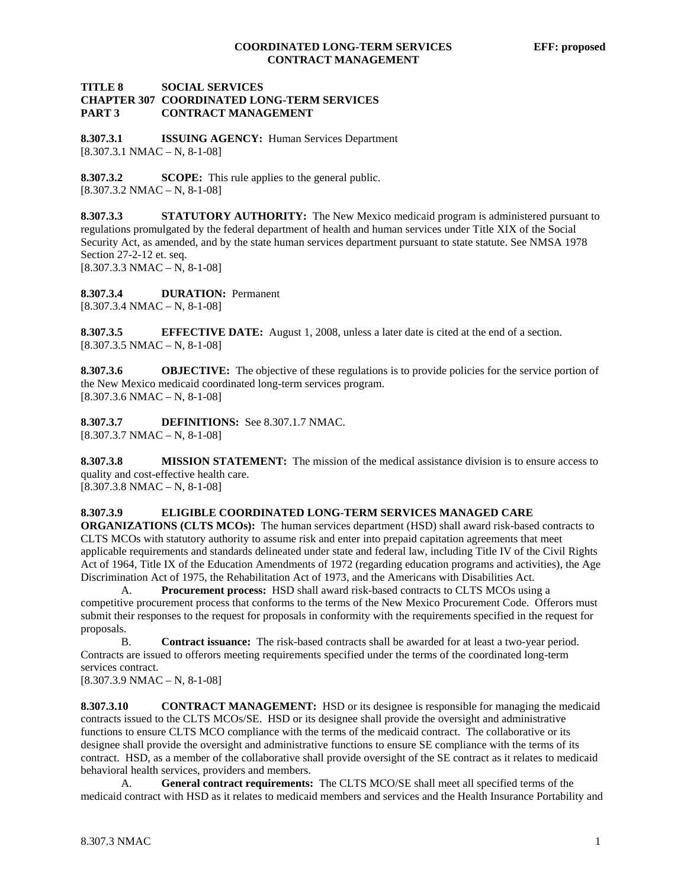#### **TITLE 8 SOCIAL SERVICES CHAPTER 307 COORDINATED LONG-TERM SERVICES PART 3 CONTRACT MANAGEMENT**

**8.307.3.1 ISSUING AGENCY:** Human Services Department  $[8.307.3.1 \text{ NMAC} - \text{N}, 8-1-08]$ 

**8.307.3.2 SCOPE:** This rule applies to the general public.  $[8.307.3.2 NMAC - N, 8-1-08]$ 

**8.307.3.3 STATUTORY AUTHORITY:** The New Mexico medicaid program is administered pursuant to regulations promulgated by the federal department of health and human services under Title XIX of the Social Security Act, as amended, and by the state human services department pursuant to state statute. See NMSA 1978 Section 27-2-12 et. seq. [8.307.3.3 NMAC – N, 8-1-08]

**8.307.3.4 DURATION:** Permanent  $[8.307.3.4 \text{ NMAC} - \text{N}, 8-1-08]$ 

**8.307.3.5 EFFECTIVE DATE:** August 1, 2008, unless a later date is cited at the end of a section.  $[8.307.3.5 NMAC - N, 8-1-08]$ 

**8.307.3.6 OBJECTIVE:** The objective of these regulations is to provide policies for the service portion of the New Mexico medicaid coordinated long-term services program.  $[8.307.3.6 NMAC - N, 8-1-08]$ 

**8.307.3.7 DEFINITIONS:** See 8.307.1.7 NMAC.  $[8.307.3.7 \text{ NMAC} - \text{N}, 8-1-08]$ 

**8.307.3.8 MISSION STATEMENT:** The mission of the medical assistance division is to ensure access to quality and cost-effective health care.

 $[8.307.3.8 \text{ NMAC} - \text{N}, 8-1-08]$ 

#### **8.307.3.9 ELIGIBLE COORDINATED LONG-TERM SERVICES MANAGED CARE**

**ORGANIZATIONS (CLTS MCOs):** The human services department (HSD) shall award risk-based contracts to CLTS MCOs with statutory authority to assume risk and enter into prepaid capitation agreements that meet applicable requirements and standards delineated under state and federal law, including Title IV of the Civil Rights Act of 1964, Title IX of the Education Amendments of 1972 (regarding education programs and activities), the Age Discrimination Act of 1975, the Rehabilitation Act of 1973, and the Americans with Disabilities Act.

 A. **Procurement process:** HSD shall award risk-based contracts to CLTS MCOs using a competitive procurement process that conforms to the terms of the New Mexico Procurement Code. Offerors must submit their responses to the request for proposals in conformity with the requirements specified in the request for proposals.

 B. **Contract issuance:** The risk-based contracts shall be awarded for at least a two-year period. Contracts are issued to offerors meeting requirements specified under the terms of the coordinated long-term services contract.

 $[8.307.3.9 \text{ NMAC} - \text{N}, 8-1-08]$ 

**8.307.3.10 CONTRACT MANAGEMENT:** HSD or its designee is responsible for managing the medicaid contracts issued to the CLTS MCOs/SE. HSD or its designee shall provide the oversight and administrative functions to ensure CLTS MCO compliance with the terms of the medicaid contract. The collaborative or its designee shall provide the oversight and administrative functions to ensure SE compliance with the terms of its contract. HSD, as a member of the collaborative shall provide oversight of the SE contract as it relates to medicaid behavioral health services, providers and members.

 A. **General contract requirements:** The CLTS MCO/SE shall meet all specified terms of the medicaid contract with HSD as it relates to medicaid members and services and the Health Insurance Portability and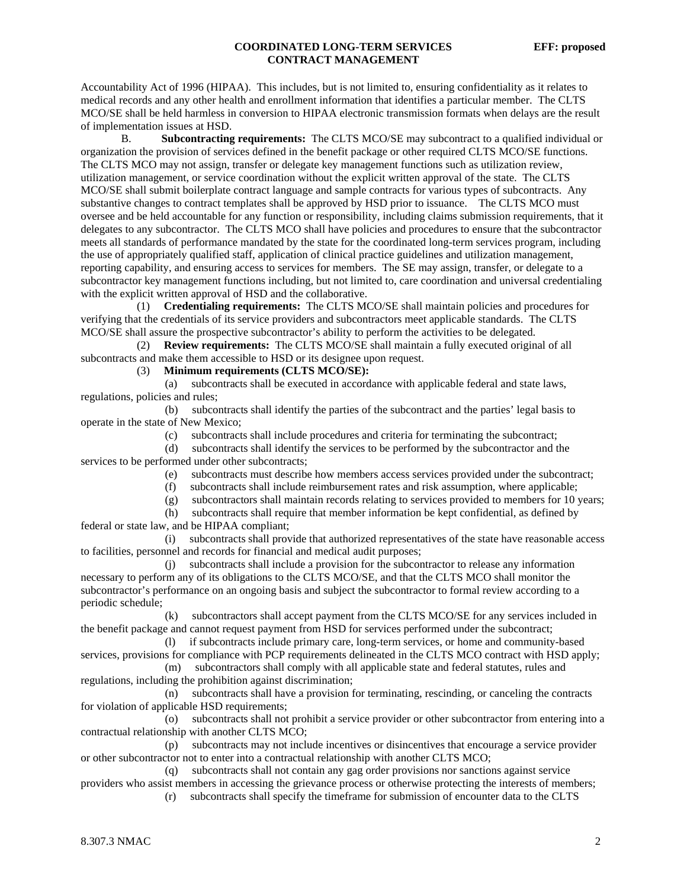Accountability Act of 1996 (HIPAA). This includes, but is not limited to, ensuring confidentiality as it relates to medical records and any other health and enrollment information that identifies a particular member. The CLTS MCO/SE shall be held harmless in conversion to HIPAA electronic transmission formats when delays are the result of implementation issues at HSD.

 B. **Subcontracting requirements:** The CLTS MCO/SE may subcontract to a qualified individual or organization the provision of services defined in the benefit package or other required CLTS MCO/SE functions. The CLTS MCO may not assign, transfer or delegate key management functions such as utilization review, utilization management, or service coordination without the explicit written approval of the state. The CLTS MCO/SE shall submit boilerplate contract language and sample contracts for various types of subcontracts. Any substantive changes to contract templates shall be approved by HSD prior to issuance. The CLTS MCO must oversee and be held accountable for any function or responsibility, including claims submission requirements, that it delegates to any subcontractor. The CLTS MCO shall have policies and procedures to ensure that the subcontractor meets all standards of performance mandated by the state for the coordinated long-term services program, including the use of appropriately qualified staff, application of clinical practice guidelines and utilization management, reporting capability, and ensuring access to services for members. The SE may assign, transfer, or delegate to a subcontractor key management functions including, but not limited to, care coordination and universal credentialing with the explicit written approval of HSD and the collaborative.

 (1) **Credentialing requirements:** The CLTS MCO/SE shall maintain policies and procedures for verifying that the credentials of its service providers and subcontractors meet applicable standards. The CLTS MCO/SE shall assure the prospective subcontractor's ability to perform the activities to be delegated.

 (2) **Review requirements:** The CLTS MCO/SE shall maintain a fully executed original of all subcontracts and make them accessible to HSD or its designee upon request.

(3) **Minimum requirements (CLTS MCO/SE):**

 (a) subcontracts shall be executed in accordance with applicable federal and state laws, regulations, policies and rules;

 (b) subcontracts shall identify the parties of the subcontract and the parties' legal basis to operate in the state of New Mexico;

(c) subcontracts shall include procedures and criteria for terminating the subcontract;

 (d) subcontracts shall identify the services to be performed by the subcontractor and the services to be performed under other subcontracts;

- (e) subcontracts must describe how members access services provided under the subcontract;
- (f) subcontracts shall include reimbursement rates and risk assumption, where applicable;

(g) subcontractors shall maintain records relating to services provided to members for 10 years;

 (h) subcontracts shall require that member information be kept confidential, as defined by federal or state law, and be HIPAA compliant;

 (i) subcontracts shall provide that authorized representatives of the state have reasonable access to facilities, personnel and records for financial and medical audit purposes;

 (j) subcontracts shall include a provision for the subcontractor to release any information necessary to perform any of its obligations to the CLTS MCO/SE, and that the CLTS MCO shall monitor the subcontractor's performance on an ongoing basis and subject the subcontractor to formal review according to a periodic schedule;

 (k) subcontractors shall accept payment from the CLTS MCO/SE for any services included in the benefit package and cannot request payment from HSD for services performed under the subcontract;

 (l) if subcontracts include primary care, long-term services, or home and community-based services, provisions for compliance with PCP requirements delineated in the CLTS MCO contract with HSD apply;

 (m) subcontractors shall comply with all applicable state and federal statutes, rules and regulations, including the prohibition against discrimination;

 (n) subcontracts shall have a provision for terminating, rescinding, or canceling the contracts for violation of applicable HSD requirements;

 (o) subcontracts shall not prohibit a service provider or other subcontractor from entering into a contractual relationship with another CLTS MCO;

 (p) subcontracts may not include incentives or disincentives that encourage a service provider or other subcontractor not to enter into a contractual relationship with another CLTS MCO;

 (q) subcontracts shall not contain any gag order provisions nor sanctions against service providers who assist members in accessing the grievance process or otherwise protecting the interests of members;

(r) subcontracts shall specify the timeframe for submission of encounter data to the CLTS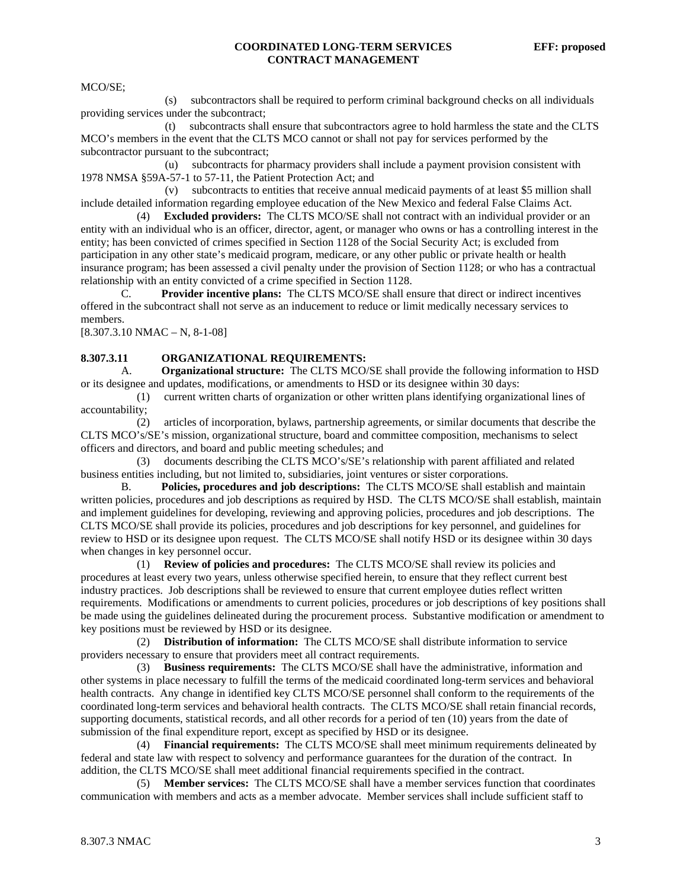MCO/SE;

 (s) subcontractors shall be required to perform criminal background checks on all individuals providing services under the subcontract;

 (t) subcontracts shall ensure that subcontractors agree to hold harmless the state and the CLTS MCO's members in the event that the CLTS MCO cannot or shall not pay for services performed by the subcontractor pursuant to the subcontract;

 (u) subcontracts for pharmacy providers shall include a payment provision consistent with 1978 NMSA §59A-57-1 to 57-11, the Patient Protection Act; and

 (v) subcontracts to entities that receive annual medicaid payments of at least \$5 million shall include detailed information regarding employee education of the New Mexico and federal False Claims Act.

 (4) **Excluded providers:** The CLTS MCO/SE shall not contract with an individual provider or an entity with an individual who is an officer, director, agent, or manager who owns or has a controlling interest in the entity; has been convicted of crimes specified in Section 1128 of the Social Security Act; is excluded from participation in any other state's medicaid program, medicare, or any other public or private health or health insurance program; has been assessed a civil penalty under the provision of Section 1128; or who has a contractual relationship with an entity convicted of a crime specified in Section 1128.

 C. **Provider incentive plans:** The CLTS MCO/SE shall ensure that direct or indirect incentives offered in the subcontract shall not serve as an inducement to reduce or limit medically necessary services to members.

 $[8.307.3.10 NMAC - N, 8-1-08]$ 

#### **8.307.3.11 ORGANIZATIONAL REQUIREMENTS:**

 A. **Organizational structure:** The CLTS MCO/SE shall provide the following information to HSD or its designee and updates, modifications, or amendments to HSD or its designee within 30 days:

 (1) current written charts of organization or other written plans identifying organizational lines of accountability;

 (2) articles of incorporation, bylaws, partnership agreements, or similar documents that describe the CLTS MCO's/SE's mission, organizational structure, board and committee composition, mechanisms to select officers and directors, and board and public meeting schedules; and

 (3) documents describing the CLTS MCO's/SE's relationship with parent affiliated and related business entities including, but not limited to, subsidiaries, joint ventures or sister corporations.

 B. **Policies, procedures and job descriptions:** The CLTS MCO/SE shall establish and maintain written policies, procedures and job descriptions as required by HSD. The CLTS MCO/SE shall establish, maintain and implement guidelines for developing, reviewing and approving policies, procedures and job descriptions. The CLTS MCO/SE shall provide its policies, procedures and job descriptions for key personnel, and guidelines for review to HSD or its designee upon request. The CLTS MCO/SE shall notify HSD or its designee within 30 days when changes in key personnel occur.

 (1) **Review of policies and procedures:** The CLTS MCO/SE shall review its policies and procedures at least every two years, unless otherwise specified herein, to ensure that they reflect current best industry practices. Job descriptions shall be reviewed to ensure that current employee duties reflect written requirements. Modifications or amendments to current policies, procedures or job descriptions of key positions shall be made using the guidelines delineated during the procurement process. Substantive modification or amendment to key positions must be reviewed by HSD or its designee.

 (2) **Distribution of information:** The CLTS MCO/SE shall distribute information to service providers necessary to ensure that providers meet all contract requirements.

 (3) **Business requirements:** The CLTS MCO/SE shall have the administrative, information and other systems in place necessary to fulfill the terms of the medicaid coordinated long-term services and behavioral health contracts. Any change in identified key CLTS MCO/SE personnel shall conform to the requirements of the coordinated long-term services and behavioral health contracts. The CLTS MCO/SE shall retain financial records, supporting documents, statistical records, and all other records for a period of ten (10) years from the date of submission of the final expenditure report, except as specified by HSD or its designee.

 (4) **Financial requirements:** The CLTS MCO/SE shall meet minimum requirements delineated by federal and state law with respect to solvency and performance guarantees for the duration of the contract. In addition, the CLTS MCO/SE shall meet additional financial requirements specified in the contract.

 (5) **Member services:** The CLTS MCO/SE shall have a member services function that coordinates communication with members and acts as a member advocate. Member services shall include sufficient staff to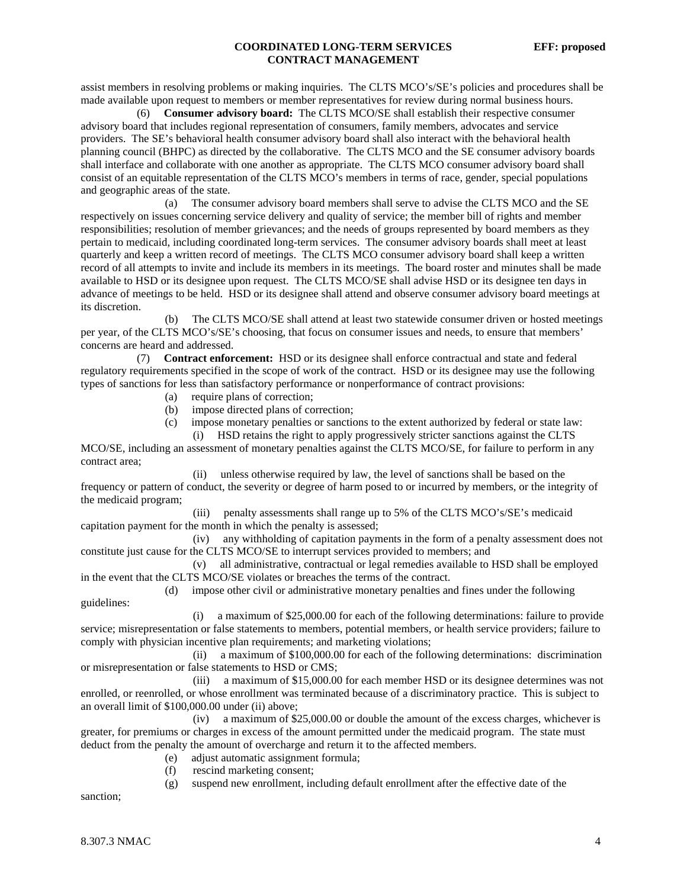assist members in resolving problems or making inquiries. The CLTS MCO's/SE's policies and procedures shall be made available upon request to members or member representatives for review during normal business hours.

 (6) **Consumer advisory board:** The CLTS MCO/SE shall establish their respective consumer advisory board that includes regional representation of consumers, family members, advocates and service providers. The SE's behavioral health consumer advisory board shall also interact with the behavioral health planning council (BHPC) as directed by the collaborative. The CLTS MCO and the SE consumer advisory boards shall interface and collaborate with one another as appropriate. The CLTS MCO consumer advisory board shall consist of an equitable representation of the CLTS MCO's members in terms of race, gender, special populations and geographic areas of the state.

 (a) The consumer advisory board members shall serve to advise the CLTS MCO and the SE respectively on issues concerning service delivery and quality of service; the member bill of rights and member responsibilities; resolution of member grievances; and the needs of groups represented by board members as they pertain to medicaid, including coordinated long-term services. The consumer advisory boards shall meet at least quarterly and keep a written record of meetings. The CLTS MCO consumer advisory board shall keep a written record of all attempts to invite and include its members in its meetings. The board roster and minutes shall be made available to HSD or its designee upon request. The CLTS MCO/SE shall advise HSD or its designee ten days in advance of meetings to be held. HSD or its designee shall attend and observe consumer advisory board meetings at its discretion.

 (b) The CLTS MCO/SE shall attend at least two statewide consumer driven or hosted meetings per year, of the CLTS MCO's/SE's choosing, that focus on consumer issues and needs, to ensure that members' concerns are heard and addressed.

 (7) **Contract enforcement:** HSD or its designee shall enforce contractual and state and federal regulatory requirements specified in the scope of work of the contract. HSD or its designee may use the following types of sanctions for less than satisfactory performance or nonperformance of contract provisions:

- (a) require plans of correction;
- (b) impose directed plans of correction;
- (c) impose monetary penalties or sanctions to the extent authorized by federal or state law: (i) HSD retains the right to apply progressively stricter sanctions against the CLTS

MCO/SE, including an assessment of monetary penalties against the CLTS MCO/SE, for failure to perform in any contract area;

 (ii) unless otherwise required by law, the level of sanctions shall be based on the frequency or pattern of conduct, the severity or degree of harm posed to or incurred by members, or the integrity of the medicaid program;

 (iii) penalty assessments shall range up to 5% of the CLTS MCO's/SE's medicaid capitation payment for the month in which the penalty is assessed;

 (iv) any withholding of capitation payments in the form of a penalty assessment does not constitute just cause for the CLTS MCO/SE to interrupt services provided to members; and

 (v) all administrative, contractual or legal remedies available to HSD shall be employed in the event that the CLTS MCO/SE violates or breaches the terms of the contract.

 (d) impose other civil or administrative monetary penalties and fines under the following guidelines:

 (i) a maximum of \$25,000.00 for each of the following determinations: failure to provide service; misrepresentation or false statements to members, potential members, or health service providers; failure to comply with physician incentive plan requirements; and marketing violations;

 (ii) a maximum of \$100,000.00 for each of the following determinations: discrimination or misrepresentation or false statements to HSD or CMS;

 (iii) a maximum of \$15,000.00 for each member HSD or its designee determines was not enrolled, or reenrolled, or whose enrollment was terminated because of a discriminatory practice. This is subject to an overall limit of \$100,000.00 under (ii) above;

 (iv) a maximum of \$25,000.00 or double the amount of the excess charges, whichever is greater, for premiums or charges in excess of the amount permitted under the medicaid program. The state must deduct from the penalty the amount of overcharge and return it to the affected members.

- (e) adjust automatic assignment formula;
- (f) rescind marketing consent;
- (g) suspend new enrollment, including default enrollment after the effective date of the

sanction;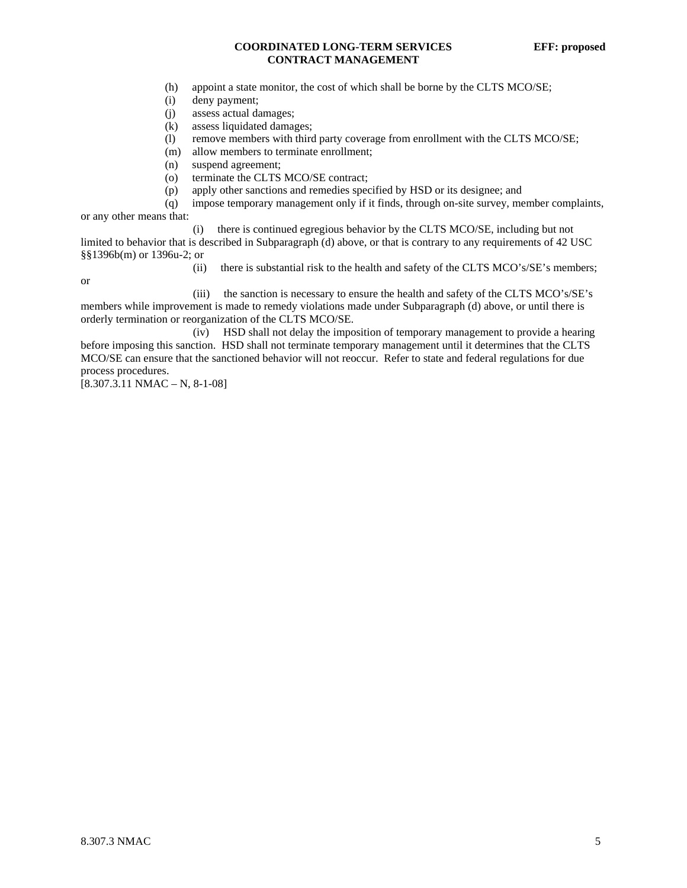- (h) appoint a state monitor, the cost of which shall be borne by the CLTS MCO/SE;
- (i) deny payment;
- (j) assess actual damages;
- (k) assess liquidated damages;
- (l) remove members with third party coverage from enrollment with the CLTS MCO/SE;
- (m) allow members to terminate enrollment;
- (n) suspend agreement;
- (o) terminate the CLTS MCO/SE contract;
- (p) apply other sanctions and remedies specified by HSD or its designee; and
- (q) impose temporary management only if it finds, through on-site survey, member complaints,

or any other means that:

 (i) there is continued egregious behavior by the CLTS MCO/SE, including but not limited to behavior that is described in Subparagraph (d) above, or that is contrary to any requirements of 42 USC §§1396b(m) or 1396u-2; or

or

(ii) there is substantial risk to the health and safety of the CLTS MCO's/SE's members;

 (iii) the sanction is necessary to ensure the health and safety of the CLTS MCO's/SE's members while improvement is made to remedy violations made under Subparagraph (d) above, or until there is orderly termination or reorganization of the CLTS MCO/SE.

 (iv) HSD shall not delay the imposition of temporary management to provide a hearing before imposing this sanction. HSD shall not terminate temporary management until it determines that the CLTS MCO/SE can ensure that the sanctioned behavior will not reoccur. Refer to state and federal regulations for due process procedures.

 $[8.307.3.11 \text{ NMAC} - \text{N}, 8-1-08]$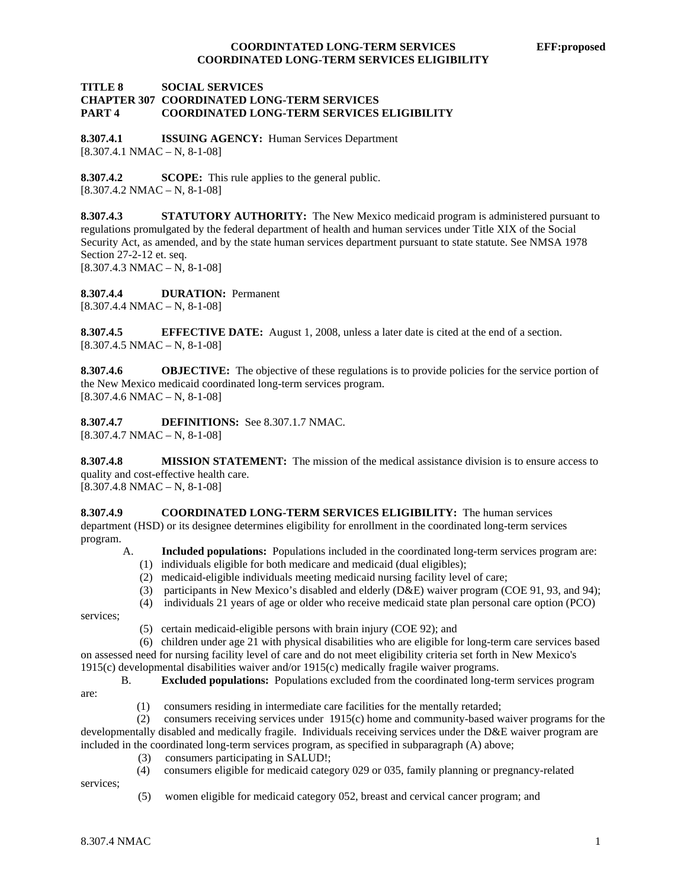#### **TITLE 8 SOCIAL SERVICES CHAPTER 307 COORDINATED LONG-TERM SERVICES PART 4 COORDINATED LONG-TERM SERVICES ELIGIBILITY**

**8.307.4.1 ISSUING AGENCY:** Human Services Department  $[8.307.4.1 \text{ NMAC} - \text{N}, 8-1-08]$ 

**8.307.4.2 SCOPE:** This rule applies to the general public.  $[8.307.4.2 NMAC - N, 8-1-08]$ 

**8.307.4.3 STATUTORY AUTHORITY:** The New Mexico medicaid program is administered pursuant to regulations promulgated by the federal department of health and human services under Title XIX of the Social Security Act, as amended, and by the state human services department pursuant to state statute. See NMSA 1978 Section 27-2-12 et. seq.  $[8.307.4.3 NMAC - N, 8-1-08]$ 

**8.307.4.4 DURATION:** Permanent  $[8.307.4.4 \text{ NMAC} - \text{N}, 8-1-08]$ 

**8.307.4.5 EFFECTIVE DATE:** August 1, 2008, unless a later date is cited at the end of a section.  $[8.307.4.5 NMAC - N, 8-1-08]$ 

**8.307.4.6 OBJECTIVE:** The objective of these regulations is to provide policies for the service portion of the New Mexico medicaid coordinated long-term services program.  $[8.307.4.6 NMAC - N, 8-1-08]$ 

**8.307.4.7 DEFINITIONS:** See 8.307.1.7 NMAC. [8.307.4.7 NMAC – N, 8-1-08]

**8.307.4.8 MISSION STATEMENT:** The mission of the medical assistance division is to ensure access to quality and cost-effective health care.

 $[8.307.4.8 NMAC - N, 8-1-08]$ 

**8.307.4.9 COORDINATED LONG-TERM SERVICES ELIGIBILITY:** The human services department (HSD) or its designee determines eligibility for enrollment in the coordinated long-term services program.

- A. **Included populations:** Populations included in the coordinated long-term services program are:
	- (1) individuals eligible for both medicare and medicaid (dual eligibles);
	- (2) medicaid-eligible individuals meeting medicaid nursing facility level of care;
	- (3) participants in New Mexico's disabled and elderly (D&E) waiver program (COE 91, 93, and 94);
	- (4) individuals 21 years of age or older who receive medicaid state plan personal care option (PCO)

services;

(5) certain medicaid-eligible persons with brain injury (COE 92); and

 (6) children under age 21 with physical disabilities who are eligible for long-term care services based on assessed need for nursing facility level of care and do not meet eligibility criteria set forth in New Mexico's 1915(c) developmental disabilities waiver and/or 1915(c) medically fragile waiver programs.

B. **Excluded populations:** Populations excluded from the coordinated long-term services program

are:

(1) consumers residing in intermediate care facilities for the mentally retarded;

 (2) consumers receiving services under 1915(c) home and community-based waiver programs for the developmentally disabled and medically fragile. Individuals receiving services under the D&E waiver program are included in the coordinated long-term services program, as specified in subparagraph (A) above;

- (3) consumers participating in SALUD!;
- (4) consumers eligible for medicaid category 029 or 035, family planning or pregnancy-related

services;

(5) women eligible for medicaid category 052, breast and cervical cancer program; and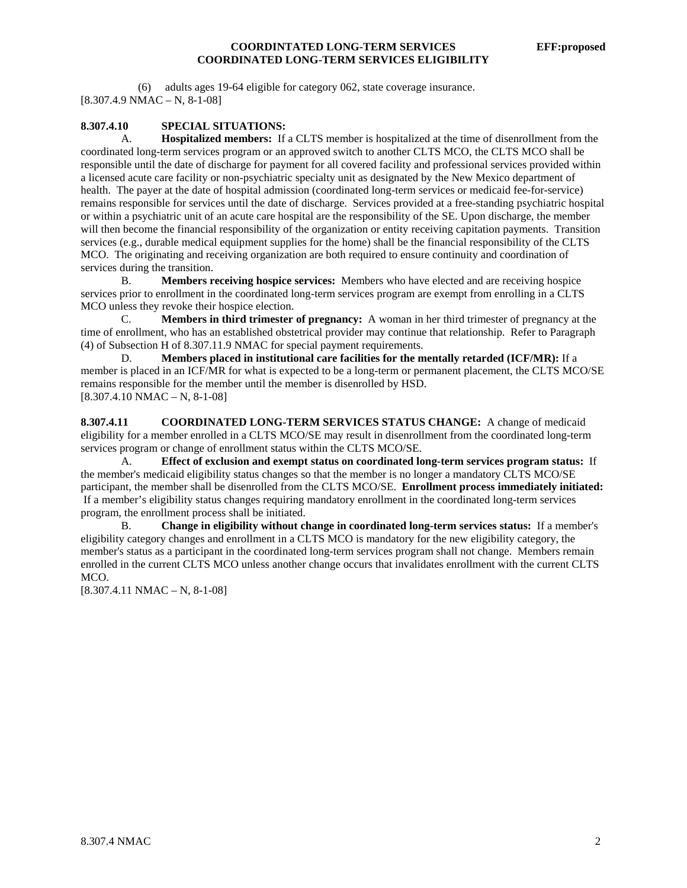(6) adults ages 19-64 eligible for category 062, state coverage insurance. [8.307.4.9 NMAC – N, 8-1-08]

#### **8.307.4.10 SPECIAL SITUATIONS:**

A. **Hospitalized members:** If a CLTS member is hospitalized at the time of disenrollment from the coordinated long-term services program or an approved switch to another CLTS MCO, the CLTS MCO shall be responsible until the date of discharge for payment for all covered facility and professional services provided within a licensed acute care facility or non-psychiatric specialty unit as designated by the New Mexico department of health. The payer at the date of hospital admission (coordinated long-term services or medicaid fee-for-service) remains responsible for services until the date of discharge. Services provided at a free-standing psychiatric hospital or within a psychiatric unit of an acute care hospital are the responsibility of the SE. Upon discharge, the member will then become the financial responsibility of the organization or entity receiving capitation payments. Transition services (e.g., durable medical equipment supplies for the home) shall be the financial responsibility of the CLTS MCO. The originating and receiving organization are both required to ensure continuity and coordination of services during the transition.

 B. **Members receiving hospice services:** Members who have elected and are receiving hospice services prior to enrollment in the coordinated long-term services program are exempt from enrolling in a CLTS MCO unless they revoke their hospice election.

 C. **Members in third trimester of pregnancy:** A woman in her third trimester of pregnancy at the time of enrollment, who has an established obstetrical provider may continue that relationship. Refer to Paragraph (4) of Subsection H of 8.307.11.9 NMAC for special payment requirements.

 D. **Members placed in institutional care facilities for the mentally retarded (ICF/MR):** If a member is placed in an ICF/MR for what is expected to be a long-term or permanent placement, the CLTS MCO/SE remains responsible for the member until the member is disenrolled by HSD.  $[8.307.4.10 NMAC - N, 8-1-08]$ 

**8.307.4.11 COORDINATED LONG-TERM SERVICES STATUS CHANGE:** A change of medicaid eligibility for a member enrolled in a CLTS MCO/SE may result in disenrollment from the coordinated long-term services program or change of enrollment status within the CLTS MCO/SE.

 A. **Effect of exclusion and exempt status on coordinated long-term services program status:** If the member's medicaid eligibility status changes so that the member is no longer a mandatory CLTS MCO/SE participant, the member shall be disenrolled from the CLTS MCO/SE. **Enrollment process immediately initiated:** If a member's eligibility status changes requiring mandatory enrollment in the coordinated long-term services program, the enrollment process shall be initiated.

 B. **Change in eligibility without change in coordinated long-term services status:** If a member's eligibility category changes and enrollment in a CLTS MCO is mandatory for the new eligibility category, the member's status as a participant in the coordinated long-term services program shall not change. Members remain enrolled in the current CLTS MCO unless another change occurs that invalidates enrollment with the current CLTS MCO.

 $[8.307.4.11 NMAC - N, 8-1-08]$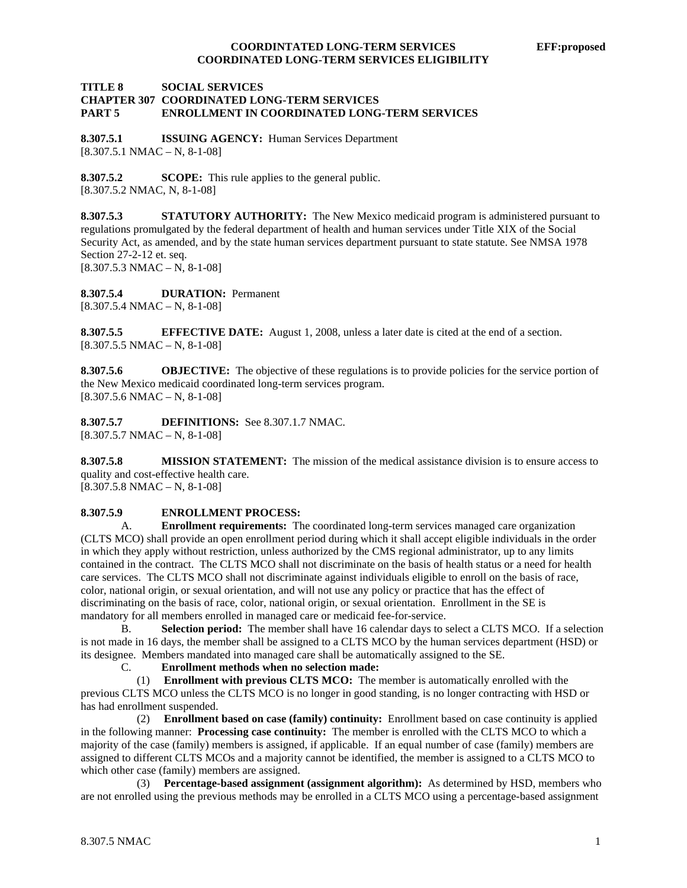#### **TITLE 8 SOCIAL SERVICES CHAPTER 307 COORDINATED LONG-TERM SERVICES PART 5 ENROLLMENT IN COORDINATED LONG-TERM SERVICES**

**8.307.5.1 ISSUING AGENCY:** Human Services Department  $[8.307.5.1 \text{ NMAC} - \text{N}, 8-1-08]$ 

**8.307.5.2 SCOPE:** This rule applies to the general public. [8.307.5.2 NMAC, N, 8-1-08]

**8.307.5.3 STATUTORY AUTHORITY:** The New Mexico medicaid program is administered pursuant to regulations promulgated by the federal department of health and human services under Title XIX of the Social Security Act, as amended, and by the state human services department pursuant to state statute. See NMSA 1978 Section 27-2-12 et. seq.  $[8.307.5.3 \text{ NMAC} - \text{N}, 8-1-08]$ 

**8.307.5.4 DURATION:** Permanent  $[8.307.5.4 \text{ NMAC} - \text{N}, 8-1-08]$ 

**8.307.5.5 EFFECTIVE DATE:** August 1, 2008, unless a later date is cited at the end of a section.  $[8.307.5.5 \text{ NMAC} - \text{N}, 8-1-08]$ 

**8.307.5.6 OBJECTIVE:** The objective of these regulations is to provide policies for the service portion of the New Mexico medicaid coordinated long-term services program.  $[8.307.5.6 NMAC - N, 8-1-08]$ 

**8.307.5.7 DEFINITIONS:** See 8.307.1.7 NMAC.  $[8.307.5.7 \text{ NMAC} - \text{N}, 8-1-08]$ 

**8.307.5.8 MISSION STATEMENT:** The mission of the medical assistance division is to ensure access to quality and cost-effective health care.

 $[8.307.5.8 \text{ NMAC} - \text{N}, 8-1-08]$ 

#### **8.307.5.9 ENROLLMENT PROCESS:**

 A. **Enrollment requirements:** The coordinated long-term services managed care organization (CLTS MCO) shall provide an open enrollment period during which it shall accept eligible individuals in the order in which they apply without restriction, unless authorized by the CMS regional administrator, up to any limits contained in the contract. The CLTS MCO shall not discriminate on the basis of health status or a need for health care services. The CLTS MCO shall not discriminate against individuals eligible to enroll on the basis of race, color, national origin, or sexual orientation, and will not use any policy or practice that has the effect of discriminating on the basis of race, color, national origin, or sexual orientation. Enrollment in the SE is mandatory for all members enrolled in managed care or medicaid fee-for-service.

 B. **Selection period:** The member shall have 16 calendar days to select a CLTS MCO. If a selection is not made in 16 days, the member shall be assigned to a CLTS MCO by the human services department (HSD) or its designee. Members mandated into managed care shall be automatically assigned to the SE.

C. **Enrollment methods when no selection made:**

 (1) **Enrollment with previous CLTS MCO:** The member is automatically enrolled with the previous CLTS MCO unless the CLTS MCO is no longer in good standing, is no longer contracting with HSD or has had enrollment suspended.

 (2) **Enrollment based on case (family) continuity:** Enrollment based on case continuity is applied in the following manner: **Processing case continuity:** The member is enrolled with the CLTS MCO to which a majority of the case (family) members is assigned, if applicable. If an equal number of case (family) members are assigned to different CLTS MCOs and a majority cannot be identified, the member is assigned to a CLTS MCO to which other case (family) members are assigned.

 (3) **Percentage-based assignment (assignment algorithm):** As determined by HSD, members who are not enrolled using the previous methods may be enrolled in a CLTS MCO using a percentage-based assignment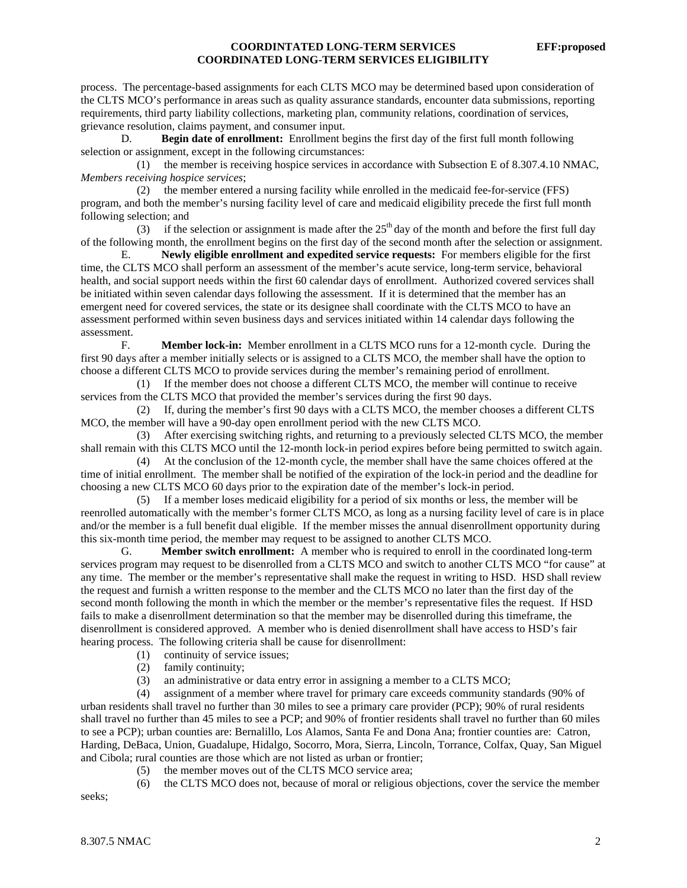process. The percentage-based assignments for each CLTS MCO may be determined based upon consideration of the CLTS MCO's performance in areas such as quality assurance standards, encounter data submissions, reporting requirements, third party liability collections, marketing plan, community relations, coordination of services, grievance resolution, claims payment, and consumer input.

 D. **Begin date of enrollment:** Enrollment begins the first day of the first full month following selection or assignment, except in the following circumstances:

 (1) the member is receiving hospice services in accordance with Subsection E of 8.307.4.10 NMAC, *Members receiving hospice services*;

 (2) the member entered a nursing facility while enrolled in the medicaid fee-for-service (FFS) program, and both the member's nursing facility level of care and medicaid eligibility precede the first full month following selection; and

(3) if the selection or assignment is made after the  $25<sup>th</sup>$  day of the month and before the first full day of the following month, the enrollment begins on the first day of the second month after the selection or assignment.

 E. **Newly eligible enrollment and expedited service requests:** For members eligible for the first time, the CLTS MCO shall perform an assessment of the member's acute service, long-term service, behavioral health, and social support needs within the first 60 calendar days of enrollment. Authorized covered services shall be initiated within seven calendar days following the assessment. If it is determined that the member has an emergent need for covered services, the state or its designee shall coordinate with the CLTS MCO to have an assessment performed within seven business days and services initiated within 14 calendar days following the assessment.

 F. **Member lock-in:** Member enrollment in a CLTS MCO runs for a 12-month cycle. During the first 90 days after a member initially selects or is assigned to a CLTS MCO, the member shall have the option to choose a different CLTS MCO to provide services during the member's remaining period of enrollment.

 (1) If the member does not choose a different CLTS MCO, the member will continue to receive services from the CLTS MCO that provided the member's services during the first 90 days.

 (2) If, during the member's first 90 days with a CLTS MCO, the member chooses a different CLTS MCO, the member will have a 90-day open enrollment period with the new CLTS MCO.

 (3) After exercising switching rights, and returning to a previously selected CLTS MCO, the member shall remain with this CLTS MCO until the 12-month lock-in period expires before being permitted to switch again.

 (4) At the conclusion of the 12-month cycle, the member shall have the same choices offered at the time of initial enrollment. The member shall be notified of the expiration of the lock-in period and the deadline for choosing a new CLTS MCO 60 days prior to the expiration date of the member's lock-in period.

 (5) If a member loses medicaid eligibility for a period of six months or less, the member will be reenrolled automatically with the member's former CLTS MCO, as long as a nursing facility level of care is in place and/or the member is a full benefit dual eligible. If the member misses the annual disenrollment opportunity during this six-month time period, the member may request to be assigned to another CLTS MCO.

 G. **Member switch enrollment:** A member who is required to enroll in the coordinated long-term services program may request to be disenrolled from a CLTS MCO and switch to another CLTS MCO "for cause" at any time. The member or the member's representative shall make the request in writing to HSD. HSD shall review the request and furnish a written response to the member and the CLTS MCO no later than the first day of the second month following the month in which the member or the member's representative files the request. If HSD fails to make a disenrollment determination so that the member may be disenrolled during this timeframe, the disenrollment is considered approved. A member who is denied disenrollment shall have access to HSD's fair hearing process. The following criteria shall be cause for disenrollment:

- (1) continuity of service issues;
- (2) family continuity;

(3) an administrative or data entry error in assigning a member to a CLTS MCO;

 (4) assignment of a member where travel for primary care exceeds community standards (90% of urban residents shall travel no further than 30 miles to see a primary care provider (PCP); 90% of rural residents shall travel no further than 45 miles to see a PCP; and 90% of frontier residents shall travel no further than 60 miles to see a PCP); urban counties are: Bernalillo, Los Alamos, Santa Fe and Dona Ana; frontier counties are: Catron, Harding, DeBaca, Union, Guadalupe, Hidalgo, Socorro, Mora, Sierra, Lincoln, Torrance, Colfax, Quay, San Miguel and Cibola; rural counties are those which are not listed as urban or frontier;

(5) the member moves out of the CLTS MCO service area;

(6) the CLTS MCO does not, because of moral or religious objections, cover the service the member

seeks;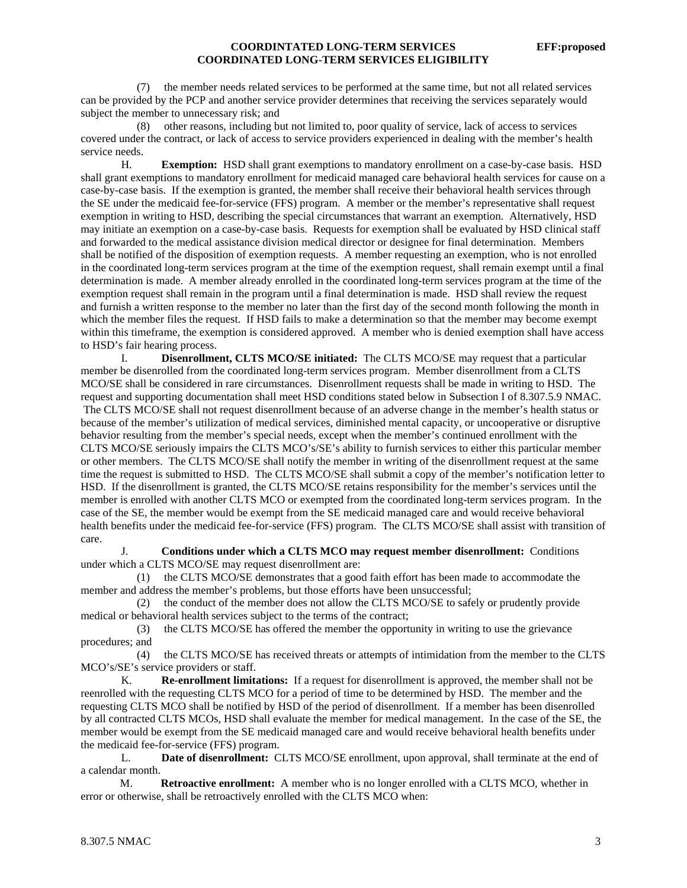(7) the member needs related services to be performed at the same time, but not all related services can be provided by the PCP and another service provider determines that receiving the services separately would subject the member to unnecessary risk; and

 (8) other reasons, including but not limited to, poor quality of service, lack of access to services covered under the contract, or lack of access to service providers experienced in dealing with the member's health service needs.

 H. **Exemption:** HSD shall grant exemptions to mandatory enrollment on a case-by-case basis. HSD shall grant exemptions to mandatory enrollment for medicaid managed care behavioral health services for cause on a case-by-case basis. If the exemption is granted, the member shall receive their behavioral health services through the SE under the medicaid fee-for-service (FFS) program. A member or the member's representative shall request exemption in writing to HSD, describing the special circumstances that warrant an exemption. Alternatively, HSD may initiate an exemption on a case-by-case basis. Requests for exemption shall be evaluated by HSD clinical staff and forwarded to the medical assistance division medical director or designee for final determination. Members shall be notified of the disposition of exemption requests. A member requesting an exemption, who is not enrolled in the coordinated long-term services program at the time of the exemption request, shall remain exempt until a final determination is made. A member already enrolled in the coordinated long-term services program at the time of the exemption request shall remain in the program until a final determination is made. HSD shall review the request and furnish a written response to the member no later than the first day of the second month following the month in which the member files the request. If HSD fails to make a determination so that the member may become exempt within this timeframe, the exemption is considered approved. A member who is denied exemption shall have access to HSD's fair hearing process.

I. **Disenrollment, CLTS MCO/SE initiated:** The CLTS MCO/SE may request that a particular member be disenrolled from the coordinated long-term services program. Member disenrollment from a CLTS MCO/SE shall be considered in rare circumstances. Disenrollment requests shall be made in writing to HSD. The request and supporting documentation shall meet HSD conditions stated below in Subsection I of 8.307.5.9 NMAC. The CLTS MCO/SE shall not request disenrollment because of an adverse change in the member's health status or because of the member's utilization of medical services, diminished mental capacity, or uncooperative or disruptive behavior resulting from the member's special needs, except when the member's continued enrollment with the CLTS MCO/SE seriously impairs the CLTS MCO's/SE's ability to furnish services to either this particular member or other members. The CLTS MCO/SE shall notify the member in writing of the disenrollment request at the same time the request is submitted to HSD. The CLTS MCO/SE shall submit a copy of the member's notification letter to HSD. If the disenrollment is granted, the CLTS MCO/SE retains responsibility for the member's services until the member is enrolled with another CLTS MCO or exempted from the coordinated long-term services program. In the case of the SE, the member would be exempt from the SE medicaid managed care and would receive behavioral health benefits under the medicaid fee-for-service (FFS) program. The CLTS MCO/SE shall assist with transition of care.

 J. **Conditions under which a CLTS MCO may request member disenrollment:** Conditions under which a CLTS MCO/SE may request disenrollment are:

 (1) the CLTS MCO/SE demonstrates that a good faith effort has been made to accommodate the member and address the member's problems, but those efforts have been unsuccessful;

 (2) the conduct of the member does not allow the CLTS MCO/SE to safely or prudently provide medical or behavioral health services subject to the terms of the contract;

 (3) the CLTS MCO/SE has offered the member the opportunity in writing to use the grievance procedures; and

 (4) the CLTS MCO/SE has received threats or attempts of intimidation from the member to the CLTS MCO's/SE's service providers or staff.

 K. **Re-enrollment limitations:** If a request for disenrollment is approved, the member shall not be reenrolled with the requesting CLTS MCO for a period of time to be determined by HSD. The member and the requesting CLTS MCO shall be notified by HSD of the period of disenrollment. If a member has been disenrolled by all contracted CLTS MCOs, HSD shall evaluate the member for medical management. In the case of the SE, the member would be exempt from the SE medicaid managed care and would receive behavioral health benefits under the medicaid fee-for-service (FFS) program.

 L. **Date of disenrollment:** CLTS MCO/SE enrollment, upon approval, shall terminate at the end of a calendar month.

 M. **Retroactive enrollment:** A member who is no longer enrolled with a CLTS MCO, whether in error or otherwise, shall be retroactively enrolled with the CLTS MCO when: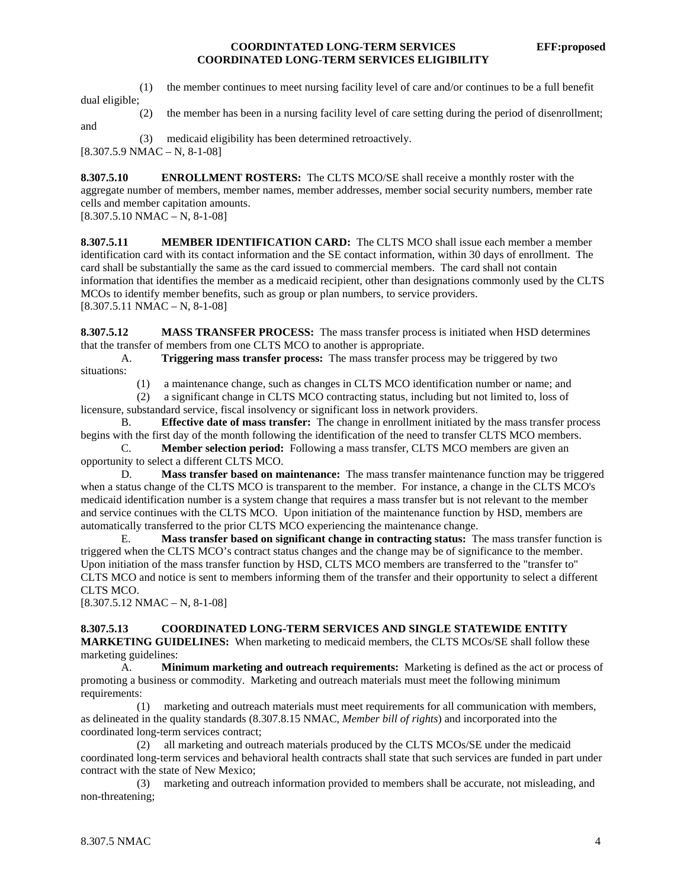(1) the member continues to meet nursing facility level of care and/or continues to be a full benefit

dual eligible;

and

(2) the member has been in a nursing facility level of care setting during the period of disenrollment;

(3) medicaid eligibility has been determined retroactively.

 $[8.307.5.9 \text{ NMAC} - \text{N}, 8-1-08]$ 

**8.307.5.10 ENROLLMENT ROSTERS:** The CLTS MCO/SE shall receive a monthly roster with the aggregate number of members, member names, member addresses, member social security numbers, member rate cells and member capitation amounts.

 $[8.307.5.10 NMAC - N, 8-1-08]$ 

**8.307.5.11 MEMBER IDENTIFICATION CARD:** The CLTS MCO shall issue each member a member identification card with its contact information and the SE contact information, within 30 days of enrollment. The card shall be substantially the same as the card issued to commercial members. The card shall not contain information that identifies the member as a medicaid recipient, other than designations commonly used by the CLTS MCOs to identify member benefits, such as group or plan numbers, to service providers. [8.307.5.11 NMAC – N, 8-1-08]

**8.307.5.12 MASS TRANSFER PROCESS:** The mass transfer process is initiated when HSD determines that the transfer of members from one CLTS MCO to another is appropriate.

 A. **Triggering mass transfer process:** The mass transfer process may be triggered by two situations:

(1) a maintenance change, such as changes in CLTS MCO identification number or name; and

 (2) a significant change in CLTS MCO contracting status, including but not limited to, loss of licensure, substandard service, fiscal insolvency or significant loss in network providers.

 B. **Effective date of mass transfer:** The change in enrollment initiated by the mass transfer process begins with the first day of the month following the identification of the need to transfer CLTS MCO members.

 C. **Member selection period:** Following a mass transfer, CLTS MCO members are given an opportunity to select a different CLTS MCO.

 D. **Mass transfer based on maintenance:** The mass transfer maintenance function may be triggered when a status change of the CLTS MCO is transparent to the member. For instance, a change in the CLTS MCO's medicaid identification number is a system change that requires a mass transfer but is not relevant to the member and service continues with the CLTS MCO. Upon initiation of the maintenance function by HSD, members are automatically transferred to the prior CLTS MCO experiencing the maintenance change.

 E. **Mass transfer based on significant change in contracting status:** The mass transfer function is triggered when the CLTS MCO's contract status changes and the change may be of significance to the member. Upon initiation of the mass transfer function by HSD, CLTS MCO members are transferred to the "transfer to" CLTS MCO and notice is sent to members informing them of the transfer and their opportunity to select a different CLTS MCO.

 $[8.307.5.12 \text{ NMAC} - \text{N}, 8-1-08]$ 

#### **8.307.5.13 COORDINATED LONG-TERM SERVICES AND SINGLE STATEWIDE ENTITY**

**MARKETING GUIDELINES:** When marketing to medicaid members, the CLTS MCOs/SE shall follow these marketing guidelines:

 A. **Minimum marketing and outreach requirements:** Marketing is defined as the act or process of promoting a business or commodity. Marketing and outreach materials must meet the following minimum requirements:

 (1) marketing and outreach materials must meet requirements for all communication with members, as delineated in the quality standards (8.307.8.15 NMAC, *Member bill of rights*) and incorporated into the coordinated long-term services contract;

 (2) all marketing and outreach materials produced by the CLTS MCOs/SE under the medicaid coordinated long-term services and behavioral health contracts shall state that such services are funded in part under contract with the state of New Mexico;

 (3) marketing and outreach information provided to members shall be accurate, not misleading, and non-threatening;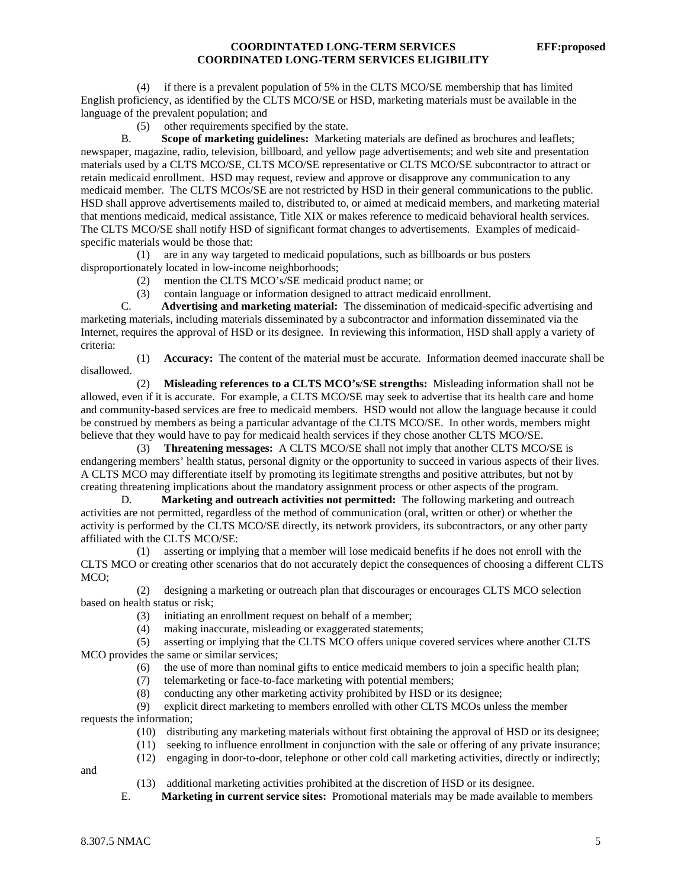(4) if there is a prevalent population of 5% in the CLTS MCO/SE membership that has limited English proficiency, as identified by the CLTS MCO/SE or HSD, marketing materials must be available in the language of the prevalent population; and

(5) other requirements specified by the state.

 B. **Scope of marketing guidelines:** Marketing materials are defined as brochures and leaflets; newspaper, magazine, radio, television, billboard, and yellow page advertisements; and web site and presentation materials used by a CLTS MCO/SE, CLTS MCO/SE representative or CLTS MCO/SE subcontractor to attract or retain medicaid enrollment. HSD may request, review and approve or disapprove any communication to any medicaid member. The CLTS MCOs/SE are not restricted by HSD in their general communications to the public. HSD shall approve advertisements mailed to, distributed to, or aimed at medicaid members, and marketing material that mentions medicaid, medical assistance, Title XIX or makes reference to medicaid behavioral health services. The CLTS MCO/SE shall notify HSD of significant format changes to advertisements. Examples of medicaidspecific materials would be those that:

 (1) are in any way targeted to medicaid populations, such as billboards or bus posters disproportionately located in low-income neighborhoods;

(2) mention the CLTS MCO's/SE medicaid product name; or

(3) contain language or information designed to attract medicaid enrollment.

 C. **Advertising and marketing material:** The dissemination of medicaid-specific advertising and marketing materials, including materials disseminated by a subcontractor and information disseminated via the Internet, requires the approval of HSD or its designee. In reviewing this information, HSD shall apply a variety of criteria:

 (1) **Accuracy:** The content of the material must be accurate. Information deemed inaccurate shall be disallowed.

 (2) **Misleading references to a CLTS MCO's**/**SE strengths:** Misleading information shall not be allowed, even if it is accurate. For example, a CLTS MCO/SE may seek to advertise that its health care and home and community-based services are free to medicaid members. HSD would not allow the language because it could be construed by members as being a particular advantage of the CLTS MCO/SE. In other words, members might believe that they would have to pay for medicaid health services if they chose another CLTS MCO/SE.

 (3) **Threatening messages:** A CLTS MCO/SE shall not imply that another CLTS MCO/SE is endangering members' health status, personal dignity or the opportunity to succeed in various aspects of their lives. A CLTS MCO may differentiate itself by promoting its legitimate strengths and positive attributes, but not by creating threatening implications about the mandatory assignment process or other aspects of the program.

 D. **Marketing and outreach activities not permitted:** The following marketing and outreach activities are not permitted, regardless of the method of communication (oral, written or other) or whether the activity is performed by the CLTS MCO/SE directly, its network providers, its subcontractors, or any other party affiliated with the CLTS MCO/SE:

 (1) asserting or implying that a member will lose medicaid benefits if he does not enroll with the CLTS MCO or creating other scenarios that do not accurately depict the consequences of choosing a different CLTS MCO;

 (2) designing a marketing or outreach plan that discourages or encourages CLTS MCO selection based on health status or risk;

- (3) initiating an enrollment request on behalf of a member;
- (4) making inaccurate, misleading or exaggerated statements;

 (5) asserting or implying that the CLTS MCO offers unique covered services where another CLTS MCO provides the same or similar services;

- (6) the use of more than nominal gifts to entice medicaid members to join a specific health plan;
- (7) telemarketing or face-to-face marketing with potential members;
- (8) conducting any other marketing activity prohibited by HSD or its designee;

 (9) explicit direct marketing to members enrolled with other CLTS MCOs unless the member requests the information;

(10) distributing any marketing materials without first obtaining the approval of HSD or its designee;

- (11) seeking to influence enrollment in conjunction with the sale or offering of any private insurance;
- (12) engaging in door-to-door, telephone or other cold call marketing activities, directly or indirectly;

and

- (13) additional marketing activities prohibited at the discretion of HSD or its designee.
- E. **Marketing in current service sites:** Promotional materials may be made available to members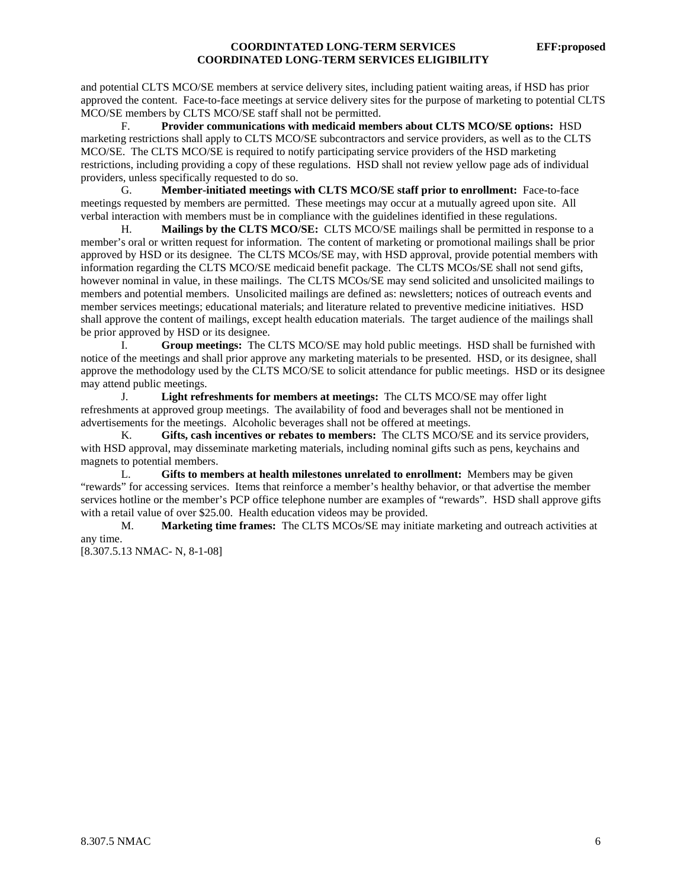and potential CLTS MCO/SE members at service delivery sites, including patient waiting areas, if HSD has prior approved the content. Face-to-face meetings at service delivery sites for the purpose of marketing to potential CLTS MCO/SE members by CLTS MCO/SE staff shall not be permitted.

 F. **Provider communications with medicaid members about CLTS MCO/SE options:** HSD marketing restrictions shall apply to CLTS MCO/SE subcontractors and service providers, as well as to the CLTS MCO/SE. The CLTS MCO/SE is required to notify participating service providers of the HSD marketing restrictions, including providing a copy of these regulations. HSD shall not review yellow page ads of individual providers, unless specifically requested to do so.

 G. **Member-initiated meetings with CLTS MCO/SE staff prior to enrollment:** Face-to-face meetings requested by members are permitted. These meetings may occur at a mutually agreed upon site. All verbal interaction with members must be in compliance with the guidelines identified in these regulations.

 H. **Mailings by the CLTS MCO/SE:** CLTS MCO/SE mailings shall be permitted in response to a member's oral or written request for information. The content of marketing or promotional mailings shall be prior approved by HSD or its designee. The CLTS MCOs/SE may, with HSD approval, provide potential members with information regarding the CLTS MCO/SE medicaid benefit package. The CLTS MCOs/SE shall not send gifts, however nominal in value, in these mailings. The CLTS MCOs/SE may send solicited and unsolicited mailings to members and potential members. Unsolicited mailings are defined as: newsletters; notices of outreach events and member services meetings; educational materials; and literature related to preventive medicine initiatives. HSD shall approve the content of mailings, except health education materials. The target audience of the mailings shall be prior approved by HSD or its designee.

 I. **Group meetings:** The CLTS MCO/SE may hold public meetings. HSD shall be furnished with notice of the meetings and shall prior approve any marketing materials to be presented. HSD, or its designee, shall approve the methodology used by the CLTS MCO/SE to solicit attendance for public meetings. HSD or its designee may attend public meetings.

 J. **Light refreshments for members at meetings:** The CLTS MCO/SE may offer light refreshments at approved group meetings. The availability of food and beverages shall not be mentioned in advertisements for the meetings. Alcoholic beverages shall not be offered at meetings.

 K. **Gifts, cash incentives or rebates to members:** The CLTS MCO/SE and its service providers, with HSD approval, may disseminate marketing materials, including nominal gifts such as pens, keychains and magnets to potential members.

 L. **Gifts to members at health milestones unrelated to enrollment:** Members may be given "rewards" for accessing services. Items that reinforce a member's healthy behavior, or that advertise the member services hotline or the member's PCP office telephone number are examples of "rewards". HSD shall approve gifts with a retail value of over \$25.00. Health education videos may be provided.

 M. **Marketing time frames:** The CLTS MCOs/SE may initiate marketing and outreach activities at any time.

[8.307.5.13 NMAC- N, 8-1-08]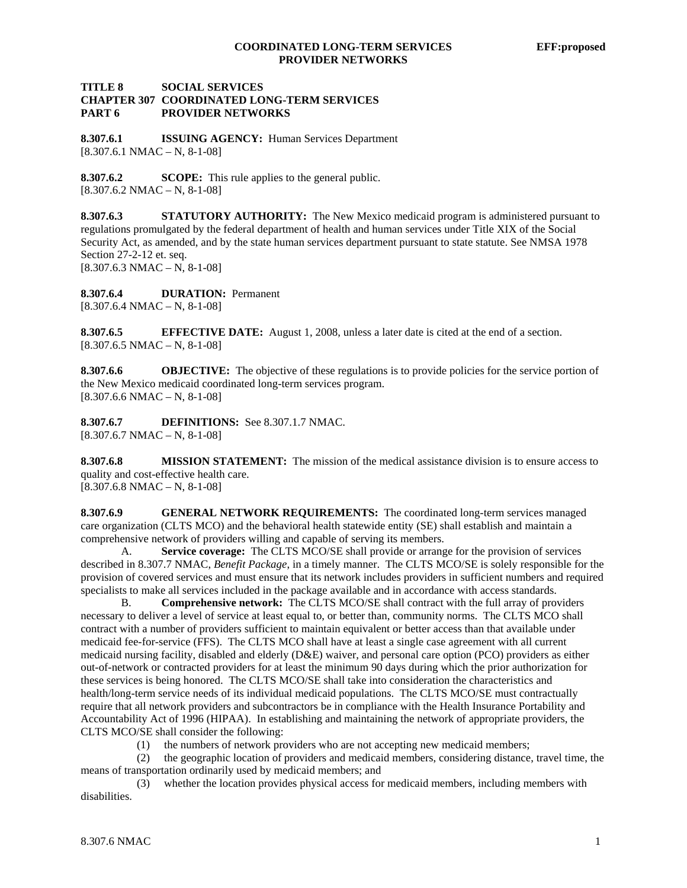#### **TITLE 8 SOCIAL SERVICES CHAPTER 307 COORDINATED LONG-TERM SERVICES PART 6 PROVIDER NETWORKS**

**8.307.6.1 ISSUING AGENCY:** Human Services Department  $[8.307.6.1 \text{ NMAC} - \text{N}, 8-1-08]$ 

**8.307.6.2 SCOPE:** This rule applies to the general public.  $[8.307.6.2 \text{ NMAC} - \text{N}, 8-1-08]$ 

**8.307.6.3 STATUTORY AUTHORITY:** The New Mexico medicaid program is administered pursuant to regulations promulgated by the federal department of health and human services under Title XIX of the Social Security Act, as amended, and by the state human services department pursuant to state statute. See NMSA 1978 Section 27-2-12 et. seq.  $[8.307.6.3 \text{ NMAC} - \text{N}, 8-1-08]$ 

**8.307.6.4 DURATION:** Permanent  $[8.307.6.4 \text{ NMAC} - \text{N}, 8-1-08]$ 

**8.307.6.5 EFFECTIVE DATE:** August 1, 2008, unless a later date is cited at the end of a section.  $[8.307.6.5 \text{ NMAC} - \text{N}, 8-1-08]$ 

**8.307.6.6 OBJECTIVE:** The objective of these regulations is to provide policies for the service portion of the New Mexico medicaid coordinated long-term services program.  $[8.307.6.6 \text{ NMAC} - \text{N}, 8-1-08]$ 

**8.307.6.7 DEFINITIONS:** See 8.307.1.7 NMAC. [8.307.6.7 NMAC – N, 8-1-08]

**8.307.6.8 MISSION STATEMENT:** The mission of the medical assistance division is to ensure access to quality and cost-effective health care.

 $[8.307.6.8 \text{ NMAC} - \text{N}, 8-1-08]$ 

**8.307.6.9 GENERAL NETWORK REQUIREMENTS:** The coordinated long-term services managed care organization (CLTS MCO) and the behavioral health statewide entity (SE) shall establish and maintain a comprehensive network of providers willing and capable of serving its members.

 A. **Service coverage:** The CLTS MCO/SE shall provide or arrange for the provision of services described in 8.307.7 NMAC, *Benefit Package*, in a timely manner. The CLTS MCO/SE is solely responsible for the provision of covered services and must ensure that its network includes providers in sufficient numbers and required specialists to make all services included in the package available and in accordance with access standards.

 B. **Comprehensive network:** The CLTS MCO/SE shall contract with the full array of providers necessary to deliver a level of service at least equal to, or better than, community norms. The CLTS MCO shall contract with a number of providers sufficient to maintain equivalent or better access than that available under medicaid fee-for-service (FFS). The CLTS MCO shall have at least a single case agreement with all current medicaid nursing facility, disabled and elderly (D&E) waiver, and personal care option (PCO) providers as either out-of-network or contracted providers for at least the minimum 90 days during which the prior authorization for these services is being honored. The CLTS MCO/SE shall take into consideration the characteristics and health/long-term service needs of its individual medicaid populations. The CLTS MCO/SE must contractually require that all network providers and subcontractors be in compliance with the Health Insurance Portability and Accountability Act of 1996 (HIPAA). In establishing and maintaining the network of appropriate providers, the CLTS MCO/SE shall consider the following:

(1) the numbers of network providers who are not accepting new medicaid members;

 (2) the geographic location of providers and medicaid members, considering distance, travel time, the means of transportation ordinarily used by medicaid members; and

 (3) whether the location provides physical access for medicaid members, including members with disabilities.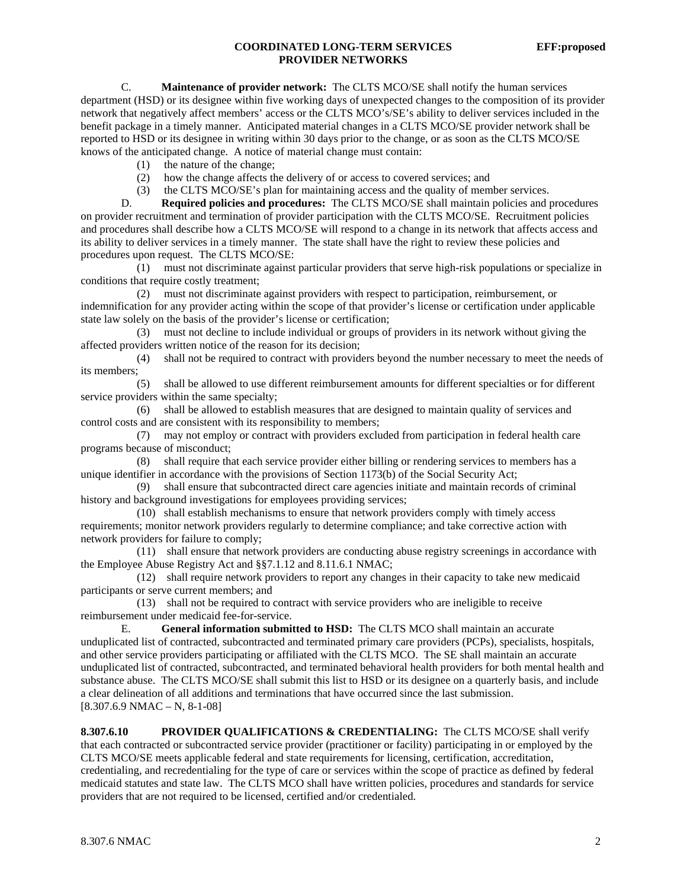#### **COORDINATED LONG-TERM SERVICES EFF:proposed PROVIDER NETWORKS**

 C. **Maintenance of provider network:** The CLTS MCO/SE shall notify the human services department (HSD) or its designee within five working days of unexpected changes to the composition of its provider network that negatively affect members' access or the CLTS MCO's/SE's ability to deliver services included in the benefit package in a timely manner. Anticipated material changes in a CLTS MCO/SE provider network shall be reported to HSD or its designee in writing within 30 days prior to the change, or as soon as the CLTS MCO/SE knows of the anticipated change. A notice of material change must contain:

- (1) the nature of the change;
- (2) how the change affects the delivery of or access to covered services; and
- (3) the CLTS MCO/SE's plan for maintaining access and the quality of member services.<br>D. **Required policies and procedures:** The CLTS MCO/SE shall maintain policies and t

Required policies and procedures: The CLTS MCO/SE shall maintain policies and procedures on provider recruitment and termination of provider participation with the CLTS MCO/SE. Recruitment policies and procedures shall describe how a CLTS MCO/SE will respond to a change in its network that affects access and its ability to deliver services in a timely manner. The state shall have the right to review these policies and procedures upon request. The CLTS MCO/SE:

 (1) must not discriminate against particular providers that serve high-risk populations or specialize in conditions that require costly treatment;

 (2) must not discriminate against providers with respect to participation, reimbursement, or indemnification for any provider acting within the scope of that provider's license or certification under applicable state law solely on the basis of the provider's license or certification;

 (3) must not decline to include individual or groups of providers in its network without giving the affected providers written notice of the reason for its decision;

 (4) shall not be required to contract with providers beyond the number necessary to meet the needs of its members;

 (5) shall be allowed to use different reimbursement amounts for different specialties or for different service providers within the same specialty;

 (6) shall be allowed to establish measures that are designed to maintain quality of services and control costs and are consistent with its responsibility to members;

 (7) may not employ or contract with providers excluded from participation in federal health care programs because of misconduct;

 (8) shall require that each service provider either billing or rendering services to members has a unique identifier in accordance with the provisions of Section 1173(b) of the Social Security Act;

 (9) shall ensure that subcontracted direct care agencies initiate and maintain records of criminal history and background investigations for employees providing services;

 (10) shall establish mechanisms to ensure that network providers comply with timely access requirements; monitor network providers regularly to determine compliance; and take corrective action with network providers for failure to comply;

 (11) shall ensure that network providers are conducting abuse registry screenings in accordance with the Employee Abuse Registry Act and §§7.1.12 and 8.11.6.1 NMAC;

 (12) shall require network providers to report any changes in their capacity to take new medicaid participants or serve current members; and

 (13) shall not be required to contract with service providers who are ineligible to receive reimbursement under medicaid fee-for-service.

 E. **General information submitted to HSD:** The CLTS MCO shall maintain an accurate unduplicated list of contracted, subcontracted and terminated primary care providers (PCPs), specialists, hospitals, and other service providers participating or affiliated with the CLTS MCO. The SE shall maintain an accurate unduplicated list of contracted, subcontracted, and terminated behavioral health providers for both mental health and substance abuse. The CLTS MCO/SE shall submit this list to HSD or its designee on a quarterly basis, and include a clear delineation of all additions and terminations that have occurred since the last submission.  $[8.307.6.9 \text{ NMAC} - \text{N}, 8-1-08]$ 

**8.307.6.10 PROVIDER QUALIFICATIONS & CREDENTIALING:** The CLTS MCO/SE shall verify that each contracted or subcontracted service provider (practitioner or facility) participating in or employed by the CLTS MCO/SE meets applicable federal and state requirements for licensing, certification, accreditation, credentialing, and recredentialing for the type of care or services within the scope of practice as defined by federal medicaid statutes and state law. The CLTS MCO shall have written policies, procedures and standards for service providers that are not required to be licensed, certified and/or credentialed.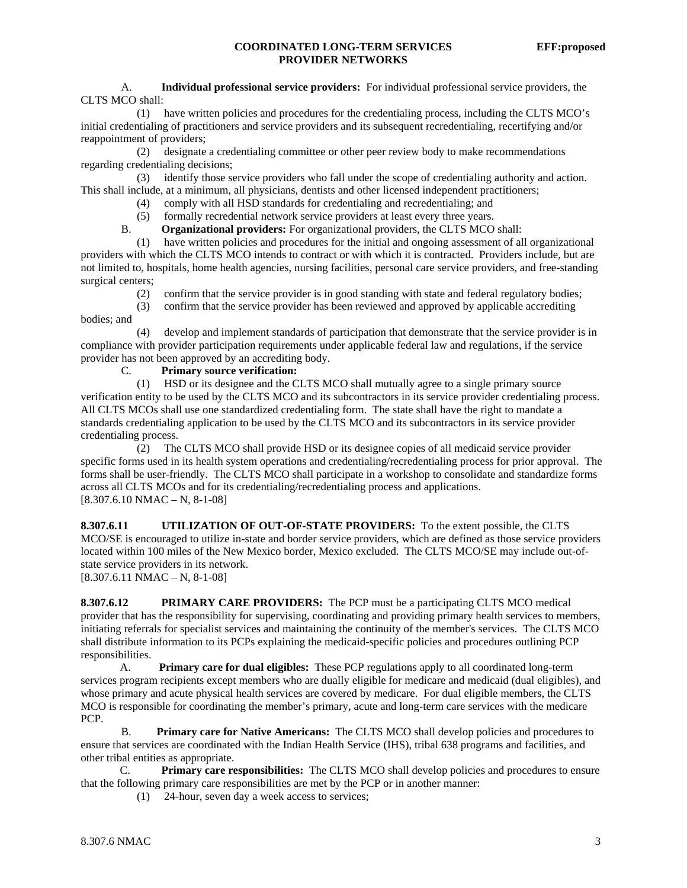#### **COORDINATED LONG-TERM SERVICES EFF:proposed PROVIDER NETWORKS**

A. **Individual professional service providers:** For individual professional service providers, the CLTS MCO shall:

 (1) have written policies and procedures for the credentialing process, including the CLTS MCO's initial credentialing of practitioners and service providers and its subsequent recredentialing, recertifying and/or reappointment of providers;

 (2) designate a credentialing committee or other peer review body to make recommendations regarding credentialing decisions;

 (3) identify those service providers who fall under the scope of credentialing authority and action. This shall include, at a minimum, all physicians, dentists and other licensed independent practitioners;

- (4) comply with all HSD standards for credentialing and recredentialing; and
- (5) formally recredential network service providers at least every three years.<br>B. **Organizational providers:** For organizational providers, the CLTS MCO
- **Organizational providers:** For organizational providers, the CLTS MCO shall:

 (1) have written policies and procedures for the initial and ongoing assessment of all organizational providers with which the CLTS MCO intends to contract or with which it is contracted. Providers include, but are not limited to, hospitals, home health agencies, nursing facilities, personal care service providers, and free-standing surgical centers;

- (2) confirm that the service provider is in good standing with state and federal regulatory bodies;
- (3) confirm that the service provider has been reviewed and approved by applicable accrediting bodies; and

 (4) develop and implement standards of participation that demonstrate that the service provider is in compliance with provider participation requirements under applicable federal law and regulations, if the service provider has not been approved by an accrediting body.

#### C. **Primary source verification:**

 (1) HSD or its designee and the CLTS MCO shall mutually agree to a single primary source verification entity to be used by the CLTS MCO and its subcontractors in its service provider credentialing process. All CLTS MCOs shall use one standardized credentialing form. The state shall have the right to mandate a standards credentialing application to be used by the CLTS MCO and its subcontractors in its service provider credentialing process.

 (2) The CLTS MCO shall provide HSD or its designee copies of all medicaid service provider specific forms used in its health system operations and credentialing/recredentialing process for prior approval. The forms shall be user-friendly. The CLTS MCO shall participate in a workshop to consolidate and standardize forms across all CLTS MCOs and for its credentialing/recredentialing process and applications.  $[8.307.6.10 NMAC - N, 8-1-08]$ 

**8.307.6.11 UTILIZATION OF OUT-OF-STATE PROVIDERS:** To the extent possible, the CLTS MCO/SE is encouraged to utilize in-state and border service providers, which are defined as those service providers located within 100 miles of the New Mexico border, Mexico excluded. The CLTS MCO/SE may include out-ofstate service providers in its network.

 $[8.307.6.11 \text{ NMAC} - \text{N}, 8-1-08]$ 

**8.307.6.12 PRIMARY CARE PROVIDERS:** The PCP must be a participating CLTS MCO medical provider that has the responsibility for supervising, coordinating and providing primary health services to members, initiating referrals for specialist services and maintaining the continuity of the member's services. The CLTS MCO shall distribute information to its PCPs explaining the medicaid-specific policies and procedures outlining PCP responsibilities.

 A. **Primary care for dual eligibles:** These PCP regulations apply to all coordinated long-term services program recipients except members who are dually eligible for medicare and medicaid (dual eligibles), and whose primary and acute physical health services are covered by medicare. For dual eligible members, the CLTS MCO is responsible for coordinating the member's primary, acute and long-term care services with the medicare PCP.

 B. **Primary care for Native Americans:** The CLTS MCO shall develop policies and procedures to ensure that services are coordinated with the Indian Health Service (IHS), tribal 638 programs and facilities, and other tribal entities as appropriate.

 C. **Primary care responsibilities:** The CLTS MCO shall develop policies and procedures to ensure that the following primary care responsibilities are met by the PCP or in another manner:

(1) 24-hour, seven day a week access to services;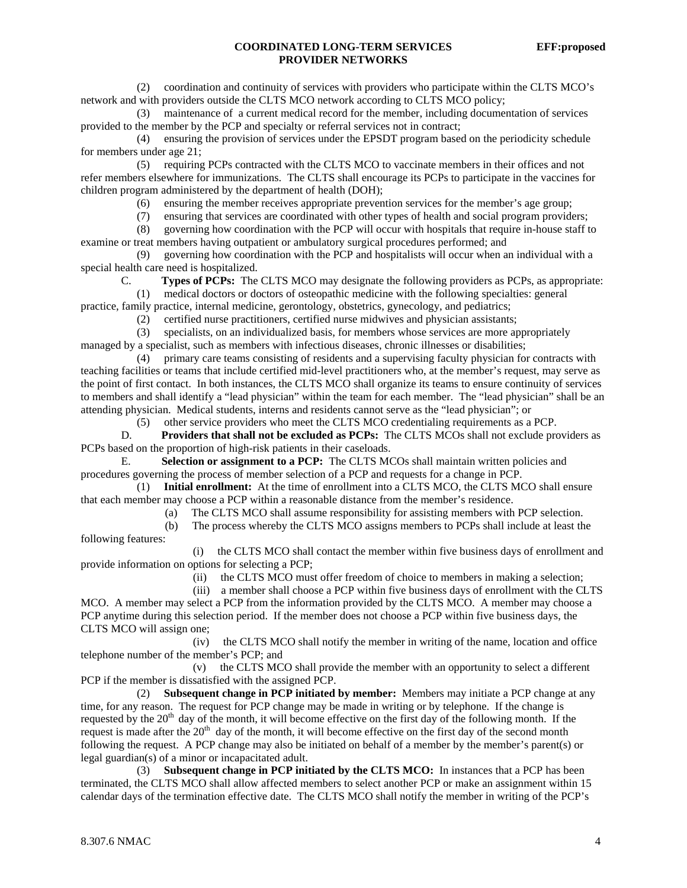(2) coordination and continuity of services with providers who participate within the CLTS MCO's network and with providers outside the CLTS MCO network according to CLTS MCO policy;

 (3) maintenance of a current medical record for the member, including documentation of services provided to the member by the PCP and specialty or referral services not in contract;

 (4) ensuring the provision of services under the EPSDT program based on the periodicity schedule for members under age 21;

 (5) requiring PCPs contracted with the CLTS MCO to vaccinate members in their offices and not refer members elsewhere for immunizations. The CLTS shall encourage its PCPs to participate in the vaccines for children program administered by the department of health (DOH);

(6) ensuring the member receives appropriate prevention services for the member's age group;

(7) ensuring that services are coordinated with other types of health and social program providers;

(8) governing how coordination with the PCP will occur with hospitals that require in-house staff to

examine or treat members having outpatient or ambulatory surgical procedures performed; and

 (9) governing how coordination with the PCP and hospitalists will occur when an individual with a special health care need is hospitalized.

C. **Types of PCPs:** The CLTS MCO may designate the following providers as PCPs, as appropriate:

(1) medical doctors or doctors of osteopathic medicine with the following specialties: general

practice, family practice, internal medicine, gerontology, obstetrics, gynecology, and pediatrics;

(2) certified nurse practitioners, certified nurse midwives and physician assistants;

 (3) specialists, on an individualized basis, for members whose services are more appropriately managed by a specialist, such as members with infectious diseases, chronic illnesses or disabilities;

 (4) primary care teams consisting of residents and a supervising faculty physician for contracts with teaching facilities or teams that include certified mid-level practitioners who, at the member's request, may serve as the point of first contact. In both instances, the CLTS MCO shall organize its teams to ensure continuity of services to members and shall identify a "lead physician" within the team for each member. The "lead physician" shall be an attending physician. Medical students, interns and residents cannot serve as the "lead physician"; or

(5) other service providers who meet the CLTS MCO credentialing requirements as a PCP.

 D. **Providers that shall not be excluded as PCPs:** The CLTS MCOs shall not exclude providers as PCPs based on the proportion of high-risk patients in their caseloads.

E. **Selection or assignment to a PCP:** The CLTS MCOs shall maintain written policies and procedures governing the process of member selection of a PCP and requests for a change in PCP.

 (1) **Initial enrollment:** At the time of enrollment into a CLTS MCO, the CLTS MCO shall ensure that each member may choose a PCP within a reasonable distance from the member's residence.

(a) The CLTS MCO shall assume responsibility for assisting members with PCP selection.

 (b) The process whereby the CLTS MCO assigns members to PCPs shall include at least the following features:

 (i) the CLTS MCO shall contact the member within five business days of enrollment and provide information on options for selecting a PCP;

(ii) the CLTS MCO must offer freedom of choice to members in making a selection;

 (iii) a member shall choose a PCP within five business days of enrollment with the CLTS MCO. A member may select a PCP from the information provided by the CLTS MCO. A member may choose a PCP anytime during this selection period. If the member does not choose a PCP within five business days, the CLTS MCO will assign one;

 (iv) the CLTS MCO shall notify the member in writing of the name, location and office telephone number of the member's PCP; and

 (v) the CLTS MCO shall provide the member with an opportunity to select a different PCP if the member is dissatisfied with the assigned PCP.

 (2) **Subsequent change in PCP initiated by member:** Members may initiate a PCP change at any time, for any reason. The request for PCP change may be made in writing or by telephone. If the change is requested by the  $20<sup>th</sup>$  day of the month, it will become effective on the first day of the following month. If the request is made after the  $20<sup>th</sup>$  day of the month, it will become effective on the first day of the second month following the request. A PCP change may also be initiated on behalf of a member by the member's parent(s) or legal guardian(s) of a minor or incapacitated adult.

 (3) **Subsequent change in PCP initiated by the CLTS MCO:** In instances that a PCP has been terminated, the CLTS MCO shall allow affected members to select another PCP or make an assignment within 15 calendar days of the termination effective date. The CLTS MCO shall notify the member in writing of the PCP's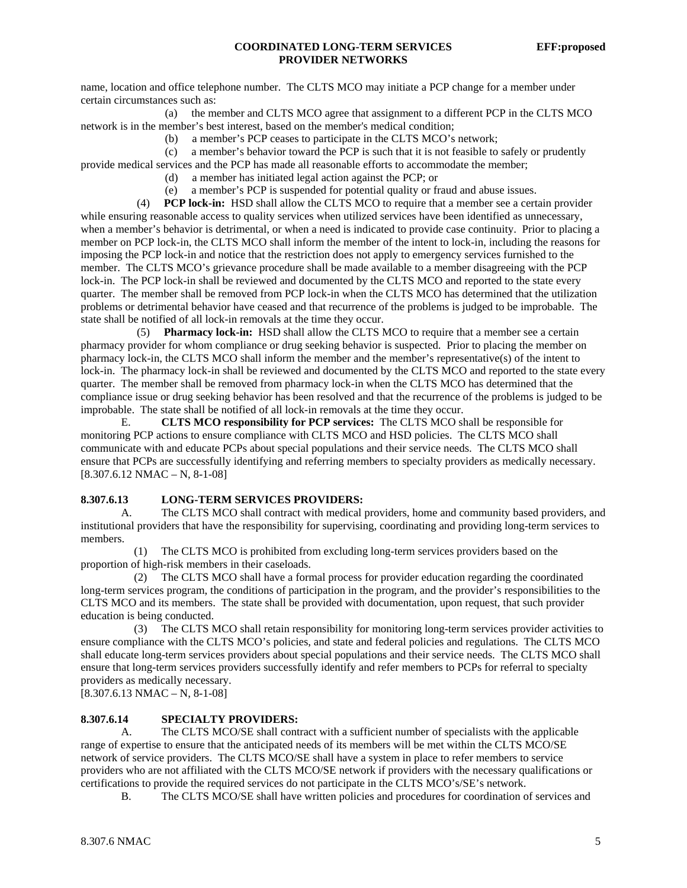name, location and office telephone number. The CLTS MCO may initiate a PCP change for a member under certain circumstances such as:

 (a) the member and CLTS MCO agree that assignment to a different PCP in the CLTS MCO network is in the member's best interest, based on the member's medical condition;

(b) a member's PCP ceases to participate in the CLTS MCO's network;

(c) a member's behavior toward the PCP is such that it is not feasible to safely or prudently

provide medical services and the PCP has made all reasonable efforts to accommodate the member;

(d) a member has initiated legal action against the PCP; or

(e) a member's PCP is suspended for potential quality or fraud and abuse issues.

 (4) **PCP lock-in:** HSD shall allow the CLTS MCO to require that a member see a certain provider while ensuring reasonable access to quality services when utilized services have been identified as unnecessary, when a member's behavior is detrimental, or when a need is indicated to provide case continuity. Prior to placing a member on PCP lock-in, the CLTS MCO shall inform the member of the intent to lock-in, including the reasons for imposing the PCP lock-in and notice that the restriction does not apply to emergency services furnished to the member. The CLTS MCO's grievance procedure shall be made available to a member disagreeing with the PCP lock-in. The PCP lock-in shall be reviewed and documented by the CLTS MCO and reported to the state every quarter. The member shall be removed from PCP lock-in when the CLTS MCO has determined that the utilization problems or detrimental behavior have ceased and that recurrence of the problems is judged to be improbable. The state shall be notified of all lock-in removals at the time they occur.

 (5) **Pharmacy lock-in:** HSD shall allow the CLTS MCO to require that a member see a certain pharmacy provider for whom compliance or drug seeking behavior is suspected. Prior to placing the member on pharmacy lock-in, the CLTS MCO shall inform the member and the member's representative(s) of the intent to lock-in. The pharmacy lock-in shall be reviewed and documented by the CLTS MCO and reported to the state every quarter. The member shall be removed from pharmacy lock-in when the CLTS MCO has determined that the compliance issue or drug seeking behavior has been resolved and that the recurrence of the problems is judged to be improbable. The state shall be notified of all lock-in removals at the time they occur.

 E. **CLTS MCO responsibility for PCP services:** The CLTS MCO shall be responsible for monitoring PCP actions to ensure compliance with CLTS MCO and HSD policies. The CLTS MCO shall communicate with and educate PCPs about special populations and their service needs. The CLTS MCO shall ensure that PCPs are successfully identifying and referring members to specialty providers as medically necessary.  $[8.307.6.12 NMAC - N, 8-1-08]$ 

#### **8.307.6.13 LONG-TERM SERVICES PROVIDERS:**

A. The CLTS MCO shall contract with medical providers, home and community based providers, and institutional providers that have the responsibility for supervising, coordinating and providing long-term services to members.

 (1) The CLTS MCO is prohibited from excluding long-term services providers based on the proportion of high-risk members in their caseloads.

 (2) The CLTS MCO shall have a formal process for provider education regarding the coordinated long-term services program, the conditions of participation in the program, and the provider's responsibilities to the CLTS MCO and its members. The state shall be provided with documentation, upon request, that such provider education is being conducted.

 (3) The CLTS MCO shall retain responsibility for monitoring long-term services provider activities to ensure compliance with the CLTS MCO's policies, and state and federal policies and regulations. The CLTS MCO shall educate long-term services providers about special populations and their service needs. The CLTS MCO shall ensure that long-term services providers successfully identify and refer members to PCPs for referral to specialty providers as medically necessary.

 $[8.307.6.13 NMAC - N, 8-1-08]$ 

#### **8.307.6.14 SPECIALTY PROVIDERS:**

 A. The CLTS MCO/SE shall contract with a sufficient number of specialists with the applicable range of expertise to ensure that the anticipated needs of its members will be met within the CLTS MCO/SE network of service providers. The CLTS MCO/SE shall have a system in place to refer members to service providers who are not affiliated with the CLTS MCO/SE network if providers with the necessary qualifications or certifications to provide the required services do not participate in the CLTS MCO's/SE's network.

B. The CLTS MCO/SE shall have written policies and procedures for coordination of services and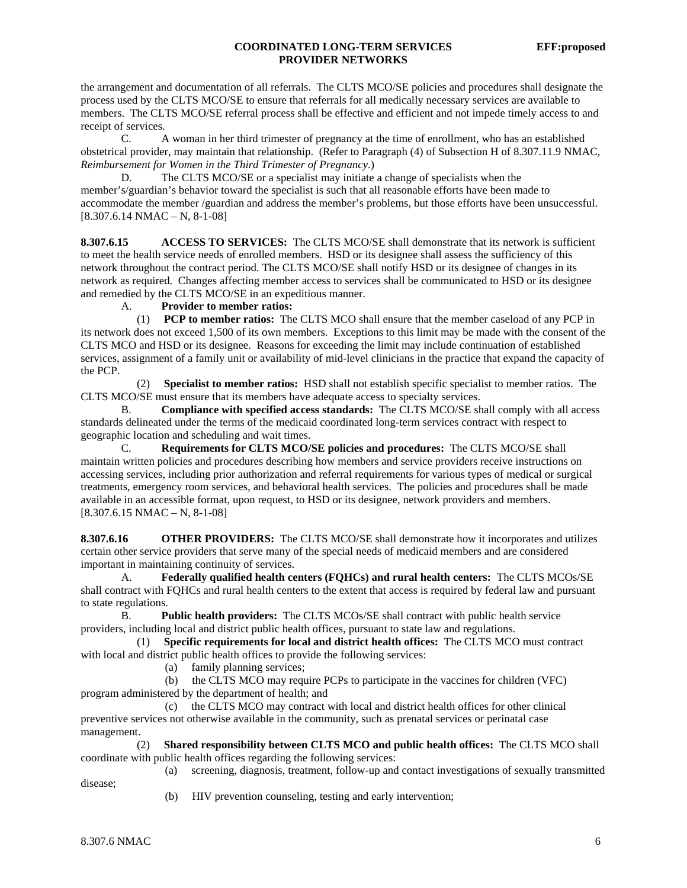#### **COORDINATED LONG-TERM SERVICES EFF:proposed PROVIDER NETWORKS**

the arrangement and documentation of all referrals. The CLTS MCO/SE policies and procedures shall designate the process used by the CLTS MCO/SE to ensure that referrals for all medically necessary services are available to members. The CLTS MCO/SE referral process shall be effective and efficient and not impede timely access to and receipt of services.

 C. A woman in her third trimester of pregnancy at the time of enrollment, who has an established obstetrical provider, may maintain that relationship. (Refer to Paragraph (4) of Subsection H of 8.307.11.9 NMAC, *Reimbursement for Women in the Third Trimester of Pregnancy*.)

D. The CLTS MCO/SE or a specialist may initiate a change of specialists when the member's/guardian's behavior toward the specialist is such that all reasonable efforts have been made to accommodate the member /guardian and address the member's problems, but those efforts have been unsuccessful.  $[8.307.6.14 \text{ NMAC} - \text{N}, 8-1-08]$ 

**8.307.6.15 ACCESS TO SERVICES:** The CLTS MCO/SE shall demonstrate that its network is sufficient to meet the health service needs of enrolled members. HSD or its designee shall assess the sufficiency of this network throughout the contract period. The CLTS MCO/SE shall notify HSD or its designee of changes in its network as required. Changes affecting member access to services shall be communicated to HSD or its designee and remedied by the CLTS MCO/SE in an expeditious manner.

A. **Provider to member ratios:**

 (1) **PCP to member ratios:** The CLTS MCO shall ensure that the member caseload of any PCP in its network does not exceed 1,500 of its own members. Exceptions to this limit may be made with the consent of the CLTS MCO and HSD or its designee. Reasons for exceeding the limit may include continuation of established services, assignment of a family unit or availability of mid-level clinicians in the practice that expand the capacity of the PCP.

 (2) **Specialist to member ratios:** HSD shall not establish specific specialist to member ratios. The CLTS MCO/SE must ensure that its members have adequate access to specialty services.

 B. **Compliance with specified access standards:** The CLTS MCO/SE shall comply with all access standards delineated under the terms of the medicaid coordinated long-term services contract with respect to geographic location and scheduling and wait times.

 C. **Requirements for CLTS MCO/SE policies and procedures:** The CLTS MCO/SE shall maintain written policies and procedures describing how members and service providers receive instructions on accessing services, including prior authorization and referral requirements for various types of medical or surgical treatments, emergency room services, and behavioral health services. The policies and procedures shall be made available in an accessible format, upon request, to HSD or its designee, network providers and members.  $[8.307.6.15 NMAC - N, 8-1-08]$ 

**8.307.6.16 OTHER PROVIDERS:** The CLTS MCO/SE shall demonstrate how it incorporates and utilizes certain other service providers that serve many of the special needs of medicaid members and are considered important in maintaining continuity of services.

 A. **Federally qualified health centers (FQHCs) and rural health centers:** The CLTS MCOs/SE shall contract with FQHCs and rural health centers to the extent that access is required by federal law and pursuant to state regulations.

B. **Public health providers:** The CLTS MCOs/SE shall contract with public health service providers, including local and district public health offices, pursuant to state law and regulations.

 (1) **Specific requirements for local and district health offices:** The CLTS MCO must contract with local and district public health offices to provide the following services:

(a) family planning services;

 (b) the CLTS MCO may require PCPs to participate in the vaccines for children (VFC) program administered by the department of health; and

 (c) the CLTS MCO may contract with local and district health offices for other clinical preventive services not otherwise available in the community, such as prenatal services or perinatal case management.

 (2) **Shared responsibility between CLTS MCO and public health offices:** The CLTS MCO shall coordinate with public health offices regarding the following services: (a) screening, diagnosis, treatment, follow-up and contact investigations of sexually transmitted

disease;

(b) HIV prevention counseling, testing and early intervention;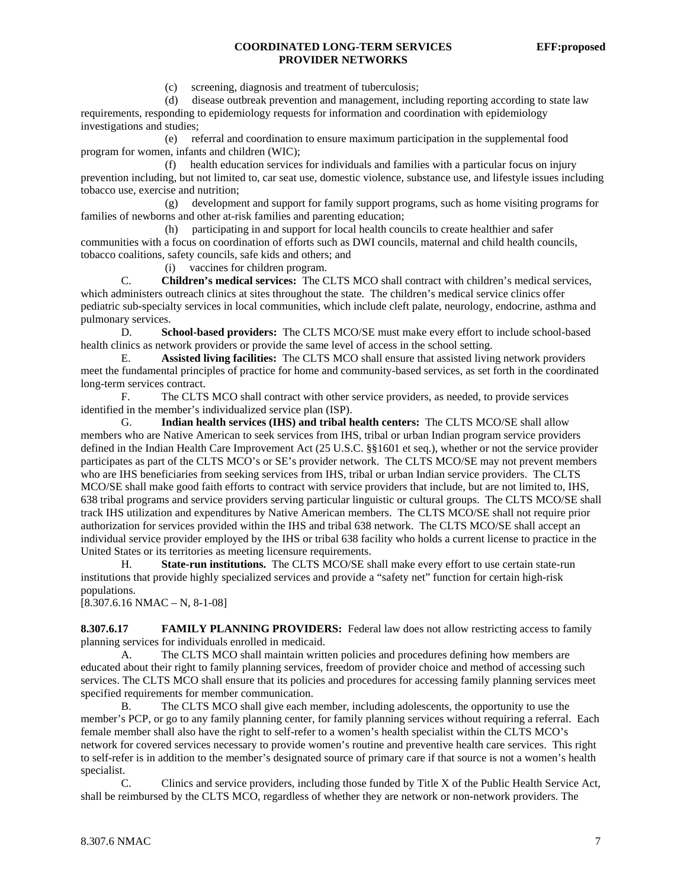#### **COORDINATED LONG-TERM SERVICES EFF:proposed PROVIDER NETWORKS**

(c) screening, diagnosis and treatment of tuberculosis;

 (d) disease outbreak prevention and management, including reporting according to state law requirements, responding to epidemiology requests for information and coordination with epidemiology investigations and studies;

 (e) referral and coordination to ensure maximum participation in the supplemental food program for women, infants and children (WIC);

 (f) health education services for individuals and families with a particular focus on injury prevention including, but not limited to, car seat use, domestic violence, substance use, and lifestyle issues including tobacco use, exercise and nutrition;

 (g) development and support for family support programs, such as home visiting programs for families of newborns and other at-risk families and parenting education;

 (h) participating in and support for local health councils to create healthier and safer communities with a focus on coordination of efforts such as DWI councils, maternal and child health councils, tobacco coalitions, safety councils, safe kids and others; and

(i) vaccines for children program.

 C. **Children's medical services:** The CLTS MCO shall contract with children's medical services, which administers outreach clinics at sites throughout the state. The children's medical service clinics offer pediatric sub-specialty services in local communities, which include cleft palate, neurology, endocrine, asthma and pulmonary services.

 D. **School-based providers:** The CLTS MCO/SE must make every effort to include school-based health clinics as network providers or provide the same level of access in the school setting.

 E. **Assisted living facilities:** The CLTS MCO shall ensure that assisted living network providers meet the fundamental principles of practice for home and community-based services, as set forth in the coordinated long-term services contract.

 F. The CLTS MCO shall contract with other service providers, as needed, to provide services identified in the member's individualized service plan (ISP).

G. **Indian health services (IHS) and tribal health centers:** The CLTS MCO/SE shall allow members who are Native American to seek services from IHS, tribal or urban Indian program service providers defined in the Indian Health Care Improvement Act (25 U.S.C. §§1601 et seq.), whether or not the service provider participates as part of the CLTS MCO's or SE's provider network. The CLTS MCO/SE may not prevent members who are IHS beneficiaries from seeking services from IHS, tribal or urban Indian service providers. The CLTS MCO/SE shall make good faith efforts to contract with service providers that include, but are not limited to, IHS, 638 tribal programs and service providers serving particular linguistic or cultural groups. The CLTS MCO/SE shall track IHS utilization and expenditures by Native American members. The CLTS MCO/SE shall not require prior authorization for services provided within the IHS and tribal 638 network. The CLTS MCO/SE shall accept an individual service provider employed by the IHS or tribal 638 facility who holds a current license to practice in the United States or its territories as meeting licensure requirements.

 H. **State-run institutions.** The CLTS MCO/SE shall make every effort to use certain state-run institutions that provide highly specialized services and provide a "safety net" function for certain high-risk populations.

 $[8.307.6.16 NMAC - N, 8-1-08]$ 

**8.307.6.17 FAMILY PLANNING PROVIDERS:** Federal law does not allow restricting access to family planning services for individuals enrolled in medicaid.

A. The CLTS MCO shall maintain written policies and procedures defining how members are educated about their right to family planning services, freedom of provider choice and method of accessing such services. The CLTS MCO shall ensure that its policies and procedures for accessing family planning services meet specified requirements for member communication.

B. The CLTS MCO shall give each member, including adolescents, the opportunity to use the member's PCP, or go to any family planning center, for family planning services without requiring a referral. Each female member shall also have the right to self-refer to a women's health specialist within the CLTS MCO's network for covered services necessary to provide women's routine and preventive health care services. This right to self-refer is in addition to the member's designated source of primary care if that source is not a women's health specialist.

C. Clinics and service providers, including those funded by Title X of the Public Health Service Act, shall be reimbursed by the CLTS MCO, regardless of whether they are network or non-network providers. The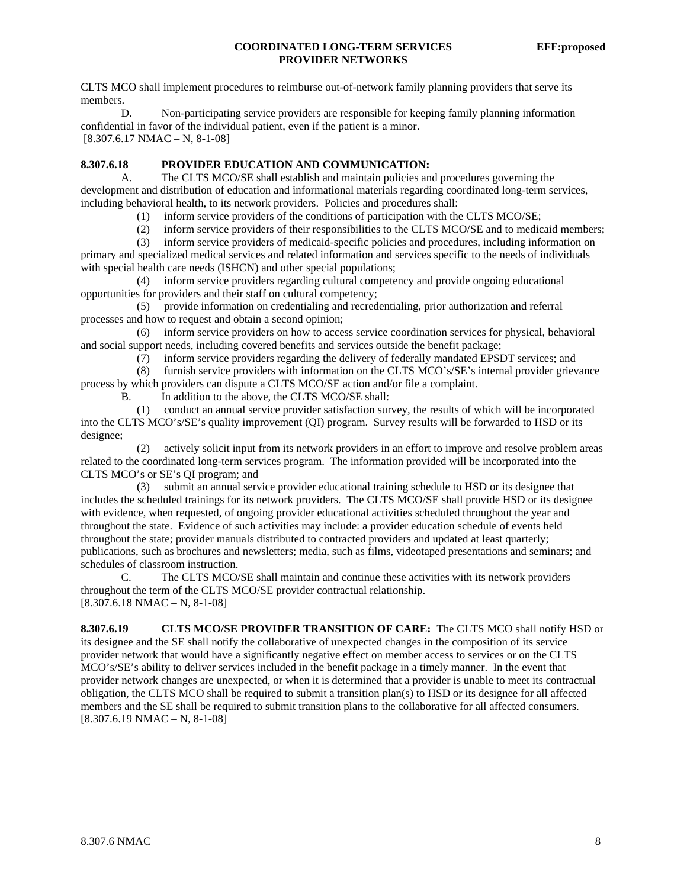#### **COORDINATED LONG-TERM SERVICES EFF:proposed PROVIDER NETWORKS**

CLTS MCO shall implement procedures to reimburse out-of-network family planning providers that serve its members.

D. Non-participating service providers are responsible for keeping family planning information confidential in favor of the individual patient, even if the patient is a minor. [8.307.6.17 NMAC – N, 8-1-08]

# **8.307.6.18 PROVIDER EDUCATION AND COMMUNICATION:**

 A. The CLTS MCO/SE shall establish and maintain policies and procedures governing the development and distribution of education and informational materials regarding coordinated long-term services, including behavioral health, to its network providers. Policies and procedures shall:

- (1) inform service providers of the conditions of participation with the CLTS MCO/SE;
- (2) inform service providers of their responsibilities to the CLTS MCO/SE and to medicaid members;

 (3) inform service providers of medicaid-specific policies and procedures, including information on primary and specialized medical services and related information and services specific to the needs of individuals with special health care needs (ISHCN) and other special populations;

 (4) inform service providers regarding cultural competency and provide ongoing educational opportunities for providers and their staff on cultural competency;

 (5) provide information on credentialing and recredentialing, prior authorization and referral processes and how to request and obtain a second opinion;

 (6) inform service providers on how to access service coordination services for physical, behavioral and social support needs, including covered benefits and services outside the benefit package;

(7) inform service providers regarding the delivery of federally mandated EPSDT services; and

 (8) furnish service providers with information on the CLTS MCO's/SE's internal provider grievance process by which providers can dispute a CLTS MCO/SE action and/or file a complaint.

B. In addition to the above, the CLTS MCO/SE shall:

 (1) conduct an annual service provider satisfaction survey, the results of which will be incorporated into the CLTS MCO's/SE's quality improvement (QI) program. Survey results will be forwarded to HSD or its designee;

 (2) actively solicit input from its network providers in an effort to improve and resolve problem areas related to the coordinated long-term services program. The information provided will be incorporated into the CLTS MCO's or SE's QI program; and

 (3) submit an annual service provider educational training schedule to HSD or its designee that includes the scheduled trainings for its network providers. The CLTS MCO/SE shall provide HSD or its designee with evidence, when requested, of ongoing provider educational activities scheduled throughout the year and throughout the state. Evidence of such activities may include: a provider education schedule of events held throughout the state; provider manuals distributed to contracted providers and updated at least quarterly; publications, such as brochures and newsletters; media, such as films, videotaped presentations and seminars; and schedules of classroom instruction.

 C. The CLTS MCO/SE shall maintain and continue these activities with its network providers throughout the term of the CLTS MCO/SE provider contractual relationship.  $[8.307.6.18 \text{ NMAC} - \text{N}, 8-1-08]$ 

**8.307.6.19 CLTS MCO/SE PROVIDER TRANSITION OF CARE:** The CLTS MCO shall notify HSD or its designee and the SE shall notify the collaborative of unexpected changes in the composition of its service provider network that would have a significantly negative effect on member access to services or on the CLTS MCO's/SE's ability to deliver services included in the benefit package in a timely manner. In the event that provider network changes are unexpected, or when it is determined that a provider is unable to meet its contractual obligation, the CLTS MCO shall be required to submit a transition plan(s) to HSD or its designee for all affected members and the SE shall be required to submit transition plans to the collaborative for all affected consumers. [8.307.6.19 NMAC – N, 8-1-08]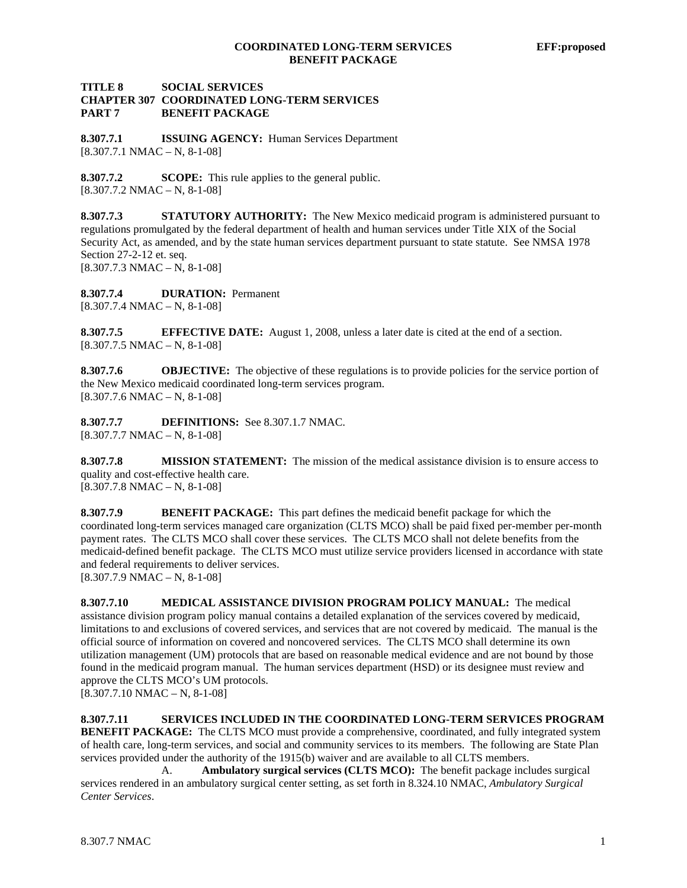### **TITLE 8 SOCIAL SERVICES CHAPTER 307 COORDINATED LONG-TERM SERVICES PART 7 BENEFIT PACKAGE**

**8.307.7.1 ISSUING AGENCY:** Human Services Department  $[8.307.7.1 \text{ NMAC} - \text{N}, 8-1-08]$ 

**8.307.7.2 SCOPE:** This rule applies to the general public.  $[8.307.7.2 NMAC - N, 8-1-08]$ 

**8.307.7.3 STATUTORY AUTHORITY:** The New Mexico medicaid program is administered pursuant to regulations promulgated by the federal department of health and human services under Title XIX of the Social Security Act, as amended, and by the state human services department pursuant to state statute. See NMSA 1978 Section 27-2-12 et. seq.  $[8.307.7.3 \text{ NMAC} - \text{N}, 8-1-08]$ 

**8.307.7.4 DURATION:** Permanent  $[8.307.7.4 \text{ NMAC} - \text{N}, 8-1-08]$ 

**8.307.7.5 EFFECTIVE DATE:** August 1, 2008, unless a later date is cited at the end of a section.  $[8.307.7.5 NMAC - N, 8-1-08]$ 

**8.307.7.6 OBJECTIVE:** The objective of these regulations is to provide policies for the service portion of the New Mexico medicaid coordinated long-term services program.  $[8.307.7.6 NMAC - N, 8-1-08]$ 

**8.307.7.7 DEFINITIONS:** See 8.307.1.7 NMAC. [8.307.7.7 NMAC – N, 8-1-08]

**8.307.7.8 MISSION STATEMENT:** The mission of the medical assistance division is to ensure access to quality and cost-effective health care.

 $[8.307.7.8 \text{ NMAC} - \text{N}, 8-1-08]$ 

**8.307.7.9 BENEFIT PACKAGE:** This part defines the medicaid benefit package for which the coordinated long-term services managed care organization (CLTS MCO) shall be paid fixed per-member per-month payment rates. The CLTS MCO shall cover these services. The CLTS MCO shall not delete benefits from the medicaid-defined benefit package. The CLTS MCO must utilize service providers licensed in accordance with state and federal requirements to deliver services. [8.307.7.9 NMAC – N, 8-1-08]

**8.307.7.10 MEDICAL ASSISTANCE DIVISION PROGRAM POLICY MANUAL:** The medical assistance division program policy manual contains a detailed explanation of the services covered by medicaid, limitations to and exclusions of covered services, and services that are not covered by medicaid. The manual is the official source of information on covered and noncovered services. The CLTS MCO shall determine its own utilization management (UM) protocols that are based on reasonable medical evidence and are not bound by those found in the medicaid program manual. The human services department (HSD) or its designee must review and approve the CLTS MCO's UM protocols.  $[8.307.7.10 NMAC - N, 8-1-08]$ 

**8.307.7.11 SERVICES INCLUDED IN THE COORDINATED LONG-TERM SERVICES PROGRAM BENEFIT PACKAGE:** The CLTS MCO must provide a comprehensive, coordinated, and fully integrated system of health care, long-term services, and social and community services to its members. The following are State Plan services provided under the authority of the 1915(b) waiver and are available to all CLTS members.

 A. **Ambulatory surgical services (CLTS MCO):** The benefit package includes surgical services rendered in an ambulatory surgical center setting, as set forth in 8.324.10 NMAC, *Ambulatory Surgical Center Services*.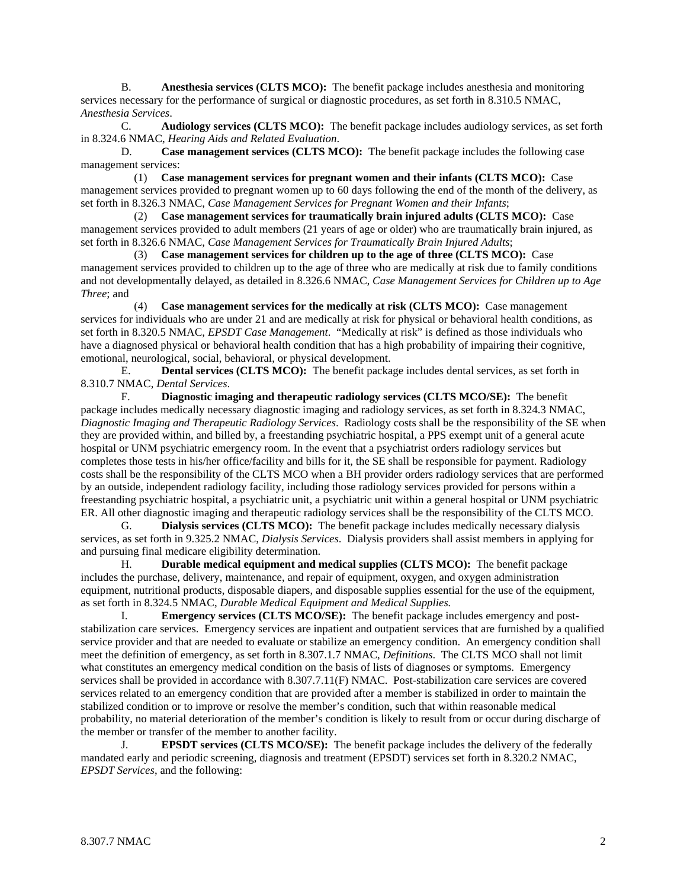B. **Anesthesia services (CLTS MCO):** The benefit package includes anesthesia and monitoring services necessary for the performance of surgical or diagnostic procedures, as set forth in 8.310.5 NMAC, *Anesthesia Services*.

 C. **Audiology services (CLTS MCO):** The benefit package includes audiology services, as set forth in 8.324.6 NMAC, *Hearing Aids and Related Evaluation*.

 D. **Case management services (CLTS MCO):** The benefit package includes the following case management services:

 (1) **Case management services for pregnant women and their infants (CLTS MCO):** Case management services provided to pregnant women up to 60 days following the end of the month of the delivery, as set forth in 8.326.3 NMAC, *Case Management Services for Pregnant Women and their Infants*;

 (2) **Case management services for traumatically brain injured adults (CLTS MCO):** Case management services provided to adult members (21 years of age or older) who are traumatically brain injured, as set forth in 8.326.6 NMAC, *Case Management Services for Traumatically Brain Injured Adults*;

 (3) **Case management services for children up to the age of three (CLTS MCO):** Case management services provided to children up to the age of three who are medically at risk due to family conditions and not developmentally delayed, as detailed in 8.326.6 NMAC, *Case Management Services for Children up to Age Three*; and

 (4) **Case management services for the medically at risk (CLTS MCO):** Case management services for individuals who are under 21 and are medically at risk for physical or behavioral health conditions, as set forth in 8.320.5 NMAC, *EPSDT Case Management*. "Medically at risk" is defined as those individuals who have a diagnosed physical or behavioral health condition that has a high probability of impairing their cognitive, emotional, neurological, social, behavioral, or physical development.

 E. **Dental services (CLTS MCO):** The benefit package includes dental services, as set forth in 8.310.7 NMAC, *Dental Services*.

 F. **Diagnostic imaging and therapeutic radiology services (CLTS MCO/SE):** The benefit package includes medically necessary diagnostic imaging and radiology services, as set forth in 8.324.3 NMAC, *Diagnostic Imaging and Therapeutic Radiology Services*. Radiology costs shall be the responsibility of the SE when they are provided within, and billed by, a freestanding psychiatric hospital, a PPS exempt unit of a general acute hospital or UNM psychiatric emergency room. In the event that a psychiatrist orders radiology services but completes those tests in his/her office/facility and bills for it, the SE shall be responsible for payment. Radiology costs shall be the responsibility of the CLTS MCO when a BH provider orders radiology services that are performed by an outside, independent radiology facility, including those radiology services provided for persons within a freestanding psychiatric hospital, a psychiatric unit, a psychiatric unit within a general hospital or UNM psychiatric ER. All other diagnostic imaging and therapeutic radiology services shall be the responsibility of the CLTS MCO.

 G. **Dialysis services (CLTS MCO):** The benefit package includes medically necessary dialysis services, as set forth in 9.325.2 NMAC, *Dialysis Services*. Dialysis providers shall assist members in applying for and pursuing final medicare eligibility determination.

 H. **Durable medical equipment and medical supplies (CLTS MCO):** The benefit package includes the purchase, delivery, maintenance, and repair of equipment, oxygen, and oxygen administration equipment, nutritional products, disposable diapers, and disposable supplies essential for the use of the equipment, as set forth in 8.324.5 NMAC, *Durable Medical Equipment and Medical Supplies.*

 I. **Emergency services (CLTS MCO/SE):** The benefit package includes emergency and poststabilization care services. Emergency services are inpatient and outpatient services that are furnished by a qualified service provider and that are needed to evaluate or stabilize an emergency condition. An emergency condition shall meet the definition of emergency, as set forth in 8.307.1.7 NMAC, *Definitions*. The CLTS MCO shall not limit what constitutes an emergency medical condition on the basis of lists of diagnoses or symptoms. Emergency services shall be provided in accordance with 8.307.7.11(F) NMAC. Post-stabilization care services are covered services related to an emergency condition that are provided after a member is stabilized in order to maintain the stabilized condition or to improve or resolve the member's condition, such that within reasonable medical probability, no material deterioration of the member's condition is likely to result from or occur during discharge of the member or transfer of the member to another facility.

 J. **EPSDT services (CLTS MCO/SE):** The benefit package includes the delivery of the federally mandated early and periodic screening, diagnosis and treatment (EPSDT) services set forth in 8.320.2 NMAC, *EPSDT Services*, and the following: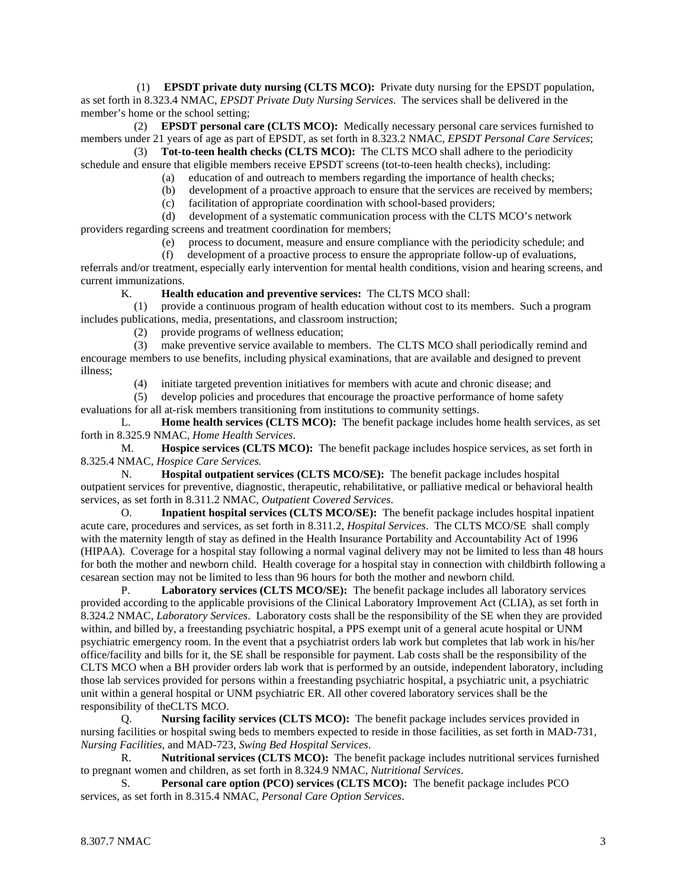(1) **EPSDT private duty nursing (CLTS MCO):** Private duty nursing for the EPSDT population, as set forth in 8.323.4 NMAC, *EPSDT Private Duty Nursing Services*. The services shall be delivered in the member's home or the school setting;

 (2) **EPSDT personal care (CLTS MCO):** Medically necessary personal care services furnished to members under 21 years of age as part of EPSDT, as set forth in 8.323.2 NMAC, *EPSDT Personal Care Services*;

 (3) **Tot-to-teen health checks (CLTS MCO):** The CLTS MCO shall adhere to the periodicity schedule and ensure that eligible members receive EPSDT screens (tot-to-teen health checks), including:

- (a) education of and outreach to members regarding the importance of health checks;
- (b) development of a proactive approach to ensure that the services are received by members;
- (c) facilitation of appropriate coordination with school-based providers;

 (d) development of a systematic communication process with the CLTS MCO's network providers regarding screens and treatment coordination for members;

(e) process to document, measure and ensure compliance with the periodicity schedule; and

 (f) development of a proactive process to ensure the appropriate follow-up of evaluations, referrals and/or treatment, especially early intervention for mental health conditions, vision and hearing screens, and current immunizations.

K. **Health education and preventive services:** The CLTS MCO shall:

 (1) provide a continuous program of health education without cost to its members. Such a program includes publications, media, presentations, and classroom instruction;

(2) provide programs of wellness education;

 (3) make preventive service available to members. The CLTS MCO shall periodically remind and encourage members to use benefits, including physical examinations, that are available and designed to prevent illness;

(4) initiate targeted prevention initiatives for members with acute and chronic disease; and

 (5) develop policies and procedures that encourage the proactive performance of home safety evaluations for all at-risk members transitioning from institutions to community settings.

 L. **Home health services (CLTS MCO):** The benefit package includes home health services, as set forth in 8.325.9 NMAC, *Home Health Services*.

 M. **Hospice services (CLTS MCO):** The benefit package includes hospice services, as set forth in 8.325.4 NMAC, *Hospice Care Services.*

 N. **Hospital outpatient services (CLTS MCO/SE):** The benefit package includes hospital outpatient services for preventive, diagnostic, therapeutic, rehabilitative, or palliative medical or behavioral health services, as set forth in 8.311.2 NMAC, *Outpatient Covered Services*.

 O. **Inpatient hospital services (CLTS MCO/SE):** The benefit package includes hospital inpatient acute care, procedures and services, as set forth in 8.311.2, *Hospital Services*. The CLTS MCO/SE shall comply with the maternity length of stay as defined in the Health Insurance Portability and Accountability Act of 1996 (HIPAA). Coverage for a hospital stay following a normal vaginal delivery may not be limited to less than 48 hours for both the mother and newborn child. Health coverage for a hospital stay in connection with childbirth following a cesarean section may not be limited to less than 96 hours for both the mother and newborn child.

 P. **Laboratory services (CLTS MCO/SE):** The benefit package includes all laboratory services provided according to the applicable provisions of the Clinical Laboratory Improvement Act (CLIA), as set forth in 8.324.2 NMAC, *Laboratory Services*. Laboratory costs shall be the responsibility of the SE when they are provided within, and billed by, a freestanding psychiatric hospital, a PPS exempt unit of a general acute hospital or UNM psychiatric emergency room. In the event that a psychiatrist orders lab work but completes that lab work in his/her office/facility and bills for it, the SE shall be responsible for payment. Lab costs shall be the responsibility of the CLTS MCO when a BH provider orders lab work that is performed by an outside, independent laboratory, including those lab services provided for persons within a freestanding psychiatric hospital, a psychiatric unit, a psychiatric unit within a general hospital or UNM psychiatric ER. All other covered laboratory services shall be the responsibility of theCLTS MCO.

 Q. **Nursing facility services (CLTS MCO):** The benefit package includes services provided in nursing facilities or hospital swing beds to members expected to reside in those facilities, as set forth in MAD-731, *Nursing Facilities*, and MAD-723, *Swing Bed Hospital Services*.

 R. **Nutritional services (CLTS MCO):** The benefit package includes nutritional services furnished to pregnant women and children, as set forth in 8.324.9 NMAC, *Nutritional Services*.

 S. **Personal care option (PCO) services (CLTS MCO):** The benefit package includes PCO services, as set forth in 8.315.4 NMAC, *Personal Care Option Services*.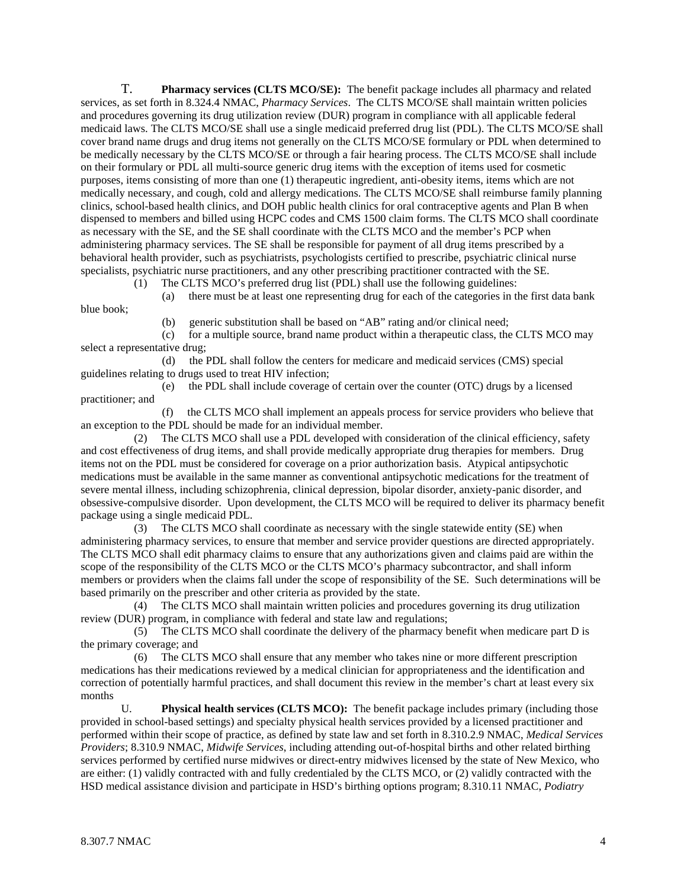T. **Pharmacy services (CLTS MCO/SE):** The benefit package includes all pharmacy and related services, as set forth in 8.324.4 NMAC, *Pharmacy Services*. The CLTS MCO/SE shall maintain written policies and procedures governing its drug utilization review (DUR) program in compliance with all applicable federal medicaid laws. The CLTS MCO/SE shall use a single medicaid preferred drug list (PDL). The CLTS MCO/SE shall cover brand name drugs and drug items not generally on the CLTS MCO/SE formulary or PDL when determined to be medically necessary by the CLTS MCO/SE or through a fair hearing process. The CLTS MCO/SE shall include on their formulary or PDL all multi-source generic drug items with the exception of items used for cosmetic purposes, items consisting of more than one (1) therapeutic ingredient, anti-obesity items, items which are not medically necessary, and cough, cold and allergy medications. The CLTS MCO/SE shall reimburse family planning clinics, school-based health clinics, and DOH public health clinics for oral contraceptive agents and Plan B when dispensed to members and billed using HCPC codes and CMS 1500 claim forms. The CLTS MCO shall coordinate as necessary with the SE, and the SE shall coordinate with the CLTS MCO and the member's PCP when administering pharmacy services. The SE shall be responsible for payment of all drug items prescribed by a behavioral health provider, such as psychiatrists, psychologists certified to prescribe, psychiatric clinical nurse specialists, psychiatric nurse practitioners, and any other prescribing practitioner contracted with the SE.

 (1) The CLTS MCO's preferred drug list (PDL) shall use the following guidelines: (a) there must be at least one representing drug for each of the categories in the first data bank

blue book;

(b) generic substitution shall be based on "AB" rating and/or clinical need;

 (c) for a multiple source, brand name product within a therapeutic class, the CLTS MCO may select a representative drug;

 (d) the PDL shall follow the centers for medicare and medicaid services (CMS) special guidelines relating to drugs used to treat HIV infection;

 (e) the PDL shall include coverage of certain over the counter (OTC) drugs by a licensed practitioner; and

 (f) the CLTS MCO shall implement an appeals process for service providers who believe that an exception to the PDL should be made for an individual member.

 (2) The CLTS MCO shall use a PDL developed with consideration of the clinical efficiency, safety and cost effectiveness of drug items, and shall provide medically appropriate drug therapies for members. Drug items not on the PDL must be considered for coverage on a prior authorization basis. Atypical antipsychotic medications must be available in the same manner as conventional antipsychotic medications for the treatment of severe mental illness, including schizophrenia, clinical depression, bipolar disorder, anxiety-panic disorder, and obsessive-compulsive disorder. Upon development, the CLTS MCO will be required to deliver its pharmacy benefit package using a single medicaid PDL.

 (3) The CLTS MCO shall coordinate as necessary with the single statewide entity (SE) when administering pharmacy services, to ensure that member and service provider questions are directed appropriately. The CLTS MCO shall edit pharmacy claims to ensure that any authorizations given and claims paid are within the scope of the responsibility of the CLTS MCO or the CLTS MCO's pharmacy subcontractor, and shall inform members or providers when the claims fall under the scope of responsibility of the SE. Such determinations will be based primarily on the prescriber and other criteria as provided by the state.

 (4) The CLTS MCO shall maintain written policies and procedures governing its drug utilization review (DUR) program, in compliance with federal and state law and regulations;

 (5) The CLTS MCO shall coordinate the delivery of the pharmacy benefit when medicare part D is the primary coverage; and

 (6) The CLTS MCO shall ensure that any member who takes nine or more different prescription medications has their medications reviewed by a medical clinician for appropriateness and the identification and correction of potentially harmful practices, and shall document this review in the member's chart at least every six months

 U. **Physical health services (CLTS MCO):** The benefit package includes primary (including those provided in school-based settings) and specialty physical health services provided by a licensed practitioner and performed within their scope of practice, as defined by state law and set forth in 8.310.2.9 NMAC, *Medical Services Providers*; 8.310.9 NMAC, *Midwife Services*, including attending out-of-hospital births and other related birthing services performed by certified nurse midwives or direct-entry midwives licensed by the state of New Mexico, who are either: (1) validly contracted with and fully credentialed by the CLTS MCO, or (2) validly contracted with the HSD medical assistance division and participate in HSD's birthing options program; 8.310.11 NMAC, *Podiatry*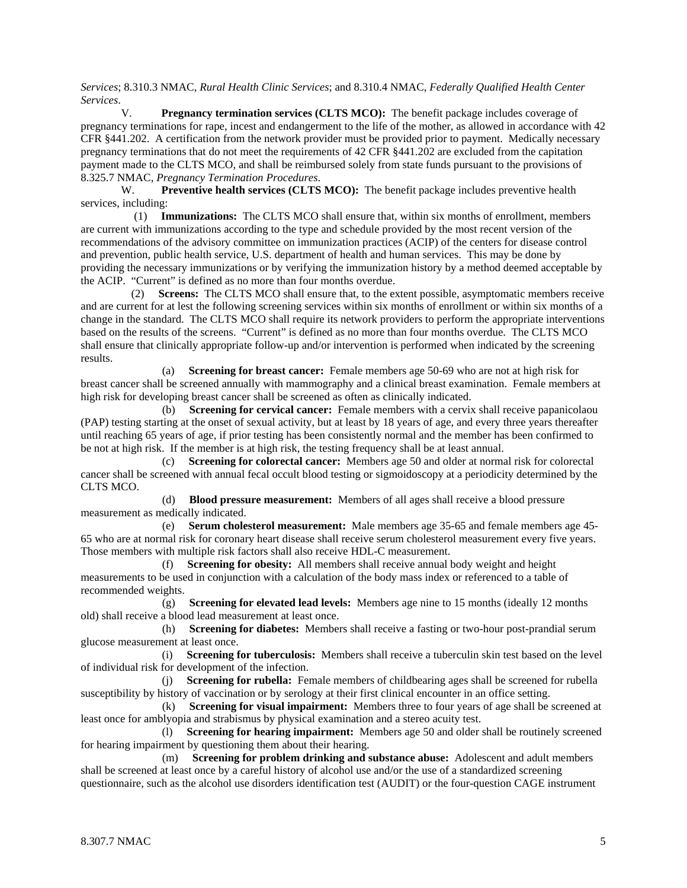*Services*; 8.310.3 NMAC, *Rural Health Clinic Services*; and 8.310.4 NMAC, *Federally Qualified Health Center Services*.

**Pregnancy termination services (CLTS MCO):** The benefit package includes coverage of pregnancy terminations for rape, incest and endangerment to the life of the mother, as allowed in accordance with 42 CFR §441.202. A certification from the network provider must be provided prior to payment. Medically necessary pregnancy terminations that do not meet the requirements of 42 CFR §441.202 are excluded from the capitation payment made to the CLTS MCO, and shall be reimbursed solely from state funds pursuant to the provisions of 8.325.7 NMAC, *Pregnancy Termination Procedures*.

W. **Preventive health services (CLTS MCO):** The benefit package includes preventive health services, including:

 (1) **Immunizations:** The CLTS MCO shall ensure that, within six months of enrollment, members are current with immunizations according to the type and schedule provided by the most recent version of the recommendations of the advisory committee on immunization practices (ACIP) of the centers for disease control and prevention, public health service, U.S. department of health and human services. This may be done by providing the necessary immunizations or by verifying the immunization history by a method deemed acceptable by the ACIP. "Current" is defined as no more than four months overdue.

 (2) **Screens:** The CLTS MCO shall ensure that, to the extent possible, asymptomatic members receive and are current for at lest the following screening services within six months of enrollment or within six months of a change in the standard. The CLTS MCO shall require its network providers to perform the appropriate interventions based on the results of the screens. "Current" is defined as no more than four months overdue. The CLTS MCO shall ensure that clinically appropriate follow-up and/or intervention is performed when indicated by the screening results.

 (a) **Screening for breast cancer:** Female members age 50-69 who are not at high risk for breast cancer shall be screened annually with mammography and a clinical breast examination. Female members at high risk for developing breast cancer shall be screened as often as clinically indicated.

 (b) **Screening for cervical cancer:** Female members with a cervix shall receive papanicolaou (PAP) testing starting at the onset of sexual activity, but at least by 18 years of age, and every three years thereafter until reaching 65 years of age, if prior testing has been consistently normal and the member has been confirmed to be not at high risk. If the member is at high risk, the testing frequency shall be at least annual.

 (c) **Screening for colorectal cancer:** Members age 50 and older at normal risk for colorectal cancer shall be screened with annual fecal occult blood testing or sigmoidoscopy at a periodicity determined by the CLTS MCO.

 (d) **Blood pressure measurement:** Members of all ages shall receive a blood pressure measurement as medically indicated.

 (e) **Serum cholesterol measurement:** Male members age 35-65 and female members age 45- 65 who are at normal risk for coronary heart disease shall receive serum cholesterol measurement every five years. Those members with multiple risk factors shall also receive HDL-C measurement.

 (f) **Screening for obesity:** All members shall receive annual body weight and height measurements to be used in conjunction with a calculation of the body mass index or referenced to a table of recommended weights.

 (g) **Screening for elevated lead levels:** Members age nine to 15 months (ideally 12 months old) shall receive a blood lead measurement at least once.

 (h) **Screening for diabetes:** Members shall receive a fasting or two-hour post-prandial serum glucose measurement at least once.

 (i) **Screening for tuberculosis:** Members shall receive a tuberculin skin test based on the level of individual risk for development of the infection.

 (j) **Screening for rubella:** Female members of childbearing ages shall be screened for rubella susceptibility by history of vaccination or by serology at their first clinical encounter in an office setting.

 (k) **Screening for visual impairment:** Members three to four years of age shall be screened at least once for amblyopia and strabismus by physical examination and a stereo acuity test.

 (l) **Screening for hearing impairment:** Members age 50 and older shall be routinely screened for hearing impairment by questioning them about their hearing.

 (m) **Screening for problem drinking and substance abuse:** Adolescent and adult members shall be screened at least once by a careful history of alcohol use and/or the use of a standardized screening questionnaire, such as the alcohol use disorders identification test (AUDIT) or the four-question CAGE instrument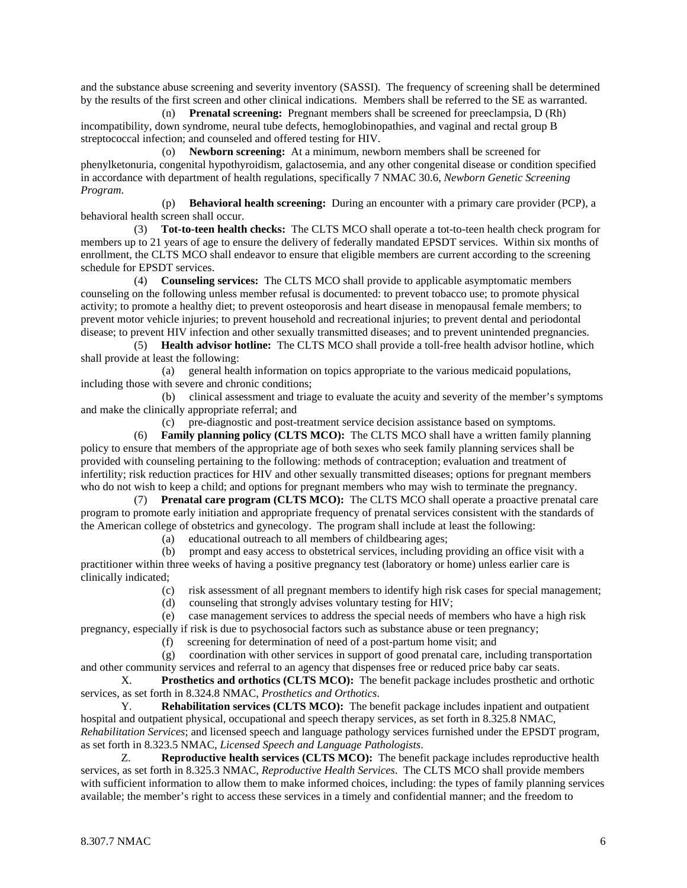and the substance abuse screening and severity inventory (SASSI). The frequency of screening shall be determined by the results of the first screen and other clinical indications. Members shall be referred to the SE as warranted.

 (n) **Prenatal screening:** Pregnant members shall be screened for preeclampsia, D (Rh) incompatibility, down syndrome, neural tube defects, hemoglobinopathies, and vaginal and rectal group B streptococcal infection; and counseled and offered testing for HIV.

 (o) **Newborn screening:** At a minimum, newborn members shall be screened for phenylketonuria, congenital hypothyroidism, galactosemia, and any other congenital disease or condition specified in accordance with department of health regulations, specifically 7 NMAC 30.6, *Newborn Genetic Screening Program*.

 (p) **Behavioral health screening:** During an encounter with a primary care provider (PCP), a behavioral health screen shall occur.

 (3) **Tot-to-teen health checks:** The CLTS MCO shall operate a tot-to-teen health check program for members up to 21 years of age to ensure the delivery of federally mandated EPSDT services. Within six months of enrollment, the CLTS MCO shall endeavor to ensure that eligible members are current according to the screening schedule for EPSDT services.

 (4) **Counseling services:** The CLTS MCO shall provide to applicable asymptomatic members counseling on the following unless member refusal is documented: to prevent tobacco use; to promote physical activity; to promote a healthy diet; to prevent osteoporosis and heart disease in menopausal female members; to prevent motor vehicle injuries; to prevent household and recreational injuries; to prevent dental and periodontal disease; to prevent HIV infection and other sexually transmitted diseases; and to prevent unintended pregnancies.

 (5) **Health advisor hotline:** The CLTS MCO shall provide a toll-free health advisor hotline, which shall provide at least the following:

 (a) general health information on topics appropriate to the various medicaid populations, including those with severe and chronic conditions;

 (b) clinical assessment and triage to evaluate the acuity and severity of the member's symptoms and make the clinically appropriate referral; and

(c) pre-diagnostic and post-treatment service decision assistance based on symptoms.

 (6) **Family planning policy (CLTS MCO):** The CLTS MCO shall have a written family planning policy to ensure that members of the appropriate age of both sexes who seek family planning services shall be provided with counseling pertaining to the following: methods of contraception; evaluation and treatment of infertility; risk reduction practices for HIV and other sexually transmitted diseases; options for pregnant members who do not wish to keep a child; and options for pregnant members who may wish to terminate the pregnancy.

 (7) **Prenatal care program (CLTS MCO):** The CLTS MCO shall operate a proactive prenatal care program to promote early initiation and appropriate frequency of prenatal services consistent with the standards of the American college of obstetrics and gynecology. The program shall include at least the following:

(a) educational outreach to all members of childbearing ages;

 (b) prompt and easy access to obstetrical services, including providing an office visit with a practitioner within three weeks of having a positive pregnancy test (laboratory or home) unless earlier care is clinically indicated;

- (c) risk assessment of all pregnant members to identify high risk cases for special management;
- (d) counseling that strongly advises voluntary testing for HIV;

 (e) case management services to address the special needs of members who have a high risk pregnancy, especially if risk is due to psychosocial factors such as substance abuse or teen pregnancy;

(f) screening for determination of need of a post-partum home visit; and

 (g) coordination with other services in support of good prenatal care, including transportation and other community services and referral to an agency that dispenses free or reduced price baby car seats.

 X. **Prosthetics and orthotics (CLTS MCO):** The benefit package includes prosthetic and orthotic services, as set forth in 8.324.8 NMAC, *Prosthetics and Orthotics*.

 Y. **Rehabilitation services (CLTS MCO):** The benefit package includes inpatient and outpatient hospital and outpatient physical, occupational and speech therapy services, as set forth in 8.325.8 NMAC, *Rehabilitation Services*; and licensed speech and language pathology services furnished under the EPSDT program, as set forth in 8.323.5 NMAC, *Licensed Speech and Language Pathologists*.

 Z. **Reproductive health services (CLTS MCO):** The benefit package includes reproductive health services, as set forth in 8.325.3 NMAC, *Reproductive Health Services*. The CLTS MCO shall provide members with sufficient information to allow them to make informed choices, including: the types of family planning services available; the member's right to access these services in a timely and confidential manner; and the freedom to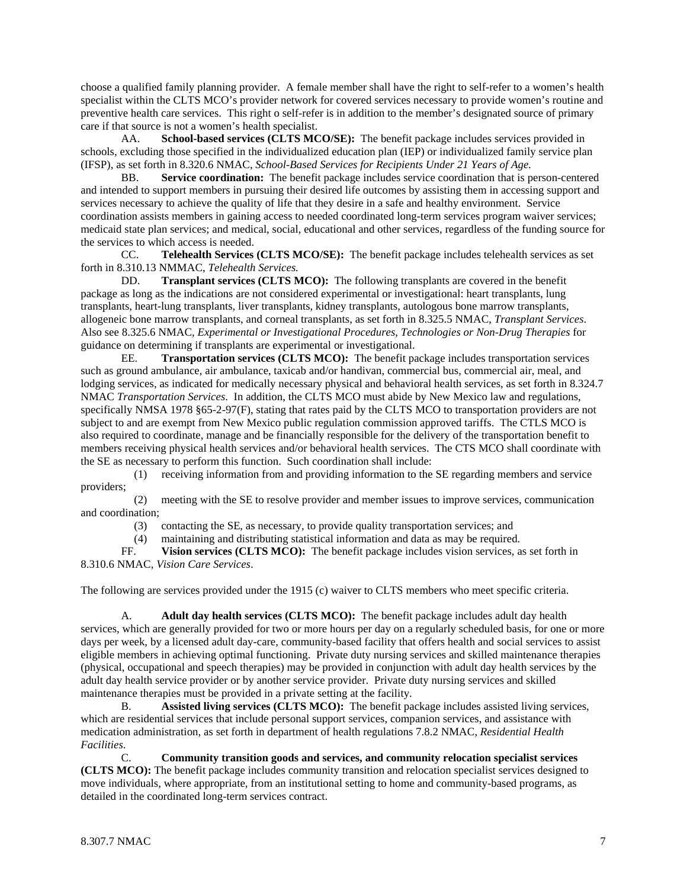choose a qualified family planning provider. A female member shall have the right to self-refer to a women's health specialist within the CLTS MCO's provider network for covered services necessary to provide women's routine and preventive health care services. This right o self-refer is in addition to the member's designated source of primary care if that source is not a women's health specialist.

 AA. **School-based services (CLTS MCO/SE):** The benefit package includes services provided in schools, excluding those specified in the individualized education plan (IEP) or individualized family service plan (IFSP), as set forth in 8.320.6 NMAC, *School-Based Services for Recipients Under 21 Years of Age*.

 BB. **Service coordination:** The benefit package includes service coordination that is person-centered and intended to support members in pursuing their desired life outcomes by assisting them in accessing support and services necessary to achieve the quality of life that they desire in a safe and healthy environment. Service coordination assists members in gaining access to needed coordinated long-term services program waiver services; medicaid state plan services; and medical, social, educational and other services, regardless of the funding source for the services to which access is needed.

 CC. **Telehealth Services (CLTS MCO/SE):** The benefit package includes telehealth services as set forth in 8.310.13 NMMAC, *Telehealth Services.*

 DD. **Transplant services (CLTS MCO):** The following transplants are covered in the benefit package as long as the indications are not considered experimental or investigational: heart transplants, lung transplants, heart-lung transplants, liver transplants, kidney transplants, autologous bone marrow transplants, allogeneic bone marrow transplants, and corneal transplants, as set forth in 8.325.5 NMAC, *Transplant Services*. Also see 8.325.6 NMAC, *Experimental or Investigational Procedures, Technologies or Non-Drug Therapies* for guidance on determining if transplants are experimental or investigational.

 EE. **Transportation services (CLTS MCO):** The benefit package includes transportation services such as ground ambulance, air ambulance, taxicab and/or handivan, commercial bus, commercial air, meal, and lodging services, as indicated for medically necessary physical and behavioral health services, as set forth in 8.324.7 NMAC *Transportation Services*. In addition, the CLTS MCO must abide by New Mexico law and regulations, specifically NMSA 1978 §65-2-97(F), stating that rates paid by the CLTS MCO to transportation providers are not subject to and are exempt from New Mexico public regulation commission approved tariffs. The CTLS MCO is also required to coordinate, manage and be financially responsible for the delivery of the transportation benefit to members receiving physical health services and/or behavioral health services. The CTS MCO shall coordinate with the SE as necessary to perform this function. Such coordination shall include:

 (1) receiving information from and providing information to the SE regarding members and service providers;

 (2) meeting with the SE to resolve provider and member issues to improve services, communication and coordination;

(3) contacting the SE, as necessary, to provide quality transportation services; and

(4) maintaining and distributing statistical information and data as may be required.

 FF. **Vision services (CLTS MCO):** The benefit package includes vision services, as set forth in 8.310.6 NMAC, *Vision Care Services*.

The following are services provided under the 1915 (c) waiver to CLTS members who meet specific criteria.

A. **Adult day health services (CLTS MCO):** The benefit package includes adult day health services, which are generally provided for two or more hours per day on a regularly scheduled basis, for one or more days per week, by a licensed adult day-care, community-based facility that offers health and social services to assist eligible members in achieving optimal functioning. Private duty nursing services and skilled maintenance therapies (physical, occupational and speech therapies) may be provided in conjunction with adult day health services by the adult day health service provider or by another service provider. Private duty nursing services and skilled maintenance therapies must be provided in a private setting at the facility.

B. **Assisted living services (CLTS MCO):** The benefit package includes assisted living services, which are residential services that include personal support services, companion services, and assistance with medication administration, as set forth in department of health regulations 7.8.2 NMAC, *Residential Health Facilities*.

C. **Community transition goods and services, and community relocation specialist services (CLTS MCO):** The benefit package includes community transition and relocation specialist services designed to move individuals, where appropriate, from an institutional setting to home and community-based programs, as detailed in the coordinated long-term services contract.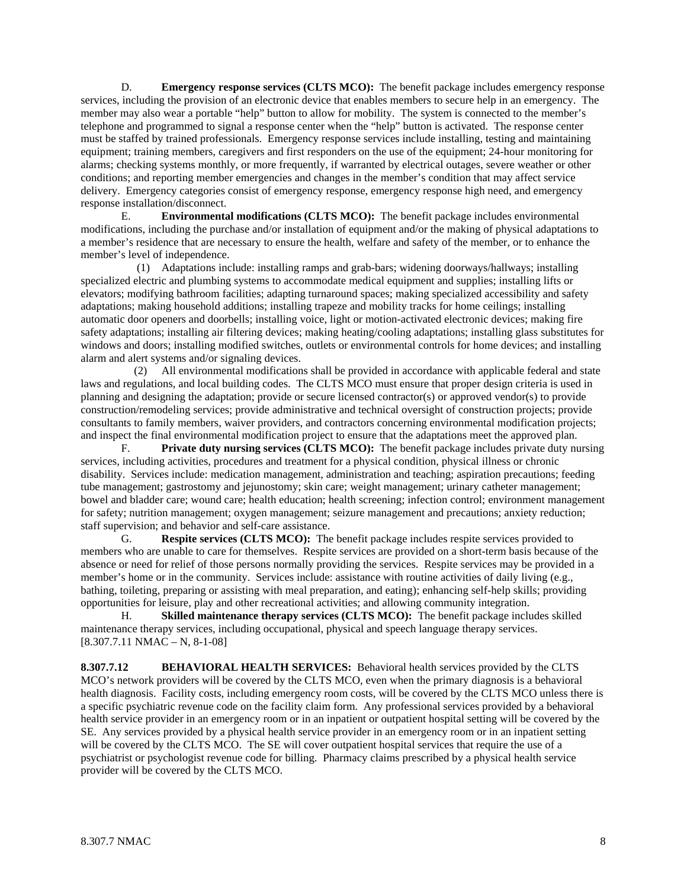D. **Emergency response services (CLTS MCO):** The benefit package includes emergency response services, including the provision of an electronic device that enables members to secure help in an emergency. The member may also wear a portable "help" button to allow for mobility. The system is connected to the member's telephone and programmed to signal a response center when the "help" button is activated. The response center must be staffed by trained professionals. Emergency response services include installing, testing and maintaining equipment; training members, caregivers and first responders on the use of the equipment; 24-hour monitoring for alarms; checking systems monthly, or more frequently, if warranted by electrical outages, severe weather or other conditions; and reporting member emergencies and changes in the member's condition that may affect service delivery. Emergency categories consist of emergency response, emergency response high need, and emergency response installation/disconnect.

 E. **Environmental modifications (CLTS MCO):** The benefit package includes environmental modifications, including the purchase and/or installation of equipment and/or the making of physical adaptations to a member's residence that are necessary to ensure the health, welfare and safety of the member, or to enhance the member's level of independence.

 (1) Adaptations include: installing ramps and grab-bars; widening doorways/hallways; installing specialized electric and plumbing systems to accommodate medical equipment and supplies; installing lifts or elevators; modifying bathroom facilities; adapting turnaround spaces; making specialized accessibility and safety adaptations; making household additions; installing trapeze and mobility tracks for home ceilings; installing automatic door openers and doorbells; installing voice, light or motion-activated electronic devices; making fire safety adaptations; installing air filtering devices; making heating/cooling adaptations; installing glass substitutes for windows and doors; installing modified switches, outlets or environmental controls for home devices; and installing alarm and alert systems and/or signaling devices.

 (2) All environmental modifications shall be provided in accordance with applicable federal and state laws and regulations, and local building codes. The CLTS MCO must ensure that proper design criteria is used in planning and designing the adaptation; provide or secure licensed contractor(s) or approved vendor(s) to provide construction/remodeling services; provide administrative and technical oversight of construction projects; provide consultants to family members, waiver providers, and contractors concerning environmental modification projects; and inspect the final environmental modification project to ensure that the adaptations meet the approved plan.

 F. **Private duty nursing services (CLTS MCO):** The benefit package includes private duty nursing services, including activities, procedures and treatment for a physical condition, physical illness or chronic disability. Services include: medication management, administration and teaching; aspiration precautions; feeding tube management; gastrostomy and jejunostomy; skin care; weight management; urinary catheter management; bowel and bladder care; wound care; health education; health screening; infection control; environment management for safety; nutrition management; oxygen management; seizure management and precautions; anxiety reduction; staff supervision; and behavior and self-care assistance.

 G. **Respite services (CLTS MCO):** The benefit package includes respite services provided to members who are unable to care for themselves. Respite services are provided on a short-term basis because of the absence or need for relief of those persons normally providing the services. Respite services may be provided in a member's home or in the community. Services include: assistance with routine activities of daily living (e.g., bathing, toileting, preparing or assisting with meal preparation, and eating); enhancing self-help skills; providing opportunities for leisure, play and other recreational activities; and allowing community integration.

 H. **Skilled maintenance therapy services (CLTS MCO):** The benefit package includes skilled maintenance therapy services, including occupational, physical and speech language therapy services.  $[8.307.7.11 \text{ NMAC} - \text{N}, 8-1-08]$ 

**8.307.7.12 BEHAVIORAL HEALTH SERVICES:** Behavioral health services provided by the CLTS MCO's network providers will be covered by the CLTS MCO, even when the primary diagnosis is a behavioral health diagnosis. Facility costs, including emergency room costs, will be covered by the CLTS MCO unless there is a specific psychiatric revenue code on the facility claim form. Any professional services provided by a behavioral health service provider in an emergency room or in an inpatient or outpatient hospital setting will be covered by the SE. Any services provided by a physical health service provider in an emergency room or in an inpatient setting will be covered by the CLTS MCO. The SE will cover outpatient hospital services that require the use of a psychiatrist or psychologist revenue code for billing. Pharmacy claims prescribed by a physical health service provider will be covered by the CLTS MCO.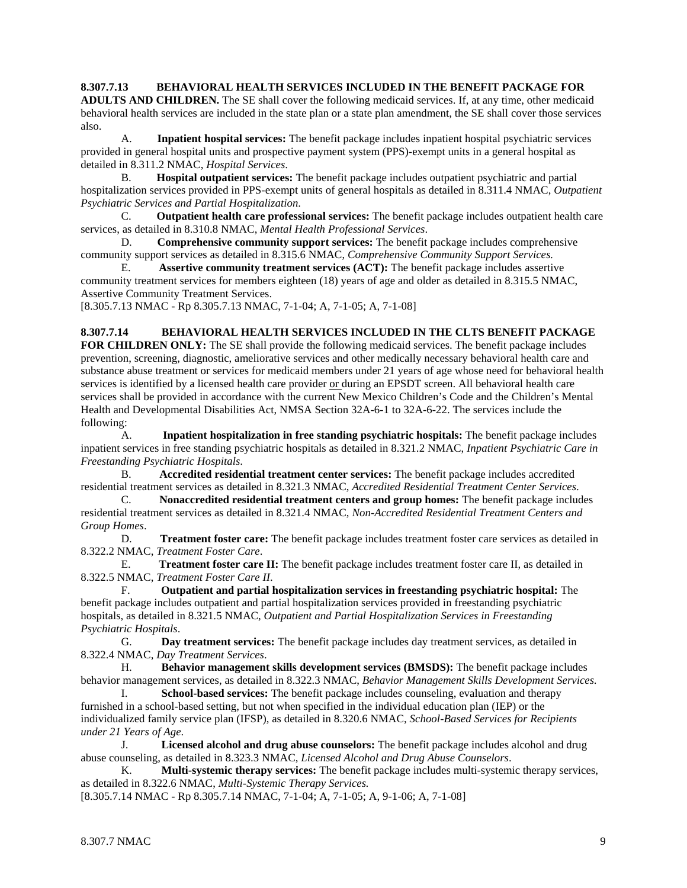**8.307.7.13 BEHAVIORAL HEALTH SERVICES INCLUDED IN THE BENEFIT PACKAGE FOR ADULTS AND CHILDREN.** The SE shall cover the following medicaid services. If, at any time, other medicaid behavioral health services are included in the state plan or a state plan amendment, the SE shall cover those services

 A. **Inpatient hospital services:** The benefit package includes inpatient hospital psychiatric services provided in general hospital units and prospective payment system (PPS)-exempt units in a general hospital as detailed in 8.311.2 NMAC, *Hospital Services*.

B. **Hospital outpatient services:** The benefit package includes outpatient psychiatric and partial hospitalization services provided in PPS-exempt units of general hospitals as detailed in 8.311.4 NMAC, *Outpatient Psychiatric Services and Partial Hospitalization*.

C. **Outpatient health care professional services:** The benefit package includes outpatient health care services, as detailed in 8.310.8 NMAC, *Mental Health Professional Services*.

D. **Comprehensive community support services:** The benefit package includes comprehensive community support services as detailed in 8.315.6 NMAC, *Comprehensive Community Support Services.* 

E. **Assertive community treatment services (ACT):** The benefit package includes assertive community treatment services for members eighteen (18) years of age and older as detailed in 8.315.5 NMAC, Assertive Community Treatment Services.

[8.305.7.13 NMAC - Rp 8.305.7.13 NMAC, 7-1-04; A, 7-1-05; A, 7-1-08]

**8.307.7.14 BEHAVIORAL HEALTH SERVICES INCLUDED IN THE CLTS BENEFIT PACKAGE FOR CHILDREN ONLY:** The SE shall provide the following medicaid services. The benefit package includes prevention, screening, diagnostic, ameliorative services and other medically necessary behavioral health care and substance abuse treatment or services for medicaid members under 21 years of age whose need for behavioral health services is identified by a licensed health care provider or during an EPSDT screen. All behavioral health care services shall be provided in accordance with the current New Mexico Children's Code and the Children's Mental Health and Developmental Disabilities Act, NMSA Section 32A-6-1 to 32A-6-22. The services include the following:

 A. **Inpatient hospitalization in free standing psychiatric hospitals:** The benefit package includes inpatient services in free standing psychiatric hospitals as detailed in 8.321.2 NMAC, *Inpatient Psychiatric Care in Freestanding Psychiatric Hospitals*.

B. **Accredited residential treatment center services:** The benefit package includes accredited residential treatment services as detailed in 8.321.3 NMAC, *Accredited Residential Treatment Center Services*.

C. **Nonaccredited residential treatment centers and group homes:** The benefit package includes residential treatment services as detailed in 8.321.4 NMAC, *Non-Accredited Residential Treatment Centers and Group Homes*.

D. **Treatment foster care:** The benefit package includes treatment foster care services as detailed in 8.322.2 NMAC, *Treatment Foster Care*.

E. **Treatment foster care II:** The benefit package includes treatment foster care II, as detailed in 8.322.5 NMAC, *Treatment Foster Care II*.

F. **Outpatient and partial hospitalization services in freestanding psychiatric hospital:** The benefit package includes outpatient and partial hospitalization services provided in freestanding psychiatric hospitals, as detailed in 8.321.5 NMAC, *Outpatient and Partial Hospitalization Services in Freestanding Psychiatric Hospitals*.

G. **Day treatment services:** The benefit package includes day treatment services, as detailed in 8.322.4 NMAC, *Day Treatment Services*.

H. **Behavior management skills development services (BMSDS):** The benefit package includes behavior management services, as detailed in 8.322.3 NMAC, *Behavior Management Skills Development Services*.

I. **School-based services:** The benefit package includes counseling, evaluation and therapy furnished in a school-based setting, but not when specified in the individual education plan (IEP) or the individualized family service plan (IFSP), as detailed in 8.320.6 NMAC, *School-Based Services for Recipients under 21 Years of Age*.

J. **Licensed alcohol and drug abuse counselors:** The benefit package includes alcohol and drug abuse counseling, as detailed in 8.323.3 NMAC, *Licensed Alcohol and Drug Abuse Counselors*.

K. **Multi-systemic therapy services:** The benefit package includes multi-systemic therapy services, as detailed in 8.322.6 NMAC, *Multi-Systemic Therapy Services.* 

[8.305.7.14 NMAC - Rp 8.305.7.14 NMAC, 7-1-04; A, 7-1-05; A, 9-1-06; A, 7-1-08]

also.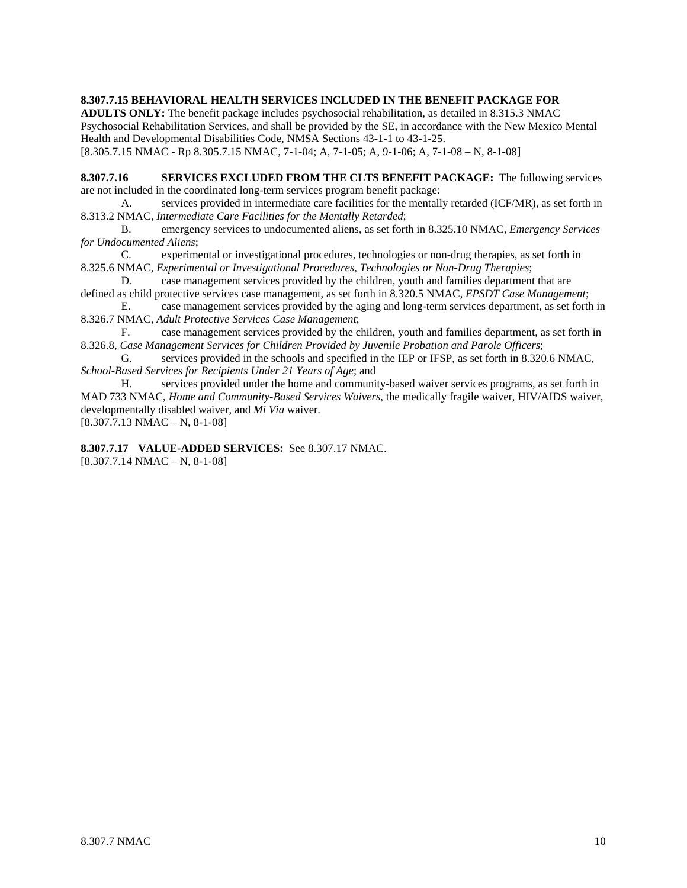**8.307.7.15 BEHAVIORAL HEALTH SERVICES INCLUDED IN THE BENEFIT PACKAGE FOR** 

**ADULTS ONLY:** The benefit package includes psychosocial rehabilitation, as detailed in 8.315.3 NMAC Psychosocial Rehabilitation Services, and shall be provided by the SE, in accordance with the New Mexico Mental Health and Developmental Disabilities Code, NMSA Sections 43-1-1 to 43-1-25.

[8.305.7.15 NMAC - Rp 8.305.7.15 NMAC, 7-1-04; A, 7-1-05; A, 9-1-06; A, 7-1-08 – N, 8-1-08]

**8.307.7.16 SERVICES EXCLUDED FROM THE CLTS BENEFIT PACKAGE:** The following services are not included in the coordinated long-term services program benefit package:

 A. services provided in intermediate care facilities for the mentally retarded (ICF/MR), as set forth in 8.313.2 NMAC, *Intermediate Care Facilities for the Mentally Retarded*;

 B. emergency services to undocumented aliens, as set forth in 8.325.10 NMAC, *Emergency Services for Undocumented Aliens*;

 C. experimental or investigational procedures, technologies or non-drug therapies, as set forth in 8.325.6 NMAC, *Experimental or Investigational Procedures, Technologies or Non-Drug Therapies*;

 D. case management services provided by the children, youth and families department that are defined as child protective services case management, as set forth in 8.320.5 NMAC, *EPSDT Case Management*;

 E. case management services provided by the aging and long-term services department, as set forth in 8.326.7 NMAC, *Adult Protective Services Case Management*;

 F. case management services provided by the children, youth and families department, as set forth in 8.326.8, *Case Management Services for Children Provided by Juvenile Probation and Parole Officers*;

 G. services provided in the schools and specified in the IEP or IFSP, as set forth in 8.320.6 NMAC, *School-Based Services for Recipients Under 21 Years of Age*; and

 H. services provided under the home and community-based waiver services programs, as set forth in MAD 733 NMAC, *Home and Community-Based Services Waivers*, the medically fragile waiver, HIV/AIDS waiver, developmentally disabled waiver, and *Mi Via* waiver.

 $[8.307.7.13 \text{ NMAC} - \text{N}, 8-1-08]$ 

**8.307.7.17 VALUE-ADDED SERVICES:** See 8.307.17 NMAC. [8.307.7.14 NMAC – N, 8-1-08]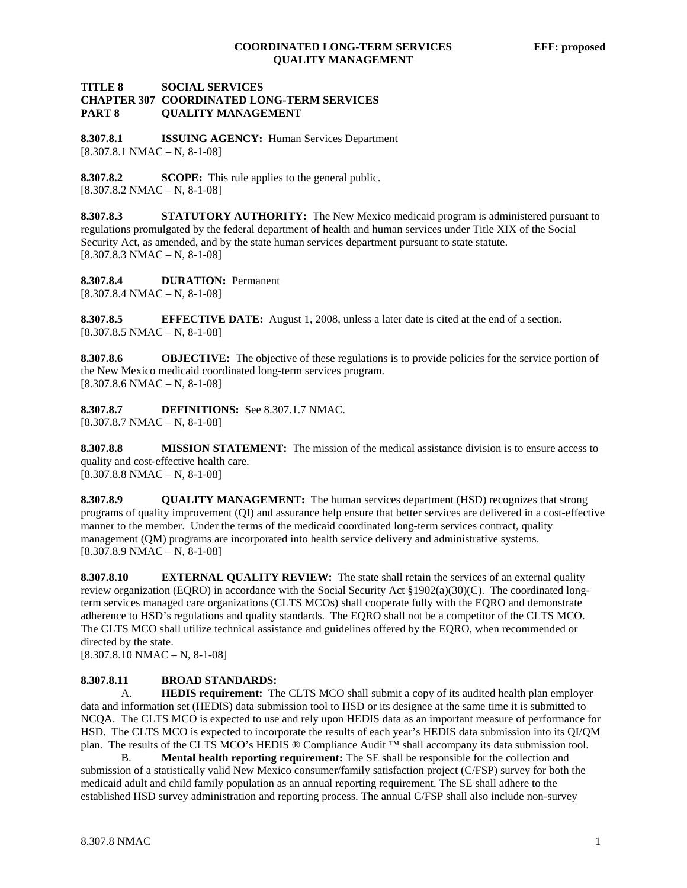# **TITLE 8 SOCIAL SERVICES CHAPTER 307 COORDINATED LONG-TERM SERVICES PART 8 QUALITY MANAGEMENT**

**8.307.8.1 ISSUING AGENCY:** Human Services Department  $[8.307.8.1 \text{ NMAC} - \text{N}, 8-1-08]$ 

**8.307.8.2 SCOPE:** This rule applies to the general public.  $[8.307.8.2 NMAC - N, 8-1-08]$ 

**8.307.8.3 STATUTORY AUTHORITY:** The New Mexico medicaid program is administered pursuant to regulations promulgated by the federal department of health and human services under Title XIX of the Social Security Act, as amended, and by the state human services department pursuant to state statute. [8.307.8.3 NMAC – N, 8-1-08]

**8.307.8.4 DURATION:** Permanent [8.307.8.4 NMAC – N, 8-1-08]

**8.307.8.5 EFFECTIVE DATE:** August 1, 2008, unless a later date is cited at the end of a section. [8.307.8.5 NMAC – N, 8-1-08]

**8.307.8.6 OBJECTIVE:** The objective of these regulations is to provide policies for the service portion of the New Mexico medicaid coordinated long-term services program.  $[8.307.8.6 \text{ NMAC} - \text{N}, 8-1-08]$ 

**8.307.8.7 DEFINITIONS:** See 8.307.1.7 NMAC.  $[8.307.8.7 \text{ NMAC} - \text{N}, 8-1-08]$ 

**8.307.8.8 MISSION STATEMENT:** The mission of the medical assistance division is to ensure access to quality and cost-effective health care.  $[8.307.8.8 NMAC - N, 8-1-08]$ 

**8.307.8.9 QUALITY MANAGEMENT:** The human services department (HSD) recognizes that strong programs of quality improvement (QI) and assurance help ensure that better services are delivered in a cost-effective manner to the member. Under the terms of the medicaid coordinated long-term services contract, quality management (QM) programs are incorporated into health service delivery and administrative systems.  $[8.307.8.9 \text{ NMAC} - \text{N}, 8-1-08]$ 

**8.307.8.10 EXTERNAL QUALITY REVIEW:** The state shall retain the services of an external quality review organization (EQRO) in accordance with the Social Security Act §1902(a)(30)(C). The coordinated longterm services managed care organizations (CLTS MCOs) shall cooperate fully with the EQRO and demonstrate adherence to HSD's regulations and quality standards. The EQRO shall not be a competitor of the CLTS MCO. The CLTS MCO shall utilize technical assistance and guidelines offered by the EQRO, when recommended or directed by the state.

 $[8.307.8.10 NMAC - N, 8-1-08]$ 

### **8.307.8.11 BROAD STANDARDS:**

 A. **HEDIS requirement:** The CLTS MCO shall submit a copy of its audited health plan employer data and information set (HEDIS) data submission tool to HSD or its designee at the same time it is submitted to NCQA. The CLTS MCO is expected to use and rely upon HEDIS data as an important measure of performance for HSD. The CLTS MCO is expected to incorporate the results of each year's HEDIS data submission into its QI/QM plan. The results of the CLTS MCO's HEDIS ® Compliance Audit ™ shall accompany its data submission tool.

 B. **Mental health reporting requirement:** The SE shall be responsible for the collection and submission of a statistically valid New Mexico consumer/family satisfaction project (C/FSP) survey for both the medicaid adult and child family population as an annual reporting requirement. The SE shall adhere to the established HSD survey administration and reporting process. The annual C/FSP shall also include non-survey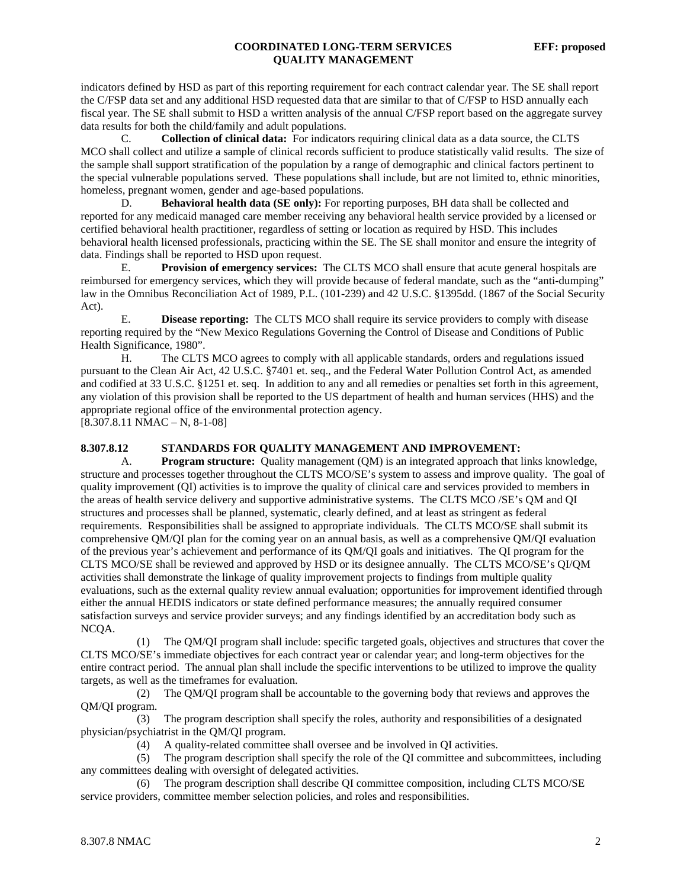indicators defined by HSD as part of this reporting requirement for each contract calendar year. The SE shall report the C/FSP data set and any additional HSD requested data that are similar to that of C/FSP to HSD annually each fiscal year. The SE shall submit to HSD a written analysis of the annual C/FSP report based on the aggregate survey data results for both the child/family and adult populations.

C. **Collection of clinical data:** For indicators requiring clinical data as a data source, the CLTS MCO shall collect and utilize a sample of clinical records sufficient to produce statistically valid results. The size of the sample shall support stratification of the population by a range of demographic and clinical factors pertinent to the special vulnerable populations served. These populations shall include, but are not limited to, ethnic minorities, homeless, pregnant women, gender and age-based populations.

D. **Behavioral health data (SE only):** For reporting purposes, BH data shall be collected and reported for any medicaid managed care member receiving any behavioral health service provided by a licensed or certified behavioral health practitioner, regardless of setting or location as required by HSD. This includes behavioral health licensed professionals, practicing within the SE. The SE shall monitor and ensure the integrity of data. Findings shall be reported to HSD upon request.

 E. **Provision of emergency services:** The CLTS MCO shall ensure that acute general hospitals are reimbursed for emergency services, which they will provide because of federal mandate, such as the "anti-dumping" law in the Omnibus Reconciliation Act of 1989, P.L. (101-239) and 42 U.S.C. §1395dd. (1867 of the Social Security Act).

 E. **Disease reporting:** The CLTS MCO shall require its service providers to comply with disease reporting required by the "New Mexico Regulations Governing the Control of Disease and Conditions of Public Health Significance, 1980".

 H. The CLTS MCO agrees to comply with all applicable standards, orders and regulations issued pursuant to the Clean Air Act, 42 U.S.C. §7401 et. seq., and the Federal Water Pollution Control Act, as amended and codified at 33 U.S.C. §1251 et. seq. In addition to any and all remedies or penalties set forth in this agreement, any violation of this provision shall be reported to the US department of health and human services (HHS) and the appropriate regional office of the environmental protection agency.

 $[8.307.8.11 \text{ NMAC} - \text{N}, 8-1-08]$ 

#### **8.307.8.12 STANDARDS FOR QUALITY MANAGEMENT AND IMPROVEMENT:**

 A. **Program structure:** Quality management (QM) is an integrated approach that links knowledge, structure and processes together throughout the CLTS MCO/SE's system to assess and improve quality. The goal of quality improvement (QI) activities is to improve the quality of clinical care and services provided to members in the areas of health service delivery and supportive administrative systems. The CLTS MCO /SE's QM and QI structures and processes shall be planned, systematic, clearly defined, and at least as stringent as federal requirements. Responsibilities shall be assigned to appropriate individuals. The CLTS MCO/SE shall submit its comprehensive QM/QI plan for the coming year on an annual basis, as well as a comprehensive QM/QI evaluation of the previous year's achievement and performance of its QM/QI goals and initiatives. The QI program for the CLTS MCO/SE shall be reviewed and approved by HSD or its designee annually. The CLTS MCO/SE's QI/QM activities shall demonstrate the linkage of quality improvement projects to findings from multiple quality evaluations, such as the external quality review annual evaluation; opportunities for improvement identified through either the annual HEDIS indicators or state defined performance measures; the annually required consumer satisfaction surveys and service provider surveys; and any findings identified by an accreditation body such as NCQA.

 (1) The QM/QI program shall include: specific targeted goals, objectives and structures that cover the CLTS MCO/SE's immediate objectives for each contract year or calendar year; and long-term objectives for the entire contract period. The annual plan shall include the specific interventions to be utilized to improve the quality targets, as well as the timeframes for evaluation.

 (2) The QM/QI program shall be accountable to the governing body that reviews and approves the QM/QI program.

 (3) The program description shall specify the roles, authority and responsibilities of a designated physician/psychiatrist in the QM/QI program.

(4) A quality-related committee shall oversee and be involved in QI activities.

 (5) The program description shall specify the role of the QI committee and subcommittees, including any committees dealing with oversight of delegated activities.

 (6) The program description shall describe QI committee composition, including CLTS MCO/SE service providers, committee member selection policies, and roles and responsibilities.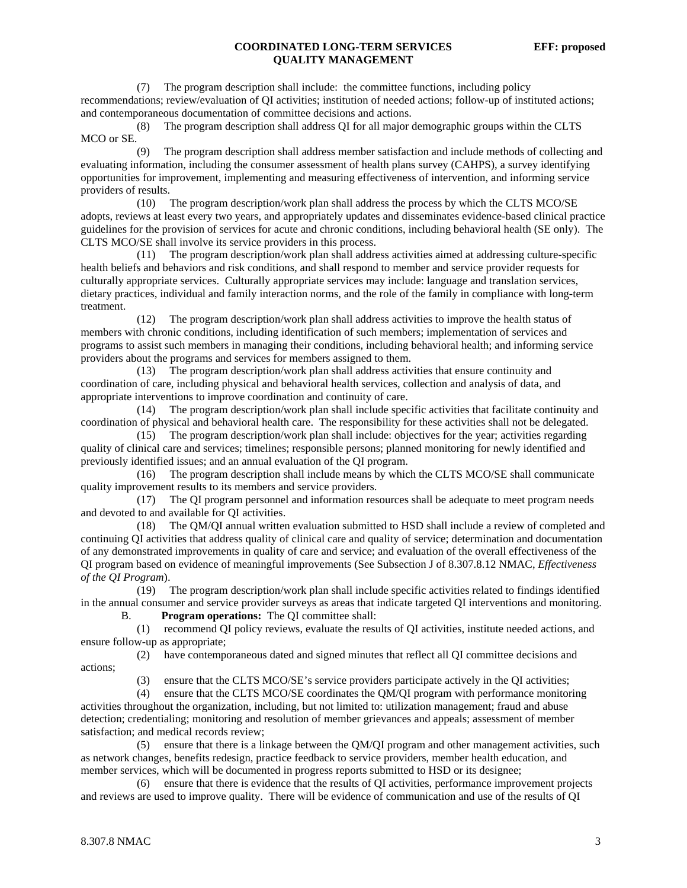(7) The program description shall include: the committee functions, including policy recommendations; review/evaluation of QI activities; institution of needed actions; follow-up of instituted actions; and contemporaneous documentation of committee decisions and actions.

 (8) The program description shall address QI for all major demographic groups within the CLTS MCO or SE.

 (9) The program description shall address member satisfaction and include methods of collecting and evaluating information, including the consumer assessment of health plans survey (CAHPS), a survey identifying opportunities for improvement, implementing and measuring effectiveness of intervention, and informing service providers of results.

 (10) The program description/work plan shall address the process by which the CLTS MCO/SE adopts, reviews at least every two years, and appropriately updates and disseminates evidence-based clinical practice guidelines for the provision of services for acute and chronic conditions, including behavioral health (SE only). The CLTS MCO/SE shall involve its service providers in this process.

 (11) The program description/work plan shall address activities aimed at addressing culture-specific health beliefs and behaviors and risk conditions, and shall respond to member and service provider requests for culturally appropriate services. Culturally appropriate services may include: language and translation services, dietary practices, individual and family interaction norms, and the role of the family in compliance with long-term treatment.

 (12) The program description/work plan shall address activities to improve the health status of members with chronic conditions, including identification of such members; implementation of services and programs to assist such members in managing their conditions, including behavioral health; and informing service providers about the programs and services for members assigned to them.

 (13) The program description/work plan shall address activities that ensure continuity and coordination of care, including physical and behavioral health services, collection and analysis of data, and appropriate interventions to improve coordination and continuity of care.

 (14) The program description/work plan shall include specific activities that facilitate continuity and coordination of physical and behavioral health care. The responsibility for these activities shall not be delegated.

 (15) The program description/work plan shall include: objectives for the year; activities regarding quality of clinical care and services; timelines; responsible persons; planned monitoring for newly identified and previously identified issues; and an annual evaluation of the QI program.

 (16) The program description shall include means by which the CLTS MCO/SE shall communicate quality improvement results to its members and service providers.

 (17) The QI program personnel and information resources shall be adequate to meet program needs and devoted to and available for QI activities.

 (18) The QM/QI annual written evaluation submitted to HSD shall include a review of completed and continuing QI activities that address quality of clinical care and quality of service; determination and documentation of any demonstrated improvements in quality of care and service; and evaluation of the overall effectiveness of the QI program based on evidence of meaningful improvements (See Subsection J of 8.307.8.12 NMAC, *Effectiveness of the QI Program*).

 (19) The program description/work plan shall include specific activities related to findings identified in the annual consumer and service provider surveys as areas that indicate targeted QI interventions and monitoring.

B. **Program operations:** The QI committee shall:

 (1) recommend QI policy reviews, evaluate the results of QI activities, institute needed actions, and ensure follow-up as appropriate;

 (2) have contemporaneous dated and signed minutes that reflect all QI committee decisions and actions;

(3) ensure that the CLTS MCO/SE's service providers participate actively in the QI activities;

 (4) ensure that the CLTS MCO/SE coordinates the QM/QI program with performance monitoring activities throughout the organization, including, but not limited to: utilization management; fraud and abuse detection; credentialing; monitoring and resolution of member grievances and appeals; assessment of member satisfaction; and medical records review;

 (5) ensure that there is a linkage between the QM/QI program and other management activities, such as network changes, benefits redesign, practice feedback to service providers, member health education, and member services, which will be documented in progress reports submitted to HSD or its designee;

 (6) ensure that there is evidence that the results of QI activities, performance improvement projects and reviews are used to improve quality. There will be evidence of communication and use of the results of QI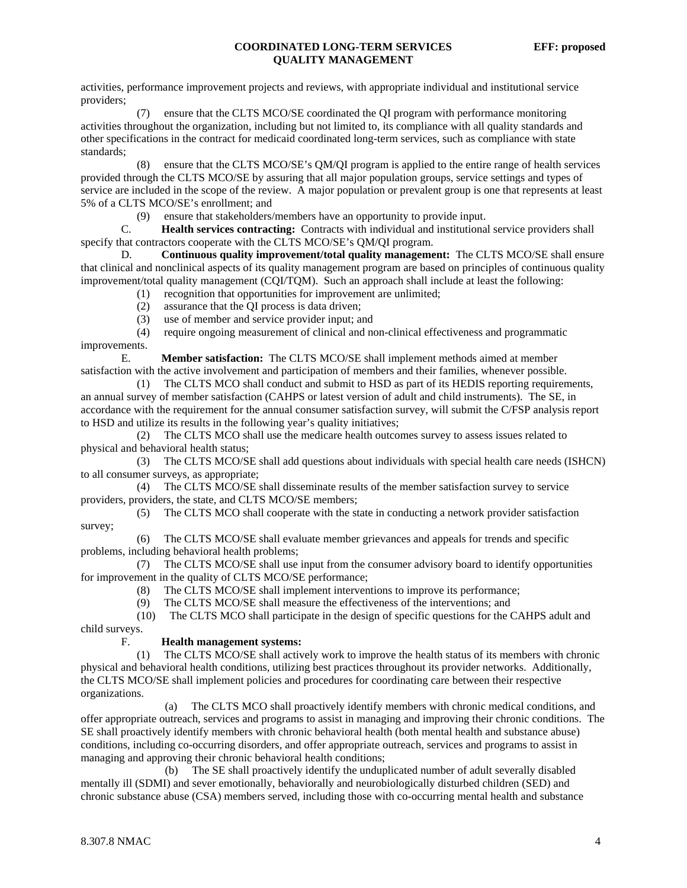activities, performance improvement projects and reviews, with appropriate individual and institutional service providers;

 (7) ensure that the CLTS MCO/SE coordinated the QI program with performance monitoring activities throughout the organization, including but not limited to, its compliance with all quality standards and other specifications in the contract for medicaid coordinated long-term services, such as compliance with state standards;

 (8) ensure that the CLTS MCO/SE's QM/QI program is applied to the entire range of health services provided through the CLTS MCO/SE by assuring that all major population groups, service settings and types of service are included in the scope of the review. A major population or prevalent group is one that represents at least 5% of a CLTS MCO/SE's enrollment; and

(9) ensure that stakeholders/members have an opportunity to provide input.<br> **C. Health services contracting:** Contracts with individual and institutional

Health services contracting: Contracts with individual and institutional service providers shall specify that contractors cooperate with the CLTS MCO/SE's QM/QI program.

 D. **Continuous quality improvement/total quality management:** The CLTS MCO/SE shall ensure that clinical and nonclinical aspects of its quality management program are based on principles of continuous quality improvement/total quality management (CQI/TQM). Such an approach shall include at least the following:

- (1) recognition that opportunities for improvement are unlimited;
- (2) assurance that the QI process is data driven;
- (3) use of member and service provider input; and

 (4) require ongoing measurement of clinical and non-clinical effectiveness and programmatic improvements.

 E. **Member satisfaction:** The CLTS MCO/SE shall implement methods aimed at member satisfaction with the active involvement and participation of members and their families, whenever possible.

 (1) The CLTS MCO shall conduct and submit to HSD as part of its HEDIS reporting requirements, an annual survey of member satisfaction (CAHPS or latest version of adult and child instruments). The SE, in accordance with the requirement for the annual consumer satisfaction survey, will submit the C/FSP analysis report to HSD and utilize its results in the following year's quality initiatives;

 (2) The CLTS MCO shall use the medicare health outcomes survey to assess issues related to physical and behavioral health status;

 (3) The CLTS MCO/SE shall add questions about individuals with special health care needs (ISHCN) to all consumer surveys, as appropriate;

 (4) The CLTS MCO/SE shall disseminate results of the member satisfaction survey to service providers, providers, the state, and CLTS MCO/SE members;

 (5) The CLTS MCO shall cooperate with the state in conducting a network provider satisfaction survey;

 (6) The CLTS MCO/SE shall evaluate member grievances and appeals for trends and specific problems, including behavioral health problems;

 (7) The CLTS MCO/SE shall use input from the consumer advisory board to identify opportunities for improvement in the quality of CLTS MCO/SE performance;

- (8) The CLTS MCO/SE shall implement interventions to improve its performance;
- (9) The CLTS MCO/SE shall measure the effectiveness of the interventions; and

 (10) The CLTS MCO shall participate in the design of specific questions for the CAHPS adult and child surveys.

### F. **Health management systems:**

 (1) The CLTS MCO/SE shall actively work to improve the health status of its members with chronic physical and behavioral health conditions, utilizing best practices throughout its provider networks. Additionally, the CLTS MCO/SE shall implement policies and procedures for coordinating care between their respective organizations.

 (a) The CLTS MCO shall proactively identify members with chronic medical conditions, and offer appropriate outreach, services and programs to assist in managing and improving their chronic conditions. The SE shall proactively identify members with chronic behavioral health (both mental health and substance abuse) conditions, including co-occurring disorders, and offer appropriate outreach, services and programs to assist in managing and approving their chronic behavioral health conditions;

 (b) The SE shall proactively identify the unduplicated number of adult severally disabled mentally ill (SDMI) and sever emotionally, behaviorally and neurobiologically disturbed children (SED) and chronic substance abuse (CSA) members served, including those with co-occurring mental health and substance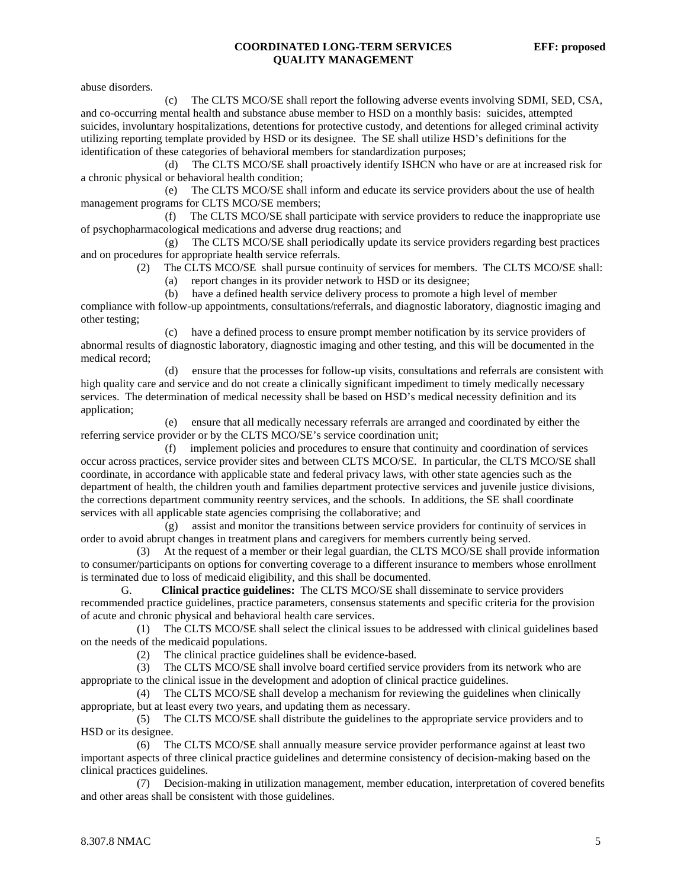abuse disorders.

 (c) The CLTS MCO/SE shall report the following adverse events involving SDMI, SED, CSA, and co-occurring mental health and substance abuse member to HSD on a monthly basis: suicides, attempted suicides, involuntary hospitalizations, detentions for protective custody, and detentions for alleged criminal activity utilizing reporting template provided by HSD or its designee. The SE shall utilize HSD's definitions for the identification of these categories of behavioral members for standardization purposes;

 (d) The CLTS MCO/SE shall proactively identify ISHCN who have or are at increased risk for a chronic physical or behavioral health condition;

 (e) The CLTS MCO/SE shall inform and educate its service providers about the use of health management programs for CLTS MCO/SE members;

 (f) The CLTS MCO/SE shall participate with service providers to reduce the inappropriate use of psychopharmacological medications and adverse drug reactions; and

 (g) The CLTS MCO/SE shall periodically update its service providers regarding best practices and on procedures for appropriate health service referrals.

(2) The CLTS MCO/SE shall pursue continuity of services for members. The CLTS MCO/SE shall:

(a) report changes in its provider network to HSD or its designee;

(b) have a defined health service delivery process to promote a high level of member

compliance with follow-up appointments, consultations/referrals, and diagnostic laboratory, diagnostic imaging and other testing;

 (c) have a defined process to ensure prompt member notification by its service providers of abnormal results of diagnostic laboratory, diagnostic imaging and other testing, and this will be documented in the medical record;

 (d) ensure that the processes for follow-up visits, consultations and referrals are consistent with high quality care and service and do not create a clinically significant impediment to timely medically necessary services. The determination of medical necessity shall be based on HSD's medical necessity definition and its application;

 (e) ensure that all medically necessary referrals are arranged and coordinated by either the referring service provider or by the CLTS MCO/SE's service coordination unit;

 (f) implement policies and procedures to ensure that continuity and coordination of services occur across practices, service provider sites and between CLTS MCO/SE. In particular, the CLTS MCO/SE shall coordinate, in accordance with applicable state and federal privacy laws, with other state agencies such as the department of health, the children youth and families department protective services and juvenile justice divisions, the corrections department community reentry services, and the schools. In additions, the SE shall coordinate services with all applicable state agencies comprising the collaborative; and

 (g) assist and monitor the transitions between service providers for continuity of services in order to avoid abrupt changes in treatment plans and caregivers for members currently being served.

 (3) At the request of a member or their legal guardian, the CLTS MCO/SE shall provide information to consumer/participants on options for converting coverage to a different insurance to members whose enrollment is terminated due to loss of medicaid eligibility, and this shall be documented.

 G. **Clinical practice guidelines:** The CLTS MCO/SE shall disseminate to service providers recommended practice guidelines, practice parameters, consensus statements and specific criteria for the provision of acute and chronic physical and behavioral health care services.

 (1) The CLTS MCO/SE shall select the clinical issues to be addressed with clinical guidelines based on the needs of the medicaid populations.

(2) The clinical practice guidelines shall be evidence-based.

 (3) The CLTS MCO/SE shall involve board certified service providers from its network who are appropriate to the clinical issue in the development and adoption of clinical practice guidelines.

 (4) The CLTS MCO/SE shall develop a mechanism for reviewing the guidelines when clinically appropriate, but at least every two years, and updating them as necessary.

 (5) The CLTS MCO/SE shall distribute the guidelines to the appropriate service providers and to HSD or its designee.

 (6) The CLTS MCO/SE shall annually measure service provider performance against at least two important aspects of three clinical practice guidelines and determine consistency of decision-making based on the clinical practices guidelines.

 (7) Decision-making in utilization management, member education, interpretation of covered benefits and other areas shall be consistent with those guidelines.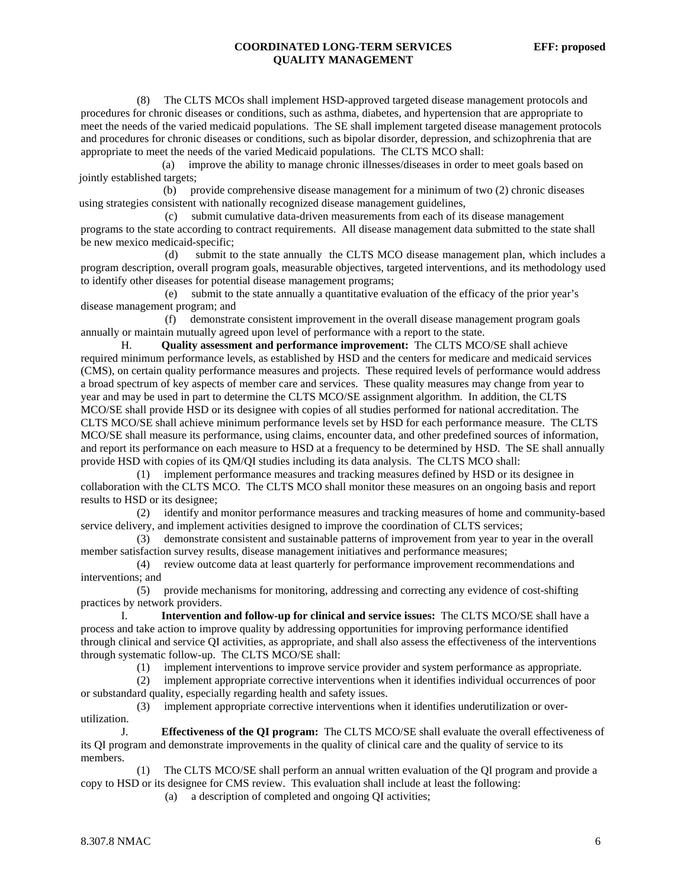(8) The CLTS MCOs shall implement HSD-approved targeted disease management protocols and procedures for chronic diseases or conditions, such as asthma, diabetes, and hypertension that are appropriate to meet the needs of the varied medicaid populations. The SE shall implement targeted disease management protocols and procedures for chronic diseases or conditions, such as bipolar disorder, depression, and schizophrenia that are appropriate to meet the needs of the varied Medicaid populations. The CLTS MCO shall:

 (a) improve the ability to manage chronic illnesses/diseases in order to meet goals based on jointly established targets;

 (b) provide comprehensive disease management for a minimum of two (2) chronic diseases using strategies consistent with nationally recognized disease management guidelines,

 (c) submit cumulative data-driven measurements from each of its disease management programs to the state according to contract requirements. All disease management data submitted to the state shall be new mexico medicaid-specific;

 (d) submit to the state annually the CLTS MCO disease management plan, which includes a program description, overall program goals, measurable objectives, targeted interventions, and its methodology used to identify other diseases for potential disease management programs;

 (e) submit to the state annually a quantitative evaluation of the efficacy of the prior year's disease management program; and

 (f) demonstrate consistent improvement in the overall disease management program goals annually or maintain mutually agreed upon level of performance with a report to the state.

 H. **Quality assessment and performance improvement:** The CLTS MCO/SE shall achieve required minimum performance levels, as established by HSD and the centers for medicare and medicaid services (CMS), on certain quality performance measures and projects. These required levels of performance would address a broad spectrum of key aspects of member care and services. These quality measures may change from year to year and may be used in part to determine the CLTS MCO/SE assignment algorithm. In addition, the CLTS MCO/SE shall provide HSD or its designee with copies of all studies performed for national accreditation. The CLTS MCO/SE shall achieve minimum performance levels set by HSD for each performance measure. The CLTS MCO/SE shall measure its performance, using claims, encounter data, and other predefined sources of information, and report its performance on each measure to HSD at a frequency to be determined by HSD. The SE shall annually provide HSD with copies of its QM/QI studies including its data analysis. The CLTS MCO shall:

 (1) implement performance measures and tracking measures defined by HSD or its designee in collaboration with the CLTS MCO. The CLTS MCO shall monitor these measures on an ongoing basis and report results to HSD or its designee;

 (2) identify and monitor performance measures and tracking measures of home and community-based service delivery, and implement activities designed to improve the coordination of CLTS services;

 (3) demonstrate consistent and sustainable patterns of improvement from year to year in the overall member satisfaction survey results, disease management initiatives and performance measures;

 (4) review outcome data at least quarterly for performance improvement recommendations and interventions; and

 (5) provide mechanisms for monitoring, addressing and correcting any evidence of cost-shifting practices by network providers.

Intervention and follow-up for clinical and service issues: The CLTS MCO/SE shall have a process and take action to improve quality by addressing opportunities for improving performance identified through clinical and service QI activities, as appropriate, and shall also assess the effectiveness of the interventions through systematic follow-up. The CLTS MCO/SE shall:

(1) implement interventions to improve service provider and system performance as appropriate.

 (2) implement appropriate corrective interventions when it identifies individual occurrences of poor or substandard quality, especially regarding health and safety issues.

 (3) implement appropriate corrective interventions when it identifies underutilization or overutilization.

 J. **Effectiveness of the QI program:** The CLTS MCO/SE shall evaluate the overall effectiveness of its QI program and demonstrate improvements in the quality of clinical care and the quality of service to its members.

 (1) The CLTS MCO/SE shall perform an annual written evaluation of the QI program and provide a copy to HSD or its designee for CMS review. This evaluation shall include at least the following:

(a) a description of completed and ongoing QI activities;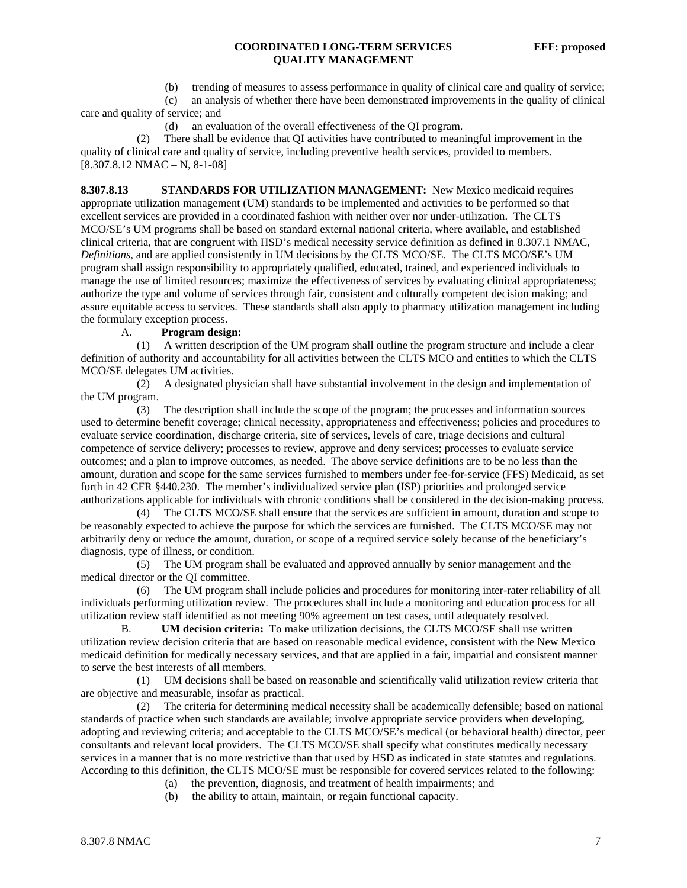(b) trending of measures to assess performance in quality of clinical care and quality of service;

 (c) an analysis of whether there have been demonstrated improvements in the quality of clinical care and quality of service; and

(d) an evaluation of the overall effectiveness of the QI program.

 (2) There shall be evidence that QI activities have contributed to meaningful improvement in the quality of clinical care and quality of service, including preventive health services, provided to members.  $[8.307.8.12 NMAC - N, 8-1-08]$ 

**8.307.8.13 STANDARDS FOR UTILIZATION MANAGEMENT:** New Mexico medicaid requires appropriate utilization management (UM) standards to be implemented and activities to be performed so that excellent services are provided in a coordinated fashion with neither over nor under-utilization. The CLTS MCO/SE's UM programs shall be based on standard external national criteria, where available, and established clinical criteria, that are congruent with HSD's medical necessity service definition as defined in 8.307.1 NMAC, *Definitions*, and are applied consistently in UM decisions by the CLTS MCO/SE. The CLTS MCO/SE's UM program shall assign responsibility to appropriately qualified, educated, trained, and experienced individuals to manage the use of limited resources; maximize the effectiveness of services by evaluating clinical appropriateness; authorize the type and volume of services through fair, consistent and culturally competent decision making; and assure equitable access to services. These standards shall also apply to pharmacy utilization management including the formulary exception process.

### A. **Program design:**

 (1) A written description of the UM program shall outline the program structure and include a clear definition of authority and accountability for all activities between the CLTS MCO and entities to which the CLTS MCO/SE delegates UM activities.

 (2) A designated physician shall have substantial involvement in the design and implementation of the UM program.

 (3) The description shall include the scope of the program; the processes and information sources used to determine benefit coverage; clinical necessity, appropriateness and effectiveness; policies and procedures to evaluate service coordination, discharge criteria, site of services, levels of care, triage decisions and cultural competence of service delivery; processes to review, approve and deny services; processes to evaluate service outcomes; and a plan to improve outcomes, as needed. The above service definitions are to be no less than the amount, duration and scope for the same services furnished to members under fee-for-service (FFS) Medicaid, as set forth in 42 CFR §440.230. The member's individualized service plan (ISP) priorities and prolonged service authorizations applicable for individuals with chronic conditions shall be considered in the decision-making process.

 (4) The CLTS MCO/SE shall ensure that the services are sufficient in amount, duration and scope to be reasonably expected to achieve the purpose for which the services are furnished. The CLTS MCO/SE may not arbitrarily deny or reduce the amount, duration, or scope of a required service solely because of the beneficiary's diagnosis, type of illness, or condition.

 (5) The UM program shall be evaluated and approved annually by senior management and the medical director or the QI committee.

 (6) The UM program shall include policies and procedures for monitoring inter-rater reliability of all individuals performing utilization review. The procedures shall include a monitoring and education process for all utilization review staff identified as not meeting 90% agreement on test cases, until adequately resolved.

 B. **UM decision criteria:** To make utilization decisions, the CLTS MCO/SE shall use written utilization review decision criteria that are based on reasonable medical evidence, consistent with the New Mexico medicaid definition for medically necessary services, and that are applied in a fair, impartial and consistent manner to serve the best interests of all members.

 (1) UM decisions shall be based on reasonable and scientifically valid utilization review criteria that are objective and measurable, insofar as practical.

 (2) The criteria for determining medical necessity shall be academically defensible; based on national standards of practice when such standards are available; involve appropriate service providers when developing, adopting and reviewing criteria; and acceptable to the CLTS MCO/SE's medical (or behavioral health) director, peer consultants and relevant local providers. The CLTS MCO/SE shall specify what constitutes medically necessary services in a manner that is no more restrictive than that used by HSD as indicated in state statutes and regulations. According to this definition, the CLTS MCO/SE must be responsible for covered services related to the following:

- (a) the prevention, diagnosis, and treatment of health impairments; and
- (b) the ability to attain, maintain, or regain functional capacity.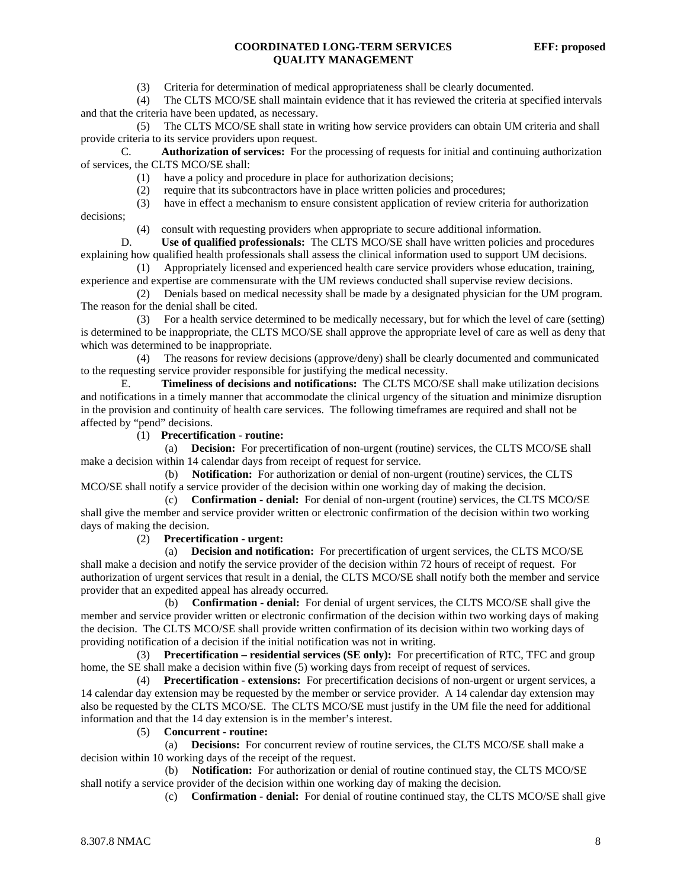(3) Criteria for determination of medical appropriateness shall be clearly documented.

 (4) The CLTS MCO/SE shall maintain evidence that it has reviewed the criteria at specified intervals and that the criteria have been updated, as necessary.

 (5) The CLTS MCO/SE shall state in writing how service providers can obtain UM criteria and shall provide criteria to its service providers upon request.

 C. **Authorization of services:** For the processing of requests for initial and continuing authorization of services, the CLTS MCO/SE shall:

- (1) have a policy and procedure in place for authorization decisions;
- (2) require that its subcontractors have in place written policies and procedures;
- (3) have in effect a mechanism to ensure consistent application of review criteria for authorization

decisions;

(4) consult with requesting providers when appropriate to secure additional information.

 D. **Use of qualified professionals:** The CLTS MCO/SE shall have written policies and procedures explaining how qualified health professionals shall assess the clinical information used to support UM decisions.

 (1) Appropriately licensed and experienced health care service providers whose education, training, experience and expertise are commensurate with the UM reviews conducted shall supervise review decisions.

 (2) Denials based on medical necessity shall be made by a designated physician for the UM program. The reason for the denial shall be cited.

 (3) For a health service determined to be medically necessary, but for which the level of care (setting) is determined to be inappropriate, the CLTS MCO/SE shall approve the appropriate level of care as well as deny that which was determined to be inappropriate.

 (4) The reasons for review decisions (approve/deny) shall be clearly documented and communicated to the requesting service provider responsible for justifying the medical necessity.

 E. **Timeliness of decisions and notifications:** The CLTS MCO/SE shall make utilization decisions and notifications in a timely manner that accommodate the clinical urgency of the situation and minimize disruption in the provision and continuity of health care services. The following timeframes are required and shall not be affected by "pend" decisions.

(1) **Precertification - routine:**

 (a) **Decision:** For precertification of non-urgent (routine) services, the CLTS MCO/SE shall make a decision within 14 calendar days from receipt of request for service.

 (b) **Notification:** For authorization or denial of non-urgent (routine) services, the CLTS MCO/SE shall notify a service provider of the decision within one working day of making the decision.

 (c) **Confirmation - denial:** For denial of non-urgent (routine) services, the CLTS MCO/SE shall give the member and service provider written or electronic confirmation of the decision within two working days of making the decision.

(2) **Precertification - urgent:**

 (a) **Decision and notification:** For precertification of urgent services, the CLTS MCO/SE shall make a decision and notify the service provider of the decision within 72 hours of receipt of request. For authorization of urgent services that result in a denial, the CLTS MCO/SE shall notify both the member and service provider that an expedited appeal has already occurred.

 (b) **Confirmation - denial:** For denial of urgent services, the CLTS MCO/SE shall give the member and service provider written or electronic confirmation of the decision within two working days of making the decision. The CLTS MCO/SE shall provide written confirmation of its decision within two working days of providing notification of a decision if the initial notification was not in writing.

 (3) **Precertification – residential services (SE only):** For precertification of RTC, TFC and group home, the SE shall make a decision within five (5) working days from receipt of request of services.

 (4) **Precertification - extensions:** For precertification decisions of non-urgent or urgent services, a 14 calendar day extension may be requested by the member or service provider. A 14 calendar day extension may also be requested by the CLTS MCO/SE. The CLTS MCO/SE must justify in the UM file the need for additional information and that the 14 day extension is in the member's interest.

(5) **Concurrent - routine:**

 (a) **Decisions:** For concurrent review of routine services, the CLTS MCO/SE shall make a decision within 10 working days of the receipt of the request.

 (b) **Notification:** For authorization or denial of routine continued stay, the CLTS MCO/SE shall notify a service provider of the decision within one working day of making the decision.

(c) **Confirmation - denial:** For denial of routine continued stay, the CLTS MCO/SE shall give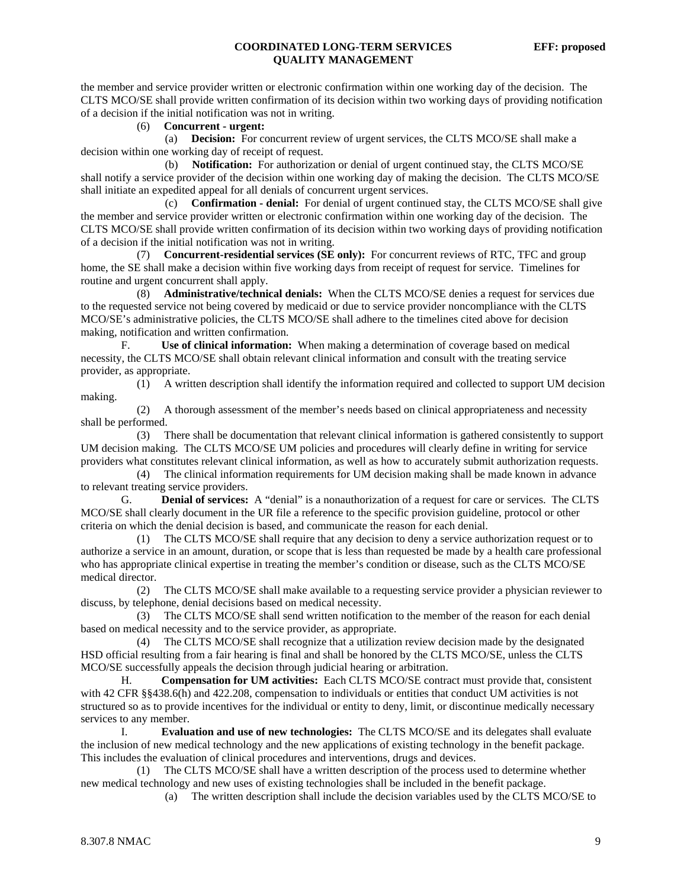the member and service provider written or electronic confirmation within one working day of the decision. The CLTS MCO/SE shall provide written confirmation of its decision within two working days of providing notification of a decision if the initial notification was not in writing.

# (6) **Concurrent - urgent:**

 (a) **Decision:** For concurrent review of urgent services, the CLTS MCO/SE shall make a decision within one working day of receipt of request.

 (b) **Notification:** For authorization or denial of urgent continued stay, the CLTS MCO/SE shall notify a service provider of the decision within one working day of making the decision. The CLTS MCO/SE shall initiate an expedited appeal for all denials of concurrent urgent services.

 (c) **Confirmation - denial:** For denial of urgent continued stay, the CLTS MCO/SE shall give the member and service provider written or electronic confirmation within one working day of the decision. The CLTS MCO/SE shall provide written confirmation of its decision within two working days of providing notification of a decision if the initial notification was not in writing.

 (7) **Concurrent-residential services (SE only):** For concurrent reviews of RTC, TFC and group home, the SE shall make a decision within five working days from receipt of request for service. Timelines for routine and urgent concurrent shall apply.

 (8) **Administrative/technical denials:** When the CLTS MCO/SE denies a request for services due to the requested service not being covered by medicaid or due to service provider noncompliance with the CLTS MCO/SE's administrative policies, the CLTS MCO/SE shall adhere to the timelines cited above for decision making, notification and written confirmation.

 F. **Use of clinical information:** When making a determination of coverage based on medical necessity, the CLTS MCO/SE shall obtain relevant clinical information and consult with the treating service provider, as appropriate.

 (1) A written description shall identify the information required and collected to support UM decision making.

 (2) A thorough assessment of the member's needs based on clinical appropriateness and necessity shall be performed.

 (3) There shall be documentation that relevant clinical information is gathered consistently to support UM decision making. The CLTS MCO/SE UM policies and procedures will clearly define in writing for service providers what constitutes relevant clinical information, as well as how to accurately submit authorization requests.

 (4) The clinical information requirements for UM decision making shall be made known in advance to relevant treating service providers.

 G. **Denial of services:** A "denial" is a nonauthorization of a request for care or services. The CLTS MCO/SE shall clearly document in the UR file a reference to the specific provision guideline, protocol or other criteria on which the denial decision is based, and communicate the reason for each denial.

 (1) The CLTS MCO/SE shall require that any decision to deny a service authorization request or to authorize a service in an amount, duration, or scope that is less than requested be made by a health care professional who has appropriate clinical expertise in treating the member's condition or disease, such as the CLTS MCO/SE medical director.

 (2) The CLTS MCO/SE shall make available to a requesting service provider a physician reviewer to discuss, by telephone, denial decisions based on medical necessity.

 (3) The CLTS MCO/SE shall send written notification to the member of the reason for each denial based on medical necessity and to the service provider, as appropriate.

 (4) The CLTS MCO/SE shall recognize that a utilization review decision made by the designated HSD official resulting from a fair hearing is final and shall be honored by the CLTS MCO/SE, unless the CLTS MCO/SE successfully appeals the decision through judicial hearing or arbitration.

 H. **Compensation for UM activities:** Each CLTS MCO/SE contract must provide that, consistent with 42 CFR §§438.6(h) and 422.208, compensation to individuals or entities that conduct UM activities is not structured so as to provide incentives for the individual or entity to deny, limit, or discontinue medically necessary services to any member.

 I. **Evaluation and use of new technologies:** The CLTS MCO/SE and its delegates shall evaluate the inclusion of new medical technology and the new applications of existing technology in the benefit package. This includes the evaluation of clinical procedures and interventions, drugs and devices.

 (1) The CLTS MCO/SE shall have a written description of the process used to determine whether new medical technology and new uses of existing technologies shall be included in the benefit package.

(a) The written description shall include the decision variables used by the CLTS MCO/SE to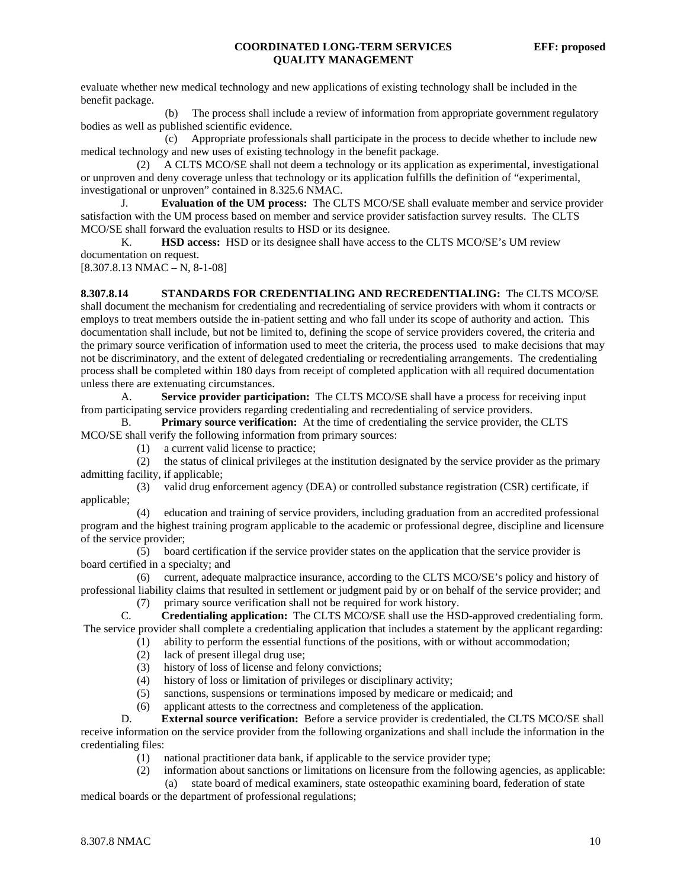evaluate whether new medical technology and new applications of existing technology shall be included in the benefit package.

 (b) The process shall include a review of information from appropriate government regulatory bodies as well as published scientific evidence.

 (c) Appropriate professionals shall participate in the process to decide whether to include new medical technology and new uses of existing technology in the benefit package.

 (2) A CLTS MCO/SE shall not deem a technology or its application as experimental, investigational or unproven and deny coverage unless that technology or its application fulfills the definition of "experimental, investigational or unproven" contained in 8.325.6 NMAC.

 J. **Evaluation of the UM process:** The CLTS MCO/SE shall evaluate member and service provider satisfaction with the UM process based on member and service provider satisfaction survey results. The CLTS MCO/SE shall forward the evaluation results to HSD or its designee.

 K. **HSD access:** HSD or its designee shall have access to the CLTS MCO/SE's UM review documentation on request.

 $[8.307.8.13 NMAC - N, 8-1-08]$ 

**8.307.8.14 STANDARDS FOR CREDENTIALING AND RECREDENTIALING:** The CLTS MCO/SE shall document the mechanism for credentialing and recredentialing of service providers with whom it contracts or employs to treat members outside the in-patient setting and who fall under its scope of authority and action. This documentation shall include, but not be limited to, defining the scope of service providers covered, the criteria and the primary source verification of information used to meet the criteria, the process used to make decisions that may not be discriminatory, and the extent of delegated credentialing or recredentialing arrangements. The credentialing process shall be completed within 180 days from receipt of completed application with all required documentation unless there are extenuating circumstances.

 A. **Service provider participation:** The CLTS MCO/SE shall have a process for receiving input from participating service providers regarding credentialing and recredentialing of service providers.

 B. **Primary source verification:** At the time of credentialing the service provider, the CLTS MCO/SE shall verify the following information from primary sources:

(1) a current valid license to practice;

 (2) the status of clinical privileges at the institution designated by the service provider as the primary admitting facility, if applicable;

 (3) valid drug enforcement agency (DEA) or controlled substance registration (CSR) certificate, if applicable;

 (4) education and training of service providers, including graduation from an accredited professional program and the highest training program applicable to the academic or professional degree, discipline and licensure of the service provider;

 (5) board certification if the service provider states on the application that the service provider is board certified in a specialty; and

 (6) current, adequate malpractice insurance, according to the CLTS MCO/SE's policy and history of professional liability claims that resulted in settlement or judgment paid by or on behalf of the service provider; and (7) primary source verification shall not be required for work history.

 C. **Credentialing application:** The CLTS MCO/SE shall use the HSD-approved credentialing form. The service provider shall complete a credentialing application that includes a statement by the applicant regarding: (1) ability to perform the essential functions of the positions, with or without accommodation;

- (2) lack of present illegal drug use;
- (3) history of loss of license and felony convictions;
- (4) history of loss or limitation of privileges or disciplinary activity;
- (5) sanctions, suspensions or terminations imposed by medicare or medicaid; and
- (6) applicant attests to the correctness and completeness of the application.

 D. **External source verification:** Before a service provider is credentialed, the CLTS MCO/SE shall receive information on the service provider from the following organizations and shall include the information in the credentialing files:

- (1) national practitioner data bank, if applicable to the service provider type;
- (2) information about sanctions or limitations on licensure from the following agencies, as applicable:
	- (a) state board of medical examiners, state osteopathic examining board, federation of state

medical boards or the department of professional regulations;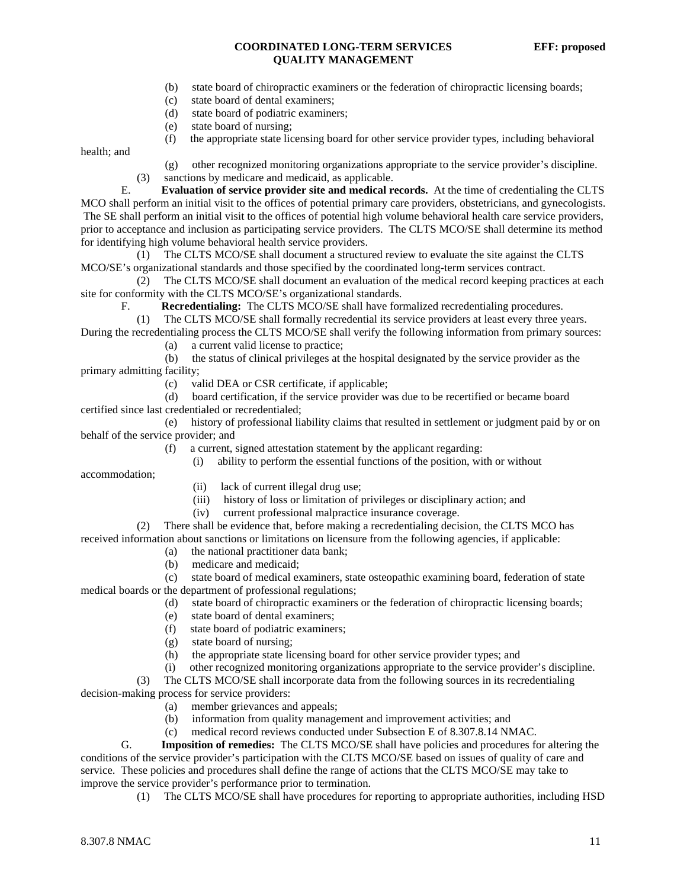- (b) state board of chiropractic examiners or the federation of chiropractic licensing boards;
- (c) state board of dental examiners;
- (d) state board of podiatric examiners;
- (e) state board of nursing;

(f) the appropriate state licensing board for other service provider types, including behavioral

health; and

 (g) other recognized monitoring organizations appropriate to the service provider's discipline. (3) sanctions by medicare and medicaid, as applicable.

 E. **Evaluation of service provider site and medical records.** At the time of credentialing the CLTS MCO shall perform an initial visit to the offices of potential primary care providers, obstetricians, and gynecologists. The SE shall perform an initial visit to the offices of potential high volume behavioral health care service providers, prior to acceptance and inclusion as participating service providers. The CLTS MCO/SE shall determine its method for identifying high volume behavioral health service providers.

 (1) The CLTS MCO/SE shall document a structured review to evaluate the site against the CLTS MCO/SE's organizational standards and those specified by the coordinated long-term services contract.

 (2) The CLTS MCO/SE shall document an evaluation of the medical record keeping practices at each site for conformity with the CLTS MCO/SE's organizational standards.

F. **Recredentialing:** The CLTS MCO/SE shall have formalized recredentialing procedures.

(1) The CLTS MCO/SE shall formally recredential its service providers at least every three years.

During the recredentialing process the CLTS MCO/SE shall verify the following information from primary sources: (a) a current valid license to practice;

 (b) the status of clinical privileges at the hospital designated by the service provider as the primary admitting facility;

(c) valid DEA or CSR certificate, if applicable;

 (d) board certification, if the service provider was due to be recertified or became board certified since last credentialed or recredentialed;

 (e) history of professional liability claims that resulted in settlement or judgment paid by or on behalf of the service provider; and

- (f) a current, signed attestation statement by the applicant regarding:
	- (i) ability to perform the essential functions of the position, with or without

accommodation;

- (ii) lack of current illegal drug use;
- (iii) history of loss or limitation of privileges or disciplinary action; and
- (iv) current professional malpractice insurance coverage.

 (2) There shall be evidence that, before making a recredentialing decision, the CLTS MCO has received information about sanctions or limitations on licensure from the following agencies, if applicable:

- (a) the national practitioner data bank;
- (b) medicare and medicaid;

 (c) state board of medical examiners, state osteopathic examining board, federation of state medical boards or the department of professional regulations;

- (d) state board of chiropractic examiners or the federation of chiropractic licensing boards;
- (e) state board of dental examiners;
- (f) state board of podiatric examiners;
- (g) state board of nursing;
- (h) the appropriate state licensing board for other service provider types; and
- (i) other recognized monitoring organizations appropriate to the service provider's discipline.

 (3) The CLTS MCO/SE shall incorporate data from the following sources in its recredentialing decision-making process for service providers:

- (a) member grievances and appeals;
- (b) information from quality management and improvement activities; and
- (c) medical record reviews conducted under Subsection E of 8.307.8.14 NMAC.

 G. **Imposition of remedies:** The CLTS MCO/SE shall have policies and procedures for altering the conditions of the service provider's participation with the CLTS MCO/SE based on issues of quality of care and service. These policies and procedures shall define the range of actions that the CLTS MCO/SE may take to improve the service provider's performance prior to termination.

(1) The CLTS MCO/SE shall have procedures for reporting to appropriate authorities, including HSD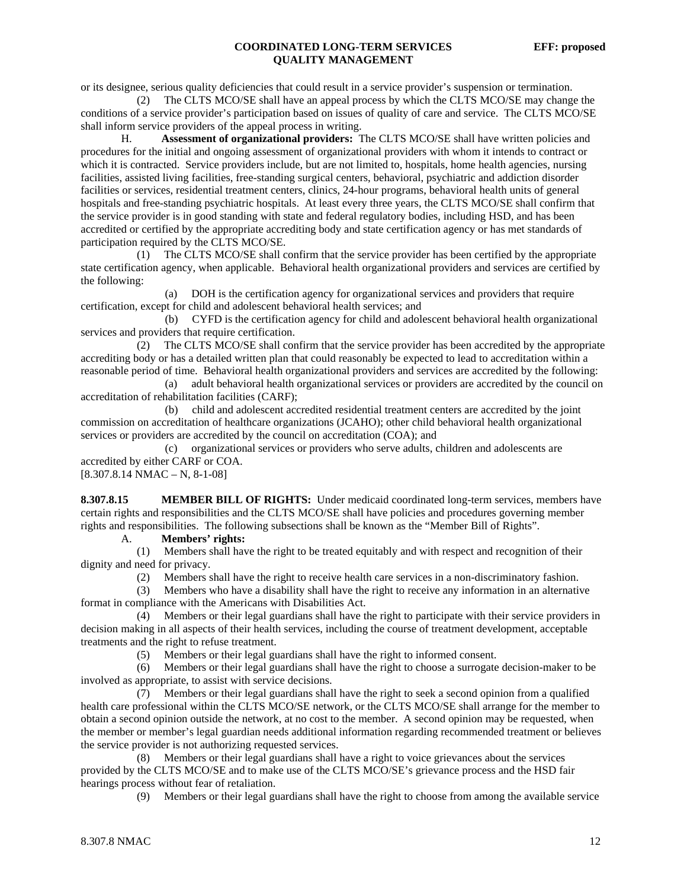or its designee, serious quality deficiencies that could result in a service provider's suspension or termination.

 (2) The CLTS MCO/SE shall have an appeal process by which the CLTS MCO/SE may change the conditions of a service provider's participation based on issues of quality of care and service. The CLTS MCO/SE shall inform service providers of the appeal process in writing.

 H. **Assessment of organizational providers:** The CLTS MCO/SE shall have written policies and procedures for the initial and ongoing assessment of organizational providers with whom it intends to contract or which it is contracted. Service providers include, but are not limited to, hospitals, home health agencies, nursing facilities, assisted living facilities, free-standing surgical centers, behavioral, psychiatric and addiction disorder facilities or services, residential treatment centers, clinics, 24-hour programs, behavioral health units of general hospitals and free-standing psychiatric hospitals. At least every three years, the CLTS MCO/SE shall confirm that the service provider is in good standing with state and federal regulatory bodies, including HSD, and has been accredited or certified by the appropriate accrediting body and state certification agency or has met standards of participation required by the CLTS MCO/SE.

 (1) The CLTS MCO/SE shall confirm that the service provider has been certified by the appropriate state certification agency, when applicable. Behavioral health organizational providers and services are certified by the following:

 (a) DOH is the certification agency for organizational services and providers that require certification, except for child and adolescent behavioral health services; and

 (b) CYFD is the certification agency for child and adolescent behavioral health organizational services and providers that require certification.

 (2) The CLTS MCO/SE shall confirm that the service provider has been accredited by the appropriate accrediting body or has a detailed written plan that could reasonably be expected to lead to accreditation within a reasonable period of time. Behavioral health organizational providers and services are accredited by the following:

 (a) adult behavioral health organizational services or providers are accredited by the council on accreditation of rehabilitation facilities (CARF);

 (b) child and adolescent accredited residential treatment centers are accredited by the joint commission on accreditation of healthcare organizations (JCAHO); other child behavioral health organizational services or providers are accredited by the council on accreditation (COA); and

 (c) organizational services or providers who serve adults, children and adolescents are accredited by either CARF or COA.

 $[8.307.8.14 NMAC - N, 8-1-08]$ 

**8.307.8.15 MEMBER BILL OF RIGHTS:** Under medicaid coordinated long-term services, members have certain rights and responsibilities and the CLTS MCO/SE shall have policies and procedures governing member rights and responsibilities. The following subsections shall be known as the "Member Bill of Rights".

A. **Members' rights:**

 (1) Members shall have the right to be treated equitably and with respect and recognition of their dignity and need for privacy.

(2) Members shall have the right to receive health care services in a non-discriminatory fashion.

 (3) Members who have a disability shall have the right to receive any information in an alternative format in compliance with the Americans with Disabilities Act.

 (4) Members or their legal guardians shall have the right to participate with their service providers in decision making in all aspects of their health services, including the course of treatment development, acceptable treatments and the right to refuse treatment.

(5) Members or their legal guardians shall have the right to informed consent.

 (6) Members or their legal guardians shall have the right to choose a surrogate decision-maker to be involved as appropriate, to assist with service decisions.

 (7) Members or their legal guardians shall have the right to seek a second opinion from a qualified health care professional within the CLTS MCO/SE network, or the CLTS MCO/SE shall arrange for the member to obtain a second opinion outside the network, at no cost to the member. A second opinion may be requested, when the member or member's legal guardian needs additional information regarding recommended treatment or believes the service provider is not authorizing requested services.

 (8) Members or their legal guardians shall have a right to voice grievances about the services provided by the CLTS MCO/SE and to make use of the CLTS MCO/SE's grievance process and the HSD fair hearings process without fear of retaliation.

(9) Members or their legal guardians shall have the right to choose from among the available service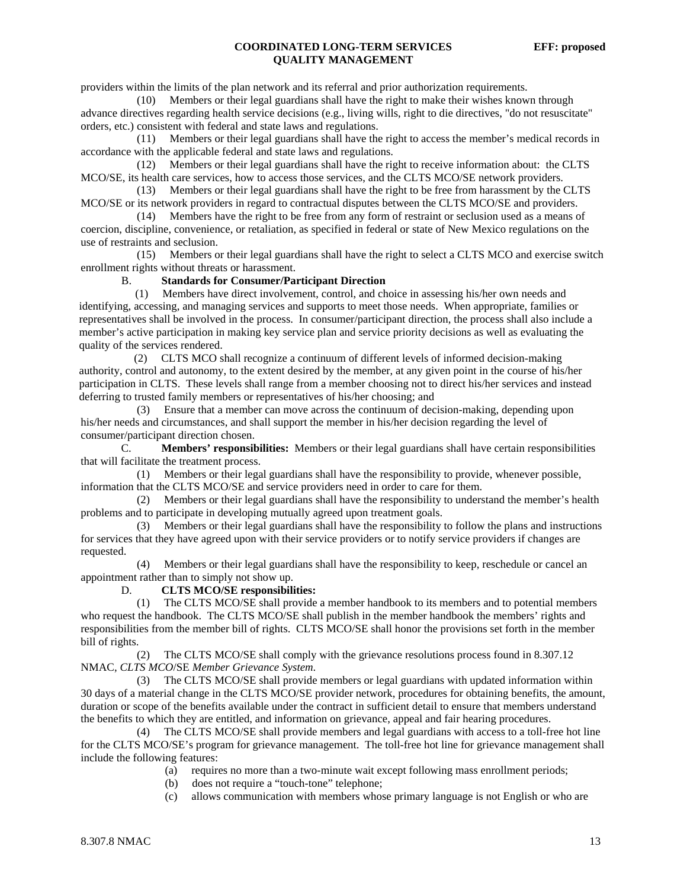providers within the limits of the plan network and its referral and prior authorization requirements.

 (10) Members or their legal guardians shall have the right to make their wishes known through advance directives regarding health service decisions (e.g., living wills, right to die directives, "do not resuscitate" orders, etc.) consistent with federal and state laws and regulations.

 (11) Members or their legal guardians shall have the right to access the member's medical records in accordance with the applicable federal and state laws and regulations.

 (12) Members or their legal guardians shall have the right to receive information about: the CLTS MCO/SE, its health care services, how to access those services, and the CLTS MCO/SE network providers.

 (13) Members or their legal guardians shall have the right to be free from harassment by the CLTS MCO/SE or its network providers in regard to contractual disputes between the CLTS MCO/SE and providers.

 (14) Members have the right to be free from any form of restraint or seclusion used as a means of coercion, discipline, convenience, or retaliation, as specified in federal or state of New Mexico regulations on the use of restraints and seclusion.

 (15) Members or their legal guardians shall have the right to select a CLTS MCO and exercise switch enrollment rights without threats or harassment.

#### B. **Standards for Consumer/Participant Direction**

 (1) Members have direct involvement, control, and choice in assessing his/her own needs and identifying, accessing, and managing services and supports to meet those needs. When appropriate, families or representatives shall be involved in the process. In consumer/participant direction, the process shall also include a member's active participation in making key service plan and service priority decisions as well as evaluating the quality of the services rendered.

 (2) CLTS MCO shall recognize a continuum of different levels of informed decision-making authority, control and autonomy, to the extent desired by the member, at any given point in the course of his/her participation in CLTS. These levels shall range from a member choosing not to direct his/her services and instead deferring to trusted family members or representatives of his/her choosing; and

 (3) Ensure that a member can move across the continuum of decision-making, depending upon his/her needs and circumstances, and shall support the member in his/her decision regarding the level of consumer/participant direction chosen.

 C. **Members' responsibilities:** Members or their legal guardians shall have certain responsibilities that will facilitate the treatment process.

 (1) Members or their legal guardians shall have the responsibility to provide, whenever possible, information that the CLTS MCO/SE and service providers need in order to care for them.

 (2) Members or their legal guardians shall have the responsibility to understand the member's health problems and to participate in developing mutually agreed upon treatment goals.

 (3) Members or their legal guardians shall have the responsibility to follow the plans and instructions for services that they have agreed upon with their service providers or to notify service providers if changes are requested.

 (4) Members or their legal guardians shall have the responsibility to keep, reschedule or cancel an appointment rather than to simply not show up.

#### D. **CLTS MCO/SE responsibilities:**

 (1) The CLTS MCO/SE shall provide a member handbook to its members and to potential members who request the handbook. The CLTS MCO/SE shall publish in the member handbook the members' rights and responsibilities from the member bill of rights. CLTS MCO/SE shall honor the provisions set forth in the member bill of rights.

 (2) The CLTS MCO/SE shall comply with the grievance resolutions process found in 8.307.12 NMAC, *CLTS MCO*/SE *Member Grievance System*.

 (3) The CLTS MCO/SE shall provide members or legal guardians with updated information within 30 days of a material change in the CLTS MCO/SE provider network, procedures for obtaining benefits, the amount, duration or scope of the benefits available under the contract in sufficient detail to ensure that members understand the benefits to which they are entitled, and information on grievance, appeal and fair hearing procedures.

 (4) The CLTS MCO/SE shall provide members and legal guardians with access to a toll-free hot line for the CLTS MCO/SE's program for grievance management. The toll-free hot line for grievance management shall include the following features:<br>(a) require

- requires no more than a two-minute wait except following mass enrollment periods;
- (b) does not require a "touch-tone" telephone;
- (c) allows communication with members whose primary language is not English or who are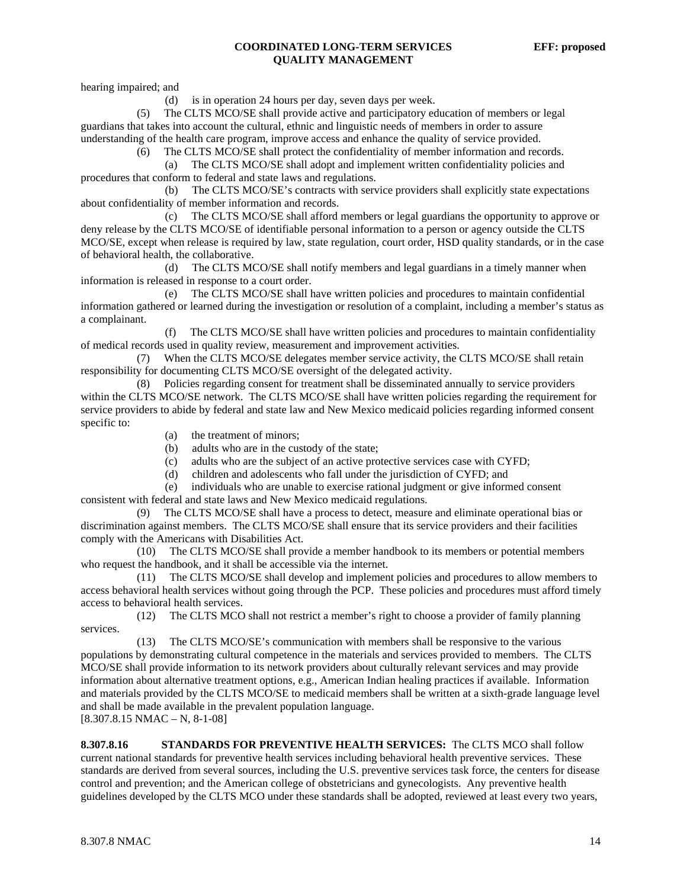hearing impaired; and

(d) is in operation 24 hours per day, seven days per week.

 (5) The CLTS MCO/SE shall provide active and participatory education of members or legal guardians that takes into account the cultural, ethnic and linguistic needs of members in order to assure understanding of the health care program, improve access and enhance the quality of service provided.

(6) The CLTS MCO/SE shall protect the confidentiality of member information and records.

 (a) The CLTS MCO/SE shall adopt and implement written confidentiality policies and procedures that conform to federal and state laws and regulations.

 (b) The CLTS MCO/SE's contracts with service providers shall explicitly state expectations about confidentiality of member information and records.

 (c) The CLTS MCO/SE shall afford members or legal guardians the opportunity to approve or deny release by the CLTS MCO/SE of identifiable personal information to a person or agency outside the CLTS MCO/SE, except when release is required by law, state regulation, court order, HSD quality standards, or in the case of behavioral health, the collaborative.

 (d) The CLTS MCO/SE shall notify members and legal guardians in a timely manner when information is released in response to a court order.

 (e) The CLTS MCO/SE shall have written policies and procedures to maintain confidential information gathered or learned during the investigation or resolution of a complaint, including a member's status as a complainant.

 (f) The CLTS MCO/SE shall have written policies and procedures to maintain confidentiality of medical records used in quality review, measurement and improvement activities.

When the CLTS MCO/SE delegates member service activity, the CLTS MCO/SE shall retain responsibility for documenting CLTS MCO/SE oversight of the delegated activity.

 (8) Policies regarding consent for treatment shall be disseminated annually to service providers within the CLTS MCO/SE network. The CLTS MCO/SE shall have written policies regarding the requirement for service providers to abide by federal and state law and New Mexico medicaid policies regarding informed consent specific to:

- (a) the treatment of minors;
- (b) adults who are in the custody of the state;
- (c) adults who are the subject of an active protective services case with CYFD;
- (d) children and adolescents who fall under the jurisdiction of CYFD; and
- (e) individuals who are unable to exercise rational judgment or give informed consent consistent with federal and state laws and New Mexico medicaid regulations.

 (9) The CLTS MCO/SE shall have a process to detect, measure and eliminate operational bias or discrimination against members. The CLTS MCO/SE shall ensure that its service providers and their facilities comply with the Americans with Disabilities Act.

 (10) The CLTS MCO/SE shall provide a member handbook to its members or potential members who request the handbook, and it shall be accessible via the internet.

 (11) The CLTS MCO/SE shall develop and implement policies and procedures to allow members to access behavioral health services without going through the PCP. These policies and procedures must afford timely access to behavioral health services.

 (12) The CLTS MCO shall not restrict a member's right to choose a provider of family planning services.

 (13) The CLTS MCO/SE's communication with members shall be responsive to the various populations by demonstrating cultural competence in the materials and services provided to members. The CLTS MCO/SE shall provide information to its network providers about culturally relevant services and may provide information about alternative treatment options, e.g., American Indian healing practices if available. Information and materials provided by the CLTS MCO/SE to medicaid members shall be written at a sixth-grade language level and shall be made available in the prevalent population language.

 $[8.307.8.15 NMAC - N, 8-1-08]$ 

**8.307.8.16 STANDARDS FOR PREVENTIVE HEALTH SERVICES:** The CLTS MCO shall follow current national standards for preventive health services including behavioral health preventive services. These standards are derived from several sources, including the U.S. preventive services task force, the centers for disease control and prevention; and the American college of obstetricians and gynecologists. Any preventive health guidelines developed by the CLTS MCO under these standards shall be adopted, reviewed at least every two years,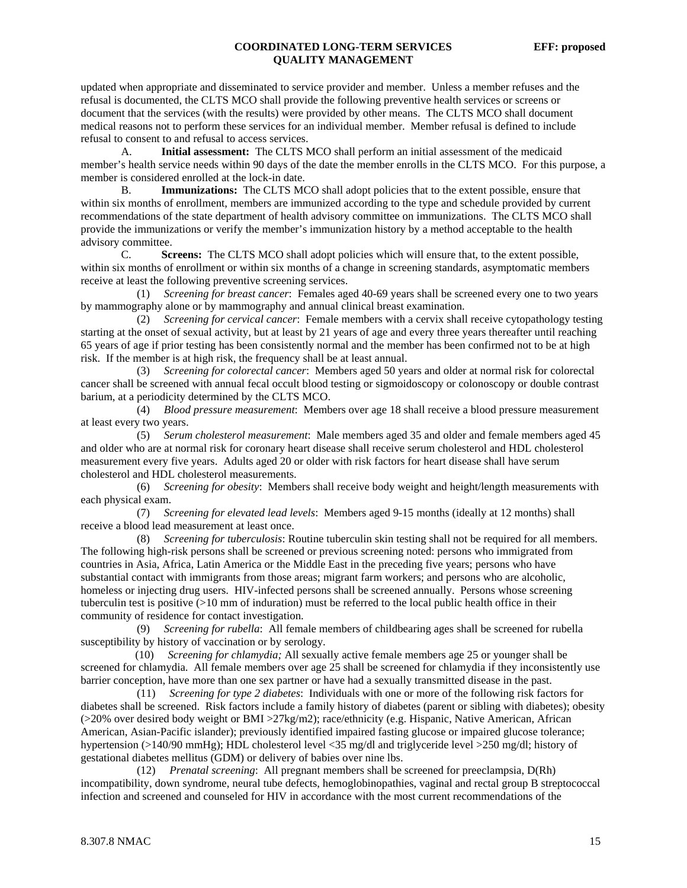updated when appropriate and disseminated to service provider and member. Unless a member refuses and the refusal is documented, the CLTS MCO shall provide the following preventive health services or screens or document that the services (with the results) were provided by other means. The CLTS MCO shall document medical reasons not to perform these services for an individual member. Member refusal is defined to include refusal to consent to and refusal to access services.

 A. **Initial assessment:** The CLTS MCO shall perform an initial assessment of the medicaid member's health service needs within 90 days of the date the member enrolls in the CLTS MCO. For this purpose, a member is considered enrolled at the lock-in date.

 B. **Immunizations:** The CLTS MCO shall adopt policies that to the extent possible, ensure that within six months of enrollment, members are immunized according to the type and schedule provided by current recommendations of the state department of health advisory committee on immunizations. The CLTS MCO shall provide the immunizations or verify the member's immunization history by a method acceptable to the health advisory committee.

 C. **Screens:** The CLTS MCO shall adopt policies which will ensure that, to the extent possible, within six months of enrollment or within six months of a change in screening standards, asymptomatic members receive at least the following preventive screening services.

 (1) *Screening for breast cancer*: Females aged 40-69 years shall be screened every one to two years by mammography alone or by mammography and annual clinical breast examination.

 (2) *Screening for cervical cancer*: Female members with a cervix shall receive cytopathology testing starting at the onset of sexual activity, but at least by 21 years of age and every three years thereafter until reaching 65 years of age if prior testing has been consistently normal and the member has been confirmed not to be at high risk. If the member is at high risk, the frequency shall be at least annual.

 (3) *Screening for colorectal cancer*: Members aged 50 years and older at normal risk for colorectal cancer shall be screened with annual fecal occult blood testing or sigmoidoscopy or colonoscopy or double contrast barium, at a periodicity determined by the CLTS MCO.

 (4) *Blood pressure measurement*: Members over age 18 shall receive a blood pressure measurement at least every two years.

 (5) *Serum cholesterol measurement*: Male members aged 35 and older and female members aged 45 and older who are at normal risk for coronary heart disease shall receive serum cholesterol and HDL cholesterol measurement every five years. Adults aged 20 or older with risk factors for heart disease shall have serum cholesterol and HDL cholesterol measurements.

 (6) *Screening for obesity*: Members shall receive body weight and height/length measurements with each physical exam.

 (7) *Screening for elevated lead levels*: Members aged 9-15 months (ideally at 12 months) shall receive a blood lead measurement at least once.

 (8) *Screening for tuberculosis*: Routine tuberculin skin testing shall not be required for all members. The following high-risk persons shall be screened or previous screening noted: persons who immigrated from countries in Asia, Africa, Latin America or the Middle East in the preceding five years; persons who have substantial contact with immigrants from those areas; migrant farm workers; and persons who are alcoholic, homeless or injecting drug users. HIV-infected persons shall be screened annually. Persons whose screening tuberculin test is positive (>10 mm of induration) must be referred to the local public health office in their community of residence for contact investigation.

 (9) *Screening for rubella*: All female members of childbearing ages shall be screened for rubella susceptibility by history of vaccination or by serology.

 (10) *Screening for chlamydia;* All sexually active female members age 25 or younger shall be screened for chlamydia. All female members over age 25 shall be screened for chlamydia if they inconsistently use barrier conception, have more than one sex partner or have had a sexually transmitted disease in the past.

 (11) *Screening for type 2 diabetes*: Individuals with one or more of the following risk factors for diabetes shall be screened. Risk factors include a family history of diabetes (parent or sibling with diabetes); obesity (>20% over desired body weight or BMI >27kg/m2); race/ethnicity (e.g. Hispanic, Native American, African American, Asian-Pacific islander); previously identified impaired fasting glucose or impaired glucose tolerance; hypertension (>140/90 mmHg); HDL cholesterol level <35 mg/dl and triglyceride level >250 mg/dl; history of gestational diabetes mellitus (GDM) or delivery of babies over nine lbs.

 (12) *Prenatal screening*: All pregnant members shall be screened for preeclampsia, D(Rh) incompatibility, down syndrome, neural tube defects, hemoglobinopathies, vaginal and rectal group B streptococcal infection and screened and counseled for HIV in accordance with the most current recommendations of the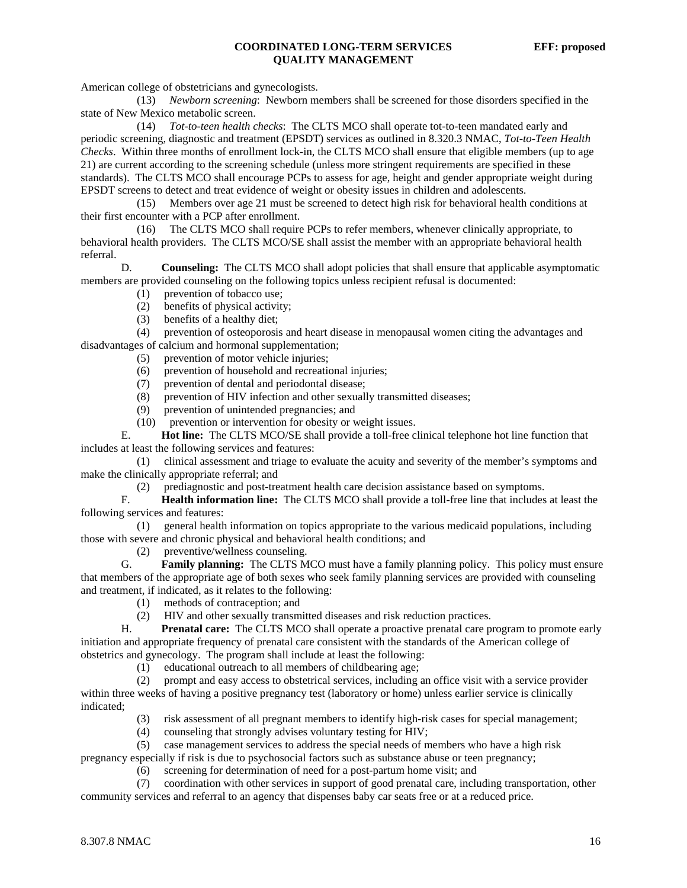American college of obstetricians and gynecologists.

 (13) *Newborn screening*: Newborn members shall be screened for those disorders specified in the state of New Mexico metabolic screen.

 (14) *Tot-to-teen health checks*: The CLTS MCO shall operate tot-to-teen mandated early and periodic screening, diagnostic and treatment (EPSDT) services as outlined in 8.320.3 NMAC, *Tot-to-Teen Health Checks*. Within three months of enrollment lock-in, the CLTS MCO shall ensure that eligible members (up to age 21) are current according to the screening schedule (unless more stringent requirements are specified in these standards). The CLTS MCO shall encourage PCPs to assess for age, height and gender appropriate weight during EPSDT screens to detect and treat evidence of weight or obesity issues in children and adolescents.

 (15) Members over age 21 must be screened to detect high risk for behavioral health conditions at their first encounter with a PCP after enrollment.

 (16) The CLTS MCO shall require PCPs to refer members, whenever clinically appropriate, to behavioral health providers. The CLTS MCO/SE shall assist the member with an appropriate behavioral health referral.

 D. **Counseling:** The CLTS MCO shall adopt policies that shall ensure that applicable asymptomatic members are provided counseling on the following topics unless recipient refusal is documented:

- (1) prevention of tobacco use;
- (2) benefits of physical activity;<br>(3) benefits of a healthy diet;
- benefits of a healthy diet;

 (4) prevention of osteoporosis and heart disease in menopausal women citing the advantages and disadvantages of calcium and hormonal supplementation;

- (5) prevention of motor vehicle injuries;
- (6) prevention of household and recreational injuries;
- (7) prevention of dental and periodontal disease;
- (8) prevention of HIV infection and other sexually transmitted diseases;
- (9) prevention of unintended pregnancies; and
- (10) prevention or intervention for obesity or weight issues.

 E. **Hot line:** The CLTS MCO/SE shall provide a toll-free clinical telephone hot line function that includes at least the following services and features:

 (1) clinical assessment and triage to evaluate the acuity and severity of the member's symptoms and make the clinically appropriate referral; and

(2) prediagnostic and post-treatment health care decision assistance based on symptoms.

 F. **Health information line:** The CLTS MCO shall provide a toll-free line that includes at least the following services and features:

 (1) general health information on topics appropriate to the various medicaid populations, including those with severe and chronic physical and behavioral health conditions; and

(2) preventive/wellness counseling.

 G. **Family planning:** The CLTS MCO must have a family planning policy. This policy must ensure that members of the appropriate age of both sexes who seek family planning services are provided with counseling and treatment, if indicated, as it relates to the following:

- (1) methods of contraception; and
- (2) HIV and other sexually transmitted diseases and risk reduction practices.

 H. **Prenatal care:** The CLTS MCO shall operate a proactive prenatal care program to promote early initiation and appropriate frequency of prenatal care consistent with the standards of the American college of obstetrics and gynecology. The program shall include at least the following:

(1) educational outreach to all members of childbearing age;

 (2) prompt and easy access to obstetrical services, including an office visit with a service provider within three weeks of having a positive pregnancy test (laboratory or home) unless earlier service is clinically indicated;

- (3) risk assessment of all pregnant members to identify high-risk cases for special management;
- (4) counseling that strongly advises voluntary testing for HIV;
- (5) case management services to address the special needs of members who have a high risk

pregnancy especially if risk is due to psychosocial factors such as substance abuse or teen pregnancy; (6) screening for determination of need for a post-partum home visit; and

(7) coordination with other services in support of good prenatal care, including transportation, other

community services and referral to an agency that dispenses baby car seats free or at a reduced price.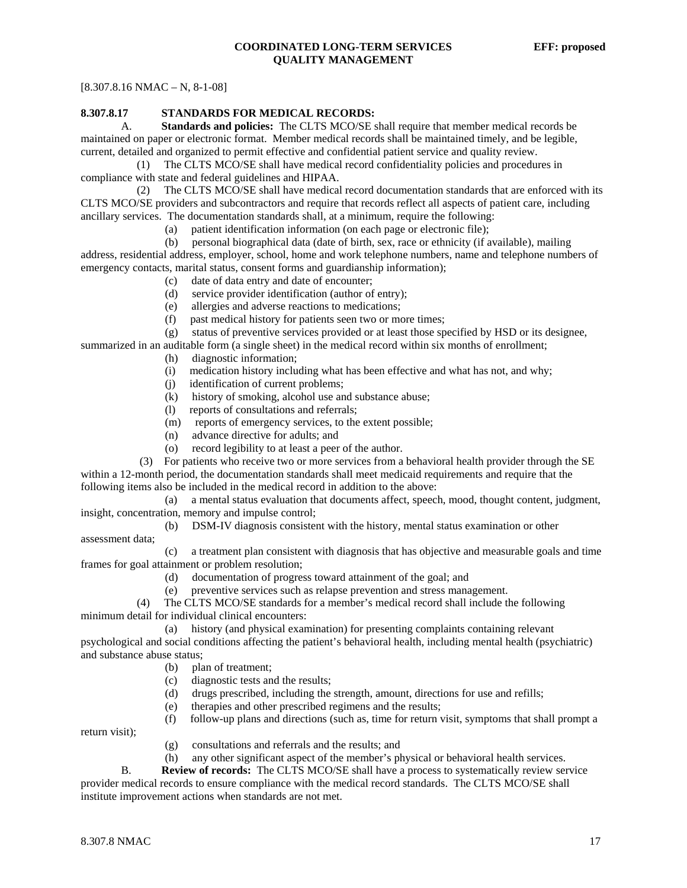$[8.307.8.16 NMAC - N, 8-1-08]$ 

### **8.307.8.17 STANDARDS FOR MEDICAL RECORDS:**

 A. **Standards and policies:** The CLTS MCO/SE shall require that member medical records be maintained on paper or electronic format. Member medical records shall be maintained timely, and be legible, current, detailed and organized to permit effective and confidential patient service and quality review.

 (1) The CLTS MCO/SE shall have medical record confidentiality policies and procedures in compliance with state and federal guidelines and HIPAA.

 (2) The CLTS MCO/SE shall have medical record documentation standards that are enforced with its CLTS MCO/SE providers and subcontractors and require that records reflect all aspects of patient care, including ancillary services. The documentation standards shall, at a minimum, require the following:

(a) patient identification information (on each page or electronic file);

 (b) personal biographical data (date of birth, sex, race or ethnicity (if available), mailing address, residential address, employer, school, home and work telephone numbers, name and telephone numbers of emergency contacts, marital status, consent forms and guardianship information);

- (c) date of data entry and date of encounter;
- (d) service provider identification (author of entry);
- (e) allergies and adverse reactions to medications;
- (f) past medical history for patients seen two or more times;

(g) status of preventive services provided or at least those specified by HSD or its designee,

- summarized in an auditable form (a single sheet) in the medical record within six months of enrollment;
	- (h) diagnostic information;
	- (i) medication history including what has been effective and what has not, and why;
	- (j) identification of current problems;
	- (k) history of smoking, alcohol use and substance abuse;
	- (l) reports of consultations and referrals;
	- (m) reports of emergency services, to the extent possible;
	- (n) advance directive for adults; and
	- (o) record legibility to at least a peer of the author.

 (3) For patients who receive two or more services from a behavioral health provider through the SE within a 12-month period, the documentation standards shall meet medicaid requirements and require that the following items also be included in the medical record in addition to the above:

 (a) a mental status evaluation that documents affect, speech, mood, thought content, judgment, insight, concentration, memory and impulse control;

 (b) DSM-IV diagnosis consistent with the history, mental status examination or other assessment data;

 (c) a treatment plan consistent with diagnosis that has objective and measurable goals and time frames for goal attainment or problem resolution;

- (d) documentation of progress toward attainment of the goal; and
- (e) preventive services such as relapse prevention and stress management.

 (4) The CLTS MCO/SE standards for a member's medical record shall include the following minimum detail for individual clinical encounters:

 (a) history (and physical examination) for presenting complaints containing relevant psychological and social conditions affecting the patient's behavioral health, including mental health (psychiatric) and substance abuse status;

- (b) plan of treatment;
- (c) diagnostic tests and the results;
- (d) drugs prescribed, including the strength, amount, directions for use and refills;
- (e) therapies and other prescribed regimens and the results;

 (f) follow-up plans and directions (such as, time for return visit, symptoms that shall prompt a return visit);

- (g) consultations and referrals and the results; and
- (h) any other significant aspect of the member's physical or behavioral health services.

 B. **Review of records:** The CLTS MCO/SE shall have a process to systematically review service provider medical records to ensure compliance with the medical record standards. The CLTS MCO/SE shall institute improvement actions when standards are not met.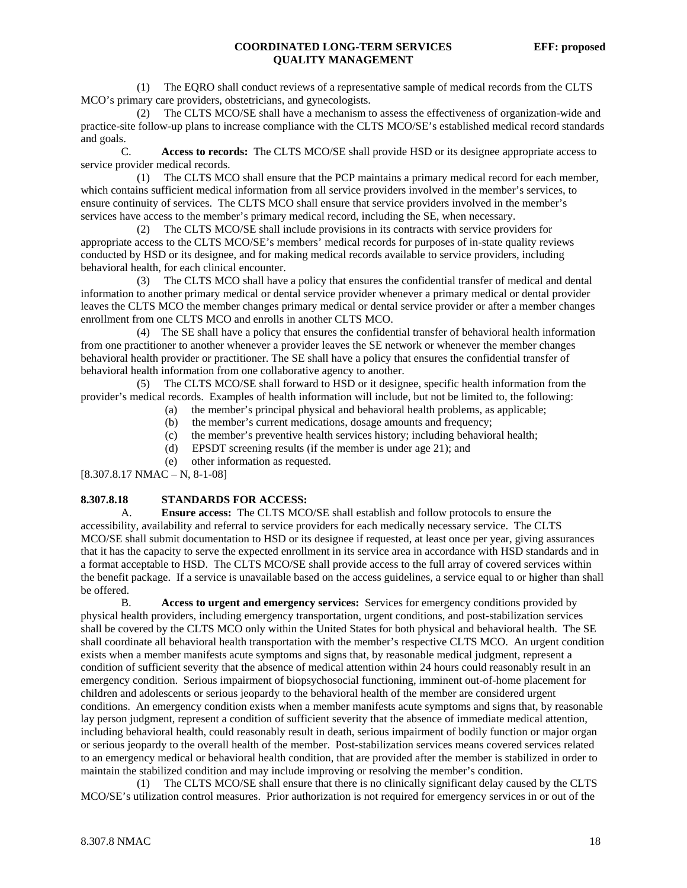(1) The EQRO shall conduct reviews of a representative sample of medical records from the CLTS MCO's primary care providers, obstetricians, and gynecologists.

 (2) The CLTS MCO/SE shall have a mechanism to assess the effectiveness of organization-wide and practice-site follow-up plans to increase compliance with the CLTS MCO/SE's established medical record standards and goals.

 C. **Access to records:** The CLTS MCO/SE shall provide HSD or its designee appropriate access to service provider medical records.

 (1) The CLTS MCO shall ensure that the PCP maintains a primary medical record for each member, which contains sufficient medical information from all service providers involved in the member's services, to ensure continuity of services. The CLTS MCO shall ensure that service providers involved in the member's services have access to the member's primary medical record, including the SE, when necessary.

 (2) The CLTS MCO/SE shall include provisions in its contracts with service providers for appropriate access to the CLTS MCO/SE's members' medical records for purposes of in-state quality reviews conducted by HSD or its designee, and for making medical records available to service providers, including behavioral health, for each clinical encounter.

 (3) The CLTS MCO shall have a policy that ensures the confidential transfer of medical and dental information to another primary medical or dental service provider whenever a primary medical or dental provider leaves the CLTS MCO the member changes primary medical or dental service provider or after a member changes enrollment from one CLTS MCO and enrolls in another CLTS MCO.

 (4) The SE shall have a policy that ensures the confidential transfer of behavioral health information from one practitioner to another whenever a provider leaves the SE network or whenever the member changes behavioral health provider or practitioner. The SE shall have a policy that ensures the confidential transfer of behavioral health information from one collaborative agency to another.

 (5) The CLTS MCO/SE shall forward to HSD or it designee, specific health information from the provider's medical records. Examples of health information will include, but not be limited to, the following:

- (a) the member's principal physical and behavioral health problems, as applicable;
- (b) the member's current medications, dosage amounts and frequency;
- (c) the member's preventive health services history; including behavioral health;
- (d) EPSDT screening results (if the member is under age 21); and
- (e) other information as requested.

[8.307.8.17 NMAC – N, 8-1-08]

# **8.307.8.18 STANDARDS FOR ACCESS:**

 A. **Ensure access:** The CLTS MCO/SE shall establish and follow protocols to ensure the accessibility, availability and referral to service providers for each medically necessary service. The CLTS MCO/SE shall submit documentation to HSD or its designee if requested, at least once per year, giving assurances that it has the capacity to serve the expected enrollment in its service area in accordance with HSD standards and in a format acceptable to HSD. The CLTS MCO/SE shall provide access to the full array of covered services within the benefit package. If a service is unavailable based on the access guidelines, a service equal to or higher than shall be offered.

 B. **Access to urgent and emergency services:** Services for emergency conditions provided by physical health providers, including emergency transportation, urgent conditions, and post-stabilization services shall be covered by the CLTS MCO only within the United States for both physical and behavioral health. The SE shall coordinate all behavioral health transportation with the member's respective CLTS MCO. An urgent condition exists when a member manifests acute symptoms and signs that, by reasonable medical judgment, represent a condition of sufficient severity that the absence of medical attention within 24 hours could reasonably result in an emergency condition. Serious impairment of biopsychosocial functioning, imminent out-of-home placement for children and adolescents or serious jeopardy to the behavioral health of the member are considered urgent conditions. An emergency condition exists when a member manifests acute symptoms and signs that, by reasonable lay person judgment, represent a condition of sufficient severity that the absence of immediate medical attention, including behavioral health, could reasonably result in death, serious impairment of bodily function or major organ or serious jeopardy to the overall health of the member. Post-stabilization services means covered services related to an emergency medical or behavioral health condition, that are provided after the member is stabilized in order to maintain the stabilized condition and may include improving or resolving the member's condition.

 (1) The CLTS MCO/SE shall ensure that there is no clinically significant delay caused by the CLTS MCO/SE's utilization control measures. Prior authorization is not required for emergency services in or out of the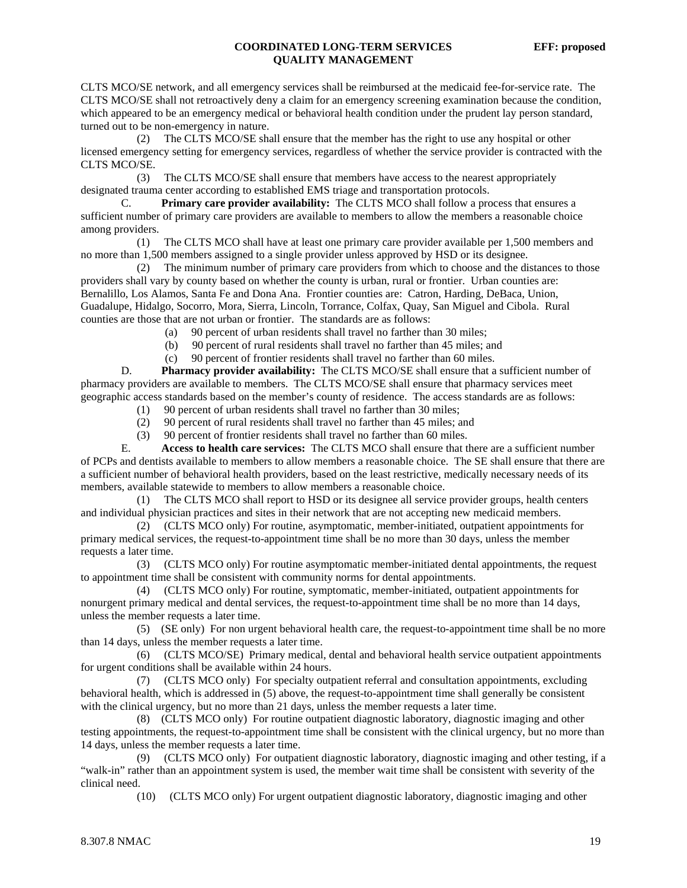CLTS MCO/SE network, and all emergency services shall be reimbursed at the medicaid fee-for-service rate. The CLTS MCO/SE shall not retroactively deny a claim for an emergency screening examination because the condition, which appeared to be an emergency medical or behavioral health condition under the prudent lay person standard, turned out to be non-emergency in nature.

 (2) The CLTS MCO/SE shall ensure that the member has the right to use any hospital or other licensed emergency setting for emergency services, regardless of whether the service provider is contracted with the CLTS MCO/SE.

 (3) The CLTS MCO/SE shall ensure that members have access to the nearest appropriately designated trauma center according to established EMS triage and transportation protocols.

 C. **Primary care provider availability:** The CLTS MCO shall follow a process that ensures a sufficient number of primary care providers are available to members to allow the members a reasonable choice among providers.

 (1) The CLTS MCO shall have at least one primary care provider available per 1,500 members and no more than 1,500 members assigned to a single provider unless approved by HSD or its designee.

 (2) The minimum number of primary care providers from which to choose and the distances to those providers shall vary by county based on whether the county is urban, rural or frontier. Urban counties are: Bernalillo, Los Alamos, Santa Fe and Dona Ana. Frontier counties are: Catron, Harding, DeBaca, Union, Guadalupe, Hidalgo, Socorro, Mora, Sierra, Lincoln, Torrance, Colfax, Quay, San Miguel and Cibola. Rural counties are those that are not urban or frontier. The standards are as follows:

- (a) 90 percent of urban residents shall travel no farther than 30 miles;
- (b) 90 percent of rural residents shall travel no farther than 45 miles; and
- (c) 90 percent of frontier residents shall travel no farther than 60 miles.

D. **Pharmacy provider availability:** The CLTS MCO/SE shall ensure that a sufficient number of pharmacy providers are available to members. The CLTS MCO/SE shall ensure that pharmacy services meet geographic access standards based on the member's county of residence. The access standards are as follows:

- (1) 90 percent of urban residents shall travel no farther than 30 miles;
- (2) 90 percent of rural residents shall travel no farther than 45 miles; and
- (3) 90 percent of frontier residents shall travel no farther than 60 miles.

 E. **Access to health care services:** The CLTS MCO shall ensure that there are a sufficient number of PCPs and dentists available to members to allow members a reasonable choice. The SE shall ensure that there are a sufficient number of behavioral health providers, based on the least restrictive, medically necessary needs of its members, available statewide to members to allow members a reasonable choice.

 (1) The CLTS MCO shall report to HSD or its designee all service provider groups, health centers and individual physician practices and sites in their network that are not accepting new medicaid members.

 (2) (CLTS MCO only) For routine, asymptomatic, member-initiated, outpatient appointments for primary medical services, the request-to-appointment time shall be no more than 30 days, unless the member requests a later time.

 (3) (CLTS MCO only) For routine asymptomatic member-initiated dental appointments, the request to appointment time shall be consistent with community norms for dental appointments.

 (4) (CLTS MCO only) For routine, symptomatic, member-initiated, outpatient appointments for nonurgent primary medical and dental services, the request-to-appointment time shall be no more than 14 days, unless the member requests a later time.

 (5) (SE only) For non urgent behavioral health care, the request-to-appointment time shall be no more than 14 days, unless the member requests a later time.

 (6) (CLTS MCO/SE) Primary medical, dental and behavioral health service outpatient appointments for urgent conditions shall be available within 24 hours.

 (7) (CLTS MCO only) For specialty outpatient referral and consultation appointments, excluding behavioral health, which is addressed in (5) above, the request-to-appointment time shall generally be consistent with the clinical urgency, but no more than 21 days, unless the member requests a later time.

 (8) (CLTS MCO only) For routine outpatient diagnostic laboratory, diagnostic imaging and other testing appointments, the request-to-appointment time shall be consistent with the clinical urgency, but no more than 14 days, unless the member requests a later time.

 (9) (CLTS MCO only) For outpatient diagnostic laboratory, diagnostic imaging and other testing, if a "walk-in" rather than an appointment system is used, the member wait time shall be consistent with severity of the clinical need.

(10) (CLTS MCO only) For urgent outpatient diagnostic laboratory, diagnostic imaging and other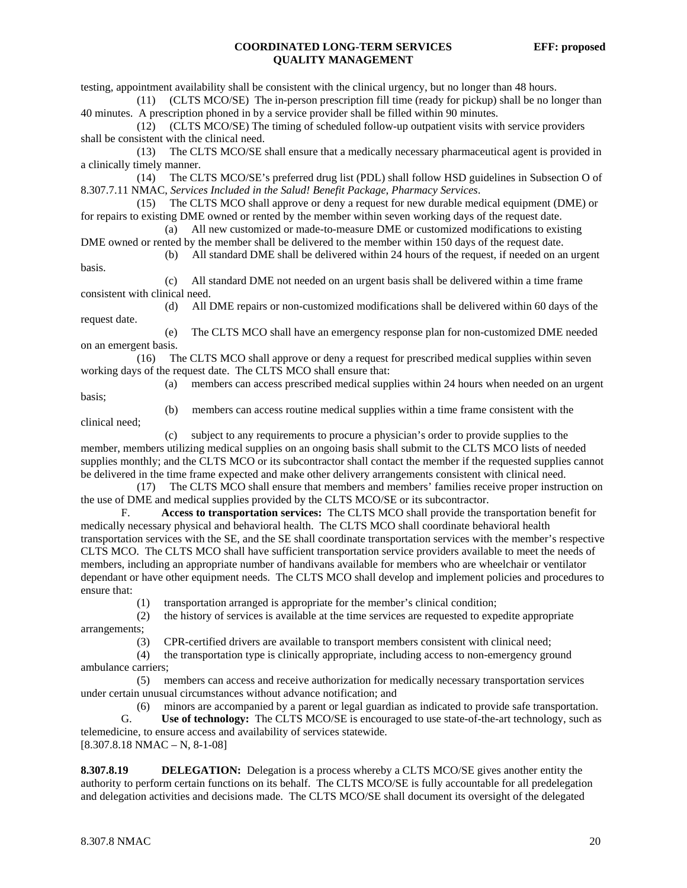testing, appointment availability shall be consistent with the clinical urgency, but no longer than 48 hours.

 (11) (CLTS MCO/SE) The in-person prescription fill time (ready for pickup) shall be no longer than 40 minutes. A prescription phoned in by a service provider shall be filled within 90 minutes.

 (12) (CLTS MCO/SE) The timing of scheduled follow-up outpatient visits with service providers shall be consistent with the clinical need.

 (13) The CLTS MCO/SE shall ensure that a medically necessary pharmaceutical agent is provided in a clinically timely manner.

 (14) The CLTS MCO/SE's preferred drug list (PDL) shall follow HSD guidelines in Subsection O of 8.307.7.11 NMAC, *Services Included in the Salud! Benefit Package*, *Pharmacy Services*.

 (15) The CLTS MCO shall approve or deny a request for new durable medical equipment (DME) or for repairs to existing DME owned or rented by the member within seven working days of the request date.

 (a) All new customized or made-to-measure DME or customized modifications to existing DME owned or rented by the member shall be delivered to the member within 150 days of the request date.

(b) All standard DME shall be delivered within 24 hours of the request, if needed on an urgent

 (c) All standard DME not needed on an urgent basis shall be delivered within a time frame consistent with clinical need.

 (d) All DME repairs or non-customized modifications shall be delivered within 60 days of the request date.

 (e) The CLTS MCO shall have an emergency response plan for non-customized DME needed on an emergent basis.

 (16) The CLTS MCO shall approve or deny a request for prescribed medical supplies within seven working days of the request date. The CLTS MCO shall ensure that:

 (a) members can access prescribed medical supplies within 24 hours when needed on an urgent basis;

clinical need;

basis.

(b) members can access routine medical supplies within a time frame consistent with the

 (c) subject to any requirements to procure a physician's order to provide supplies to the member, members utilizing medical supplies on an ongoing basis shall submit to the CLTS MCO lists of needed supplies monthly; and the CLTS MCO or its subcontractor shall contact the member if the requested supplies cannot be delivered in the time frame expected and make other delivery arrangements consistent with clinical need.

 (17) The CLTS MCO shall ensure that members and members' families receive proper instruction on the use of DME and medical supplies provided by the CLTS MCO/SE or its subcontractor.

 F. **Access to transportation services:** The CLTS MCO shall provide the transportation benefit for medically necessary physical and behavioral health. The CLTS MCO shall coordinate behavioral health transportation services with the SE, and the SE shall coordinate transportation services with the member's respective CLTS MCO. The CLTS MCO shall have sufficient transportation service providers available to meet the needs of members, including an appropriate number of handivans available for members who are wheelchair or ventilator dependant or have other equipment needs. The CLTS MCO shall develop and implement policies and procedures to ensure that:

(1) transportation arranged is appropriate for the member's clinical condition;

 (2) the history of services is available at the time services are requested to expedite appropriate arrangements;

(3) CPR-certified drivers are available to transport members consistent with clinical need;

 (4) the transportation type is clinically appropriate, including access to non-emergency ground ambulance carriers;

 (5) members can access and receive authorization for medically necessary transportation services under certain unusual circumstances without advance notification; and

(6) minors are accompanied by a parent or legal guardian as indicated to provide safe transportation.

 G. **Use of technology:** The CLTS MCO/SE is encouraged to use state-of-the-art technology, such as telemedicine, to ensure access and availability of services statewide.  $[8.307.8.18 \text{ NMAC} - \text{N}, 8-1-08]$ 

**8.307.8.19** DELEGATION: Delegation is a process whereby a CLTS MCO/SE gives another entity the authority to perform certain functions on its behalf. The CLTS MCO/SE is fully accountable for all predelegation and delegation activities and decisions made. The CLTS MCO/SE shall document its oversight of the delegated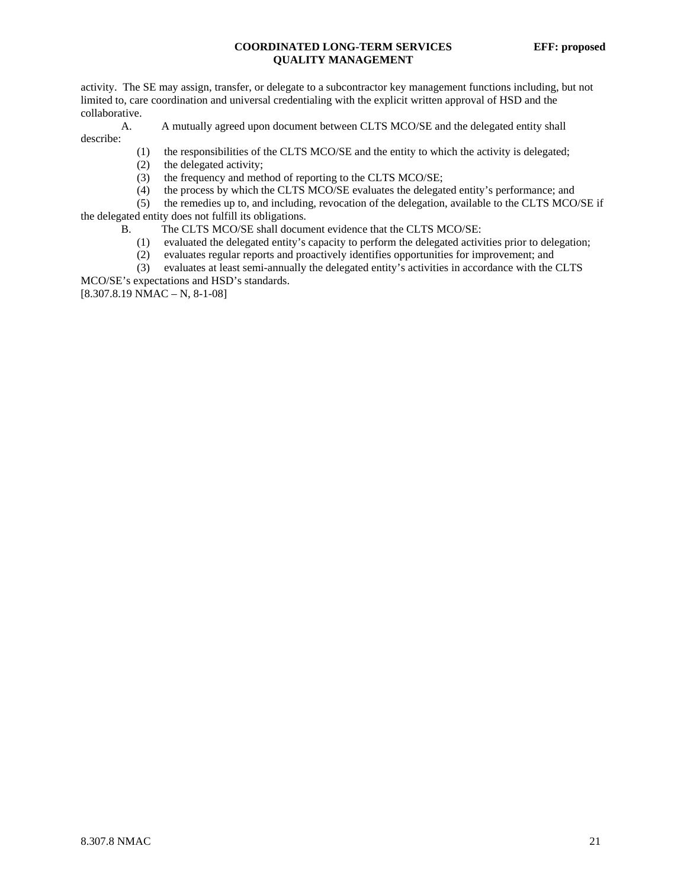activity. The SE may assign, transfer, or delegate to a subcontractor key management functions including, but not limited to, care coordination and universal credentialing with the explicit written approval of HSD and the collaborative.

A. A mutually agreed upon document between CLTS MCO/SE and the delegated entity shall

- (1) the responsibilities of the CLTS MCO/SE and the entity to which the activity is delegated;
- (2) the delegated activity;
- (3) the frequency and method of reporting to the CLTS MCO/SE;
- (4) the process by which the CLTS MCO/SE evaluates the delegated entity's performance; and

 (5) the remedies up to, and including, revocation of the delegation, available to the CLTS MCO/SE if the delegated entity does not fulfill its obligations.

- B. The CLTS MCO/SE shall document evidence that the CLTS MCO/SE:
	- (1) evaluated the delegated entity's capacity to perform the delegated activities prior to delegation;
	- (2) evaluates regular reports and proactively identifies opportunities for improvement; and

 (3) evaluates at least semi-annually the delegated entity's activities in accordance with the CLTS MCO/SE's expectations and HSD's standards.

 $[8.307.8.19 \text{ NMAC} - \text{N}, 8-1-08]$ 

describe: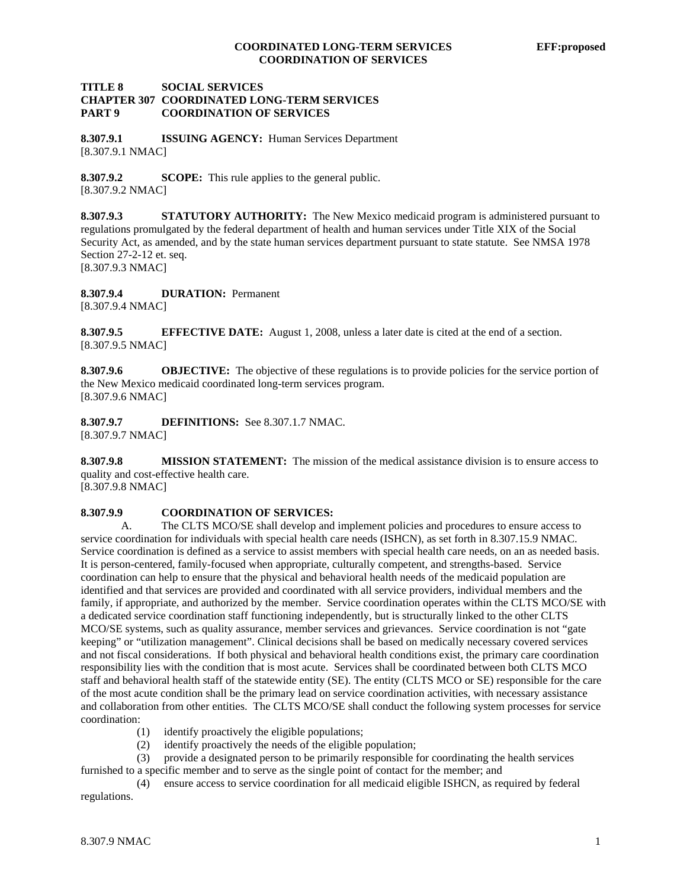### **TITLE 8 SOCIAL SERVICES CHAPTER 307 COORDINATED LONG-TERM SERVICES PART 9 COORDINATION OF SERVICES**

**8.307.9.1 ISSUING AGENCY:** Human Services Department [8.307.9.1 NMAC]

**8.307.9.2 SCOPE:** This rule applies to the general public. [8.307.9.2 NMAC]

**8.307.9.3 STATUTORY AUTHORITY:** The New Mexico medicaid program is administered pursuant to regulations promulgated by the federal department of health and human services under Title XIX of the Social Security Act, as amended, and by the state human services department pursuant to state statute. See NMSA 1978 Section 27-2-12 et. seq. [8.307.9.3 NMAC]

**8.307.9.4 DURATION:** Permanent [8.307.9.4 NMAC]

**8.307.9.5 EFFECTIVE DATE:** August 1, 2008, unless a later date is cited at the end of a section. [8.307.9.5 NMAC]

**8.307.9.6 OBJECTIVE:** The objective of these regulations is to provide policies for the service portion of the New Mexico medicaid coordinated long-term services program. [8.307.9.6 NMAC]

**8.307.9.7 DEFINITIONS:** See 8.307.1.7 NMAC. [8.307.9.7 NMAC]

**8.307.9.8 MISSION STATEMENT:** The mission of the medical assistance division is to ensure access to quality and cost-effective health care.

[8.307.9.8 NMAC]

### **8.307.9.9 COORDINATION OF SERVICES:**

A. The CLTS MCO/SE shall develop and implement policies and procedures to ensure access to service coordination for individuals with special health care needs (ISHCN), as set forth in 8.307.15.9 NMAC. Service coordination is defined as a service to assist members with special health care needs, on an as needed basis. It is person-centered, family-focused when appropriate, culturally competent, and strengths-based. Service coordination can help to ensure that the physical and behavioral health needs of the medicaid population are identified and that services are provided and coordinated with all service providers, individual members and the family, if appropriate, and authorized by the member. Service coordination operates within the CLTS MCO/SE with a dedicated service coordination staff functioning independently, but is structurally linked to the other CLTS MCO/SE systems, such as quality assurance, member services and grievances. Service coordination is not "gate keeping" or "utilization management". Clinical decisions shall be based on medically necessary covered services and not fiscal considerations. If both physical and behavioral health conditions exist, the primary care coordination responsibility lies with the condition that is most acute. Services shall be coordinated between both CLTS MCO staff and behavioral health staff of the statewide entity (SE). The entity (CLTS MCO or SE) responsible for the care of the most acute condition shall be the primary lead on service coordination activities, with necessary assistance and collaboration from other entities. The CLTS MCO/SE shall conduct the following system processes for service coordination:

- (1) identify proactively the eligible populations;
- (2) identify proactively the needs of the eligible population;

 (3) provide a designated person to be primarily responsible for coordinating the health services furnished to a specific member and to serve as the single point of contact for the member; and

 (4) ensure access to service coordination for all medicaid eligible ISHCN, as required by federal regulations.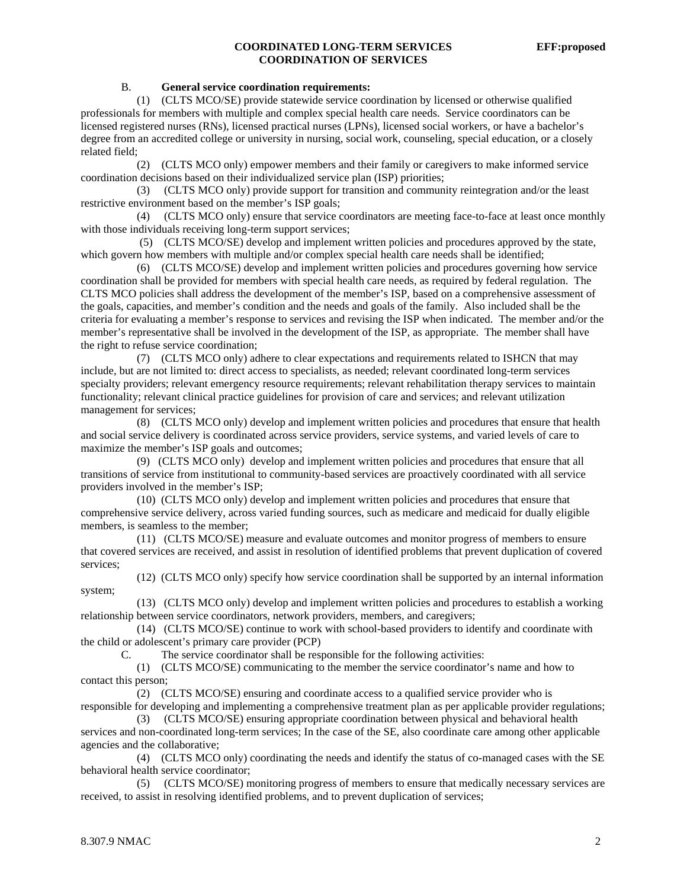# **COORDINATED LONG-TERM SERVICES EFF:proposed COORDINATION OF SERVICES**

#### B. **General service coordination requirements:**

 (1) (CLTS MCO/SE) provide statewide service coordination by licensed or otherwise qualified professionals for members with multiple and complex special health care needs. Service coordinators can be licensed registered nurses (RNs), licensed practical nurses (LPNs), licensed social workers, or have a bachelor's degree from an accredited college or university in nursing, social work, counseling, special education, or a closely related field;

 (2) (CLTS MCO only) empower members and their family or caregivers to make informed service coordination decisions based on their individualized service plan (ISP) priorities;

 (3) (CLTS MCO only) provide support for transition and community reintegration and/or the least restrictive environment based on the member's ISP goals;

 (4) (CLTS MCO only) ensure that service coordinators are meeting face-to-face at least once monthly with those individuals receiving long-term support services;

 (5) (CLTS MCO/SE) develop and implement written policies and procedures approved by the state, which govern how members with multiple and/or complex special health care needs shall be identified;

 (6) (CLTS MCO/SE) develop and implement written policies and procedures governing how service coordination shall be provided for members with special health care needs, as required by federal regulation. The CLTS MCO policies shall address the development of the member's ISP, based on a comprehensive assessment of the goals, capacities, and member's condition and the needs and goals of the family. Also included shall be the criteria for evaluating a member's response to services and revising the ISP when indicated. The member and/or the member's representative shall be involved in the development of the ISP, as appropriate. The member shall have the right to refuse service coordination;

 (7) (CLTS MCO only) adhere to clear expectations and requirements related to ISHCN that may include, but are not limited to: direct access to specialists, as needed; relevant coordinated long-term services specialty providers; relevant emergency resource requirements; relevant rehabilitation therapy services to maintain functionality; relevant clinical practice guidelines for provision of care and services; and relevant utilization management for services;

 (8) (CLTS MCO only) develop and implement written policies and procedures that ensure that health and social service delivery is coordinated across service providers, service systems, and varied levels of care to maximize the member's ISP goals and outcomes;

 (9) (CLTS MCO only) develop and implement written policies and procedures that ensure that all transitions of service from institutional to community-based services are proactively coordinated with all service providers involved in the member's ISP;

 (10) (CLTS MCO only) develop and implement written policies and procedures that ensure that comprehensive service delivery, across varied funding sources, such as medicare and medicaid for dually eligible members, is seamless to the member;

 (11) (CLTS MCO/SE) measure and evaluate outcomes and monitor progress of members to ensure that covered services are received, and assist in resolution of identified problems that prevent duplication of covered services;

 (12) (CLTS MCO only) specify how service coordination shall be supported by an internal information system;

 (13) (CLTS MCO only) develop and implement written policies and procedures to establish a working relationship between service coordinators, network providers, members, and caregivers;

 (14) (CLTS MCO/SE) continue to work with school-based providers to identify and coordinate with the child or adolescent's primary care provider (PCP)

C. The service coordinator shall be responsible for the following activities:

 (1) (CLTS MCO/SE) communicating to the member the service coordinator's name and how to contact this person;

 (2) (CLTS MCO/SE) ensuring and coordinate access to a qualified service provider who is responsible for developing and implementing a comprehensive treatment plan as per applicable provider regulations;

 (3) (CLTS MCO/SE) ensuring appropriate coordination between physical and behavioral health services and non-coordinated long-term services; In the case of the SE, also coordinate care among other applicable agencies and the collaborative;

 (4) (CLTS MCO only) coordinating the needs and identify the status of co-managed cases with the SE behavioral health service coordinator;

 (5) (CLTS MCO/SE) monitoring progress of members to ensure that medically necessary services are received, to assist in resolving identified problems, and to prevent duplication of services;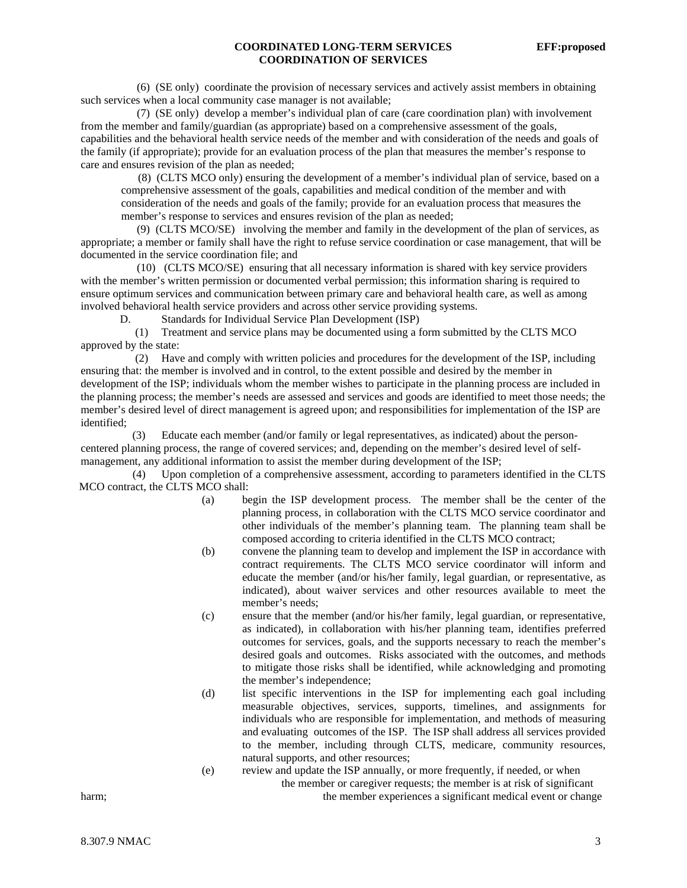### **COORDINATED LONG-TERM SERVICES EFF:proposed COORDINATION OF SERVICES**

 (6) (SE only) coordinate the provision of necessary services and actively assist members in obtaining such services when a local community case manager is not available;

 (7) (SE only) develop a member's individual plan of care (care coordination plan) with involvement from the member and family/guardian (as appropriate) based on a comprehensive assessment of the goals, capabilities and the behavioral health service needs of the member and with consideration of the needs and goals of the family (if appropriate); provide for an evaluation process of the plan that measures the member's response to care and ensures revision of the plan as needed;

 (8) (CLTS MCO only) ensuring the development of a member's individual plan of service, based on a comprehensive assessment of the goals, capabilities and medical condition of the member and with consideration of the needs and goals of the family; provide for an evaluation process that measures the member's response to services and ensures revision of the plan as needed;

 (9) (CLTS MCO/SE) involving the member and family in the development of the plan of services, as appropriate; a member or family shall have the right to refuse service coordination or case management, that will be documented in the service coordination file; and

 (10) (CLTS MCO/SE) ensuring that all necessary information is shared with key service providers with the member's written permission or documented verbal permission; this information sharing is required to ensure optimum services and communication between primary care and behavioral health care, as well as among involved behavioral health service providers and across other service providing systems.

D. Standards for Individual Service Plan Development (ISP)

 (1) Treatment and service plans may be documented using a form submitted by the CLTS MCO approved by the state:

 (2) Have and comply with written policies and procedures for the development of the ISP, including ensuring that: the member is involved and in control, to the extent possible and desired by the member in development of the ISP; individuals whom the member wishes to participate in the planning process are included in the planning process; the member's needs are assessed and services and goods are identified to meet those needs; the member's desired level of direct management is agreed upon; and responsibilities for implementation of the ISP are identified;

 (3) Educate each member (and/or family or legal representatives, as indicated) about the personcentered planning process, the range of covered services; and, depending on the member's desired level of selfmanagement, any additional information to assist the member during development of the ISP;

 (4) Upon completion of a comprehensive assessment, according to parameters identified in the CLTS MCO contract, the CLTS MCO shall:

- (a) begin the ISP development process. The member shall be the center of the planning process, in collaboration with the CLTS MCO service coordinator and other individuals of the member's planning team. The planning team shall be composed according to criteria identified in the CLTS MCO contract;
- (b) convene the planning team to develop and implement the ISP in accordance with contract requirements. The CLTS MCO service coordinator will inform and educate the member (and/or his/her family, legal guardian, or representative, as indicated), about waiver services and other resources available to meet the member's needs;
- (c) ensure that the member (and/or his/her family, legal guardian, or representative, as indicated), in collaboration with his/her planning team, identifies preferred outcomes for services, goals, and the supports necessary to reach the member's desired goals and outcomes. Risks associated with the outcomes, and methods to mitigate those risks shall be identified, while acknowledging and promoting the member's independence;
- (d) list specific interventions in the ISP for implementing each goal including measurable objectives, services, supports, timelines, and assignments for individuals who are responsible for implementation, and methods of measuring and evaluating outcomes of the ISP. The ISP shall address all services provided to the member, including through CLTS, medicare, community resources, natural supports, and other resources;
- (e) review and update the ISP annually, or more frequently, if needed, or when the member or caregiver requests; the member is at risk of significant harm; the member experiences a significant medical event or change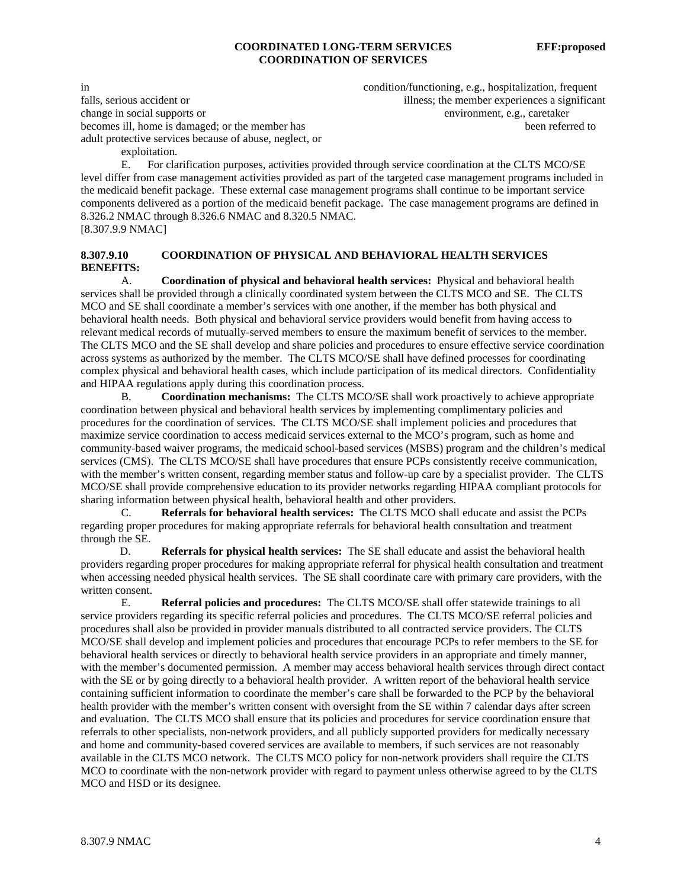#### **COORDINATED LONG-TERM SERVICES EFF:proposed COORDINATION OF SERVICES**

falls, serious accident or illness; the member experiences a significant change in social supports or environment, e.g., caretaker becomes ill, home is damaged; or the member has been referred to been referred to adult protective services because of abuse, neglect, or exploitation.

in condition/functioning, e.g., hospitalization, frequent

 E. For clarification purposes, activities provided through service coordination at the CLTS MCO/SE level differ from case management activities provided as part of the targeted case management programs included in the medicaid benefit package. These external case management programs shall continue to be important service components delivered as a portion of the medicaid benefit package. The case management programs are defined in 8.326.2 NMAC through 8.326.6 NMAC and 8.320.5 NMAC. [8.307.9.9 NMAC]

# **8.307.9.10 COORDINATION OF PHYSICAL AND BEHAVIORAL HEALTH SERVICES BENEFITS:**

 A. **Coordination of physical and behavioral health services:** Physical and behavioral health services shall be provided through a clinically coordinated system between the CLTS MCO and SE. The CLTS MCO and SE shall coordinate a member's services with one another, if the member has both physical and behavioral health needs. Both physical and behavioral service providers would benefit from having access to relevant medical records of mutually-served members to ensure the maximum benefit of services to the member. The CLTS MCO and the SE shall develop and share policies and procedures to ensure effective service coordination across systems as authorized by the member. The CLTS MCO/SE shall have defined processes for coordinating complex physical and behavioral health cases, which include participation of its medical directors. Confidentiality and HIPAA regulations apply during this coordination process.

 B. **Coordination mechanisms:** The CLTS MCO/SE shall work proactively to achieve appropriate coordination between physical and behavioral health services by implementing complimentary policies and procedures for the coordination of services. The CLTS MCO/SE shall implement policies and procedures that maximize service coordination to access medicaid services external to the MCO's program, such as home and community-based waiver programs, the medicaid school-based services (MSBS) program and the children's medical services (CMS). The CLTS MCO/SE shall have procedures that ensure PCPs consistently receive communication, with the member's written consent, regarding member status and follow-up care by a specialist provider. The CLTS MCO/SE shall provide comprehensive education to its provider networks regarding HIPAA compliant protocols for sharing information between physical health, behavioral health and other providers.

 C. **Referrals for behavioral health services:** The CLTS MCO shall educate and assist the PCPs regarding proper procedures for making appropriate referrals for behavioral health consultation and treatment through the SE.

 D. **Referrals for physical health services:** The SE shall educate and assist the behavioral health providers regarding proper procedures for making appropriate referral for physical health consultation and treatment when accessing needed physical health services. The SE shall coordinate care with primary care providers, with the written consent.

E. **Referral policies and procedures:** The CLTS MCO/SE shall offer statewide trainings to all service providers regarding its specific referral policies and procedures. The CLTS MCO/SE referral policies and procedures shall also be provided in provider manuals distributed to all contracted service providers. The CLTS MCO/SE shall develop and implement policies and procedures that encourage PCPs to refer members to the SE for behavioral health services or directly to behavioral health service providers in an appropriate and timely manner, with the member's documented permission. A member may access behavioral health services through direct contact with the SE or by going directly to a behavioral health provider. A written report of the behavioral health service containing sufficient information to coordinate the member's care shall be forwarded to the PCP by the behavioral health provider with the member's written consent with oversight from the SE within 7 calendar days after screen and evaluation. The CLTS MCO shall ensure that its policies and procedures for service coordination ensure that referrals to other specialists, non-network providers, and all publicly supported providers for medically necessary and home and community-based covered services are available to members, if such services are not reasonably available in the CLTS MCO network. The CLTS MCO policy for non-network providers shall require the CLTS MCO to coordinate with the non-network provider with regard to payment unless otherwise agreed to by the CLTS MCO and HSD or its designee.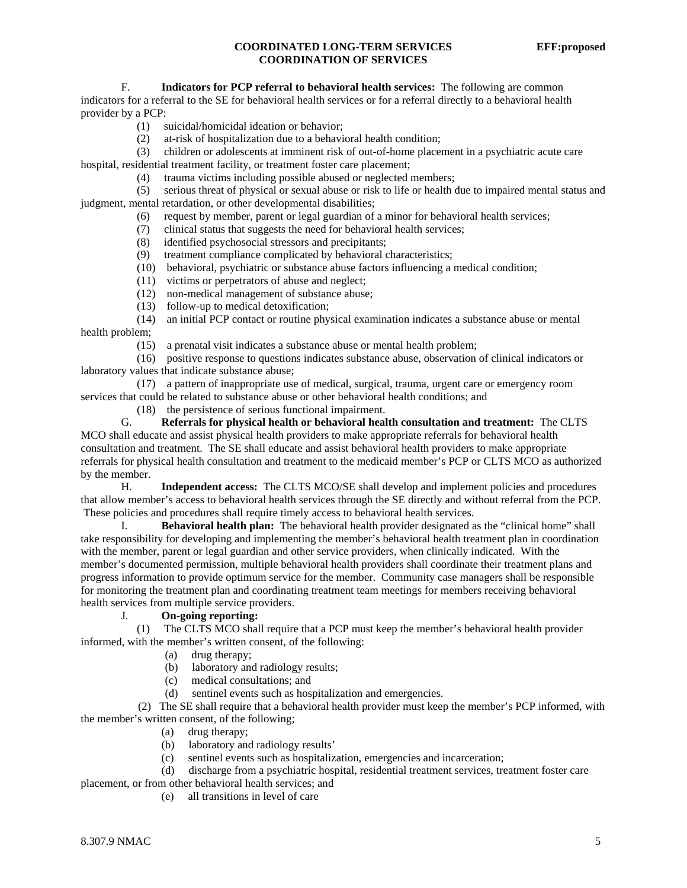#### **COORDINATED LONG-TERM SERVICES EFF:proposed COORDINATION OF SERVICES**

F. **Indicators for PCP referral to behavioral health services:** The following are common

indicators for a referral to the SE for behavioral health services or for a referral directly to a behavioral health provider by a PCP:

- (1) suicidal/homicidal ideation or behavior;
- (2) at-risk of hospitalization due to a behavioral health condition;
- (3) children or adolescents at imminent risk of out-of-home placement in a psychiatric acute care

hospital, residential treatment facility, or treatment foster care placement;

(4) trauma victims including possible abused or neglected members;

 (5) serious threat of physical or sexual abuse or risk to life or health due to impaired mental status and judgment, mental retardation, or other developmental disabilities;

- (6) request by member, parent or legal guardian of a minor for behavioral health services;
- (7) clinical status that suggests the need for behavioral health services;
- (8) identified psychosocial stressors and precipitants;
- (9) treatment compliance complicated by behavioral characteristics;
- (10) behavioral, psychiatric or substance abuse factors influencing a medical condition;
- (11) victims or perpetrators of abuse and neglect;
- (12) non-medical management of substance abuse;
- (13) follow-up to medical detoxification;

 (14) an initial PCP contact or routine physical examination indicates a substance abuse or mental health problem;

(15) a prenatal visit indicates a substance abuse or mental health problem;

 (16) positive response to questions indicates substance abuse, observation of clinical indicators or laboratory values that indicate substance abuse;

 (17) a pattern of inappropriate use of medical, surgical, trauma, urgent care or emergency room services that could be related to substance abuse or other behavioral health conditions; and

(18) the persistence of serious functional impairment.

 G. **Referrals for physical health or behavioral health consultation and treatment:** The CLTS MCO shall educate and assist physical health providers to make appropriate referrals for behavioral health consultation and treatment. The SE shall educate and assist behavioral health providers to make appropriate referrals for physical health consultation and treatment to the medicaid member's PCP or CLTS MCO as authorized by the member.

 H. **Independent access:** The CLTS MCO/SE shall develop and implement policies and procedures that allow member's access to behavioral health services through the SE directly and without referral from the PCP. These policies and procedures shall require timely access to behavioral health services.

 I. **Behavioral health plan:** The behavioral health provider designated as the "clinical home" shall take responsibility for developing and implementing the member's behavioral health treatment plan in coordination with the member, parent or legal guardian and other service providers, when clinically indicated. With the member's documented permission, multiple behavioral health providers shall coordinate their treatment plans and progress information to provide optimum service for the member. Community case managers shall be responsible for monitoring the treatment plan and coordinating treatment team meetings for members receiving behavioral health services from multiple service providers.

# J. **On-going reporting:**

 (1) The CLTS MCO shall require that a PCP must keep the member's behavioral health provider informed, with the member's written consent, of the following:

- (a) drug therapy;
- (b) laboratory and radiology results;
- (c) medical consultations; and
- (d) sentinel events such as hospitalization and emergencies.

 (2) The SE shall require that a behavioral health provider must keep the member's PCP informed, with the member's written consent, of the following;

- (a) drug therapy;
- (b) laboratory and radiology results'
- (c) sentinel events such as hospitalization, emergencies and incarceration;

 (d) discharge from a psychiatric hospital, residential treatment services, treatment foster care placement, or from other behavioral health services; and

(e) all transitions in level of care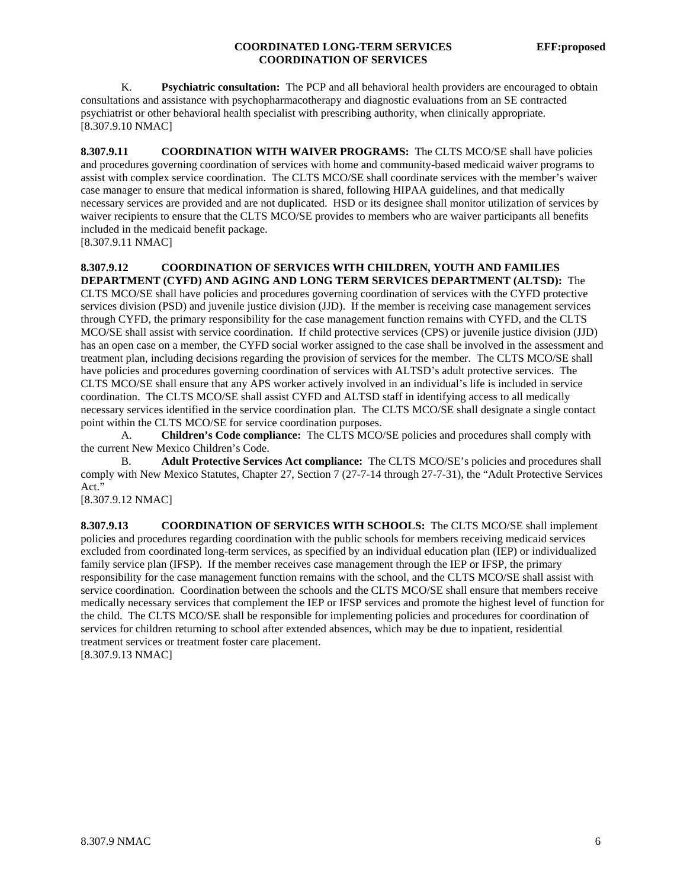#### **COORDINATED LONG-TERM SERVICES EFF:proposed COORDINATION OF SERVICES**

 K. **Psychiatric consultation:** The PCP and all behavioral health providers are encouraged to obtain consultations and assistance with psychopharmacotherapy and diagnostic evaluations from an SE contracted psychiatrist or other behavioral health specialist with prescribing authority, when clinically appropriate. [8.307.9.10 NMAC]

**8.307.9.11 COORDINATION WITH WAIVER PROGRAMS:** The CLTS MCO/SE shall have policies and procedures governing coordination of services with home and community-based medicaid waiver programs to assist with complex service coordination. The CLTS MCO/SE shall coordinate services with the member's waiver case manager to ensure that medical information is shared, following HIPAA guidelines, and that medically necessary services are provided and are not duplicated. HSD or its designee shall monitor utilization of services by waiver recipients to ensure that the CLTS MCO/SE provides to members who are waiver participants all benefits included in the medicaid benefit package.

[8.307.9.11 NMAC]

# **8.307.9.12 COORDINATION OF SERVICES WITH CHILDREN, YOUTH AND FAMILIES DEPARTMENT (CYFD) AND AGING AND LONG TERM SERVICES DEPARTMENT (ALTSD):** The

CLTS MCO/SE shall have policies and procedures governing coordination of services with the CYFD protective services division (PSD) and juvenile justice division (JJD). If the member is receiving case management services through CYFD, the primary responsibility for the case management function remains with CYFD, and the CLTS MCO/SE shall assist with service coordination. If child protective services (CPS) or juvenile justice division (JJD) has an open case on a member, the CYFD social worker assigned to the case shall be involved in the assessment and treatment plan, including decisions regarding the provision of services for the member. The CLTS MCO/SE shall have policies and procedures governing coordination of services with ALTSD's adult protective services. The CLTS MCO/SE shall ensure that any APS worker actively involved in an individual's life is included in service coordination. The CLTS MCO/SE shall assist CYFD and ALTSD staff in identifying access to all medically necessary services identified in the service coordination plan. The CLTS MCO/SE shall designate a single contact point within the CLTS MCO/SE for service coordination purposes.

 A. **Children's Code compliance:** The CLTS MCO/SE policies and procedures shall comply with the current New Mexico Children's Code.

 B. **Adult Protective Services Act compliance:** The CLTS MCO/SE's policies and procedures shall comply with New Mexico Statutes, Chapter 27, Section 7 (27-7-14 through 27-7-31), the "Adult Protective Services Act."

[8.307.9.12 NMAC]

**8.307.9.13 COORDINATION OF SERVICES WITH SCHOOLS:** The CLTS MCO/SE shall implement policies and procedures regarding coordination with the public schools for members receiving medicaid services excluded from coordinated long-term services, as specified by an individual education plan (IEP) or individualized family service plan (IFSP). If the member receives case management through the IEP or IFSP, the primary responsibility for the case management function remains with the school, and the CLTS MCO/SE shall assist with service coordination. Coordination between the schools and the CLTS MCO/SE shall ensure that members receive medically necessary services that complement the IEP or IFSP services and promote the highest level of function for the child. The CLTS MCO/SE shall be responsible for implementing policies and procedures for coordination of services for children returning to school after extended absences, which may be due to inpatient, residential treatment services or treatment foster care placement. [8.307.9.13 NMAC]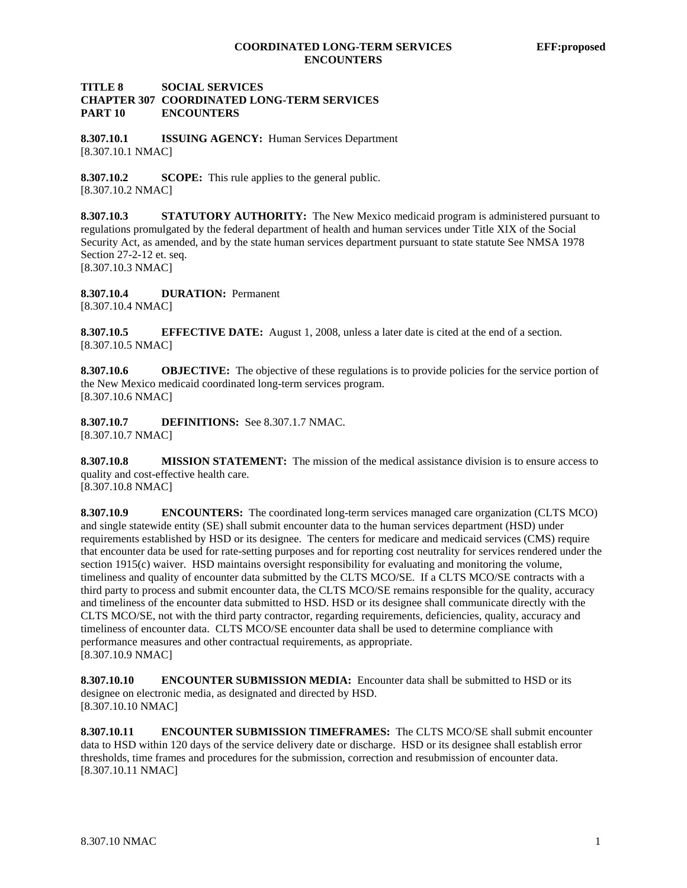#### **TITLE 8 SOCIAL SERVICES CHAPTER 307 COORDINATED LONG-TERM SERVICES PART 10 ENCOUNTERS**

**8.307.10.1 ISSUING AGENCY:** Human Services Department [8.307.10.1 NMAC]

**8.307.10.2 SCOPE:** This rule applies to the general public. [8.307.10.2 NMAC]

**8.307.10.3 STATUTORY AUTHORITY:** The New Mexico medicaid program is administered pursuant to regulations promulgated by the federal department of health and human services under Title XIX of the Social Security Act, as amended, and by the state human services department pursuant to state statute See NMSA 1978 Section 27-2-12 et. seq. [8.307.10.3 NMAC]

**8.307.10.4 DURATION:** Permanent [8.307.10.4 NMAC]

**8.307.10.5 EFFECTIVE DATE:** August 1, 2008, unless a later date is cited at the end of a section. [8.307.10.5 NMAC]

**8.307.10.6 OBJECTIVE:** The objective of these regulations is to provide policies for the service portion of the New Mexico medicaid coordinated long-term services program. [8.307.10.6 NMAC]

**8.307.10.7 DEFINITIONS:** See 8.307.1.7 NMAC. [8.307.10.7 NMAC]

**8.307.10.8 MISSION STATEMENT:** The mission of the medical assistance division is to ensure access to quality and cost-effective health care.

[8.307.10.8 NMAC]

**8.307.10.9 ENCOUNTERS:** The coordinated long-term services managed care organization (CLTS MCO) and single statewide entity (SE) shall submit encounter data to the human services department (HSD) under requirements established by HSD or its designee. The centers for medicare and medicaid services (CMS) require that encounter data be used for rate-setting purposes and for reporting cost neutrality for services rendered under the section 1915(c) waiver. HSD maintains oversight responsibility for evaluating and monitoring the volume, timeliness and quality of encounter data submitted by the CLTS MCO/SE. If a CLTS MCO/SE contracts with a third party to process and submit encounter data, the CLTS MCO/SE remains responsible for the quality, accuracy and timeliness of the encounter data submitted to HSD. HSD or its designee shall communicate directly with the CLTS MCO/SE, not with the third party contractor, regarding requirements, deficiencies, quality, accuracy and timeliness of encounter data. CLTS MCO/SE encounter data shall be used to determine compliance with performance measures and other contractual requirements, as appropriate. [8.307.10.9 NMAC]

**8.307.10.10 ENCOUNTER SUBMISSION MEDIA:** Encounter data shall be submitted to HSD or its designee on electronic media, as designated and directed by HSD. [8.307.10.10 NMAC]

**8.307.10.11 ENCOUNTER SUBMISSION TIMEFRAMES:** The CLTS MCO/SE shall submit encounter data to HSD within 120 days of the service delivery date or discharge. HSD or its designee shall establish error thresholds, time frames and procedures for the submission, correction and resubmission of encounter data. [8.307.10.11 NMAC]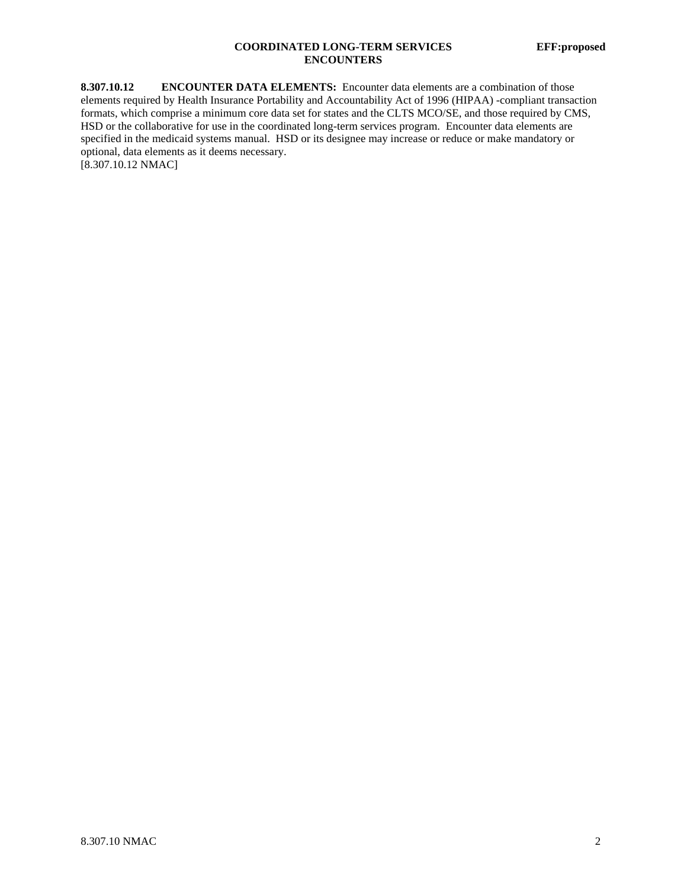# **COORDINATED LONG-TERM SERVICES EFF:proposed ENCOUNTERS**

**8.307.10.12 ENCOUNTER DATA ELEMENTS:** Encounter data elements are a combination of those elements required by Health Insurance Portability and Accountability Act of 1996 (HIPAA) -compliant transaction formats, which comprise a minimum core data set for states and the CLTS MCO/SE, and those required by CMS, HSD or the collaborative for use in the coordinated long-term services program. Encounter data elements are specified in the medicaid systems manual. HSD or its designee may increase or reduce or make mandatory or optional, data elements as it deems necessary. [8.307.10.12 NMAC]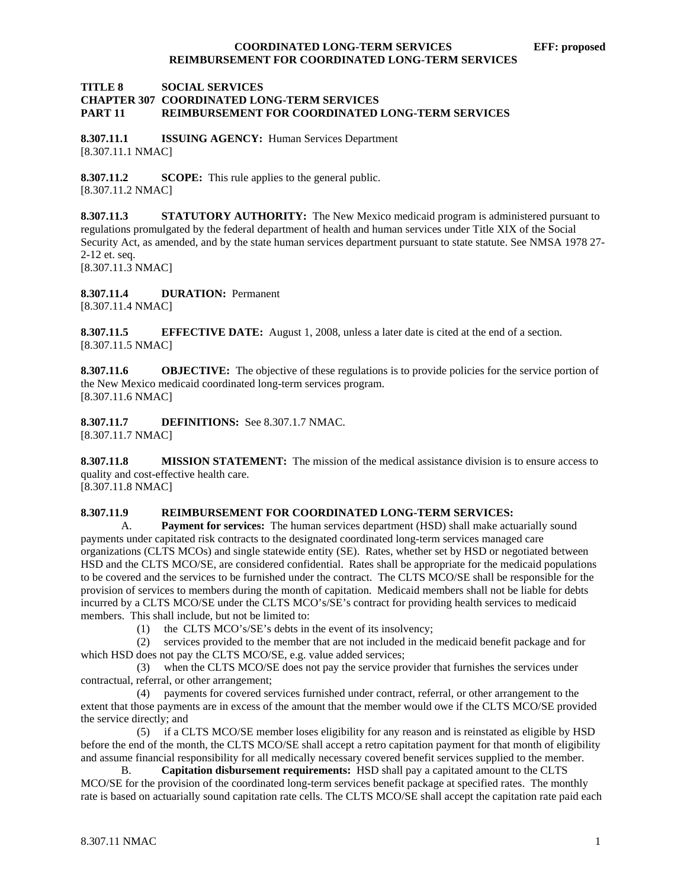#### **TITLE 8 SOCIAL SERVICES CHAPTER 307 COORDINATED LONG-TERM SERVICES PART 11 REIMBURSEMENT FOR COORDINATED LONG-TERM SERVICES**

**8.307.11.1 ISSUING AGENCY:** Human Services Department [8.307.11.1 NMAC]

**8.307.11.2 SCOPE:** This rule applies to the general public. [8.307.11.2 NMAC]

**8.307.11.3 STATUTORY AUTHORITY:** The New Mexico medicaid program is administered pursuant to regulations promulgated by the federal department of health and human services under Title XIX of the Social Security Act, as amended, and by the state human services department pursuant to state statute. See NMSA 1978 27- 2-12 et. seq. [8.307.11.3 NMAC]

**8.307.11.4 DURATION:** Permanent [8.307.11.4 NMAC]

**8.307.11.5 EFFECTIVE DATE:** August 1, 2008, unless a later date is cited at the end of a section. [8.307.11.5 NMAC]

**8.307.11.6 OBJECTIVE:** The objective of these regulations is to provide policies for the service portion of the New Mexico medicaid coordinated long-term services program. [8.307.11.6 NMAC]

**8.307.11.7 DEFINITIONS:** See 8.307.1.7 NMAC. [8.307.11.7 NMAC]

**8.307.11.8 MISSION STATEMENT:** The mission of the medical assistance division is to ensure access to quality and cost-effective health care.

[8.307.11.8 NMAC]

#### **8.307.11.9 REIMBURSEMENT FOR COORDINATED LONG-TERM SERVICES:**

A. **Payment for services:** The human services department (HSD) shall make actuarially sound payments under capitated risk contracts to the designated coordinated long-term services managed care organizations (CLTS MCOs) and single statewide entity (SE). Rates, whether set by HSD or negotiated between HSD and the CLTS MCO/SE, are considered confidential. Rates shall be appropriate for the medicaid populations to be covered and the services to be furnished under the contract. The CLTS MCO/SE shall be responsible for the provision of services to members during the month of capitation. Medicaid members shall not be liable for debts incurred by a CLTS MCO/SE under the CLTS MCO's/SE's contract for providing health services to medicaid members. This shall include, but not be limited to:

(1) the CLTS MCO's/SE's debts in the event of its insolvency;

 (2) services provided to the member that are not included in the medicaid benefit package and for which HSD does not pay the CLTS MCO/SE, e.g. value added services;

 (3) when the CLTS MCO/SE does not pay the service provider that furnishes the services under contractual, referral, or other arrangement;

 (4) payments for covered services furnished under contract, referral, or other arrangement to the extent that those payments are in excess of the amount that the member would owe if the CLTS MCO/SE provided the service directly; and

 (5) if a CLTS MCO/SE member loses eligibility for any reason and is reinstated as eligible by HSD before the end of the month, the CLTS MCO/SE shall accept a retro capitation payment for that month of eligibility and assume financial responsibility for all medically necessary covered benefit services supplied to the member.

 B. **Capitation disbursement requirements:** HSD shall pay a capitated amount to the CLTS MCO/SE for the provision of the coordinated long-term services benefit package at specified rates. The monthly rate is based on actuarially sound capitation rate cells. The CLTS MCO/SE shall accept the capitation rate paid each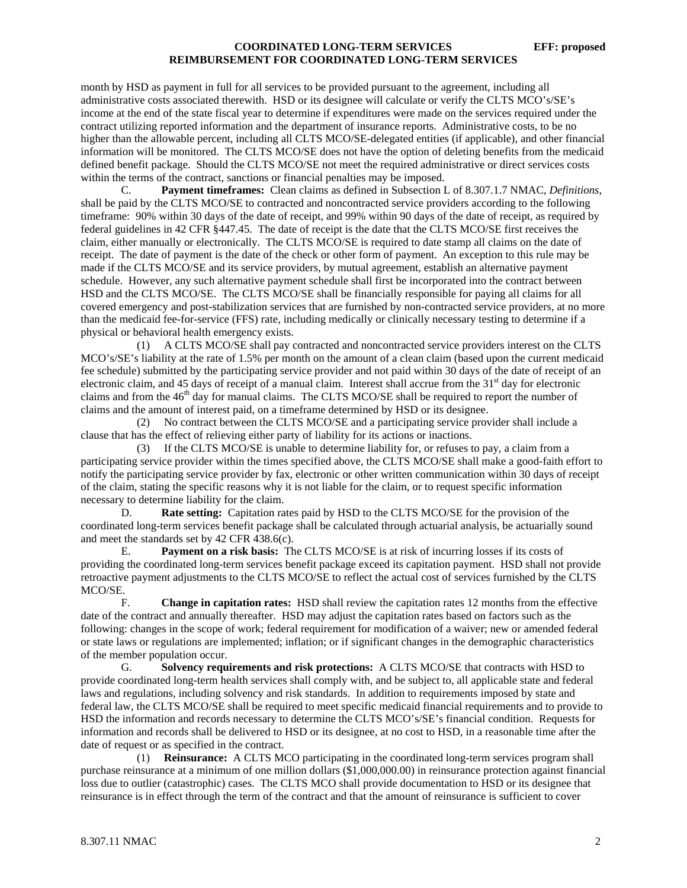month by HSD as payment in full for all services to be provided pursuant to the agreement, including all administrative costs associated therewith. HSD or its designee will calculate or verify the CLTS MCO's/SE's income at the end of the state fiscal year to determine if expenditures were made on the services required under the contract utilizing reported information and the department of insurance reports. Administrative costs, to be no higher than the allowable percent, including all CLTS MCO/SE-delegated entities (if applicable), and other financial information will be monitored. The CLTS MCO/SE does not have the option of deleting benefits from the medicaid defined benefit package. Should the CLTS MCO/SE not meet the required administrative or direct services costs within the terms of the contract, sanctions or financial penalties may be imposed.

 C. **Payment timeframes:** Clean claims as defined in Subsection L of 8.307.1.7 NMAC, *Definitions*, shall be paid by the CLTS MCO/SE to contracted and noncontracted service providers according to the following timeframe: 90% within 30 days of the date of receipt, and 99% within 90 days of the date of receipt, as required by federal guidelines in 42 CFR §447.45. The date of receipt is the date that the CLTS MCO/SE first receives the claim, either manually or electronically. The CLTS MCO/SE is required to date stamp all claims on the date of receipt. The date of payment is the date of the check or other form of payment. An exception to this rule may be made if the CLTS MCO/SE and its service providers, by mutual agreement, establish an alternative payment schedule. However, any such alternative payment schedule shall first be incorporated into the contract between HSD and the CLTS MCO/SE. The CLTS MCO/SE shall be financially responsible for paying all claims for all covered emergency and post-stabilization services that are furnished by non-contracted service providers, at no more than the medicaid fee-for-service (FFS) rate, including medically or clinically necessary testing to determine if a physical or behavioral health emergency exists.

 (1) A CLTS MCO/SE shall pay contracted and noncontracted service providers interest on the CLTS MCO's/SE's liability at the rate of 1.5% per month on the amount of a clean claim (based upon the current medicaid fee schedule) submitted by the participating service provider and not paid within 30 days of the date of receipt of an electronic claim, and 45 days of receipt of a manual claim. Interest shall accrue from the 31<sup>st</sup> day for electronic claims and from the 46<sup>th</sup> day for manual claims. The CLTS MCO/SE shall be required to report the number of claims and the amount of interest paid, on a timeframe determined by HSD or its designee.

 (2) No contract between the CLTS MCO/SE and a participating service provider shall include a clause that has the effect of relieving either party of liability for its actions or inactions.

 (3) If the CLTS MCO/SE is unable to determine liability for, or refuses to pay, a claim from a participating service provider within the times specified above, the CLTS MCO/SE shall make a good-faith effort to notify the participating service provider by fax, electronic or other written communication within 30 days of receipt of the claim, stating the specific reasons why it is not liable for the claim, or to request specific information necessary to determine liability for the claim.

 D. **Rate setting:** Capitation rates paid by HSD to the CLTS MCO/SE for the provision of the coordinated long-term services benefit package shall be calculated through actuarial analysis, be actuarially sound and meet the standards set by 42 CFR 438.6(c).

 E. **Payment on a risk basis:** The CLTS MCO/SE is at risk of incurring losses if its costs of providing the coordinated long-term services benefit package exceed its capitation payment. HSD shall not provide retroactive payment adjustments to the CLTS MCO/SE to reflect the actual cost of services furnished by the CLTS MCO/SE.

 F. **Change in capitation rates:** HSD shall review the capitation rates 12 months from the effective date of the contract and annually thereafter. HSD may adjust the capitation rates based on factors such as the following: changes in the scope of work; federal requirement for modification of a waiver; new or amended federal or state laws or regulations are implemented; inflation; or if significant changes in the demographic characteristics of the member population occur.

 G. **Solvency requirements and risk protections:** A CLTS MCO/SE that contracts with HSD to provide coordinated long-term health services shall comply with, and be subject to, all applicable state and federal laws and regulations, including solvency and risk standards. In addition to requirements imposed by state and federal law, the CLTS MCO/SE shall be required to meet specific medicaid financial requirements and to provide to HSD the information and records necessary to determine the CLTS MCO's/SE's financial condition. Requests for information and records shall be delivered to HSD or its designee, at no cost to HSD, in a reasonable time after the date of request or as specified in the contract.

 (1) **Reinsurance:** A CLTS MCO participating in the coordinated long-term services program shall purchase reinsurance at a minimum of one million dollars (\$1,000,000.00) in reinsurance protection against financial loss due to outlier (catastrophic) cases. The CLTS MCO shall provide documentation to HSD or its designee that reinsurance is in effect through the term of the contract and that the amount of reinsurance is sufficient to cover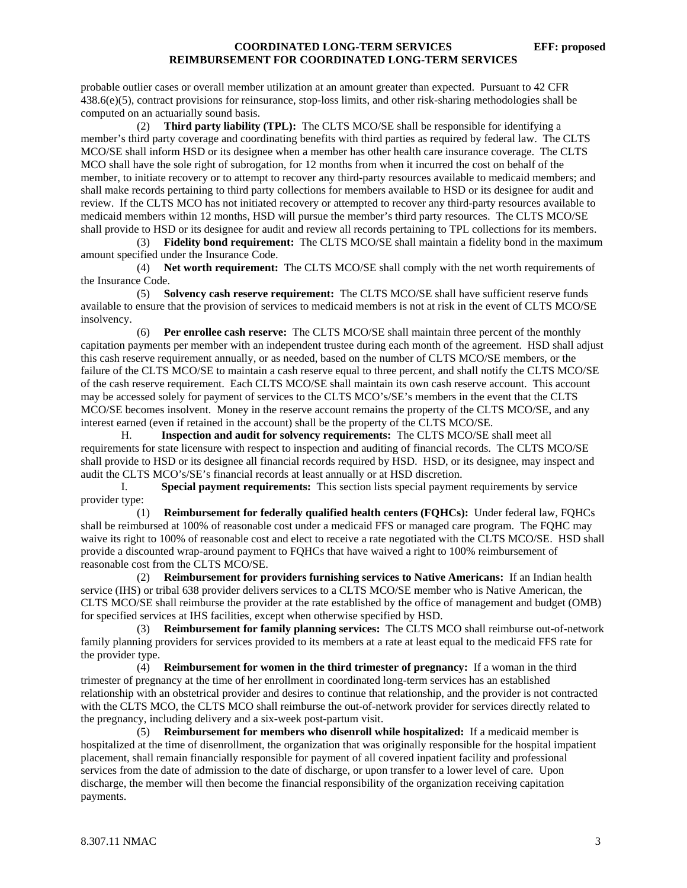probable outlier cases or overall member utilization at an amount greater than expected. Pursuant to 42 CFR 438.6(e)(5), contract provisions for reinsurance, stop-loss limits, and other risk-sharing methodologies shall be computed on an actuarially sound basis.

 (2) **Third party liability (TPL):** The CLTS MCO/SE shall be responsible for identifying a member's third party coverage and coordinating benefits with third parties as required by federal law. The CLTS MCO/SE shall inform HSD or its designee when a member has other health care insurance coverage. The CLTS MCO shall have the sole right of subrogation, for 12 months from when it incurred the cost on behalf of the member, to initiate recovery or to attempt to recover any third-party resources available to medicaid members; and shall make records pertaining to third party collections for members available to HSD or its designee for audit and review. If the CLTS MCO has not initiated recovery or attempted to recover any third-party resources available to medicaid members within 12 months, HSD will pursue the member's third party resources. The CLTS MCO/SE shall provide to HSD or its designee for audit and review all records pertaining to TPL collections for its members.

 (3) **Fidelity bond requirement:** The CLTS MCO/SE shall maintain a fidelity bond in the maximum amount specified under the Insurance Code.

 (4) **Net worth requirement:** The CLTS MCO/SE shall comply with the net worth requirements of the Insurance Code.

 (5) **Solvency cash reserve requirement:** The CLTS MCO/SE shall have sufficient reserve funds available to ensure that the provision of services to medicaid members is not at risk in the event of CLTS MCO/SE insolvency.

 (6) **Per enrollee cash reserve:** The CLTS MCO/SE shall maintain three percent of the monthly capitation payments per member with an independent trustee during each month of the agreement. HSD shall adjust this cash reserve requirement annually, or as needed, based on the number of CLTS MCO/SE members, or the failure of the CLTS MCO/SE to maintain a cash reserve equal to three percent, and shall notify the CLTS MCO/SE of the cash reserve requirement. Each CLTS MCO/SE shall maintain its own cash reserve account. This account may be accessed solely for payment of services to the CLTS MCO's/SE's members in the event that the CLTS MCO/SE becomes insolvent. Money in the reserve account remains the property of the CLTS MCO/SE, and any interest earned (even if retained in the account) shall be the property of the CLTS MCO/SE.

 H. **Inspection and audit for solvency requirements:** The CLTS MCO/SE shall meet all requirements for state licensure with respect to inspection and auditing of financial records. The CLTS MCO/SE shall provide to HSD or its designee all financial records required by HSD. HSD, or its designee, may inspect and audit the CLTS MCO's/SE's financial records at least annually or at HSD discretion.

 I. **Special payment requirements:** This section lists special payment requirements by service provider type:

 (1) **Reimbursement for federally qualified health centers (FQHCs):** Under federal law, FQHCs shall be reimbursed at 100% of reasonable cost under a medicaid FFS or managed care program. The FQHC may waive its right to 100% of reasonable cost and elect to receive a rate negotiated with the CLTS MCO/SE. HSD shall provide a discounted wrap-around payment to FQHCs that have waived a right to 100% reimbursement of reasonable cost from the CLTS MCO/SE.

 (2) **Reimbursement for providers furnishing services to Native Americans:** If an Indian health service (IHS) or tribal 638 provider delivers services to a CLTS MCO/SE member who is Native American, the CLTS MCO/SE shall reimburse the provider at the rate established by the office of management and budget (OMB) for specified services at IHS facilities, except when otherwise specified by HSD.

 (3) **Reimbursement for family planning services:** The CLTS MCO shall reimburse out-of-network family planning providers for services provided to its members at a rate at least equal to the medicaid FFS rate for the provider type.

 (4) **Reimbursement for women in the third trimester of pregnancy:** If a woman in the third trimester of pregnancy at the time of her enrollment in coordinated long-term services has an established relationship with an obstetrical provider and desires to continue that relationship, and the provider is not contracted with the CLTS MCO, the CLTS MCO shall reimburse the out-of-network provider for services directly related to the pregnancy, including delivery and a six-week post-partum visit.

 (5) **Reimbursement for members who disenroll while hospitalized:** If a medicaid member is hospitalized at the time of disenrollment, the organization that was originally responsible for the hospital impatient placement, shall remain financially responsible for payment of all covered inpatient facility and professional services from the date of admission to the date of discharge, or upon transfer to a lower level of care. Upon discharge, the member will then become the financial responsibility of the organization receiving capitation payments.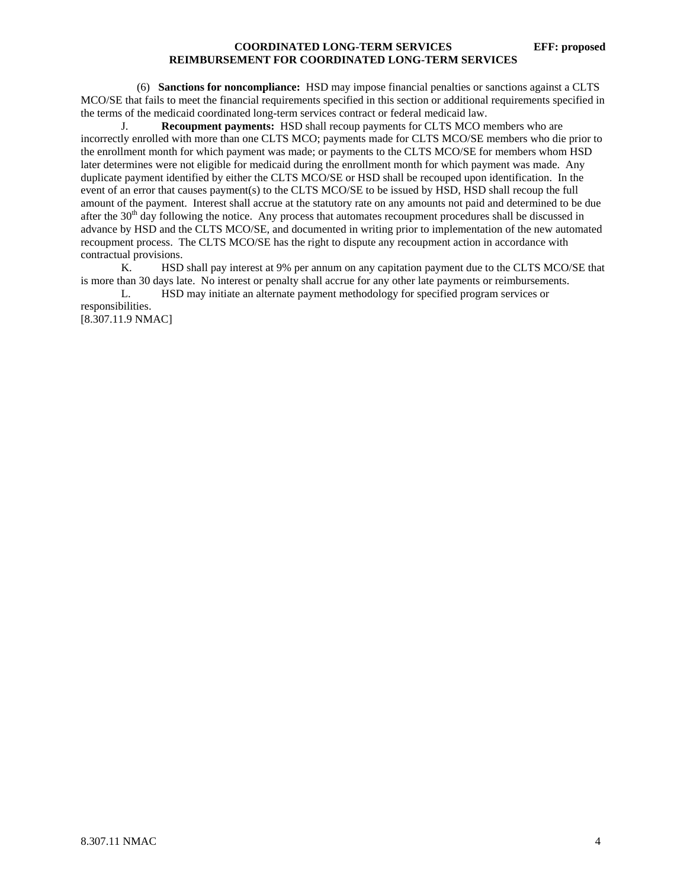(6) **Sanctions for noncompliance:** HSD may impose financial penalties or sanctions against a CLTS MCO/SE that fails to meet the financial requirements specified in this section or additional requirements specified in the terms of the medicaid coordinated long-term services contract or federal medicaid law.

J. **Recoupment payments:** HSD shall recoup payments for CLTS MCO members who are incorrectly enrolled with more than one CLTS MCO; payments made for CLTS MCO/SE members who die prior to the enrollment month for which payment was made; or payments to the CLTS MCO/SE for members whom HSD later determines were not eligible for medicaid during the enrollment month for which payment was made. Any duplicate payment identified by either the CLTS MCO/SE or HSD shall be recouped upon identification. In the event of an error that causes payment(s) to the CLTS MCO/SE to be issued by HSD, HSD shall recoup the full amount of the payment. Interest shall accrue at the statutory rate on any amounts not paid and determined to be due after the  $30<sup>th</sup>$  day following the notice. Any process that automates recoupment procedures shall be discussed in advance by HSD and the CLTS MCO/SE, and documented in writing prior to implementation of the new automated recoupment process. The CLTS MCO/SE has the right to dispute any recoupment action in accordance with contractual provisions.

 K. HSD shall pay interest at 9% per annum on any capitation payment due to the CLTS MCO/SE that is more than 30 days late. No interest or penalty shall accrue for any other late payments or reimbursements.

 L. HSD may initiate an alternate payment methodology for specified program services or responsibilities. [8.307.11.9 NMAC]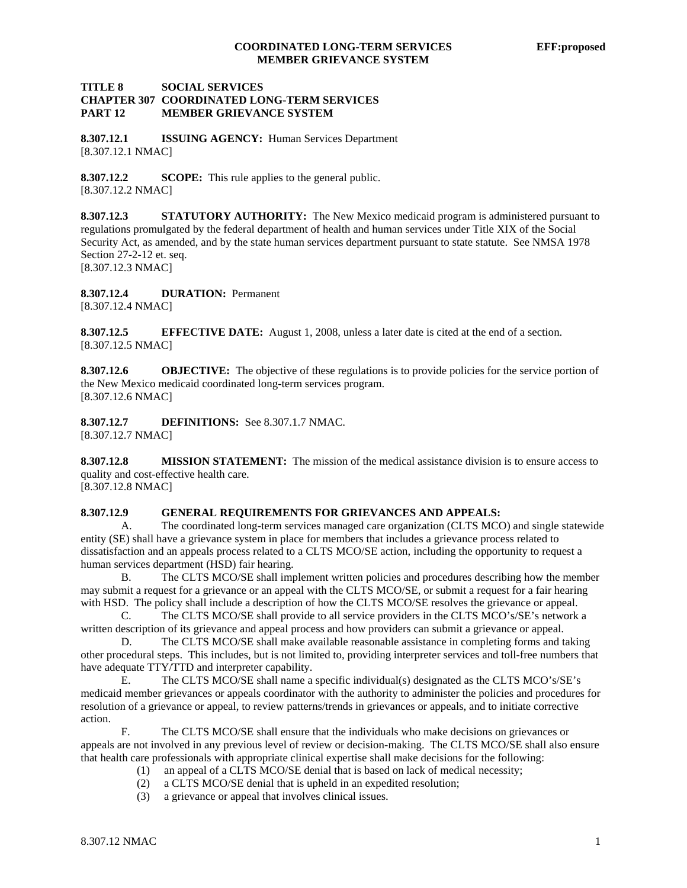# **TITLE 8 SOCIAL SERVICES CHAPTER 307 COORDINATED LONG-TERM SERVICES PART 12 MEMBER GRIEVANCE SYSTEM**

**8.307.12.1 ISSUING AGENCY:** Human Services Department [8.307.12.1 NMAC]

**8.307.12.2 SCOPE:** This rule applies to the general public. [8.307.12.2 NMAC]

**8.307.12.3 STATUTORY AUTHORITY:** The New Mexico medicaid program is administered pursuant to regulations promulgated by the federal department of health and human services under Title XIX of the Social Security Act, as amended, and by the state human services department pursuant to state statute. See NMSA 1978 Section 27-2-12 et. seq. [8.307.12.3 NMAC]

**8.307.12.4 DURATION:** Permanent [8.307.12.4 NMAC]

**8.307.12.5 EFFECTIVE DATE:** August 1, 2008, unless a later date is cited at the end of a section. [8.307.12.5 NMAC]

**8.307.12.6 OBJECTIVE:** The objective of these regulations is to provide policies for the service portion of the New Mexico medicaid coordinated long-term services program. [8.307.12.6 NMAC]

**8.307.12.7 DEFINITIONS:** See 8.307.1.7 NMAC. [8.307.12.7 NMAC]

**8.307.12.8 MISSION STATEMENT:** The mission of the medical assistance division is to ensure access to quality and cost-effective health care.

[8.307.12.8 NMAC]

# **8.307.12.9 GENERAL REQUIREMENTS FOR GRIEVANCES AND APPEALS:**

A. The coordinated long-term services managed care organization (CLTS MCO) and single statewide entity (SE) shall have a grievance system in place for members that includes a grievance process related to dissatisfaction and an appeals process related to a CLTS MCO/SE action, including the opportunity to request a human services department (HSD) fair hearing.

 B. The CLTS MCO/SE shall implement written policies and procedures describing how the member may submit a request for a grievance or an appeal with the CLTS MCO/SE, or submit a request for a fair hearing with HSD. The policy shall include a description of how the CLTS MCO/SE resolves the grievance or appeal.

 C. The CLTS MCO/SE shall provide to all service providers in the CLTS MCO's/SE's network a written description of its grievance and appeal process and how providers can submit a grievance or appeal.

D. The CLTS MCO/SE shall make available reasonable assistance in completing forms and taking other procedural steps. This includes, but is not limited to, providing interpreter services and toll-free numbers that have adequate TTY/TTD and interpreter capability.

 E. The CLTS MCO/SE shall name a specific individual(s) designated as the CLTS MCO's/SE's medicaid member grievances or appeals coordinator with the authority to administer the policies and procedures for resolution of a grievance or appeal, to review patterns/trends in grievances or appeals, and to initiate corrective action.

 F. The CLTS MCO/SE shall ensure that the individuals who make decisions on grievances or appeals are not involved in any previous level of review or decision-making. The CLTS MCO/SE shall also ensure that health care professionals with appropriate clinical expertise shall make decisions for the following:

- (1) an appeal of a CLTS MCO/SE denial that is based on lack of medical necessity;
- (2) a CLTS MCO/SE denial that is upheld in an expedited resolution;
- (3) a grievance or appeal that involves clinical issues.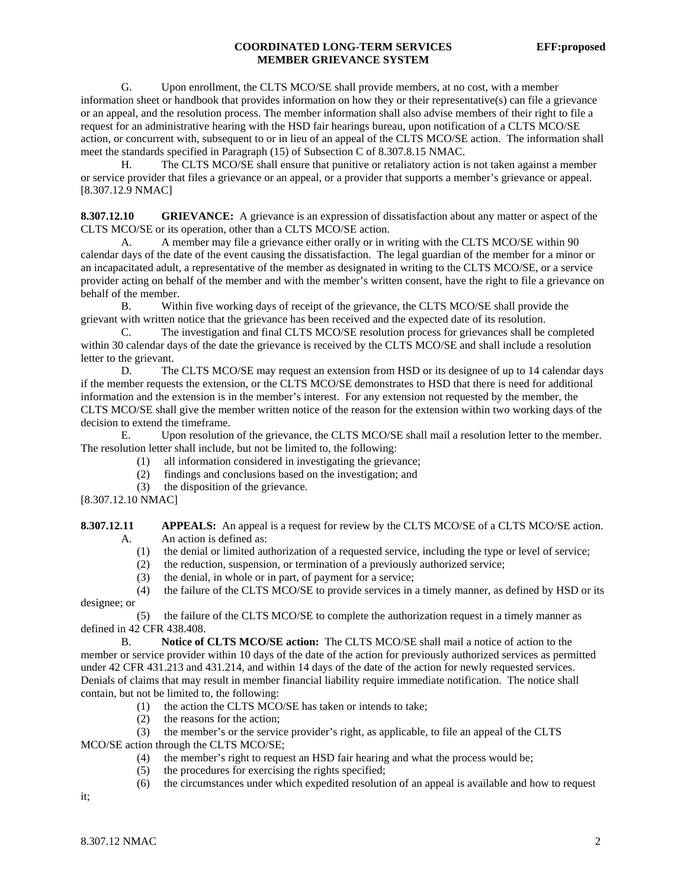# **COORDINATED LONG-TERM SERVICES EFF:proposed MEMBER GRIEVANCE SYSTEM**

 G. Upon enrollment, the CLTS MCO/SE shall provide members, at no cost, with a member information sheet or handbook that provides information on how they or their representative(s) can file a grievance or an appeal, and the resolution process. The member information shall also advise members of their right to file a request for an administrative hearing with the HSD fair hearings bureau, upon notification of a CLTS MCO/SE action, or concurrent with, subsequent to or in lieu of an appeal of the CLTS MCO/SE action. The information shall meet the standards specified in Paragraph (15) of Subsection C of 8.307.8.15 NMAC.

 H. The CLTS MCO/SE shall ensure that punitive or retaliatory action is not taken against a member or service provider that files a grievance or an appeal, or a provider that supports a member's grievance or appeal. [8.307.12.9 NMAC]

**8.307.12.10 GRIEVANCE:** A grievance is an expression of dissatisfaction about any matter or aspect of the CLTS MCO/SE or its operation, other than a CLTS MCO/SE action.

 A. A member may file a grievance either orally or in writing with the CLTS MCO/SE within 90 calendar days of the date of the event causing the dissatisfaction. The legal guardian of the member for a minor or an incapacitated adult, a representative of the member as designated in writing to the CLTS MCO/SE, or a service provider acting on behalf of the member and with the member's written consent, have the right to file a grievance on behalf of the member.

 B. Within five working days of receipt of the grievance, the CLTS MCO/SE shall provide the grievant with written notice that the grievance has been received and the expected date of its resolution.

 C. The investigation and final CLTS MCO/SE resolution process for grievances shall be completed within 30 calendar days of the date the grievance is received by the CLTS MCO/SE and shall include a resolution letter to the grievant.

D. The CLTS MCO/SE may request an extension from HSD or its designee of up to 14 calendar days if the member requests the extension, or the CLTS MCO/SE demonstrates to HSD that there is need for additional information and the extension is in the member's interest. For any extension not requested by the member, the CLTS MCO/SE shall give the member written notice of the reason for the extension within two working days of the decision to extend the timeframe.

 E. Upon resolution of the grievance, the CLTS MCO/SE shall mail a resolution letter to the member. The resolution letter shall include, but not be limited to, the following:

- (1) all information considered in investigating the grievance;
- (2) findings and conclusions based on the investigation; and
- (3) the disposition of the grievance.

[8.307.12.10 NMAC]

**8.307.12.11 APPEALS:** An appeal is a request for review by the CLTS MCO/SE of a CLTS MCO/SE action. A. An action is defined as:

- (1) the denial or limited authorization of a requested service, including the type or level of service;
- (2) the reduction, suspension, or termination of a previously authorized service;
- (3) the denial, in whole or in part, of payment for a service;

 (4) the failure of the CLTS MCO/SE to provide services in a timely manner, as defined by HSD or its designee; or

 (5) the failure of the CLTS MCO/SE to complete the authorization request in a timely manner as defined in 42 CFR 438.408.

 B. **Notice of CLTS MCO/SE action:** The CLTS MCO/SE shall mail a notice of action to the member or service provider within 10 days of the date of the action for previously authorized services as permitted under 42 CFR 431.213 and 431.214, and within 14 days of the date of the action for newly requested services. Denials of claims that may result in member financial liability require immediate notification. The notice shall contain, but not be limited to, the following:

- (1) the action the CLTS MCO/SE has taken or intends to take;
- (2) the reasons for the action;<br>(3) the member's or the servic

the member's or the service provider's right, as applicable, to file an appeal of the CLTS

MCO/SE action through the CLTS MCO/SE;

- (4) the member's right to request an HSD fair hearing and what the process would be;
- (5) the procedures for exercising the rights specified;
- (6) the circumstances under which expedited resolution of an appeal is available and how to request

it;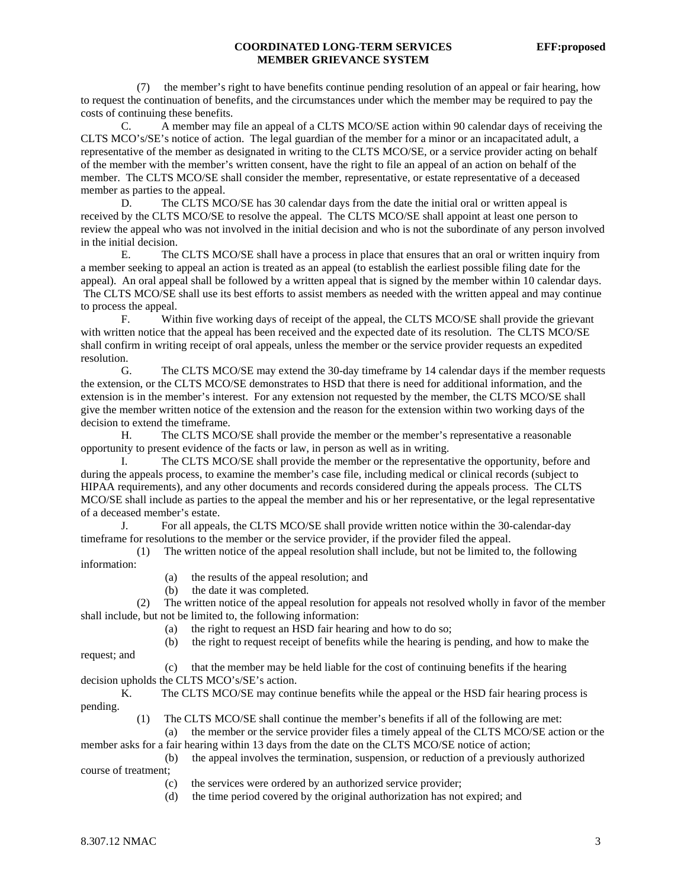#### **COORDINATED LONG-TERM SERVICES EFF:proposed MEMBER GRIEVANCE SYSTEM**

 (7) the member's right to have benefits continue pending resolution of an appeal or fair hearing, how to request the continuation of benefits, and the circumstances under which the member may be required to pay the costs of continuing these benefits.

 C. A member may file an appeal of a CLTS MCO/SE action within 90 calendar days of receiving the CLTS MCO's/SE's notice of action. The legal guardian of the member for a minor or an incapacitated adult, a representative of the member as designated in writing to the CLTS MCO/SE, or a service provider acting on behalf of the member with the member's written consent, have the right to file an appeal of an action on behalf of the member. The CLTS MCO/SE shall consider the member, representative, or estate representative of a deceased member as parties to the appeal.

 D. The CLTS MCO/SE has 30 calendar days from the date the initial oral or written appeal is received by the CLTS MCO/SE to resolve the appeal. The CLTS MCO/SE shall appoint at least one person to review the appeal who was not involved in the initial decision and who is not the subordinate of any person involved in the initial decision.

 E. The CLTS MCO/SE shall have a process in place that ensures that an oral or written inquiry from a member seeking to appeal an action is treated as an appeal (to establish the earliest possible filing date for the appeal). An oral appeal shall be followed by a written appeal that is signed by the member within 10 calendar days. The CLTS MCO/SE shall use its best efforts to assist members as needed with the written appeal and may continue to process the appeal.

 F. Within five working days of receipt of the appeal, the CLTS MCO/SE shall provide the grievant with written notice that the appeal has been received and the expected date of its resolution. The CLTS MCO/SE shall confirm in writing receipt of oral appeals, unless the member or the service provider requests an expedited resolution.

 G. The CLTS MCO/SE may extend the 30-day timeframe by 14 calendar days if the member requests the extension, or the CLTS MCO/SE demonstrates to HSD that there is need for additional information, and the extension is in the member's interest. For any extension not requested by the member, the CLTS MCO/SE shall give the member written notice of the extension and the reason for the extension within two working days of the decision to extend the timeframe.

 H. The CLTS MCO/SE shall provide the member or the member's representative a reasonable opportunity to present evidence of the facts or law, in person as well as in writing.

 I. The CLTS MCO/SE shall provide the member or the representative the opportunity, before and during the appeals process, to examine the member's case file, including medical or clinical records (subject to HIPAA requirements), and any other documents and records considered during the appeals process. The CLTS MCO/SE shall include as parties to the appeal the member and his or her representative, or the legal representative of a deceased member's estate.

 J. For all appeals, the CLTS MCO/SE shall provide written notice within the 30-calendar-day timeframe for resolutions to the member or the service provider, if the provider filed the appeal.

 (1) The written notice of the appeal resolution shall include, but not be limited to, the following information:

- (a) the results of the appeal resolution; and
- (b) the date it was completed.

 (2) The written notice of the appeal resolution for appeals not resolved wholly in favor of the member shall include, but not be limited to, the following information:

(a) the right to request an HSD fair hearing and how to do so;

(b) the right to request receipt of benefits while the hearing is pending, and how to make the

request; and

#### (c) that the member may be held liable for the cost of continuing benefits if the hearing

decision upholds the CLTS MCO's/SE's action.

K. The CLTS MCO/SE may continue benefits while the appeal or the HSD fair hearing process is pending.

(1) The CLTS MCO/SE shall continue the member's benefits if all of the following are met:

 (a) the member or the service provider files a timely appeal of the CLTS MCO/SE action or the member asks for a fair hearing within 13 days from the date on the CLTS MCO/SE notice of action;

- (b) the appeal involves the termination, suspension, or reduction of a previously authorized course of treatment;
	- (c) the services were ordered by an authorized service provider;
	- (d) the time period covered by the original authorization has not expired; and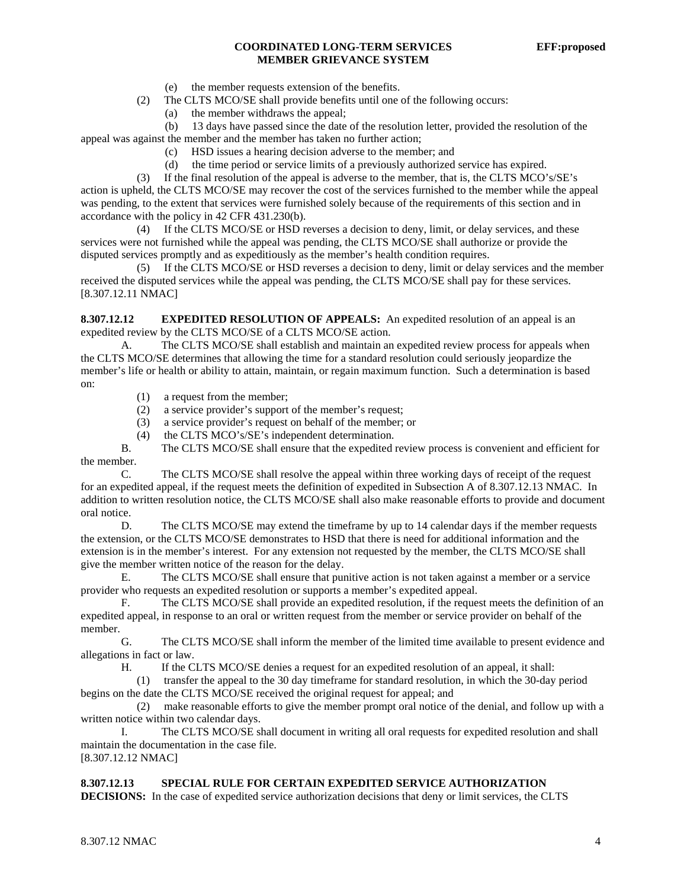# **COORDINATED LONG-TERM SERVICES EFF:proposed MEMBER GRIEVANCE SYSTEM**

- (e) the member requests extension of the benefits.
- (2) The CLTS MCO/SE shall provide benefits until one of the following occurs:
	- (a) the member withdraws the appeal;

 (b) 13 days have passed since the date of the resolution letter, provided the resolution of the appeal was against the member and the member has taken no further action;

- (c) HSD issues a hearing decision adverse to the member; and
- (d) the time period or service limits of a previously authorized service has expired.

 (3) If the final resolution of the appeal is adverse to the member, that is, the CLTS MCO's/SE's action is upheld, the CLTS MCO/SE may recover the cost of the services furnished to the member while the appeal was pending, to the extent that services were furnished solely because of the requirements of this section and in accordance with the policy in 42 CFR 431.230(b).

 (4) If the CLTS MCO/SE or HSD reverses a decision to deny, limit, or delay services, and these services were not furnished while the appeal was pending, the CLTS MCO/SE shall authorize or provide the disputed services promptly and as expeditiously as the member's health condition requires.

 (5) If the CLTS MCO/SE or HSD reverses a decision to deny, limit or delay services and the member received the disputed services while the appeal was pending, the CLTS MCO/SE shall pay for these services. [8.307.12.11 NMAC]

**8.307.12.12 EXPEDITED RESOLUTION OF APPEALS:** An expedited resolution of an appeal is an expedited review by the CLTS MCO/SE of a CLTS MCO/SE action.

 A. The CLTS MCO/SE shall establish and maintain an expedited review process for appeals when the CLTS MCO/SE determines that allowing the time for a standard resolution could seriously jeopardize the member's life or health or ability to attain, maintain, or regain maximum function. Such a determination is based on:

- (1) a request from the member;
- (2) a service provider's support of the member's request;
- (3) a service provider's request on behalf of the member; or
- (4) the CLTS MCO's/SE's independent determination.

 B. The CLTS MCO/SE shall ensure that the expedited review process is convenient and efficient for the member.

 C. The CLTS MCO/SE shall resolve the appeal within three working days of receipt of the request for an expedited appeal, if the request meets the definition of expedited in Subsection A of 8.307.12.13 NMAC. In addition to written resolution notice, the CLTS MCO/SE shall also make reasonable efforts to provide and document oral notice.

D. The CLTS MCO/SE may extend the timeframe by up to 14 calendar days if the member requests the extension, or the CLTS MCO/SE demonstrates to HSD that there is need for additional information and the extension is in the member's interest. For any extension not requested by the member, the CLTS MCO/SE shall give the member written notice of the reason for the delay.

 E. The CLTS MCO/SE shall ensure that punitive action is not taken against a member or a service provider who requests an expedited resolution or supports a member's expedited appeal.

 F. The CLTS MCO/SE shall provide an expedited resolution, if the request meets the definition of an expedited appeal, in response to an oral or written request from the member or service provider on behalf of the member.

 G. The CLTS MCO/SE shall inform the member of the limited time available to present evidence and allegations in fact or law.

H. If the CLTS MCO/SE denies a request for an expedited resolution of an appeal, it shall:

 (1) transfer the appeal to the 30 day timeframe for standard resolution, in which the 30-day period begins on the date the CLTS MCO/SE received the original request for appeal; and

 (2) make reasonable efforts to give the member prompt oral notice of the denial, and follow up with a written notice within two calendar days.

The CLTS MCO/SE shall document in writing all oral requests for expedited resolution and shall maintain the documentation in the case file.

[8.307.12.12 NMAC]

# **8.307.12.13 SPECIAL RULE FOR CERTAIN EXPEDITED SERVICE AUTHORIZATION**

**DECISIONS:** In the case of expedited service authorization decisions that deny or limit services, the CLTS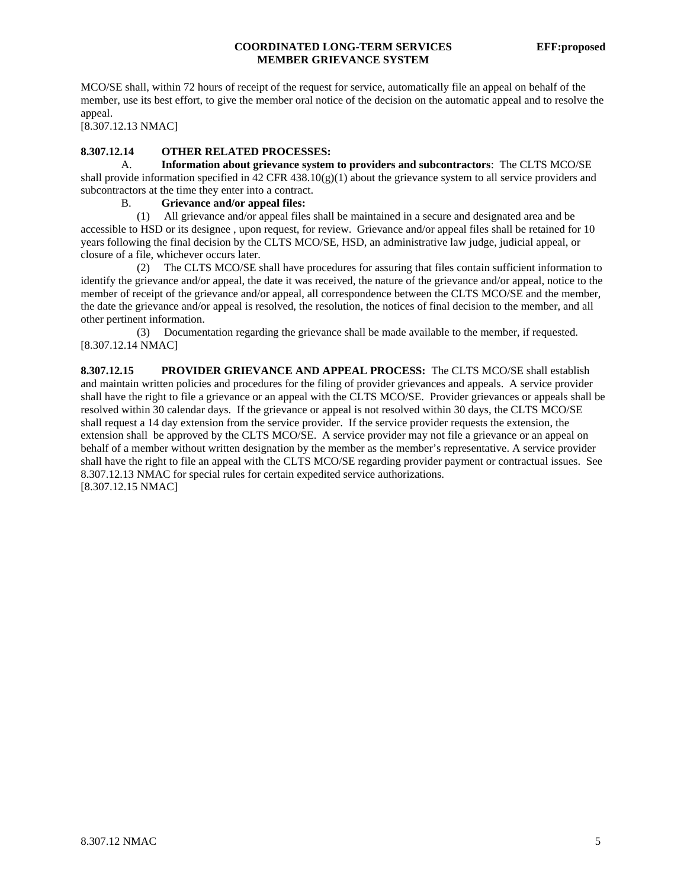MCO/SE shall, within 72 hours of receipt of the request for service, automatically file an appeal on behalf of the member, use its best effort, to give the member oral notice of the decision on the automatic appeal and to resolve the appeal.

[8.307.12.13 NMAC]

# **8.307.12.14 OTHER RELATED PROCESSES:**

 A. **Information about grievance system to providers and subcontractors**: The CLTS MCO/SE shall provide information specified in 42 CFR 438.10(g)(1) about the grievance system to all service providers and subcontractors at the time they enter into a contract.

# B. **Grievance and/or appeal files:**

 (1) All grievance and/or appeal files shall be maintained in a secure and designated area and be accessible to HSD or its designee , upon request, for review. Grievance and/or appeal files shall be retained for 10 years following the final decision by the CLTS MCO/SE, HSD, an administrative law judge, judicial appeal, or closure of a file, whichever occurs later.

 (2) The CLTS MCO/SE shall have procedures for assuring that files contain sufficient information to identify the grievance and/or appeal, the date it was received, the nature of the grievance and/or appeal, notice to the member of receipt of the grievance and/or appeal, all correspondence between the CLTS MCO/SE and the member, the date the grievance and/or appeal is resolved, the resolution, the notices of final decision to the member, and all other pertinent information.

 (3) Documentation regarding the grievance shall be made available to the member, if requested. [8.307.12.14 NMAC]

**8.307.12.15 PROVIDER GRIEVANCE AND APPEAL PROCESS:** The CLTS MCO/SE shall establish and maintain written policies and procedures for the filing of provider grievances and appeals. A service provider shall have the right to file a grievance or an appeal with the CLTS MCO/SE. Provider grievances or appeals shall be resolved within 30 calendar days. If the grievance or appeal is not resolved within 30 days, the CLTS MCO/SE shall request a 14 day extension from the service provider. If the service provider requests the extension, the extension shall be approved by the CLTS MCO/SE. A service provider may not file a grievance or an appeal on behalf of a member without written designation by the member as the member's representative. A service provider shall have the right to file an appeal with the CLTS MCO/SE regarding provider payment or contractual issues. See 8.307.12.13 NMAC for special rules for certain expedited service authorizations. [8.307.12.15 NMAC]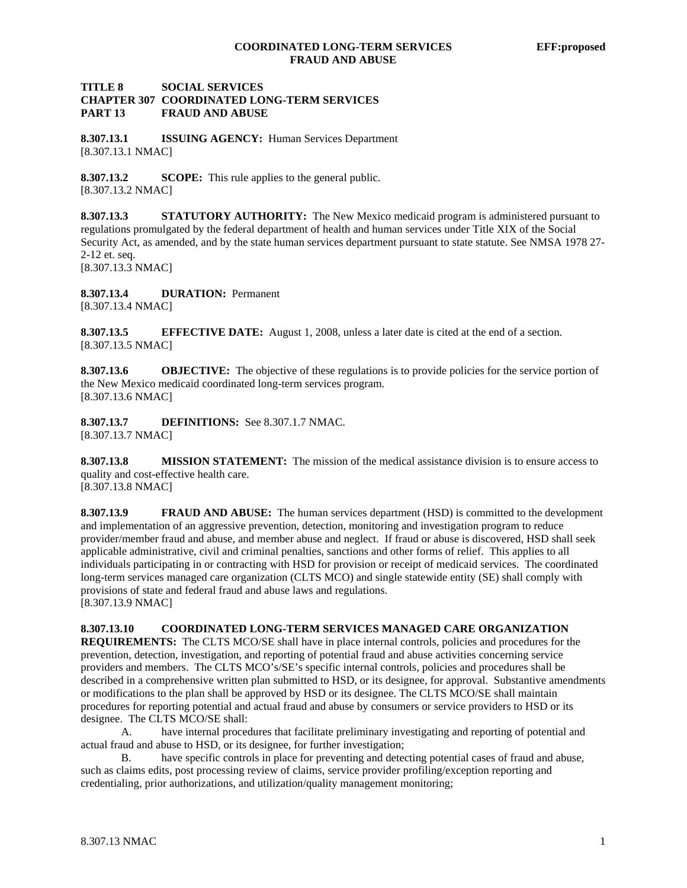## **TITLE 8 SOCIAL SERVICES CHAPTER 307 COORDINATED LONG-TERM SERVICES PART 13 FRAUD AND ABUSE**

**8.307.13.1 ISSUING AGENCY:** Human Services Department [8.307.13.1 NMAC]

**8.307.13.2 SCOPE:** This rule applies to the general public. [8.307.13.2 NMAC]

**8.307.13.3 STATUTORY AUTHORITY:** The New Mexico medicaid program is administered pursuant to regulations promulgated by the federal department of health and human services under Title XIX of the Social Security Act, as amended, and by the state human services department pursuant to state statute. See NMSA 1978 27- 2-12 et. seq. [8.307.13.3 NMAC]

**8.307.13.4 DURATION:** Permanent [8.307.13.4 NMAC]

**8.307.13.5 EFFECTIVE DATE:** August 1, 2008, unless a later date is cited at the end of a section. [8.307.13.5 NMAC]

**8.307.13.6 OBJECTIVE:** The objective of these regulations is to provide policies for the service portion of the New Mexico medicaid coordinated long-term services program. [8.307.13.6 NMAC]

**8.307.13.7 DEFINITIONS:** See 8.307.1.7 NMAC. [8.307.13.7 NMAC]

**8.307.13.8 MISSION STATEMENT:** The mission of the medical assistance division is to ensure access to quality and cost-effective health care.

[8.307.13.8 NMAC]

**8.307.13.9 FRAUD AND ABUSE:** The human services department (HSD) is committed to the development and implementation of an aggressive prevention, detection, monitoring and investigation program to reduce provider/member fraud and abuse, and member abuse and neglect. If fraud or abuse is discovered, HSD shall seek applicable administrative, civil and criminal penalties, sanctions and other forms of relief. This applies to all individuals participating in or contracting with HSD for provision or receipt of medicaid services. The coordinated long-term services managed care organization (CLTS MCO) and single statewide entity (SE) shall comply with provisions of state and federal fraud and abuse laws and regulations. [8.307.13.9 NMAC]

# **8.307.13.10 COORDINATED LONG-TERM SERVICES MANAGED CARE ORGANIZATION**

**REQUIREMENTS:** The CLTS MCO/SE shall have in place internal controls, policies and procedures for the prevention, detection, investigation, and reporting of potential fraud and abuse activities concerning service providers and members. The CLTS MCO's/SE's specific internal controls, policies and procedures shall be described in a comprehensive written plan submitted to HSD, or its designee, for approval. Substantive amendments or modifications to the plan shall be approved by HSD or its designee. The CLTS MCO/SE shall maintain procedures for reporting potential and actual fraud and abuse by consumers or service providers to HSD or its designee. The CLTS MCO/SE shall:

 A. have internal procedures that facilitate preliminary investigating and reporting of potential and actual fraud and abuse to HSD, or its designee, for further investigation;

 B. have specific controls in place for preventing and detecting potential cases of fraud and abuse, such as claims edits, post processing review of claims, service provider profiling/exception reporting and credentialing, prior authorizations, and utilization/quality management monitoring;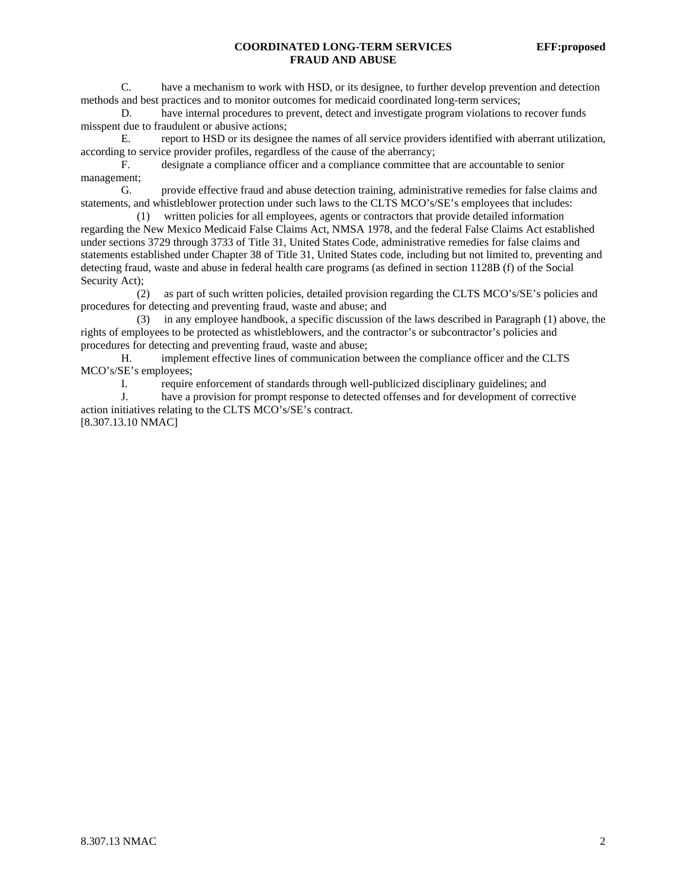# **COORDINATED LONG-TERM SERVICES EFF:proposed FRAUD AND ABUSE**

 C. have a mechanism to work with HSD, or its designee, to further develop prevention and detection methods and best practices and to monitor outcomes for medicaid coordinated long-term services;

 D. have internal procedures to prevent, detect and investigate program violations to recover funds misspent due to fraudulent or abusive actions;

 E. report to HSD or its designee the names of all service providers identified with aberrant utilization, according to service provider profiles, regardless of the cause of the aberrancy;

 F. designate a compliance officer and a compliance committee that are accountable to senior management;

 G. provide effective fraud and abuse detection training, administrative remedies for false claims and statements, and whistleblower protection under such laws to the CLTS MCO's/SE's employees that includes:

 (1) written policies for all employees, agents or contractors that provide detailed information regarding the New Mexico Medicaid False Claims Act, NMSA 1978, and the federal False Claims Act established under sections 3729 through 3733 of Title 31, United States Code, administrative remedies for false claims and statements established under Chapter 38 of Title 31, United States code, including but not limited to, preventing and detecting fraud, waste and abuse in federal health care programs (as defined in section 1128B (f) of the Social Security Act);

 (2) as part of such written policies, detailed provision regarding the CLTS MCO's/SE's policies and procedures for detecting and preventing fraud, waste and abuse; and

 (3) in any employee handbook, a specific discussion of the laws described in Paragraph (1) above, the rights of employees to be protected as whistleblowers, and the contractor's or subcontractor's policies and procedures for detecting and preventing fraud, waste and abuse;

 H. implement effective lines of communication between the compliance officer and the CLTS MCO's/SE's employees;

I. require enforcement of standards through well-publicized disciplinary guidelines; and

 J. have a provision for prompt response to detected offenses and for development of corrective action initiatives relating to the CLTS MCO's/SE's contract.

[8.307.13.10 NMAC]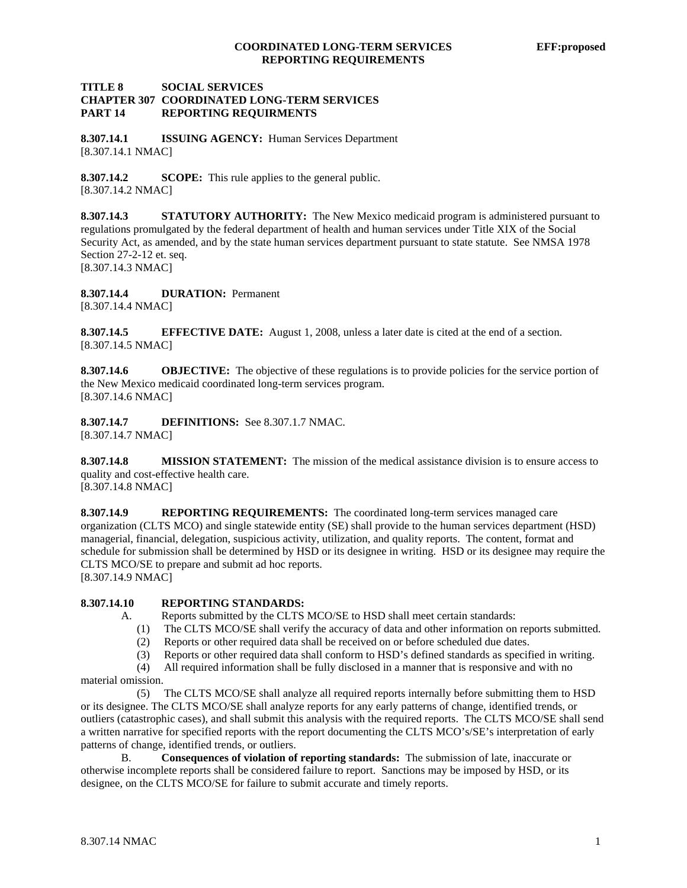# **TITLE 8 SOCIAL SERVICES CHAPTER 307 COORDINATED LONG-TERM SERVICES PART 14 REPORTING REQUIRMENTS**

**8.307.14.1 ISSUING AGENCY:** Human Services Department [8.307.14.1 NMAC]

**8.307.14.2 SCOPE:** This rule applies to the general public. [8.307.14.2 NMAC]

**8.307.14.3 STATUTORY AUTHORITY:** The New Mexico medicaid program is administered pursuant to regulations promulgated by the federal department of health and human services under Title XIX of the Social Security Act, as amended, and by the state human services department pursuant to state statute. See NMSA 1978 Section 27-2-12 et. seq. [8.307.14.3 NMAC]

**8.307.14.4 DURATION:** Permanent [8.307.14.4 NMAC]

**8.307.14.5 EFFECTIVE DATE:** August 1, 2008, unless a later date is cited at the end of a section. [8.307.14.5 NMAC]

**8.307.14.6 OBJECTIVE:** The objective of these regulations is to provide policies for the service portion of the New Mexico medicaid coordinated long-term services program. [8.307.14.6 NMAC]

**8.307.14.7 DEFINITIONS:** See 8.307.1.7 NMAC. [8.307.14.7 NMAC]

**8.307.14.8 MISSION STATEMENT:** The mission of the medical assistance division is to ensure access to quality and cost-effective health care.

[8.307.14.8 NMAC]

**8.307.14.9 REPORTING REQUIREMENTS:** The coordinated long-term services managed care organization (CLTS MCO) and single statewide entity (SE) shall provide to the human services department (HSD) managerial, financial, delegation, suspicious activity, utilization, and quality reports. The content, format and schedule for submission shall be determined by HSD or its designee in writing. HSD or its designee may require the CLTS MCO/SE to prepare and submit ad hoc reports. [8.307.14.9 NMAC]

**8.307.14.10 REPORTING STANDARDS:**

- A. Reports submitted by the CLTS MCO/SE to HSD shall meet certain standards:
	- (1) The CLTS MCO/SE shall verify the accuracy of data and other information on reports submitted.
	- (2) Reports or other required data shall be received on or before scheduled due dates.
	- (3) Reports or other required data shall conform to HSD's defined standards as specified in writing.

(4) All required information shall be fully disclosed in a manner that is responsive and with no

material omission.

 (5) The CLTS MCO/SE shall analyze all required reports internally before submitting them to HSD or its designee. The CLTS MCO/SE shall analyze reports for any early patterns of change, identified trends, or outliers (catastrophic cases), and shall submit this analysis with the required reports. The CLTS MCO/SE shall send a written narrative for specified reports with the report documenting the CLTS MCO's/SE's interpretation of early patterns of change, identified trends, or outliers.

 B. **Consequences of violation of reporting standards:** The submission of late, inaccurate or otherwise incomplete reports shall be considered failure to report. Sanctions may be imposed by HSD, or its designee, on the CLTS MCO/SE for failure to submit accurate and timely reports.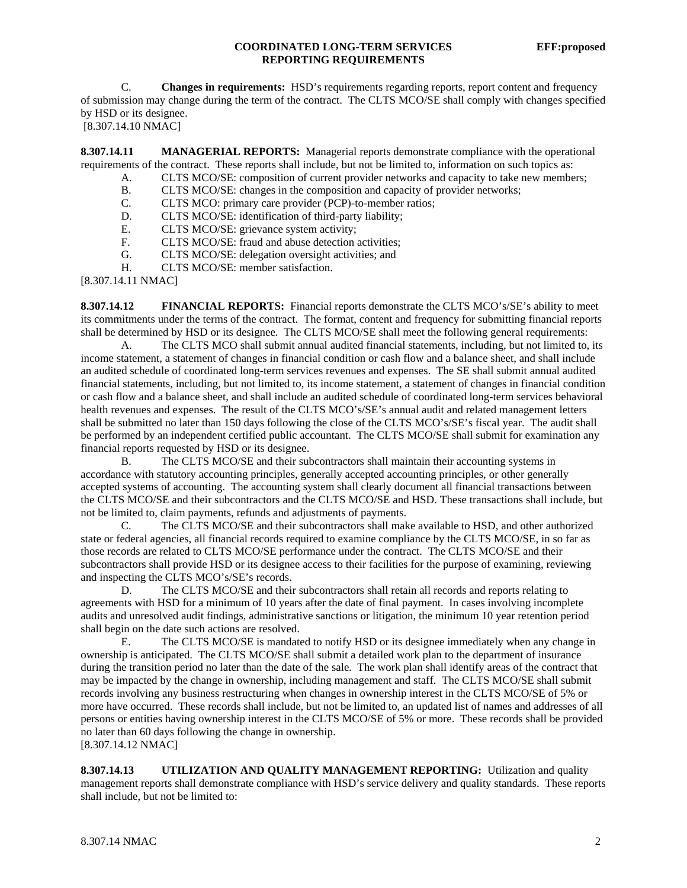#### **COORDINATED LONG-TERM SERVICES EFF:proposed REPORTING REQUIREMENTS**

 C. **Changes in requirements:** HSD's requirements regarding reports, report content and frequency of submission may change during the term of the contract. The CLTS MCO/SE shall comply with changes specified by HSD or its designee.

[8.307.14.10 NMAC]

**8.307.14.11 MANAGERIAL REPORTS:** Managerial reports demonstrate compliance with the operational requirements of the contract. These reports shall include, but not be limited to, information on such topics as:

- A. CLTS MCO/SE: composition of current provider networks and capacity to take new members;
- B. CLTS MCO/SE: changes in the composition and capacity of provider networks;
- C. CLTS MCO: primary care provider (PCP)-to-member ratios;
- D. CLTS MCO/SE: identification of third-party liability;
- E. CLTS MCO/SE: grievance system activity;<br>F. CLTS MCO/SE: fraud and abuse detection a
- CLTS MCO/SE: fraud and abuse detection activities;
- G. CLTS MCO/SE: delegation oversight activities; and
- H. CLTS MCO/SE: member satisfaction.

[8.307.14.11 NMAC]

**8.307.14.12 FINANCIAL REPORTS:** Financial reports demonstrate the CLTS MCO's/SE's ability to meet its commitments under the terms of the contract. The format, content and frequency for submitting financial reports shall be determined by HSD or its designee. The CLTS MCO/SE shall meet the following general requirements:

 A. The CLTS MCO shall submit annual audited financial statements, including, but not limited to, its income statement, a statement of changes in financial condition or cash flow and a balance sheet, and shall include an audited schedule of coordinated long-term services revenues and expenses. The SE shall submit annual audited financial statements, including, but not limited to, its income statement, a statement of changes in financial condition or cash flow and a balance sheet, and shall include an audited schedule of coordinated long-term services behavioral health revenues and expenses. The result of the CLTS MCO's/SE's annual audit and related management letters shall be submitted no later than 150 days following the close of the CLTS MCO's/SE's fiscal year. The audit shall be performed by an independent certified public accountant. The CLTS MCO/SE shall submit for examination any financial reports requested by HSD or its designee.

 B. The CLTS MCO/SE and their subcontractors shall maintain their accounting systems in accordance with statutory accounting principles, generally accepted accounting principles, or other generally accepted systems of accounting. The accounting system shall clearly document all financial transactions between the CLTS MCO/SE and their subcontractors and the CLTS MCO/SE and HSD. These transactions shall include, but not be limited to, claim payments, refunds and adjustments of payments.

 C. The CLTS MCO/SE and their subcontractors shall make available to HSD, and other authorized state or federal agencies, all financial records required to examine compliance by the CLTS MCO/SE, in so far as those records are related to CLTS MCO/SE performance under the contract. The CLTS MCO/SE and their subcontractors shall provide HSD or its designee access to their facilities for the purpose of examining, reviewing and inspecting the CLTS MCO's/SE's records.

D. The CLTS MCO/SE and their subcontractors shall retain all records and reports relating to agreements with HSD for a minimum of 10 years after the date of final payment. In cases involving incomplete audits and unresolved audit findings, administrative sanctions or litigation, the minimum 10 year retention period shall begin on the date such actions are resolved.

 E. The CLTS MCO/SE is mandated to notify HSD or its designee immediately when any change in ownership is anticipated. The CLTS MCO/SE shall submit a detailed work plan to the department of insurance during the transition period no later than the date of the sale. The work plan shall identify areas of the contract that may be impacted by the change in ownership, including management and staff. The CLTS MCO/SE shall submit records involving any business restructuring when changes in ownership interest in the CLTS MCO/SE of 5% or more have occurred. These records shall include, but not be limited to, an updated list of names and addresses of all persons or entities having ownership interest in the CLTS MCO/SE of 5% or more. These records shall be provided no later than 60 days following the change in ownership. [8.307.14.12 NMAC]

**8.307.14.13 UTILIZATION AND QUALITY MANAGEMENT REPORTING:** Utilization and quality management reports shall demonstrate compliance with HSD's service delivery and quality standards. These reports shall include, but not be limited to: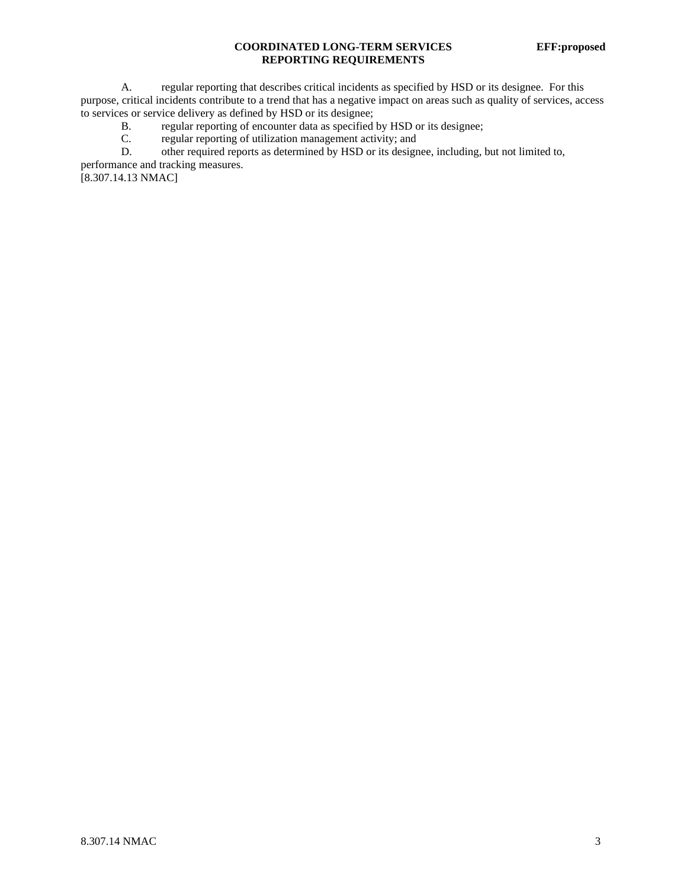# **COORDINATED LONG-TERM SERVICES EFF:proposed REPORTING REQUIREMENTS**

A. regular reporting that describes critical incidents as specified by HSD or its designee. For this purpose, critical incidents contribute to a trend that has a negative impact on areas such as quality of services, access to services or service delivery as defined by HSD or its designee;

- B. regular reporting of encounter data as specified by HSD or its designee;<br>C. regular reporting of utilization management activity; and
- regular reporting of utilization management activity; and
- D. other required reports as determined by HSD or its designee, including, but not limited to,

performance and tracking measures.

[8.307.14.13 NMAC]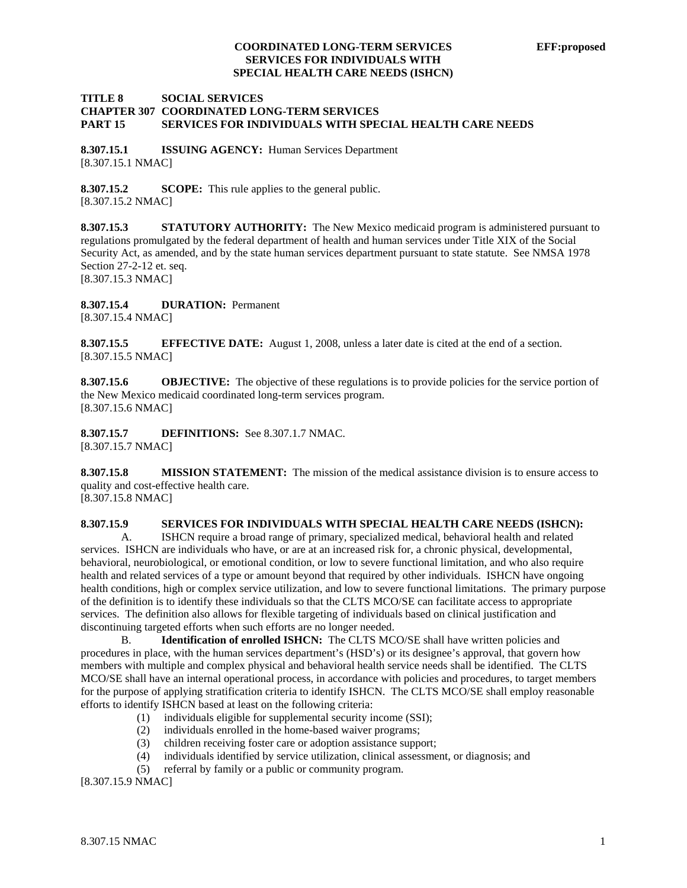#### **TITLE 8 SOCIAL SERVICES CHAPTER 307 COORDINATED LONG-TERM SERVICES PART 15 SERVICES FOR INDIVIDUALS WITH SPECIAL HEALTH CARE NEEDS**

**8.307.15.1 ISSUING AGENCY:** Human Services Department [8.307.15.1 NMAC]

**8.307.15.2 SCOPE:** This rule applies to the general public. [8.307.15.2 NMAC]

**8.307.15.3 STATUTORY AUTHORITY:** The New Mexico medicaid program is administered pursuant to regulations promulgated by the federal department of health and human services under Title XIX of the Social Security Act, as amended, and by the state human services department pursuant to state statute. See NMSA 1978 Section 27-2-12 et. seq. [8.307.15.3 NMAC]

**8.307.15.4 DURATION:** Permanent

[8.307.15.4 NMAC]

**8.307.15.5 EFFECTIVE DATE:** August 1, 2008, unless a later date is cited at the end of a section. [8.307.15.5 NMAC]

**8.307.15.6 OBJECTIVE:** The objective of these regulations is to provide policies for the service portion of the New Mexico medicaid coordinated long-term services program. [8.307.15.6 NMAC]

**8.307.15.7 DEFINITIONS:** See 8.307.1.7 NMAC. [8.307.15.7 NMAC]

**8.307.15.8 MISSION STATEMENT:** The mission of the medical assistance division is to ensure access to quality and cost-effective health care. [8.307.15.8 NMAC]

# **8.307.15.9 SERVICES FOR INDIVIDUALS WITH SPECIAL HEALTH CARE NEEDS (ISHCN):**

 A. ISHCN require a broad range of primary, specialized medical, behavioral health and related services. ISHCN are individuals who have, or are at an increased risk for, a chronic physical, developmental, behavioral, neurobiological, or emotional condition, or low to severe functional limitation, and who also require health and related services of a type or amount beyond that required by other individuals. ISHCN have ongoing health conditions, high or complex service utilization, and low to severe functional limitations. The primary purpose of the definition is to identify these individuals so that the CLTS MCO/SE can facilitate access to appropriate services. The definition also allows for flexible targeting of individuals based on clinical justification and discontinuing targeted efforts when such efforts are no longer needed.

 B. **Identification of enrolled ISHCN:** The CLTS MCO/SE shall have written policies and procedures in place, with the human services department's (HSD's) or its designee's approval, that govern how members with multiple and complex physical and behavioral health service needs shall be identified. The CLTS MCO/SE shall have an internal operational process, in accordance with policies and procedures, to target members for the purpose of applying stratification criteria to identify ISHCN. The CLTS MCO/SE shall employ reasonable efforts to identify ISHCN based at least on the following criteria:

- (1) individuals eligible for supplemental security income (SSI);
- (2) individuals enrolled in the home-based waiver programs;
- (3) children receiving foster care or adoption assistance support;
- (4) individuals identified by service utilization, clinical assessment, or diagnosis; and
- (5) referral by family or a public or community program.

[8.307.15.9 NMAC]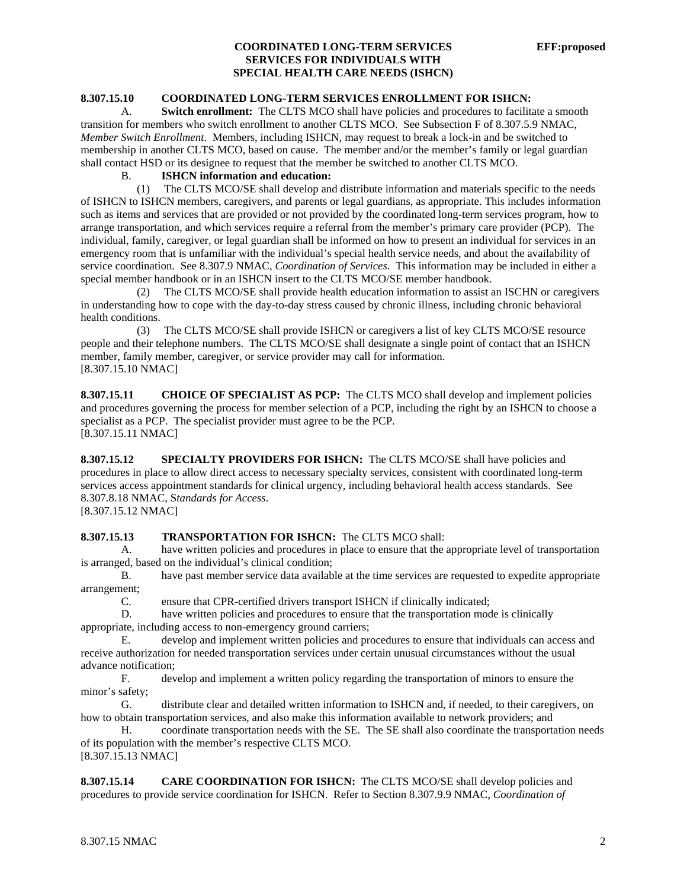# **8.307.15.10 COORDINATED LONG-TERM SERVICES ENROLLMENT FOR ISHCN:**

 A. **Switch enrollment:** The CLTS MCO shall have policies and procedures to facilitate a smooth transition for members who switch enrollment to another CLTS MCO. See Subsection F of 8.307.5.9 NMAC, *Member Switch Enrollment*. Members, including ISHCN, may request to break a lock-in and be switched to membership in another CLTS MCO, based on cause. The member and/or the member's family or legal guardian shall contact HSD or its designee to request that the member be switched to another CLTS MCO.

#### B. **ISHCN information and education:**

 (1) The CLTS MCO/SE shall develop and distribute information and materials specific to the needs of ISHCN to ISHCN members, caregivers, and parents or legal guardians, as appropriate. This includes information such as items and services that are provided or not provided by the coordinated long-term services program, how to arrange transportation, and which services require a referral from the member's primary care provider (PCP). The individual, family, caregiver, or legal guardian shall be informed on how to present an individual for services in an emergency room that is unfamiliar with the individual's special health service needs, and about the availability of service coordination. See 8.307.9 NMAC, *Coordination of Services*. This information may be included in either a special member handbook or in an ISHCN insert to the CLTS MCO/SE member handbook.

 (2) The CLTS MCO/SE shall provide health education information to assist an ISCHN or caregivers in understanding how to cope with the day-to-day stress caused by chronic illness, including chronic behavioral health conditions.

 (3) The CLTS MCO/SE shall provide ISHCN or caregivers a list of key CLTS MCO/SE resource people and their telephone numbers. The CLTS MCO/SE shall designate a single point of contact that an ISHCN member, family member, caregiver, or service provider may call for information. [8.307.15.10 NMAC]

**8.307.15.11 CHOICE OF SPECIALIST AS PCP:** The CLTS MCO shall develop and implement policies and procedures governing the process for member selection of a PCP, including the right by an ISHCN to choose a specialist as a PCP. The specialist provider must agree to be the PCP. [8.307.15.11 NMAC]

**8.307.15.12 SPECIALTY PROVIDERS FOR ISHCN:** The CLTS MCO/SE shall have policies and procedures in place to allow direct access to necessary specialty services, consistent with coordinated long-term services access appointment standards for clinical urgency, including behavioral health access standards. See 8.307.8.18 NMAC, S*tandards for Access*.

[8.307.15.12 NMAC]

# **8.307.15.13 TRANSPORTATION FOR ISHCN:** The CLTS MCO shall:

 A. have written policies and procedures in place to ensure that the appropriate level of transportation is arranged, based on the individual's clinical condition;

 B. have past member service data available at the time services are requested to expedite appropriate arrangement;

C. ensure that CPR-certified drivers transport ISHCN if clinically indicated;

 D. have written policies and procedures to ensure that the transportation mode is clinically appropriate, including access to non-emergency ground carriers;

 E. develop and implement written policies and procedures to ensure that individuals can access and receive authorization for needed transportation services under certain unusual circumstances without the usual advance notification;

 F. develop and implement a written policy regarding the transportation of minors to ensure the minor's safety;

 G. distribute clear and detailed written information to ISHCN and, if needed, to their caregivers, on how to obtain transportation services, and also make this information available to network providers; and

 H. coordinate transportation needs with the SE. The SE shall also coordinate the transportation needs of its population with the member's respective CLTS MCO. [8.307.15.13 NMAC]

**8.307.15.14 CARE COORDINATION FOR ISHCN:** The CLTS MCO/SE shall develop policies and procedures to provide service coordination for ISHCN. Refer to Section 8.307.9.9 NMAC, *Coordination of*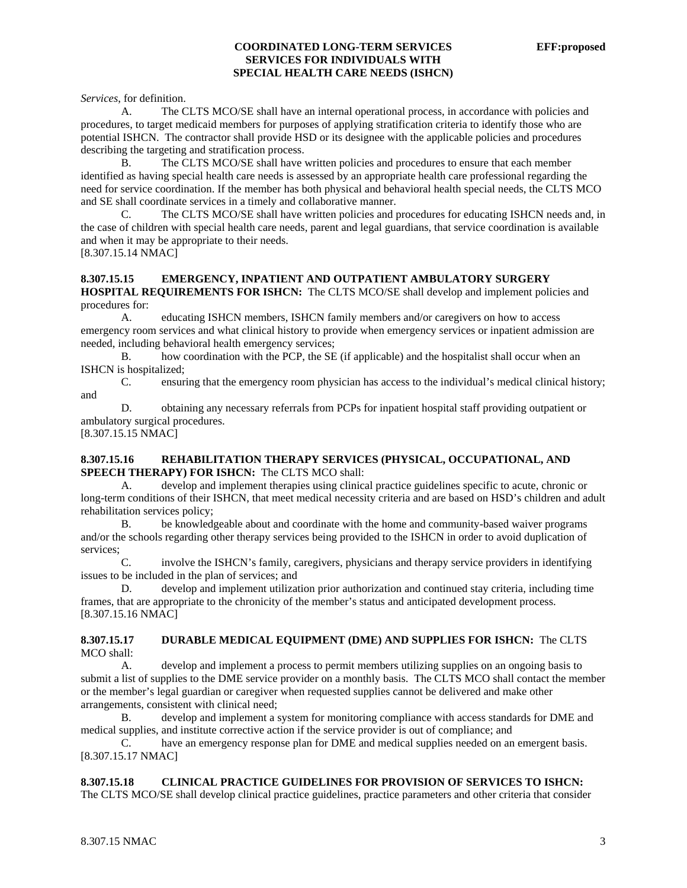*Services*, for definition.

 A. The CLTS MCO/SE shall have an internal operational process, in accordance with policies and procedures, to target medicaid members for purposes of applying stratification criteria to identify those who are potential ISHCN. The contractor shall provide HSD or its designee with the applicable policies and procedures describing the targeting and stratification process.

 B. The CLTS MCO/SE shall have written policies and procedures to ensure that each member identified as having special health care needs is assessed by an appropriate health care professional regarding the need for service coordination. If the member has both physical and behavioral health special needs, the CLTS MCO and SE shall coordinate services in a timely and collaborative manner.

 C. The CLTS MCO/SE shall have written policies and procedures for educating ISHCN needs and, in the case of children with special health care needs, parent and legal guardians, that service coordination is available and when it may be appropriate to their needs.

[8.307.15.14 NMAC]

#### **8.307.15.15 EMERGENCY, INPATIENT AND OUTPATIENT AMBULATORY SURGERY HOSPITAL REQUIREMENTS FOR ISHCN:** The CLTS MCO/SE shall develop and implement policies and procedures for:

 A. educating ISHCN members, ISHCN family members and/or caregivers on how to access emergency room services and what clinical history to provide when emergency services or inpatient admission are needed, including behavioral health emergency services;

 B. how coordination with the PCP, the SE (if applicable) and the hospitalist shall occur when an ISHCN is hospitalized;

 C. ensuring that the emergency room physician has access to the individual's medical clinical history; and

 D. obtaining any necessary referrals from PCPs for inpatient hospital staff providing outpatient or ambulatory surgical procedures.

[8.307.15.15 NMAC]

# **8.307.15.16 REHABILITATION THERAPY SERVICES (PHYSICAL, OCCUPATIONAL, AND SPEECH THERAPY) FOR ISHCN:** The CLTS MCO shall:

 A. develop and implement therapies using clinical practice guidelines specific to acute, chronic or long-term conditions of their ISHCN, that meet medical necessity criteria and are based on HSD's children and adult rehabilitation services policy;

 B. be knowledgeable about and coordinate with the home and community-based waiver programs and/or the schools regarding other therapy services being provided to the ISHCN in order to avoid duplication of services;

 C. involve the ISHCN's family, caregivers, physicians and therapy service providers in identifying issues to be included in the plan of services; and

 D. develop and implement utilization prior authorization and continued stay criteria, including time frames, that are appropriate to the chronicity of the member's status and anticipated development process. [8.307.15.16 NMAC]

**8.307.15.17 DURABLE MEDICAL EQUIPMENT (DME) AND SUPPLIES FOR ISHCN:** The CLTS MCO shall:

 A. develop and implement a process to permit members utilizing supplies on an ongoing basis to submit a list of supplies to the DME service provider on a monthly basis. The CLTS MCO shall contact the member or the member's legal guardian or caregiver when requested supplies cannot be delivered and make other arrangements, consistent with clinical need;

 B. develop and implement a system for monitoring compliance with access standards for DME and medical supplies, and institute corrective action if the service provider is out of compliance; and

 C. have an emergency response plan for DME and medical supplies needed on an emergent basis. [8.307.15.17 NMAC]

# **8.307.15.18 CLINICAL PRACTICE GUIDELINES FOR PROVISION OF SERVICES TO ISHCN:**

The CLTS MCO/SE shall develop clinical practice guidelines, practice parameters and other criteria that consider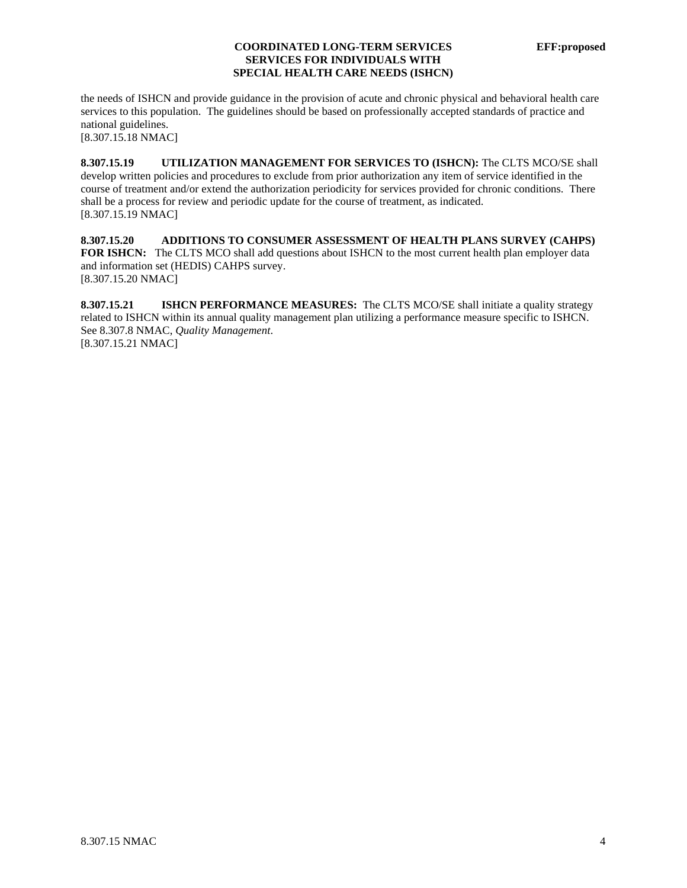the needs of ISHCN and provide guidance in the provision of acute and chronic physical and behavioral health care services to this population. The guidelines should be based on professionally accepted standards of practice and national guidelines.

[8.307.15.18 NMAC]

**8.307.15.19 UTILIZATION MANAGEMENT FOR SERVICES TO (ISHCN):** The CLTS MCO/SE shall develop written policies and procedures to exclude from prior authorization any item of service identified in the course of treatment and/or extend the authorization periodicity for services provided for chronic conditions. There shall be a process for review and periodic update for the course of treatment, as indicated. [8.307.15.19 NMAC]

**8.307.15.20 ADDITIONS TO CONSUMER ASSESSMENT OF HEALTH PLANS SURVEY (CAHPS) FOR ISHCN:** The CLTS MCO shall add questions about ISHCN to the most current health plan employer data and information set (HEDIS) CAHPS survey. [8.307.15.20 NMAC]

**8.307.15.21 ISHCN PERFORMANCE MEASURES:** The CLTS MCO/SE shall initiate a quality strategy related to ISHCN within its annual quality management plan utilizing a performance measure specific to ISHCN. See 8.307.8 NMAC, *Quality Management*. [8.307.15.21 NMAC]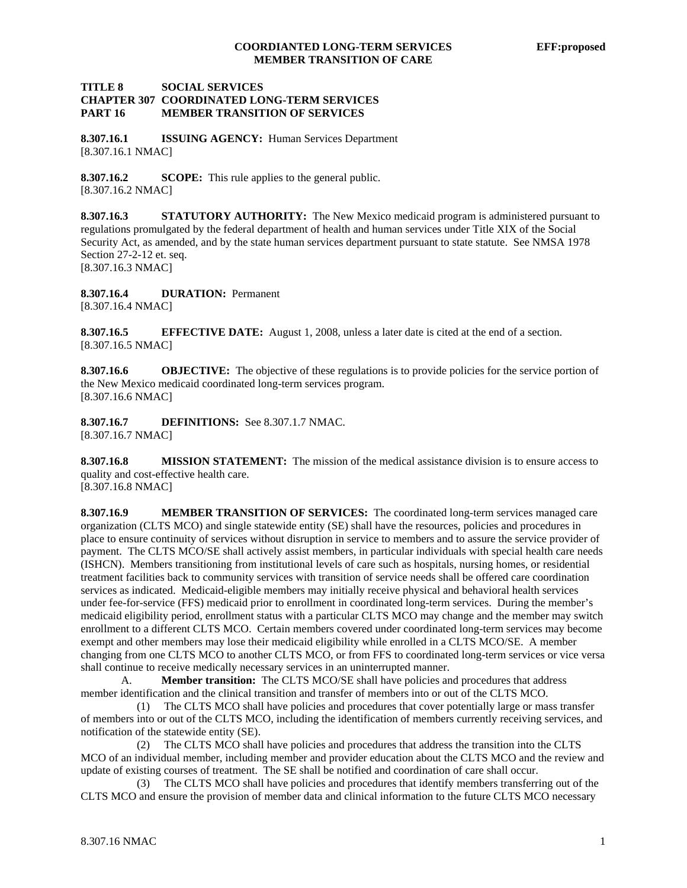## **TITLE 8 SOCIAL SERVICES CHAPTER 307 COORDINATED LONG-TERM SERVICES PART 16 MEMBER TRANSITION OF SERVICES**

**8.307.16.1 ISSUING AGENCY:** Human Services Department [8.307.16.1 NMAC]

**8.307.16.2 SCOPE:** This rule applies to the general public. [8.307.16.2 NMAC]

**8.307.16.3 STATUTORY AUTHORITY:** The New Mexico medicaid program is administered pursuant to regulations promulgated by the federal department of health and human services under Title XIX of the Social Security Act, as amended, and by the state human services department pursuant to state statute. See NMSA 1978 Section 27-2-12 et. seq. [8.307.16.3 NMAC]

**8.307.16.4 DURATION:** Permanent [8.307.16.4 NMAC]

**8.307.16.5 EFFECTIVE DATE:** August 1, 2008, unless a later date is cited at the end of a section. [8.307.16.5 NMAC]

**8.307.16.6 OBJECTIVE:** The objective of these regulations is to provide policies for the service portion of the New Mexico medicaid coordinated long-term services program. [8.307.16.6 NMAC]

**8.307.16.7 DEFINITIONS:** See 8.307.1.7 NMAC. [8.307.16.7 NMAC]

**8.307.16.8 MISSION STATEMENT:** The mission of the medical assistance division is to ensure access to quality and cost-effective health care.

[8.307.16.8 NMAC]

**8.307.16.9 MEMBER TRANSITION OF SERVICES:** The coordinated long-term services managed care organization (CLTS MCO) and single statewide entity (SE) shall have the resources, policies and procedures in place to ensure continuity of services without disruption in service to members and to assure the service provider of payment. The CLTS MCO/SE shall actively assist members, in particular individuals with special health care needs (ISHCN). Members transitioning from institutional levels of care such as hospitals, nursing homes, or residential treatment facilities back to community services with transition of service needs shall be offered care coordination services as indicated. Medicaid-eligible members may initially receive physical and behavioral health services under fee-for-service (FFS) medicaid prior to enrollment in coordinated long-term services. During the member's medicaid eligibility period, enrollment status with a particular CLTS MCO may change and the member may switch enrollment to a different CLTS MCO. Certain members covered under coordinated long-term services may become exempt and other members may lose their medicaid eligibility while enrolled in a CLTS MCO/SE. A member changing from one CLTS MCO to another CLTS MCO, or from FFS to coordinated long-term services or vice versa shall continue to receive medically necessary services in an uninterrupted manner.

 A. **Member transition:** The CLTS MCO/SE shall have policies and procedures that address member identification and the clinical transition and transfer of members into or out of the CLTS MCO.

 (1) The CLTS MCO shall have policies and procedures that cover potentially large or mass transfer of members into or out of the CLTS MCO, including the identification of members currently receiving services, and notification of the statewide entity (SE).

 (2) The CLTS MCO shall have policies and procedures that address the transition into the CLTS MCO of an individual member, including member and provider education about the CLTS MCO and the review and update of existing courses of treatment. The SE shall be notified and coordination of care shall occur.

 (3) The CLTS MCO shall have policies and procedures that identify members transferring out of the CLTS MCO and ensure the provision of member data and clinical information to the future CLTS MCO necessary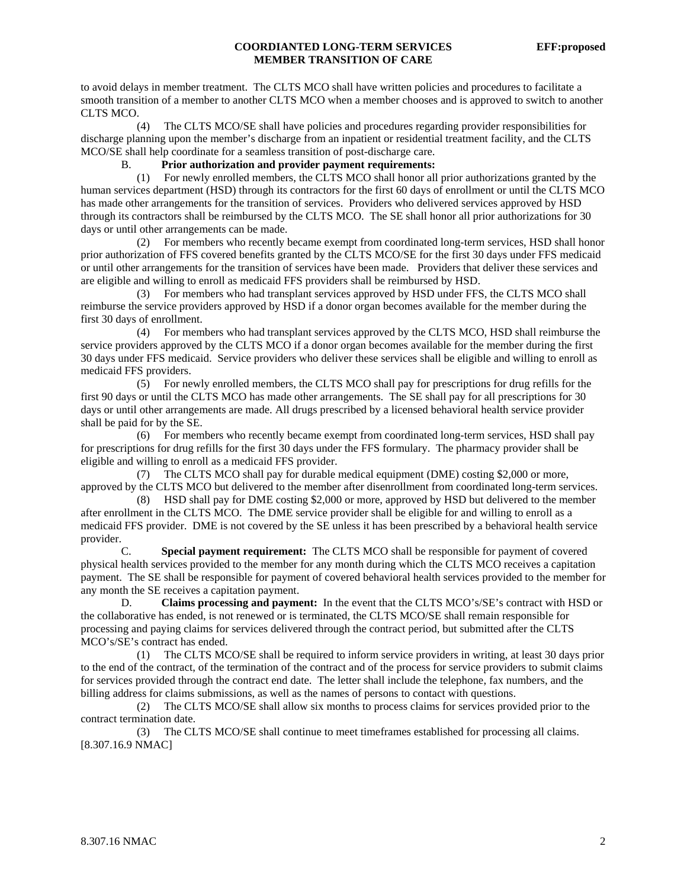# **COORDIANTED LONG-TERM SERVICES EFF:proposed MEMBER TRANSITION OF CARE**

to avoid delays in member treatment. The CLTS MCO shall have written policies and procedures to facilitate a smooth transition of a member to another CLTS MCO when a member chooses and is approved to switch to another CLTS MCO.

 (4) The CLTS MCO/SE shall have policies and procedures regarding provider responsibilities for discharge planning upon the member's discharge from an inpatient or residential treatment facility, and the CLTS MCO/SE shall help coordinate for a seamless transition of post-discharge care.

# B. **Prior authorization and provider payment requirements:**

 (1) For newly enrolled members, the CLTS MCO shall honor all prior authorizations granted by the human services department (HSD) through its contractors for the first 60 days of enrollment or until the CLTS MCO has made other arrangements for the transition of services. Providers who delivered services approved by HSD through its contractors shall be reimbursed by the CLTS MCO. The SE shall honor all prior authorizations for 30 days or until other arrangements can be made.

 (2) For members who recently became exempt from coordinated long-term services, HSD shall honor prior authorization of FFS covered benefits granted by the CLTS MCO/SE for the first 30 days under FFS medicaid or until other arrangements for the transition of services have been made. Providers that deliver these services and are eligible and willing to enroll as medicaid FFS providers shall be reimbursed by HSD.

 (3) For members who had transplant services approved by HSD under FFS, the CLTS MCO shall reimburse the service providers approved by HSD if a donor organ becomes available for the member during the first 30 days of enrollment.

 (4) For members who had transplant services approved by the CLTS MCO, HSD shall reimburse the service providers approved by the CLTS MCO if a donor organ becomes available for the member during the first 30 days under FFS medicaid. Service providers who deliver these services shall be eligible and willing to enroll as medicaid FFS providers.

 (5) For newly enrolled members, the CLTS MCO shall pay for prescriptions for drug refills for the first 90 days or until the CLTS MCO has made other arrangements. The SE shall pay for all prescriptions for 30 days or until other arrangements are made. All drugs prescribed by a licensed behavioral health service provider shall be paid for by the SE.

 (6) For members who recently became exempt from coordinated long-term services, HSD shall pay for prescriptions for drug refills for the first 30 days under the FFS formulary. The pharmacy provider shall be eligible and willing to enroll as a medicaid FFS provider.

 (7) The CLTS MCO shall pay for durable medical equipment (DME) costing \$2,000 or more, approved by the CLTS MCO but delivered to the member after disenrollment from coordinated long-term services.

 (8) HSD shall pay for DME costing \$2,000 or more, approved by HSD but delivered to the member after enrollment in the CLTS MCO. The DME service provider shall be eligible for and willing to enroll as a medicaid FFS provider. DME is not covered by the SE unless it has been prescribed by a behavioral health service provider.

 C. **Special payment requirement:** The CLTS MCO shall be responsible for payment of covered physical health services provided to the member for any month during which the CLTS MCO receives a capitation payment. The SE shall be responsible for payment of covered behavioral health services provided to the member for any month the SE receives a capitation payment.

 D. **Claims processing and payment:** In the event that the CLTS MCO's/SE's contract with HSD or the collaborative has ended, is not renewed or is terminated, the CLTS MCO/SE shall remain responsible for processing and paying claims for services delivered through the contract period, but submitted after the CLTS MCO's/SE's contract has ended.

 (1) The CLTS MCO/SE shall be required to inform service providers in writing, at least 30 days prior to the end of the contract, of the termination of the contract and of the process for service providers to submit claims for services provided through the contract end date. The letter shall include the telephone, fax numbers, and the billing address for claims submissions, as well as the names of persons to contact with questions.

 (2) The CLTS MCO/SE shall allow six months to process claims for services provided prior to the contract termination date.

 (3) The CLTS MCO/SE shall continue to meet timeframes established for processing all claims. [8.307.16.9 NMAC]